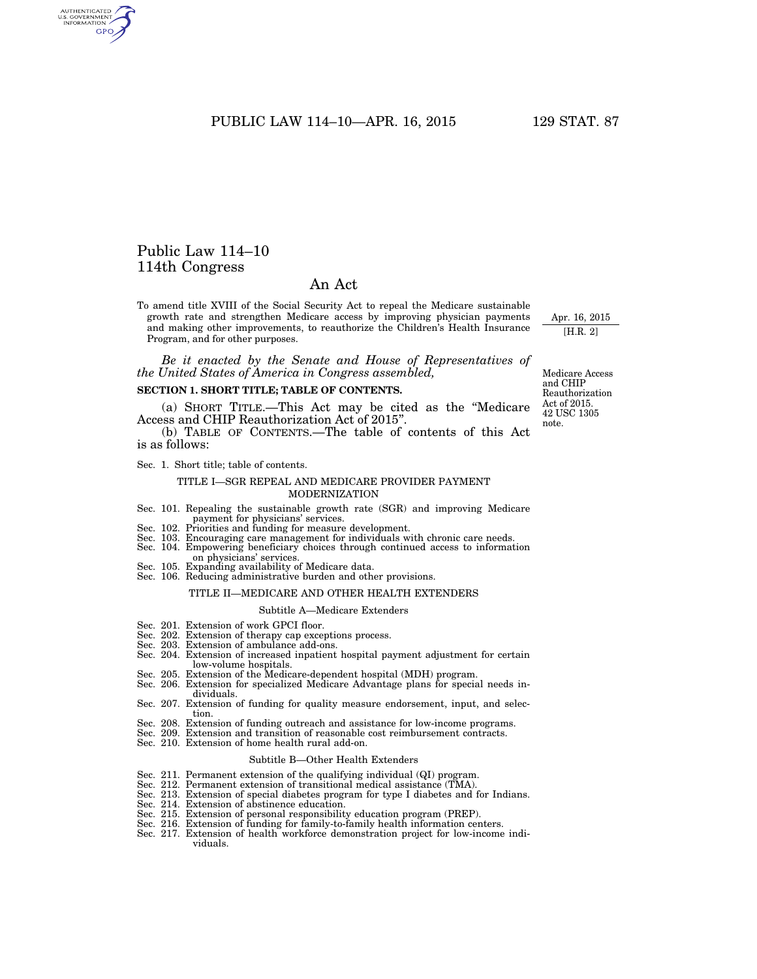PUBLIC LAW 114-10-APR. 16, 2015 129 STAT. 87

## Public Law 114–10 114th Congress

AUTHENTICATED<br>U.S. GOVERNMENT<br>INFORMATION GPO

## An Act

To amend title XVIII of the Social Security Act to repeal the Medicare sustainable growth rate and strengthen Medicare access by improving physician payments and making other improvements, to reauthorize the Children's Health Insurance Program, and for other purposes.

*Be it enacted by the Senate and House of Representatives of the United States of America in Congress assembled,* 

## **SECTION 1. SHORT TITLE; TABLE OF CONTENTS.**

(a) SHORT TITLE.—This Act may be cited as the ''Medicare Access and CHIP Reauthorization Act of 2015''.

(b) TABLE OF CONTENTS.—The table of contents of this Act is as follows:

Sec. 1. Short title; table of contents.

## TITLE I—SGR REPEAL AND MEDICARE PROVIDER PAYMENT MODERNIZATION

- Sec. 101. Repealing the sustainable growth rate (SGR) and improving Medicare payment for physicians' services. Sec. 102. Priorities and funding for measure development.
- 
- Sec. 103. Encouraging care management for individuals with chronic care needs.
- Sec. 104. Empowering beneficiary choices through continued access to information on physicians' services.
- Sec. 105. Expanding availability of Medicare data.
- Sec. 106. Reducing administrative burden and other provisions.

## TITLE II—MEDICARE AND OTHER HEALTH EXTENDERS

### Subtitle A—Medicare Extenders

- Sec. 201. Extension of work GPCI floor.
- Sec. 202. Extension of therapy cap exceptions process. Sec. 203. Extension of ambulance add-ons.
- 
- Sec. 204. Extension of increased inpatient hospital payment adjustment for certain low-volume hospitals.
- Sec. 205. Extension of the Medicare-dependent hospital (MDH) program.
- Sec. 206. Extension for specialized Medicare Advantage plans for special needs individuals.
- Sec. 207. Extension of funding for quality measure endorsement, input, and selection.
- Sec. 208. Extension of funding outreach and assistance for low-income programs.
- Sec. 209. Extension and transition of reasonable cost reimbursement contracts.
- Sec. 210. Extension of home health rural add-on.

## Subtitle B—Other Health Extenders

- Sec. 211. Permanent extension of the qualifying individual (QI) program.
- Sec. 212. Permanent extension of transitional medical assistance (TMA).
- Sec. 213. Extension of special diabetes program for type I diabetes and for Indians.
- Sec. 214. Extension of abstinence education.
- Sec. 215. Extension of personal responsibility education program (PREP). Sec. 216. Extension of funding for family-to-family health information centers.
- 
- Sec. 217. Extension of health workforce demonstration project for low-income individuals.

Medicare Access and CHIP Reauthorization Act of 2015. 42 USC 1305 note.

Apr. 16, 2015 [H.R. 2]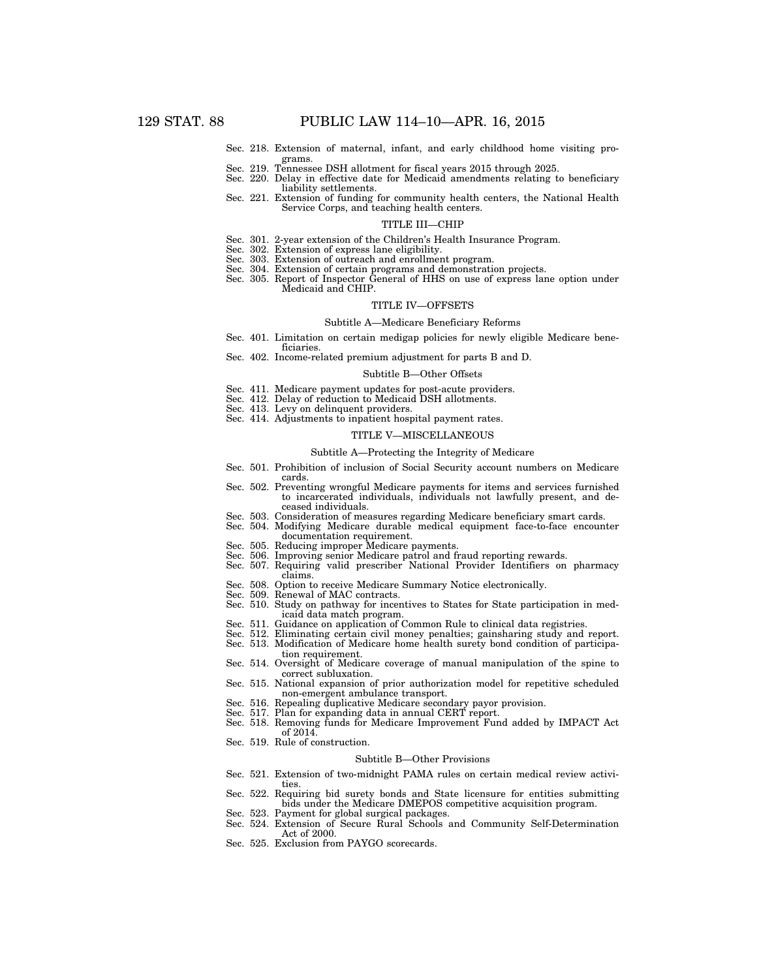- Sec. 218. Extension of maternal, infant, and early childhood home visiting programs.
- Sec. 219. Tennessee DSH allotment for fiscal years 2015 through 2025.
- Sec. 220. Delay in effective date for Medicaid amendments relating to beneficiary liability settlements.
- Sec. 221. Extension of funding for community health centers, the National Health Service Corps, and teaching health centers.

#### TITLE III—CHIP

- Sec. 301. 2-year extension of the Children's Health Insurance Program.
- Sec. 302. Extension of express lane eligibility.
- Sec. 303. Extension of outreach and enrollment program.
- 
- Sec. 304. Extension of certain programs and demonstration projects. Sec. 305. Report of Inspector General of HHS on use of express lane option under Medicaid and CHIP.

#### TITLE IV—OFFSETS

#### Subtitle A—Medicare Beneficiary Reforms

- Sec. 401. Limitation on certain medigap policies for newly eligible Medicare beneficiaries
	- Sec. 402. Income-related premium adjustment for parts B and D.

#### Subtitle B—Other Offsets

- Sec. 411. Medicare payment updates for post-acute providers.
- Sec. 412. Delay of reduction to Medicaid DSH allotments. Sec. 413. Levy on delinquent providers.
- 
- Sec. 414. Adjustments to inpatient hospital payment rates.

## TITLE V—MISCELLANEOUS

#### Subtitle A—Protecting the Integrity of Medicare

- Sec. 501. Prohibition of inclusion of Social Security account numbers on Medicare cards.
- Sec. 502. Preventing wrongful Medicare payments for items and services furnished to incarcerated individuals, individuals not lawfully present, and deceased individuals.
- Sec. 503. Consideration of measures regarding Medicare beneficiary smart cards. Sec. 504. Modifying Medicare durable medical equipment face-to-face encounter
- 
- documentation requirement.
- Sec. 505. Reducing improper Medicare payments.
- Sec. 506. Improving senior Medicare patrol and fraud reporting rewards. Sec. 507. Requiring valid prescriber National Provider Identifiers on pharmacy
- claims.
- Sec. 508. Option to receive Medicare Summary Notice electronically. Sec. 509. Renewal of MAC contracts.
- 
- Sec. 510. Study on pathway for incentives to States for State participation in medicaid data match program.
- Sec. 511. Guidance on application of Common Rule to clinical data registries.
- 
- Sec. 512. Eliminating certain civil money penalties; gainsharing study and report. Sec. 513. Modification of Medicare home health surety bond condition of participa-
- tion requirement. Sec. 514. Oversight of Medicare coverage of manual manipulation of the spine to correct subluxation.
- Sec. 515. National expansion of prior authorization model for repetitive scheduled non-emergent ambulance transport.
- Sec. 516. Repealing duplicative Medicare secondary payor provision.
- Sec. 517. Plan for expanding data in annual CERT report.
- Sec. 518. Removing funds for Medicare Improvement Fund added by IMPACT Act of 2014.
- Sec. 519. Rule of construction.

### Subtitle B—Other Provisions

- Sec. 521. Extension of two-midnight PAMA rules on certain medical review activities.
- Sec. 522. Requiring bid surety bonds and State licensure for entities submitting bids under the Medicare DMEPOS competitive acquisition program.
- Sec. 523. Payment for global surgical packages.<br>Sec. 524. Extension of Secure Rural Schools a
- Extension of Secure Rural Schools and Community Self-Determination Act of 2000.
- Sec. 525. Exclusion from PAYGO scorecards.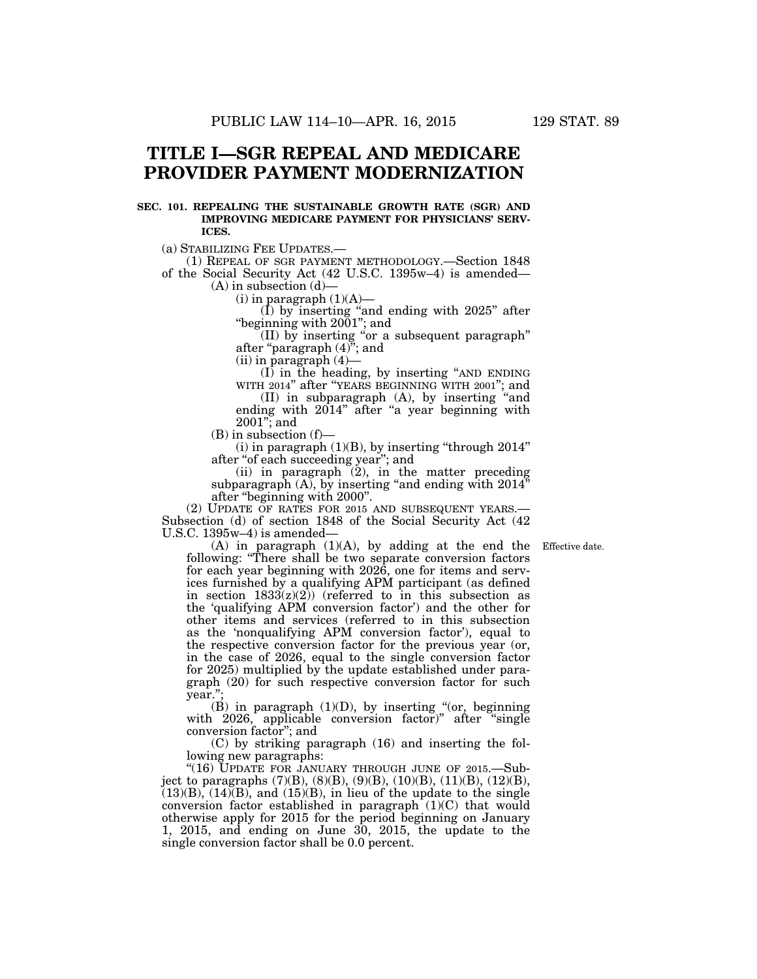# **TITLE I—SGR REPEAL AND MEDICARE PROVIDER PAYMENT MODERNIZATION**

## **SEC. 101. REPEALING THE SUSTAINABLE GROWTH RATE (SGR) AND IMPROVING MEDICARE PAYMENT FOR PHYSICIANS' SERV-ICES.**

(a) STABILIZING FEE UPDATES.—

(1) REPEAL OF SGR PAYMENT METHODOLOGY.—Section 1848 of the Social Security Act (42 U.S.C. 1395w–4) is amended—

 $(A)$  in subsection  $(d)$ 

 $(i)$  in paragraph  $(1)(A)$ 

(I) by inserting ''and ending with 2025'' after ''beginning with 2001''; and

(II) by inserting ''or a subsequent paragraph'' after ''paragraph (4)''; and

(ii) in paragraph (4)—

(I) in the heading, by inserting ''AND ENDING WITH 2014'' after ''YEARS BEGINNING WITH 2001''; and

(II) in subparagraph (A), by inserting ''and ending with 2014" after "a year beginning with 2001''; and

(B) in subsection (f)—

 $(i)$  in paragraph  $(1)(B)$ , by inserting "through  $2014$ " after ''of each succeeding year''; and

(ii) in paragraph (2), in the matter preceding subparagraph  $(A)$ , by inserting "and ending with  $2014$ " after ''beginning with 2000''.

(2) UPDATE OF RATES FOR 2015 AND SUBSEQUENT YEARS.— Subsection (d) of section 1848 of the Social Security Act (42 U.S.C. 1395w–4) is amended—

Effective date.

(A) in paragraph (1)(A), by adding at the end the following: ''There shall be two separate conversion factors for each year beginning with 2026, one for items and services furnished by a qualifying APM participant (as defined in section  $1833(z)(2)$ ) (referred to in this subsection as the 'qualifying APM conversion factor') and the other for other items and services (referred to in this subsection as the 'nonqualifying APM conversion factor'), equal to the respective conversion factor for the previous year (or, in the case of 2026, equal to the single conversion factor for 2025) multiplied by the update established under paragraph (20) for such respective conversion factor for such year.'';

(B) in paragraph  $(1)(D)$ , by inserting "(or, beginning with 2026, applicable conversion factor)" after "single conversion factor''; and

(C) by striking paragraph (16) and inserting the following new paragraphs:

"(16) UPDATE FOR JANUARY THROUGH JUNE OF 2015. Subject to paragraphs (7)(B), (8)(B), (9)(B), (10)(B), (11)(B), (12)(B),  $(13)(B)$ ,  $(14)(B)$ , and  $(15)(B)$ , in lieu of the update to the single conversion factor established in paragraph (1)(C) that would otherwise apply for 2015 for the period beginning on January 1, 2015, and ending on June 30, 2015, the update to the single conversion factor shall be 0.0 percent.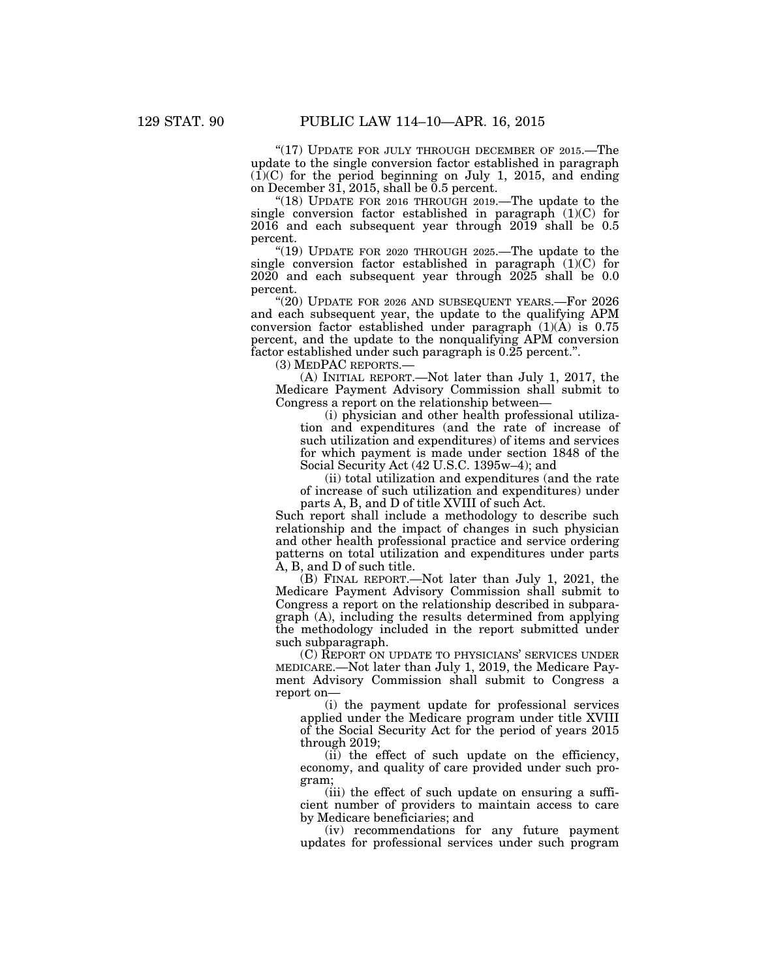" $(17)$  UPDATE FOR JULY THROUGH DECEMBER OF 2015.—The update to the single conversion factor established in paragraph  $(1)(C)$  for the period beginning on July 1, 2015, and ending on December 31, 2015, shall be  $0.5$  percent.

"(18) UPDATE FOR 2016 THROUGH 2019.—The update to the single conversion factor established in paragraph (1)(C) for 2016 and each subsequent year through 2019 shall be 0.5 percent.

"(19) UPDATE FOR 2020 THROUGH 2025.—The update to the single conversion factor established in paragraph  $(1)(C)$  for 2020 and each subsequent year through 2025 shall be 0.0 percent.

"(20) UPDATE FOR 2026 AND SUBSEQUENT YEARS.—For 2026 and each subsequent year, the update to the qualifying APM conversion factor established under paragraph  $(1)(A)$  is 0.75 percent, and the update to the nonqualifying APM conversion factor established under such paragraph is 0.25 percent.''.

(3) MEDPAC REPORTS.—

(A) INITIAL REPORT.—Not later than July 1, 2017, the Medicare Payment Advisory Commission shall submit to Congress a report on the relationship between—

(i) physician and other health professional utilization and expenditures (and the rate of increase of such utilization and expenditures) of items and services for which payment is made under section 1848 of the Social Security Act (42 U.S.C. 1395w–4); and

(ii) total utilization and expenditures (and the rate of increase of such utilization and expenditures) under parts A, B, and D of title XVIII of such Act.

Such report shall include a methodology to describe such relationship and the impact of changes in such physician and other health professional practice and service ordering patterns on total utilization and expenditures under parts A, B, and D of such title.

(B) FINAL REPORT.—Not later than July 1, 2021, the Medicare Payment Advisory Commission shall submit to Congress a report on the relationship described in subparagraph (A), including the results determined from applying the methodology included in the report submitted under such subparagraph.

(C) REPORT ON UPDATE TO PHYSICIANS' SERVICES UNDER MEDICARE.—Not later than July 1, 2019, the Medicare Payment Advisory Commission shall submit to Congress a report on—

(i) the payment update for professional services applied under the Medicare program under title XVIII of the Social Security Act for the period of years 2015 through 2019;

(ii) the effect of such update on the efficiency, economy, and quality of care provided under such program;

(iii) the effect of such update on ensuring a sufficient number of providers to maintain access to care by Medicare beneficiaries; and

(iv) recommendations for any future payment updates for professional services under such program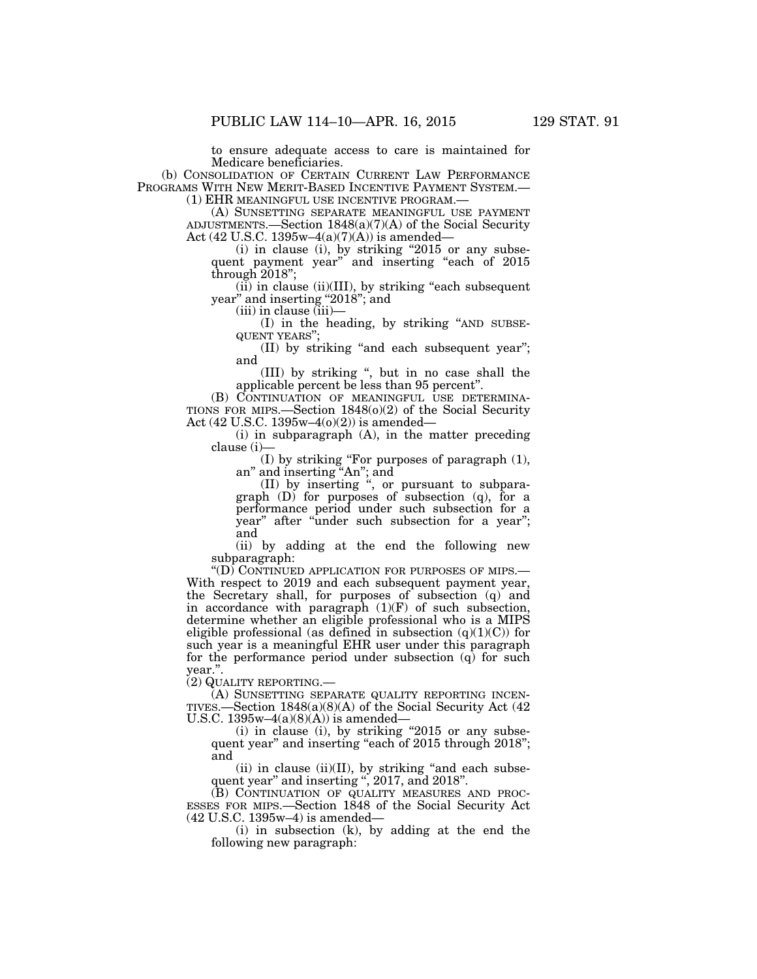to ensure adequate access to care is maintained for Medicare beneficiaries.

(b) CONSOLIDATION OF CERTAIN CURRENT LAW PERFORMANCE PROGRAMS WITH NEW MERIT-BASED INCENTIVE PAYMENT SYSTEM.—<br>(1) EHR MEANINGFUL USE INCENTIVE PROGRAM.—<br>(A) SUNSETTING SEPARATE MEANINGFUL USE PAYMENT)

ADJUSTMENTS.—Section 1848(a)(7)(A) of the Social Security Act (42 U.S.C. 1395w–4(a)(7)(A)) is amended—

 $(i)$  in clause  $(i)$ , by striking "2015 or any subsequent payment year" and inserting "each of 2015 through 2018'';

 $(iii)$  in clause  $(ii)(III)$ , by striking "each subsequent" year'' and inserting ''2018''; and

(iii) in clause (iii)—

(I) in the heading, by striking ''AND SUBSE- QUENT YEARS'';

(II) by striking ''and each subsequent year''; and

(III) by striking '', but in no case shall the applicable percent be less than 95 percent''.

(B) CONTINUATION OF MEANINGFUL USE DETERMINA-TIONS FOR MIPS.—Section 1848(o)(2) of the Social Security Act (42 U.S.C. 1395w–4(o)(2)) is amended—

(i) in subparagraph (A), in the matter preceding clause (i)—

(I) by striking ''For purposes of paragraph (1), an'' and inserting ''An''; and

(II) by inserting '', or pursuant to subparagraph (D) for purposes of subsection (q), for a performance period under such subsection for a year'' after ''under such subsection for a year''; and

(ii) by adding at the end the following new subparagraph:<br>"(D) CONTINUED APPLICATION FOR PURPOSES OF MIPS.—

With respect to 2019 and each subsequent payment year, the Secretary shall, for purposes of subsection (q) and in accordance with paragraph  $(1)(F)$  of such subsection, determine whether an eligible professional who is a MIPS eligible professional (as defined in subsection  $(q)(1)(C)$ ) for such year is a meaningful EHR user under this paragraph for the performance period under subsection  $(q)$  for such year.''.

(2) QUALITY REPORTING.—

(A) SUNSETTING SEPARATE QUALITY REPORTING INCEN-TIVES.—Section 1848(a)(8)(A) of the Social Security Act (42 U.S.C.  $1395w-4(a)(8)(A)$  is amended—

(i) in clause (i), by striking  $"2015$  or any subsequent year" and inserting "each of 2015 through 2018"; and

 $(ii)$  in clause  $(ii)(II)$ , by striking "and each subsequent year'' and inserting '', 2017, and 2018''.

(B) CONTINUATION OF QUALITY MEASURES AND PROC-ESSES FOR MIPS.—Section 1848 of the Social Security Act (42 U.S.C. 1395w–4) is amended—

(i) in subsection (k), by adding at the end the following new paragraph: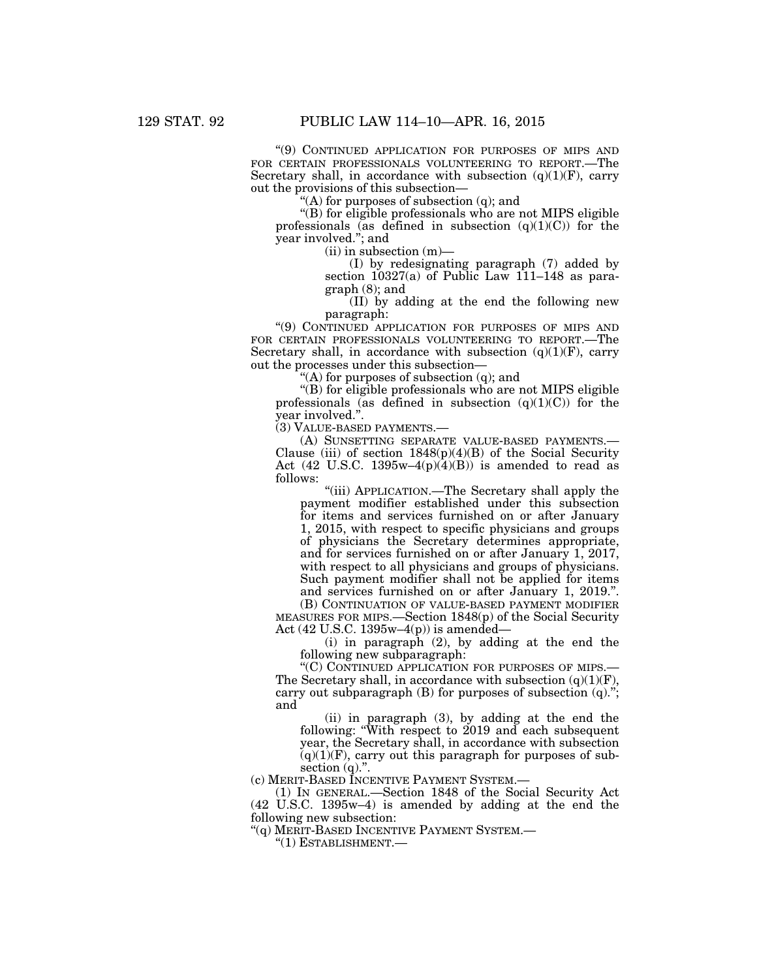''(9) CONTINUED APPLICATION FOR PURPOSES OF MIPS AND FOR CERTAIN PROFESSIONALS VOLUNTEERING TO REPORT.—The Secretary shall, in accordance with subsection  $(q)(1)(F)$ , carry out the provisions of this subsection—

 $(A)$  for purposes of subsection (q); and

''(B) for eligible professionals who are not MIPS eligible professionals (as defined in subsection  $(q)(1)(C)$ ) for the year involved.''; and

(ii) in subsection (m)—

(I) by redesignating paragraph (7) added by section 10327(a) of Public Law 111–148 as paragraph (8); and

(II) by adding at the end the following new paragraph:

''(9) CONTINUED APPLICATION FOR PURPOSES OF MIPS AND FOR CERTAIN PROFESSIONALS VOLUNTEERING TO REPORT.—The Secretary shall, in accordance with subsection  $(q)(1)(F)$ , carry out the processes under this subsection—

''(A) for purposes of subsection (q); and

''(B) for eligible professionals who are not MIPS eligible professionals (as defined in subsection  $(q)(1)(C)$ ) for the year involved.''.

(3) VALUE-BASED PAYMENTS.—

(A) SUNSETTING SEPARATE VALUE-BASED PAYMENTS.— Clause (iii) of section  $1848(p)(4)(B)$  of the Social Security Act (42 U.S.C. 1395w–4 $(p)(4)(B)$ ) is amended to read as follows:

"(iii) APPLICATION.—The Secretary shall apply the payment modifier established under this subsection for items and services furnished on or after January 1, 2015, with respect to specific physicians and groups of physicians the Secretary determines appropriate, and for services furnished on or after January 1, 2017, with respect to all physicians and groups of physicians. Such payment modifier shall not be applied for items and services furnished on or after January 1, 2019.''.

(B) CONTINUATION OF VALUE-BASED PAYMENT MODIFIER MEASURES FOR MIPS.—Section 1848(p) of the Social Security Act  $(42 \text{ U.S.C. } 1395\text{w} - 4(\text{p}))$  is amended—

(i) in paragraph (2), by adding at the end the following new subparagraph:

''(C) CONTINUED APPLICATION FOR PURPOSES OF MIPS.— The Secretary shall, in accordance with subsection  $(q)(1)(F)$ , carry out subparagraph  $(B)$  for purposes of subsection  $(q)$ ."; and

(ii) in paragraph (3), by adding at the end the following: ''With respect to 2019 and each subsequent year, the Secretary shall, in accordance with subsection  $(q)(1)(F)$ , carry out this paragraph for purposes of subsection  $(q)$ .".

(c) MERIT-BASED INCENTIVE PAYMENT SYSTEM.—

(1) IN GENERAL.—Section 1848 of the Social Security Act (42 U.S.C. 1395w–4) is amended by adding at the end the following new subsection:

''(q) MERIT-BASED INCENTIVE PAYMENT SYSTEM.—

''(1) ESTABLISHMENT.—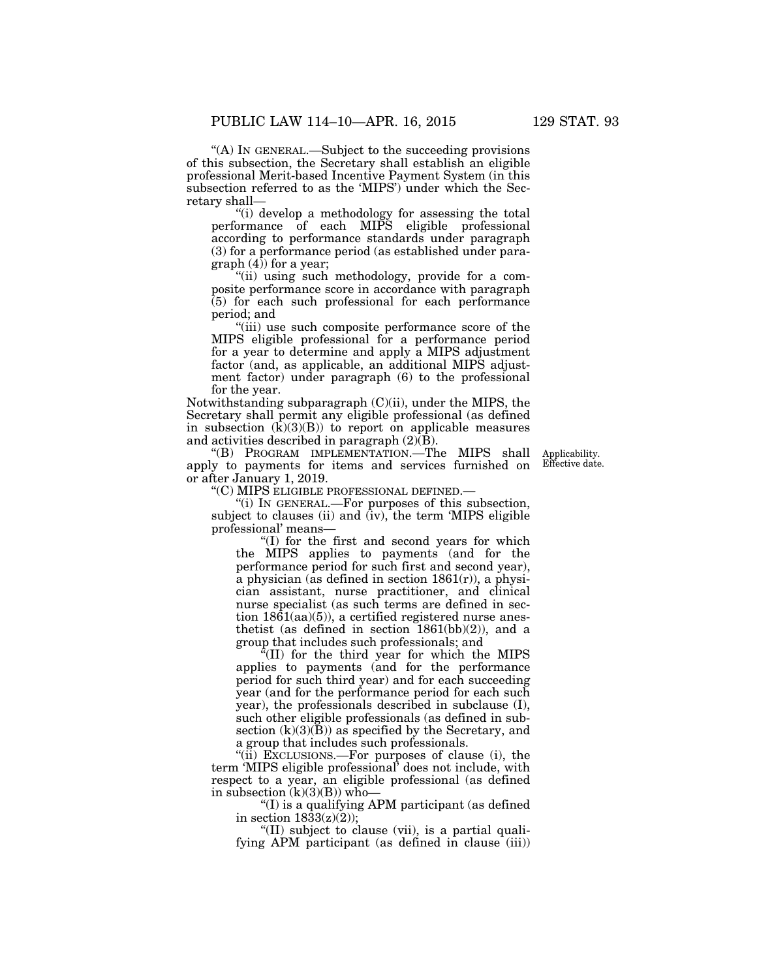''(A) IN GENERAL.—Subject to the succeeding provisions of this subsection, the Secretary shall establish an eligible professional Merit-based Incentive Payment System (in this subsection referred to as the 'MIPS') under which the Secretary shall—

''(i) develop a methodology for assessing the total performance of each MIPS eligible professional according to performance standards under paragraph (3) for a performance period (as established under paragraph  $(4)$  for a year;

''(ii) using such methodology, provide for a composite performance score in accordance with paragraph (5) for each such professional for each performance period; and

''(iii) use such composite performance score of the MIPS eligible professional for a performance period for a year to determine and apply a MIPS adjustment factor (and, as applicable, an additional MIPS adjustment factor) under paragraph (6) to the professional for the year.

Notwithstanding subparagraph (C)(ii), under the MIPS, the Secretary shall permit any eligible professional (as defined in subsection  $(k)(3)(B)$ ) to report on applicable measures and activities described in paragraph  $(2)\overline{(B)}$ .

''(B) PROGRAM IMPLEMENTATION.—The MIPS shall apply to payments for items and services furnished on or after January 1, 2019.

Applicability. Effective date.

''(C) MIPS ELIGIBLE PROFESSIONAL DEFINED.—

 $'$ (i) In GENERAL.—For purposes of this subsection, subject to clauses (ii) and (iv), the term 'MIPS eligible professional' means—

''(I) for the first and second years for which the MIPS applies to payments (and for the performance period for such first and second year), a physician (as defined in section  $1861(r)$ ), a physician assistant, nurse practitioner, and clinical nurse specialist (as such terms are defined in section  $18\overline{6}1(aa)(5)$ , a certified registered nurse anesthetist (as defined in section  $1861(bb)(2)$ ), and a group that includes such professionals; and

''(II) for the third year for which the MIPS applies to payments (and for the performance period for such third year) and for each succeeding year (and for the performance period for each such year), the professionals described in subclause (I), such other eligible professionals (as defined in subsection  $(k)(3)(B)$  as specified by the Secretary, and a group that includes such professionals.

"(ii) EXCLUSIONS.—For purposes of clause (i), the term 'MIPS eligible professional' does not include, with respect to a year, an eligible professional (as defined in subsection  $(k)(3)(B)$ ) who-

''(I) is a qualifying APM participant (as defined in section  $18\overline{3}3(z)(2)$ ;

"(II) subject to clause (vii), is a partial qualifying APM participant (as defined in clause  $(iii)$ )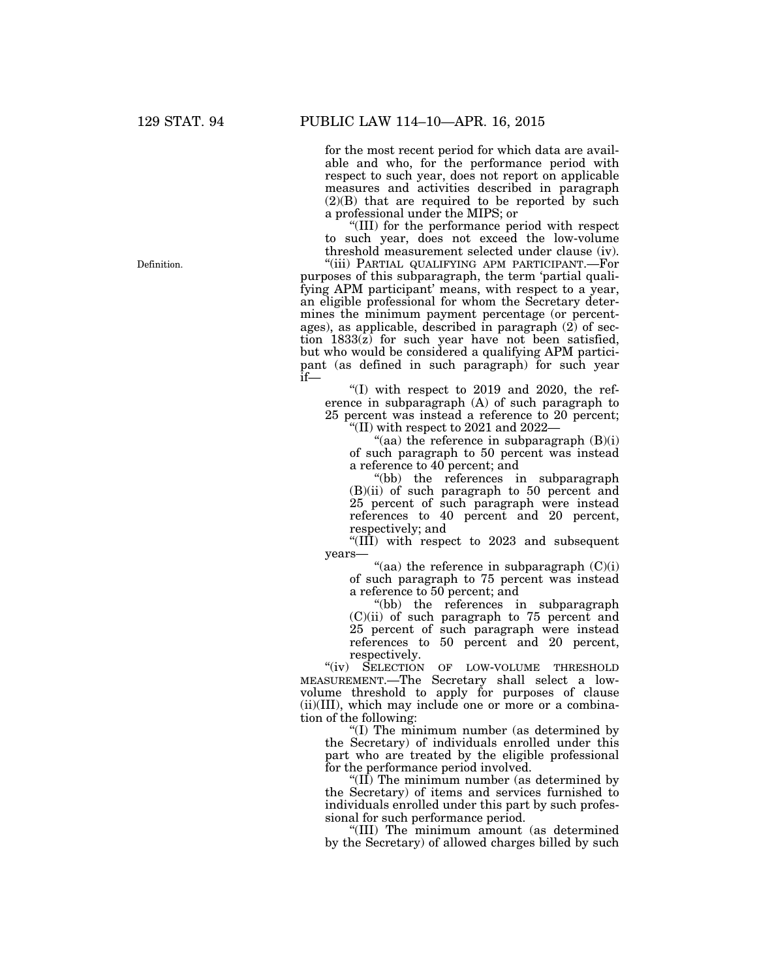for the most recent period for which data are available and who, for the performance period with respect to such year, does not report on applicable measures and activities described in paragraph (2)(B) that are required to be reported by such a professional under the MIPS; or

''(III) for the performance period with respect to such year, does not exceed the low-volume threshold measurement selected under clause (iv). ''(iii) PARTIAL QUALIFYING APM PARTICIPANT.—For

purposes of this subparagraph, the term 'partial qualifying APM participant' means, with respect to a year, an eligible professional for whom the Secretary determines the minimum payment percentage (or percentages), as applicable, described in paragraph  $(2)$  of section 1833(z) for such year have not been satisfied, but who would be considered a qualifying APM participant (as defined in such paragraph) for such year if—

"(I) with respect to 2019 and 2020, the reference in subparagraph (A) of such paragraph to 25 percent was instead a reference to 20 percent; ''(II) with respect to 2021 and 2022—

"(aa) the reference in subparagraph  $(B)(i)$ of such paragraph to 50 percent was instead a reference to 40 percent; and

''(bb) the references in subparagraph (B)(ii) of such paragraph to 50 percent and 25 percent of such paragraph were instead references to 40 percent and 20 percent, respectively; and

"( $\overline{III}$ ) with respect to 2023 and subsequent years—

"(aa) the reference in subparagraph  $(C)(i)$ of such paragraph to 75 percent was instead a reference to 50 percent; and

''(bb) the references in subparagraph (C)(ii) of such paragraph to 75 percent and 25 percent of such paragraph were instead references to 50 percent and 20 percent, respectively.

"(iv) SELECTION OF LOW-VOLUME THRESHOLD MEASUREMENT.—The Secretary shall select a lowvolume threshold to apply for purposes of clause (ii)(III), which may include one or more or a combination of the following:

''(I) The minimum number (as determined by the Secretary) of individuals enrolled under this part who are treated by the eligible professional for the performance period involved.

"( $I\overline{I}$ ) The minimum number (as determined by the Secretary) of items and services furnished to individuals enrolled under this part by such professional for such performance period.

''(III) The minimum amount (as determined by the Secretary) of allowed charges billed by such

Definition.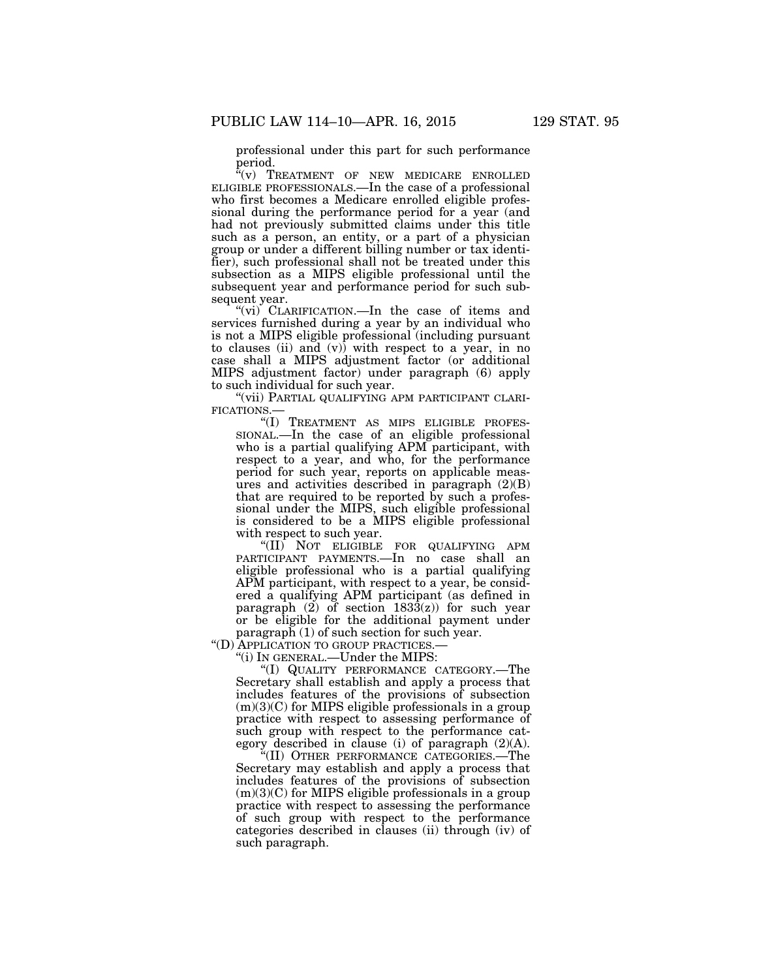professional under this part for such performance period.

 $\sqrt[\text{m}]{v}$  TREATMENT OF NEW MEDICARE ENROLLED ELIGIBLE PROFESSIONALS.—In the case of a professional who first becomes a Medicare enrolled eligible professional during the performance period for a year (and had not previously submitted claims under this title such as a person, an entity, or a part of a physician group or under a different billing number or tax identifier), such professional shall not be treated under this subsection as a MIPS eligible professional until the subsequent year and performance period for such subsequent year.

"(vi) CLARIFICATION.—In the case of items and services furnished during a year by an individual who is not a MIPS eligible professional (including pursuant to clauses (ii) and  $(v)$ ) with respect to a year, in no case shall a MIPS adjustment factor (or additional MIPS adjustment factor) under paragraph (6) apply to such individual for such year.

''(vii) PARTIAL QUALIFYING APM PARTICIPANT CLARI-FICATIONS.—

''(I) TREATMENT AS MIPS ELIGIBLE PROFES-SIONAL.—In the case of an eligible professional who is a partial qualifying APM participant, with respect to a year, and who, for the performance period for such year, reports on applicable measures and activities described in paragraph (2)(B) that are required to be reported by such a professional under the MIPS, such eligible professional is considered to be a MIPS eligible professional with respect to such year.

''(II) NOT ELIGIBLE FOR QUALIFYING APM PARTICIPANT PAYMENTS.—In no case shall an eligible professional who is a partial qualifying APM participant, with respect to a year, be considered a qualifying APM participant (as defined in paragraph  $(2)$  of section  $183\overline{3}(z)$  for such year or be eligible for the additional payment under paragraph (1) of such section for such year.

''(D) APPLICATION TO GROUP PRACTICES.—

''(i) IN GENERAL.—Under the MIPS:

''(I) QUALITY PERFORMANCE CATEGORY.—The Secretary shall establish and apply a process that includes features of the provisions of subsection  $(m)(3)(C)$  for MIPS eligible professionals in a group practice with respect to assessing performance of such group with respect to the performance category described in clause (i) of paragraph (2)(A).

''(II) OTHER PERFORMANCE CATEGORIES.—The Secretary may establish and apply a process that includes features of the provisions of subsection (m)(3)(C) for MIPS eligible professionals in a group practice with respect to assessing the performance of such group with respect to the performance categories described in clauses (ii) through (iv) of such paragraph.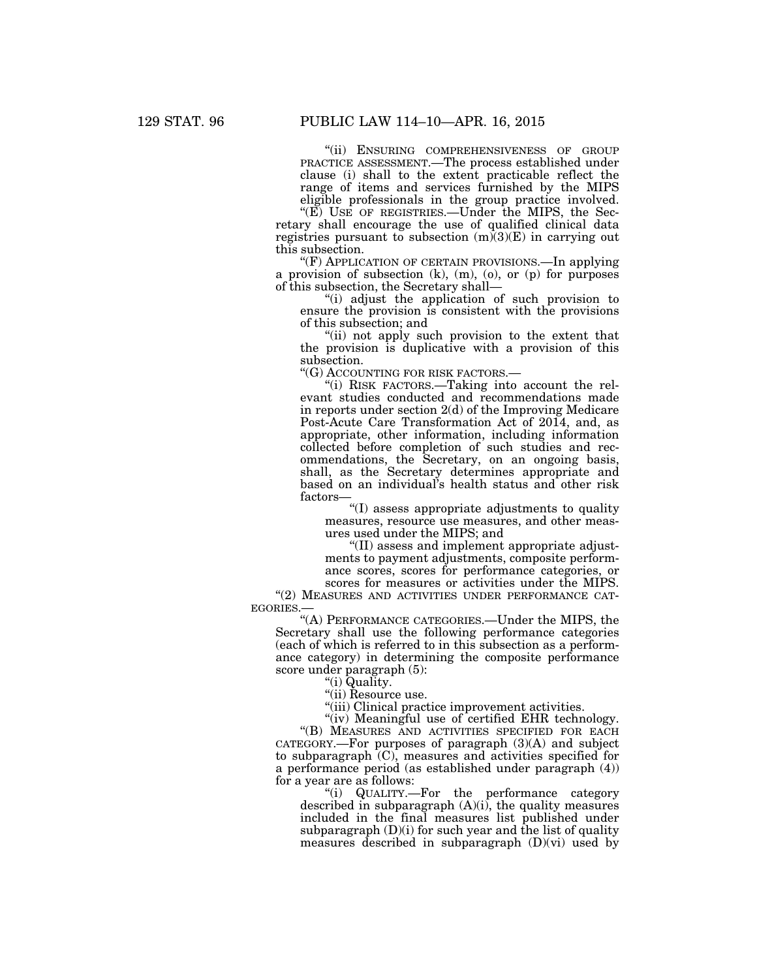''(ii) ENSURING COMPREHENSIVENESS OF GROUP PRACTICE ASSESSMENT.—The process established under clause (i) shall to the extent practicable reflect the range of items and services furnished by the MIPS eligible professionals in the group practice involved.

" $(E)$  USE OF REGISTRIES.—Under the MIPS, the Secretary shall encourage the use of qualified clinical data registries pursuant to subsection  $(m)(3)(E)$  in carrying out this subsection.

''(F) APPLICATION OF CERTAIN PROVISIONS.—In applying a provision of subsection  $(k)$ ,  $(m)$ ,  $(o)$ , or  $(p)$  for purposes of this subsection, the Secretary shall—

''(i) adjust the application of such provision to ensure the provision is consistent with the provisions of this subsection; and

''(ii) not apply such provision to the extent that the provision is duplicative with a provision of this subsection.

''(G) ACCOUNTING FOR RISK FACTORS.—

''(i) RISK FACTORS.—Taking into account the relevant studies conducted and recommendations made in reports under section 2(d) of the Improving Medicare Post-Acute Care Transformation Act of 2014, and, as appropriate, other information, including information collected before completion of such studies and recommendations, the Secretary, on an ongoing basis, shall, as the Secretary determines appropriate and based on an individual's health status and other risk factors—

''(I) assess appropriate adjustments to quality measures, resource use measures, and other measures used under the MIPS; and

''(II) assess and implement appropriate adjustments to payment adjustments, composite performance scores, scores for performance categories, or scores for measures or activities under the MIPS.

"(2) MEASURES AND ACTIVITIES UNDER PERFORMANCE CAT-EGORIES.—

''(A) PERFORMANCE CATEGORIES.—Under the MIPS, the Secretary shall use the following performance categories (each of which is referred to in this subsection as a performance category) in determining the composite performance score under paragraph (5):

''(i) Quality.

"(ii) Resource use.

"(iii) Clinical practice improvement activities.

"(iv) Meaningful use of certified EHR technology.

''(B) MEASURES AND ACTIVITIES SPECIFIED FOR EACH  $CATEGORY$ . For purposes of paragraph  $(3)(A)$  and subject to subparagraph (C), measures and activities specified for a performance period (as established under paragraph (4)) for a year are as follows:

''(i) QUALITY.—For the performance category described in subparagraph (A)(i), the quality measures included in the final measures list published under subparagraph (D)(i) for such year and the list of quality measures described in subparagraph (D)(vi) used by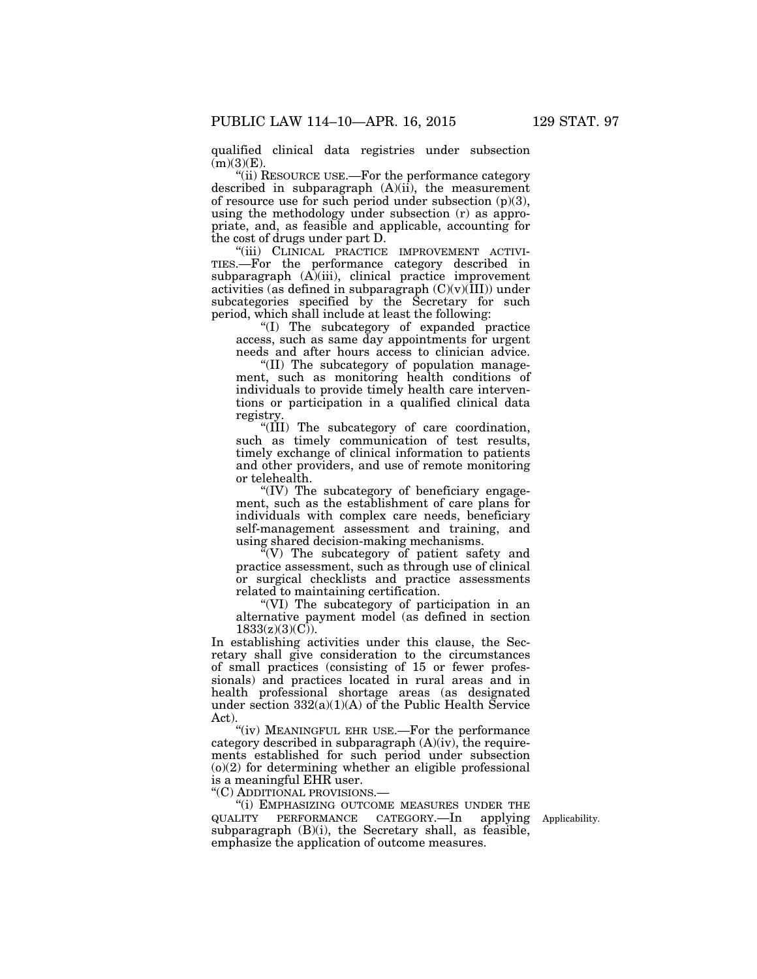qualified clinical data registries under subsection  $(m)(3)(E)$ .

''(ii) RESOURCE USE.—For the performance category described in subparagraph (A)(ii), the measurement of resource use for such period under subsection  $(p)(3)$ , using the methodology under subsection (r) as appropriate, and, as feasible and applicable, accounting for the cost of drugs under part D.

"(iii) CLINICAL PRACTICE IMPROVEMENT ACTIVI-TIES.—For the performance category described in subparagraph (A)(iii), clinical practice improvement activities (as defined in subparagraph  $(C)(v)(III))$  under subcategories specified by the Secretary for such period, which shall include at least the following:

''(I) The subcategory of expanded practice access, such as same day appointments for urgent needs and after hours access to clinician advice.

''(II) The subcategory of population management, such as monitoring health conditions of individuals to provide timely health care interventions or participation in a qualified clinical data registry.

"(III) The subcategory of care coordination, such as timely communication of test results, timely exchange of clinical information to patients and other providers, and use of remote monitoring or telehealth.

''(IV) The subcategory of beneficiary engagement, such as the establishment of care plans for individuals with complex care needs, beneficiary self-management assessment and training, and using shared decision-making mechanisms.

 $\sqrt{N}(V)$  The subcategory of patient safety and practice assessment, such as through use of clinical or surgical checklists and practice assessments related to maintaining certification.

''(VI) The subcategory of participation in an alternative payment model (as defined in section  $1833(z)(3)(C)$ ).

In establishing activities under this clause, the Secretary shall give consideration to the circumstances of small practices (consisting of 15 or fewer professionals) and practices located in rural areas and in health professional shortage areas (as designated under section  $332(a)(1)(A)$  of the Public Health Service Act).

''(iv) MEANINGFUL EHR USE.—For the performance category described in subparagraph (A)(iv), the requirements established for such period under subsection (o)(2) for determining whether an eligible professional is a meaningful EHR user.

''(C) ADDITIONAL PROVISIONS.—

''(i) EMPHASIZING OUTCOME MEASURES UNDER THE QUALITY PERFORMANCE CATEGORY.—In applying Applicability. subparagraph (B)(i), the Secretary shall, as feasible, emphasize the application of outcome measures.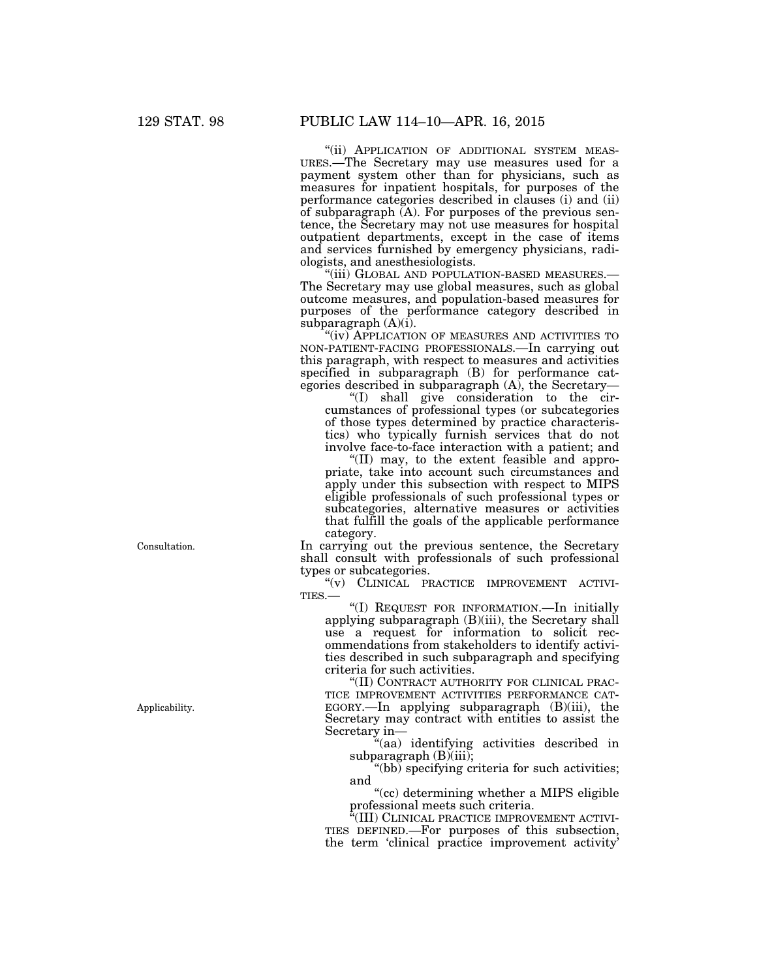''(ii) APPLICATION OF ADDITIONAL SYSTEM MEAS- URES.—The Secretary may use measures used for a payment system other than for physicians, such as measures for inpatient hospitals, for purposes of the performance categories described in clauses (i) and (ii) of subparagraph  $(A)$ . For purposes of the previous sentence, the Secretary may not use measures for hospital outpatient departments, except in the case of items and services furnished by emergency physicians, radiologists, and anesthesiologists.<br>"(iii) GLOBAL AND POPULATION-BASED MEASURES.-

The Secretary may use global measures, such as global outcome measures, and population-based measures for purposes of the performance category described in subparagraph  $(A)(i)$ .

"(iv) APPLICATION OF MEASURES AND ACTIVITIES TO NON-PATIENT-FACING PROFESSIONALS.—In carrying out this paragraph, with respect to measures and activities specified in subparagraph (B) for performance categories described in subparagraph (A), the Secretary—

''(I) shall give consideration to the circumstances of professional types (or subcategories of those types determined by practice characteristics) who typically furnish services that do not involve face-to-face interaction with a patient; and

''(II) may, to the extent feasible and appropriate, take into account such circumstances and apply under this subsection with respect to MIPS eligible professionals of such professional types or subcategories, alternative measures or activities that fulfill the goals of the applicable performance category.

In carrying out the previous sentence, the Secretary shall consult with professionals of such professional types or subcategories.

"(v) CLINICAL PRACTICE IMPROVEMENT ACTIVI-TIES.—

''(I) REQUEST FOR INFORMATION.—In initially applying subparagraph (B)(iii), the Secretary shall use a request for information to solicit recommendations from stakeholders to identify activities described in such subparagraph and specifying criteria for such activities.

''(II) CONTRACT AUTHORITY FOR CLINICAL PRAC-TICE IMPROVEMENT ACTIVITIES PERFORMANCE CAT-EGORY.—In applying subparagraph (B)(iii), the Secretary may contract with entities to assist the Secretary in—

''(aa) identifying activities described in subparagraph  $(B)(iii)$ ;

''(bb) specifying criteria for such activities; and

"(cc) determining whether a MIPS eligible professional meets such criteria.<br>"(III) CLINICAL PRACTICE IMPROVEMENT ACTIVI-

TIES DEFINED.—For purposes of this subsection, the term 'clinical practice improvement activity'

Consultation.

Applicability.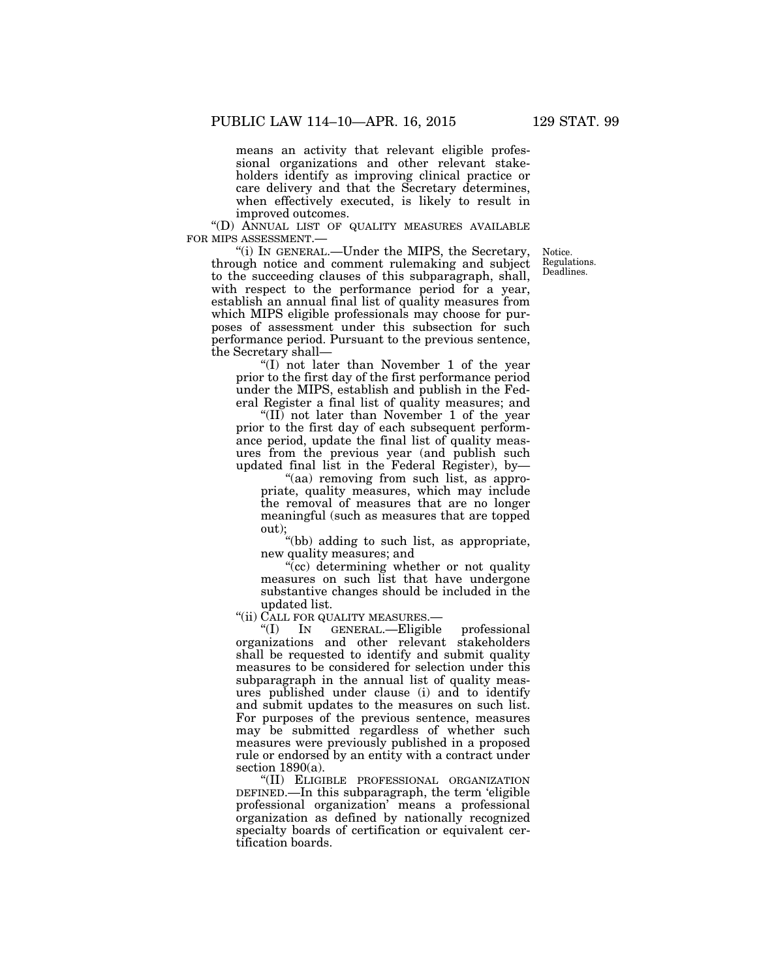means an activity that relevant eligible professional organizations and other relevant stakeholders identify as improving clinical practice or care delivery and that the Secretary determines, when effectively executed, is likely to result in improved outcomes.

''(D) ANNUAL LIST OF QUALITY MEASURES AVAILABLE FOR MIPS ASSESSMENT.—

''(i) IN GENERAL.—Under the MIPS, the Secretary, through notice and comment rulemaking and subject to the succeeding clauses of this subparagraph, shall, with respect to the performance period for a year, establish an annual final list of quality measures from which MIPS eligible professionals may choose for purposes of assessment under this subsection for such performance period. Pursuant to the previous sentence, the Secretary shall—

''(I) not later than November 1 of the year prior to the first day of the first performance period under the MIPS, establish and publish in the Federal Register a final list of quality measures; and

"(II) not later than November 1 of the year prior to the first day of each subsequent performance period, update the final list of quality measures from the previous year (and publish such updated final list in the Federal Register), by—

"(aa) removing from such list, as appropriate, quality measures, which may include the removal of measures that are no longer meaningful (such as measures that are topped out);

''(bb) adding to such list, as appropriate, new quality measures; and

"(cc) determining whether or not quality" measures on such list that have undergone substantive changes should be included in the updated list.

"(ii) CALL FOR QUALITY MEASURES.—

''(I) IN GENERAL.—Eligible professional organizations and other relevant stakeholders shall be requested to identify and submit quality measures to be considered for selection under this subparagraph in the annual list of quality measures published under clause (i) and to identify and submit updates to the measures on such list. For purposes of the previous sentence, measures may be submitted regardless of whether such measures were previously published in a proposed rule or endorsed by an entity with a contract under section  $1890(a)$ .

''(II) ELIGIBLE PROFESSIONAL ORGANIZATION DEFINED.—In this subparagraph, the term 'eligible professional organization' means a professional organization as defined by nationally recognized specialty boards of certification or equivalent certification boards.

Notice. Regulations. Deadlines.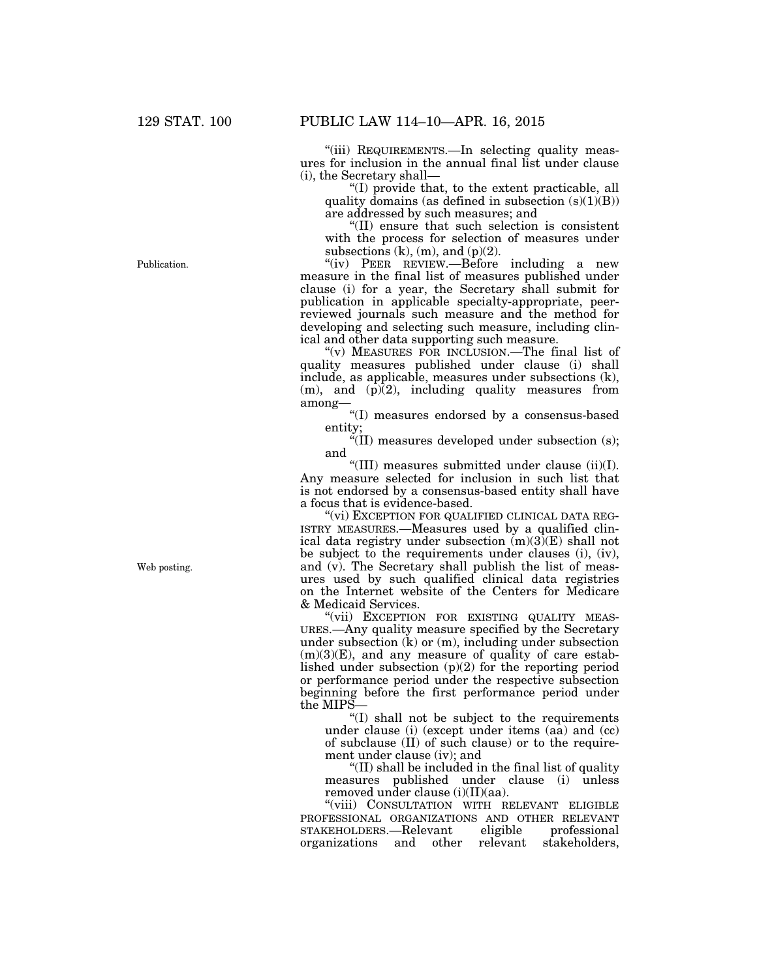"(iii) REQUIREMENTS.—In selecting quality measures for inclusion in the annual final list under clause (i), the Secretary shall—

''(I) provide that, to the extent practicable, all quality domains (as defined in subsection  $(s)(1)(B)$ ) are addressed by such measures; and

''(II) ensure that such selection is consistent with the process for selection of measures under subsections  $(k)$ ,  $(m)$ , and  $(p)(2)$ .

''(iv) PEER REVIEW.—Before including a new measure in the final list of measures published under clause (i) for a year, the Secretary shall submit for publication in applicable specialty-appropriate, peerreviewed journals such measure and the method for developing and selecting such measure, including clinical and other data supporting such measure.

''(v) MEASURES FOR INCLUSION.—The final list of quality measures published under clause (i) shall include, as applicable, measures under subsections (k),  $(m)$ , and  $(p)$ (2), including quality measures from among—

''(I) measures endorsed by a consensus-based entity;

''(II) measures developed under subsection (s); and

''(III) measures submitted under clause (ii)(I). Any measure selected for inclusion in such list that is not endorsed by a consensus-based entity shall have a focus that is evidence-based.

"(vi) EXCEPTION FOR QUALIFIED CLINICAL DATA REG-ISTRY MEASURES.—Measures used by a qualified clinical data registry under subsection  $(m)(3)(E)$  shall not be subject to the requirements under clauses (i), (iv), and (v). The Secretary shall publish the list of measures used by such qualified clinical data registries on the Internet website of the Centers for Medicare & Medicaid Services.

"(vii) EXCEPTION FOR EXISTING QUALITY MEAS-URES.—Any quality measure specified by the Secretary under subsection (k) or (m), including under subsection  $(m)(3)(E)$ , and any measure of quality of care established under subsection  $(p)(2)$  for the reporting period or performance period under the respective subsection beginning before the first performance period under the MIPS—

''(I) shall not be subject to the requirements under clause (i) (except under items (aa) and (cc) of subclause (II) of such clause) or to the requirement under clause (iv); and

''(II) shall be included in the final list of quality measures published under clause (i) unless removed under clause (i)(II)(aa).

"(viii) CONSULTATION WITH RELEVANT ELIGIBLE PROFESSIONAL ORGANIZATIONS AND OTHER RELEVANT STAKEHOLDERS.—Relevant eligible professional<br>organizations and other relevant stakeholders. organizations and other

Publication.

Web posting.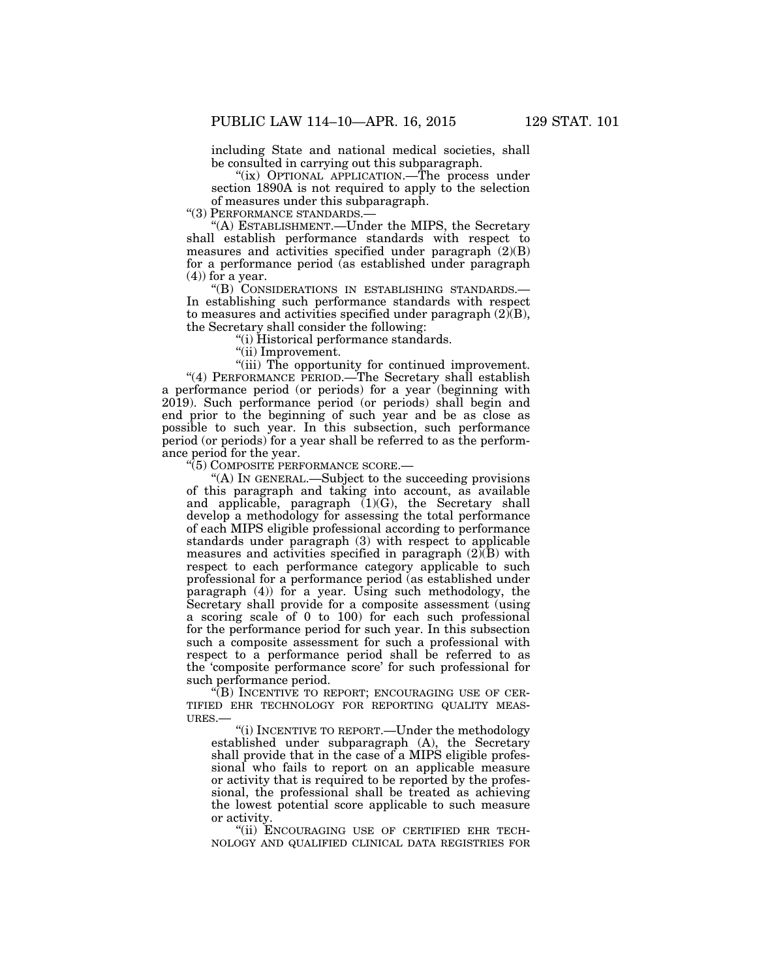including State and national medical societies, shall be consulted in carrying out this subparagraph.

"(ix) OPTIONAL APPLICATION.—The process under section 1890A is not required to apply to the selection of measures under this subparagraph.

''(3) PERFORMANCE STANDARDS.—

''(A) ESTABLISHMENT.—Under the MIPS, the Secretary shall establish performance standards with respect to measures and activities specified under paragraph (2)(B) for a performance period (as established under paragraph (4)) for a year.

''(B) CONSIDERATIONS IN ESTABLISHING STANDARDS.— In establishing such performance standards with respect to measures and activities specified under paragraph  $(2)(B)$ , the Secretary shall consider the following:

''(i) Historical performance standards.

''(ii) Improvement.

"(iii) The opportunity for continued improvement. "(4) PERFORMANCE PERIOD.—The Secretary shall establish a performance period (or periods) for a year (beginning with 2019). Such performance period (or periods) shall begin and end prior to the beginning of such year and be as close as possible to such year. In this subsection, such performance period (or periods) for a year shall be referred to as the performance period for the year.

''(5) COMPOSITE PERFORMANCE SCORE.—

''(A) IN GENERAL.—Subject to the succeeding provisions of this paragraph and taking into account, as available and applicable, paragraph (1)(G), the Secretary shall develop a methodology for assessing the total performance of each MIPS eligible professional according to performance standards under paragraph (3) with respect to applicable measures and activities specified in paragraph  $(2)$  $(B)$  with respect to each performance category applicable to such professional for a performance period (as established under paragraph (4)) for a year. Using such methodology, the Secretary shall provide for a composite assessment (using a scoring scale of 0 to 100) for each such professional for the performance period for such year. In this subsection such a composite assessment for such a professional with respect to a performance period shall be referred to as the 'composite performance score' for such professional for such performance period.

''(B) INCENTIVE TO REPORT; ENCOURAGING USE OF CER-TIFIED EHR TECHNOLOGY FOR REPORTING QUALITY MEAS-URES.—

''(i) INCENTIVE TO REPORT.—Under the methodology established under subparagraph (A), the Secretary shall provide that in the case of a MIPS eligible professional who fails to report on an applicable measure or activity that is required to be reported by the professional, the professional shall be treated as achieving the lowest potential score applicable to such measure or activity.

"(ii) ENCOURAGING USE OF CERTIFIED EHR TECH-NOLOGY AND QUALIFIED CLINICAL DATA REGISTRIES FOR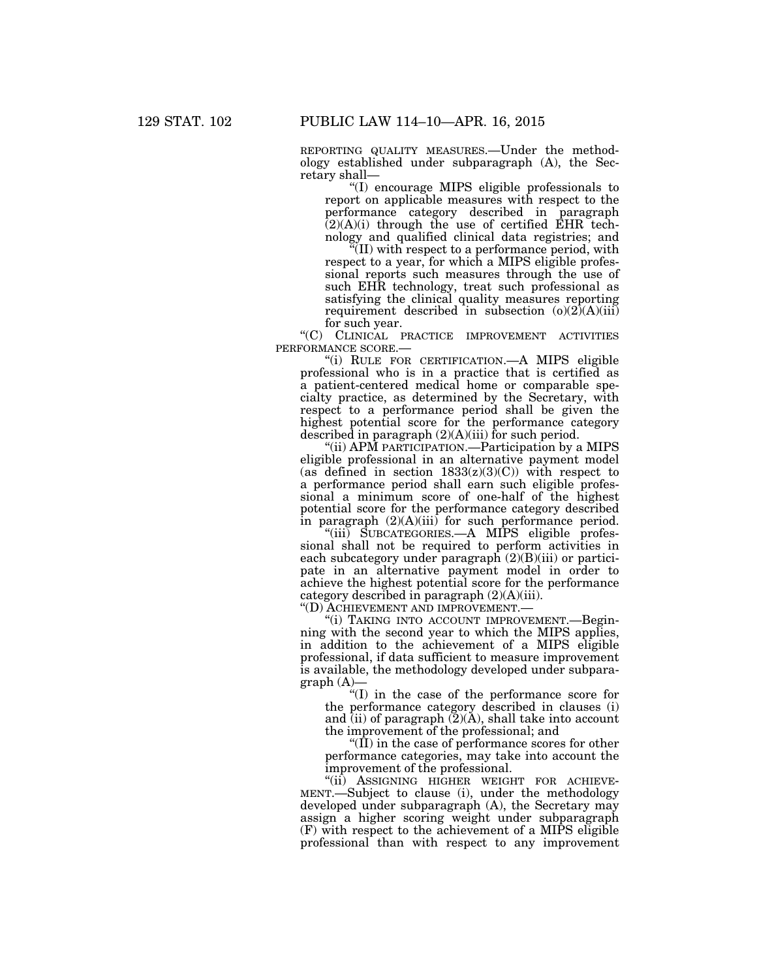REPORTING QUALITY MEASURES.—Under the methodology established under subparagraph (A), the Secretary shall—

''(I) encourage MIPS eligible professionals to report on applicable measures with respect to the performance category described in paragraph  $(2)(A)(i)$  through the use of certified EHR technology and qualified clinical data registries; and

''(II) with respect to a performance period, with respect to a year, for which a MIPS eligible professional reports such measures through the use of such EHR technology, treat such professional as satisfying the clinical quality measures reporting requirement described in subsection  $(o)(2)$  $(A)(iii)$ for such year.

''(C) CLINICAL PRACTICE IMPROVEMENT ACTIVITIES PERFORMANCE SCORE.—

''(i) RULE FOR CERTIFICATION.—A MIPS eligible professional who is in a practice that is certified as a patient-centered medical home or comparable specialty practice, as determined by the Secretary, with respect to a performance period shall be given the highest potential score for the performance category described in paragraph (2)(A)(iii) for such period.

''(ii) APM PARTICIPATION.—Participation by a MIPS eligible professional in an alternative payment model (as defined in section  $1833(z)(3)(C)$ ) with respect to a performance period shall earn such eligible professional a minimum score of one-half of the highest potential score for the performance category described in paragraph (2)(A)(iii) for such performance period.

"(iii) SUBCATEGORIES.—A MIPS eligible professional shall not be required to perform activities in each subcategory under paragraph  $(2)(B)(iii)$  or participate in an alternative payment model in order to achieve the highest potential score for the performance category described in paragraph (2)(A)(iii).

''(D) ACHIEVEMENT AND IMPROVEMENT.—

''(i) TAKING INTO ACCOUNT IMPROVEMENT.—Beginning with the second year to which the MIPS applies, in addition to the achievement of a MIPS eligible professional, if data sufficient to measure improvement is available, the methodology developed under subpara $graph (A)$ 

''(I) in the case of the performance score for the performance category described in clauses (i) and (ii) of paragraph  $(2)(A)$ , shall take into account the improvement of the professional; and

" $(II)$  in the case of performance scores for other performance categories, may take into account the improvement of the professional.

"(ii) ASSIGNING HIGHER WEIGHT FOR ACHIEVE-MENT.—Subject to clause (i), under the methodology developed under subparagraph (A), the Secretary may assign a higher scoring weight under subparagraph (F) with respect to the achievement of a MIPS eligible professional than with respect to any improvement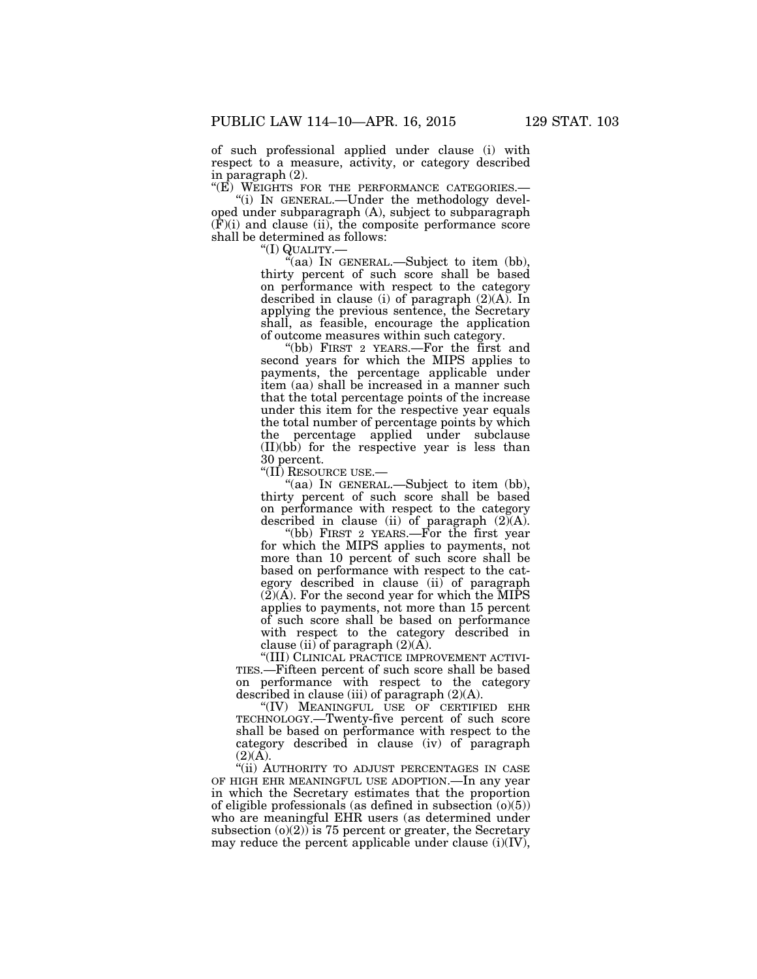of such professional applied under clause (i) with respect to a measure, activity, or category described in paragraph (2).

''(E) WEIGHTS FOR THE PERFORMANCE CATEGORIES.— ''(i) IN GENERAL.—Under the methodology devel-

oped under subparagraph (A), subject to subparagraph (F)(i) and clause (ii), the composite performance score shall be determined as follows:<br>"(I)  $\frac{QUALITY}{T}$ .

"(aa) In GENERAL.—Subject to item (bb), thirty percent of such score shall be based on performance with respect to the category described in clause (i) of paragraph (2)(A). In applying the previous sentence, the Secretary shall, as feasible, encourage the application of outcome measures within such category.

''(bb) FIRST 2 YEARS.—For the first and second years for which the MIPS applies to payments, the percentage applicable under item (aa) shall be increased in a manner such that the total percentage points of the increase under this item for the respective year equals the total number of percentage points by which the percentage applied under subclause (II)(bb) for the respective year is less than 30 percent.

''(II) RESOURCE USE.—

"(aa) In GENERAL.—Subject to item (bb), thirty percent of such score shall be based on performance with respect to the category described in clause (ii) of paragraph  $(2)(A)$ .

''(bb) FIRST 2 YEARS.—For the first year for which the MIPS applies to payments, not more than 10 percent of such score shall be based on performance with respect to the category described in clause (ii) of paragraph  $(2)(A)$ . For the second year for which the MIPS applies to payments, not more than 15 percent of such score shall be based on performance with respect to the category described in clause (ii) of paragraph  $(2)(\tilde{A})$ .

''(III) CLINICAL PRACTICE IMPROVEMENT ACTIVI-TIES.—Fifteen percent of such score shall be based on performance with respect to the category described in clause (iii) of paragraph  $(2)(A)$ .

''(IV) MEANINGFUL USE OF CERTIFIED EHR TECHNOLOGY.—Twenty-five percent of such score shall be based on performance with respect to the category described in clause (iv) of paragraph  $(2)(A).$ 

"(ii) AUTHORITY TO ADJUST PERCENTAGES IN CASE OF HIGH EHR MEANINGFUL USE ADOPTION.—In any year in which the Secretary estimates that the proportion of eligible professionals (as defined in subsection  $(0)(5)$ ) who are meaningful EHR users (as determined under subsection  $(o)(2)$  is 75 percent or greater, the Secretary may reduce the percent applicable under clause  $(i)(IV)$ ,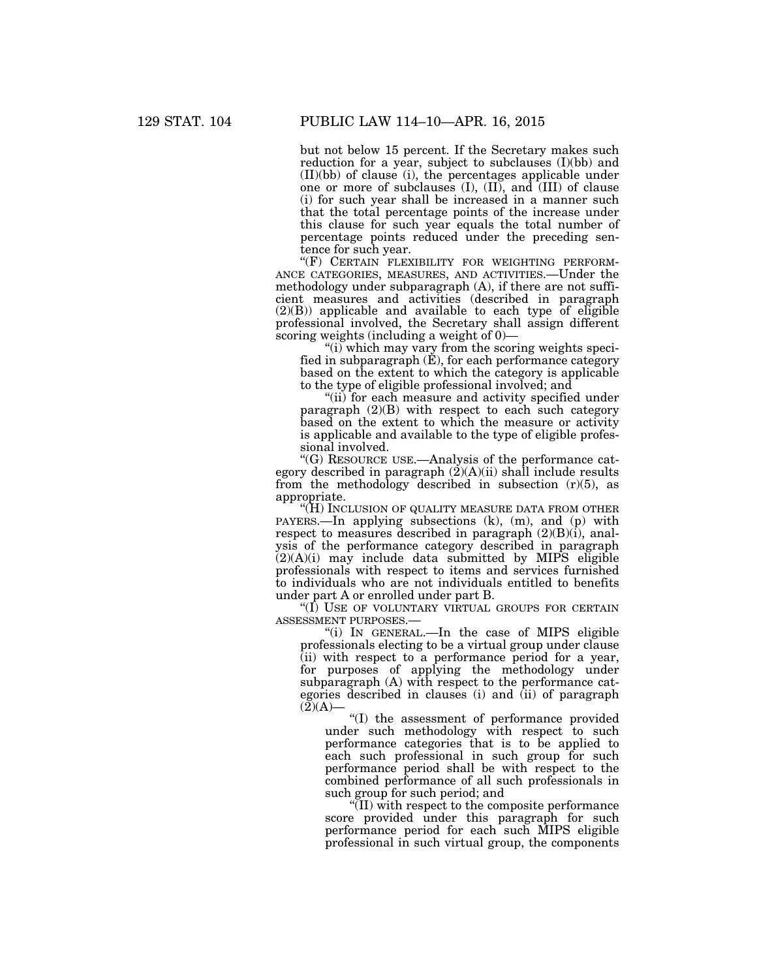but not below 15 percent. If the Secretary makes such reduction for a year, subject to subclauses (I)(bb) and (II)(bb) of clause (i), the percentages applicable under one or more of subclauses  $(I)$ ,  $(II)$ , and  $(III)$  of clause (i) for such year shall be increased in a manner such that the total percentage points of the increase under this clause for such year equals the total number of percentage points reduced under the preceding sentence for such year.<br>"(F) CERTAIN FLEXIBILITY FOR WEIGHTING PERFORM-

ANCE CATEGORIES, MEASURES, AND ACTIVITIES.—Under the methodology under subparagraph (A), if there are not sufficient measures and activities (described in paragraph  $(2)(B)$  applicable and available to each type of eligible professional involved, the Secretary shall assign different scoring weights (including a weight of 0)-

"(i) which may vary from the scoring weights specified in subparagraph  $(E)$ , for each performance category based on the extent to which the category is applicable to the type of eligible professional involved; and

''(ii) for each measure and activity specified under paragraph (2)(B) with respect to each such category based on the extent to which the measure or activity is applicable and available to the type of eligible professional involved.

''(G) RESOURCE USE.—Analysis of the performance category described in paragraph  $(2)(A)(ii)$  shall include results from the methodology described in subsection  $(r)(5)$ , as appropriate.

''(H) INCLUSION OF QUALITY MEASURE DATA FROM OTHER PAYERS.—In applying subsections (k), (m), and (p) with respect to measures described in paragraph  $(2)(B)(i)$ , analysis of the performance category described in paragraph  $(2)(A)(i)$  may include data submitted by MIPS eligible professionals with respect to items and services furnished to individuals who are not individuals entitled to benefits under part A or enrolled under part B.

"(I) USE OF VOLUNTARY VIRTUAL GROUPS FOR CERTAIN ASSESSMENT PURPOSES.—

''(i) IN GENERAL.—In the case of MIPS eligible professionals electing to be a virtual group under clause (ii) with respect to a performance period for a year, for purposes of applying the methodology under subparagraph (A) with respect to the performance categories described in clauses (i) and (ii) of paragraph  $(2)(A)$ —

''(I) the assessment of performance provided under such methodology with respect to such performance categories that is to be applied to each such professional in such group for such performance period shall be with respect to the combined performance of all such professionals in such group for such period; and

''(II) with respect to the composite performance score provided under this paragraph for such performance period for each such MIPS eligible professional in such virtual group, the components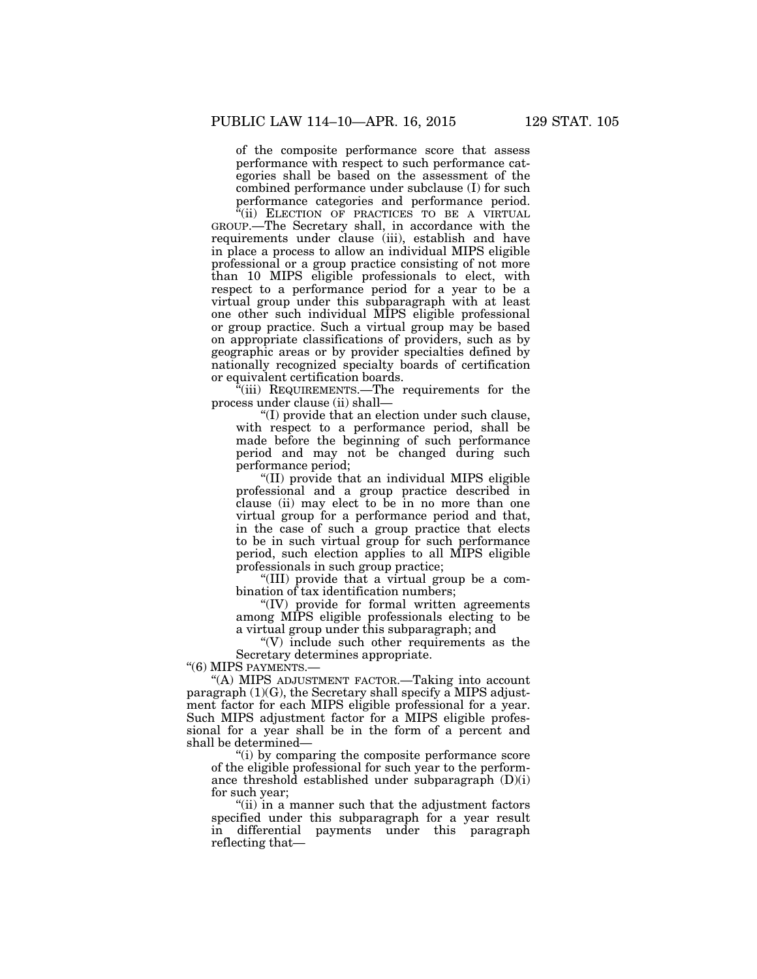of the composite performance score that assess performance with respect to such performance categories shall be based on the assessment of the combined performance under subclause (I) for such performance categories and performance period.

 $\alpha$ (ii) ELECTION OF PRACTICES TO BE A VIRTUAL GROUP.—The Secretary shall, in accordance with the requirements under clause (iii), establish and have in place a process to allow an individual MIPS eligible professional or a group practice consisting of not more than 10 MIPS eligible professionals to elect, with respect to a performance period for a year to be a virtual group under this subparagraph with at least one other such individual MIPS eligible professional or group practice. Such a virtual group may be based on appropriate classifications of providers, such as by geographic areas or by provider specialties defined by nationally recognized specialty boards of certification or equivalent certification boards.

 $\alpha$ <sup>"</sup>(iii) REQUIREMENTS.—The requirements for the process under clause (ii) shall—

''(I) provide that an election under such clause, with respect to a performance period, shall be made before the beginning of such performance period and may not be changed during such performance period;

''(II) provide that an individual MIPS eligible professional and a group practice described in clause (ii) may elect to be in no more than one virtual group for a performance period and that, in the case of such a group practice that elects to be in such virtual group for such performance period, such election applies to all MIPS eligible professionals in such group practice;

''(III) provide that a virtual group be a combination of tax identification numbers;

''(IV) provide for formal written agreements among MIPS eligible professionals electing to be a virtual group under this subparagraph; and

 $\degree$ (V) include such other requirements as the Secretary determines appropriate.

"(6) MIPS PAYMENTS.-

''(A) MIPS ADJUSTMENT FACTOR.—Taking into account paragraph (1)(G), the Secretary shall specify a MIPS adjustment factor for each MIPS eligible professional for a year. Such MIPS adjustment factor for a MIPS eligible professional for a year shall be in the form of a percent and shall be determined—

''(i) by comparing the composite performance score of the eligible professional for such year to the performance threshold established under subparagraph (D)(i) for such year;

''(ii) in a manner such that the adjustment factors specified under this subparagraph for a year result in differential payments under this paragraph reflecting that—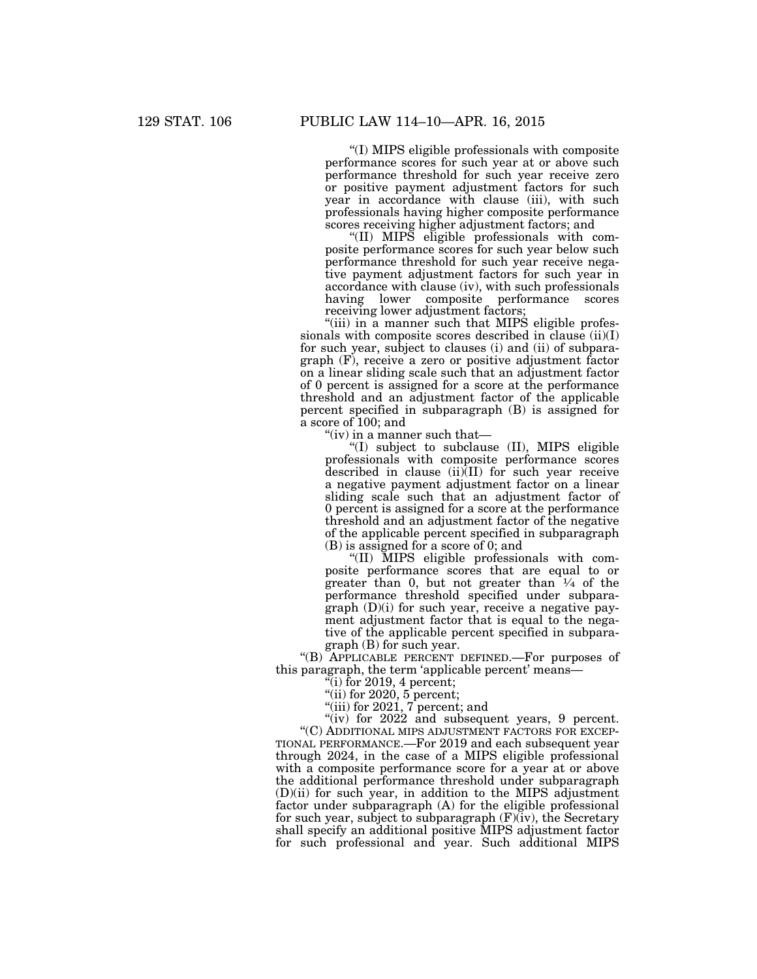''(I) MIPS eligible professionals with composite performance scores for such year at or above such performance threshold for such year receive zero or positive payment adjustment factors for such year in accordance with clause (iii), with such professionals having higher composite performance scores receiving higher adjustment factors; and

''(II) MIPS eligible professionals with composite performance scores for such year below such performance threshold for such year receive negative payment adjustment factors for such year in accordance with clause (iv), with such professionals having lower composite performance scores receiving lower adjustment factors;

"(iii) in a manner such that MIPS eligible professionals with composite scores described in clause  $(ii)(I)$ for such year, subject to clauses (i) and (ii) of subparagraph (F), receive a zero or positive adjustment factor on a linear sliding scale such that an adjustment factor of 0 percent is assigned for a score at the performance threshold and an adjustment factor of the applicable percent specified in subparagraph (B) is assigned for a score of 100; and

''(iv) in a manner such that—

''(I) subject to subclause (II), MIPS eligible professionals with composite performance scores described in clause (ii)(II) for such year receive a negative payment adjustment factor on a linear sliding scale such that an adjustment factor of 0 percent is assigned for a score at the performance threshold and an adjustment factor of the negative of the applicable percent specified in subparagraph (B) is assigned for a score of 0; and

''(II) MIPS eligible professionals with composite performance scores that are equal to or greater than 0, but not greater than  $\frac{1}{4}$  of the performance threshold specified under subparagraph (D)(i) for such year, receive a negative payment adjustment factor that is equal to the negative of the applicable percent specified in subparagraph (B) for such year.

''(B) APPLICABLE PERCENT DEFINED.—For purposes of this paragraph, the term 'applicable percent' means-

 $\sqrt[4]{\text{i}}$  for 2019, 4 percent;

''(ii) for 2020, 5 percent;

''(iii) for 2021, 7 percent; and

" $(iv)$  for 2022 and subsequent years, 9 percent. ''(C) ADDITIONAL MIPS ADJUSTMENT FACTORS FOR EXCEP-TIONAL PERFORMANCE.—For 2019 and each subsequent year through 2024, in the case of a MIPS eligible professional with a composite performance score for a year at or above the additional performance threshold under subparagraph (D)(ii) for such year, in addition to the MIPS adjustment factor under subparagraph (A) for the eligible professional for such year, subject to subparagraph (F)(iv), the Secretary shall specify an additional positive MIPS adjustment factor for such professional and year. Such additional MIPS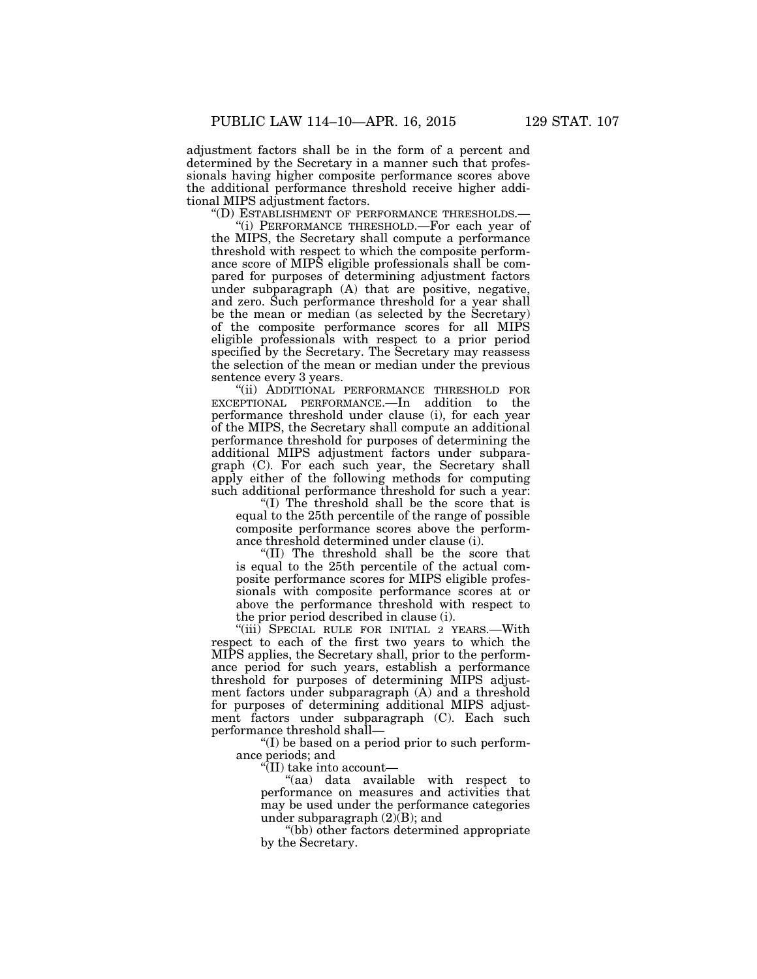adjustment factors shall be in the form of a percent and determined by the Secretary in a manner such that professionals having higher composite performance scores above the additional performance threshold receive higher additional MIPS adjustment factors.

''(D) ESTABLISHMENT OF PERFORMANCE THRESHOLDS.—

''(i) PERFORMANCE THRESHOLD.—For each year of the MIPS, the Secretary shall compute a performance threshold with respect to which the composite performance score of MIPS eligible professionals shall be compared for purposes of determining adjustment factors under subparagraph (A) that are positive, negative, and zero. Such performance threshold for a year shall be the mean or median (as selected by the Secretary) of the composite performance scores for all MIPS eligible professionals with respect to a prior period specified by the Secretary. The Secretary may reassess the selection of the mean or median under the previous sentence every 3 years.

"(ii) ADDITIONAL PERFORMANCE THRESHOLD FOR EXCEPTIONAL PERFORMANCE.—In addition to the performance threshold under clause (i), for each year of the MIPS, the Secretary shall compute an additional performance threshold for purposes of determining the additional MIPS adjustment factors under subparagraph (C). For each such year, the Secretary shall apply either of the following methods for computing such additional performance threshold for such a year:

''(I) The threshold shall be the score that is equal to the 25th percentile of the range of possible composite performance scores above the performance threshold determined under clause (i).

''(II) The threshold shall be the score that is equal to the 25th percentile of the actual composite performance scores for MIPS eligible professionals with composite performance scores at or above the performance threshold with respect to the prior period described in clause (i).

''(iii) SPECIAL RULE FOR INITIAL 2 YEARS.—With respect to each of the first two years to which the MIPS applies, the Secretary shall, prior to the performance period for such years, establish a performance threshold for purposes of determining MIPS adjustment factors under subparagraph (A) and a threshold for purposes of determining additional MIPS adjustment factors under subparagraph (C). Each such performance threshold shall—

''(I) be based on a period prior to such performance periods; and

''(II) take into account—

''(aa) data available with respect to performance on measures and activities that may be used under the performance categories under subparagraph (2)(B); and

''(bb) other factors determined appropriate by the Secretary.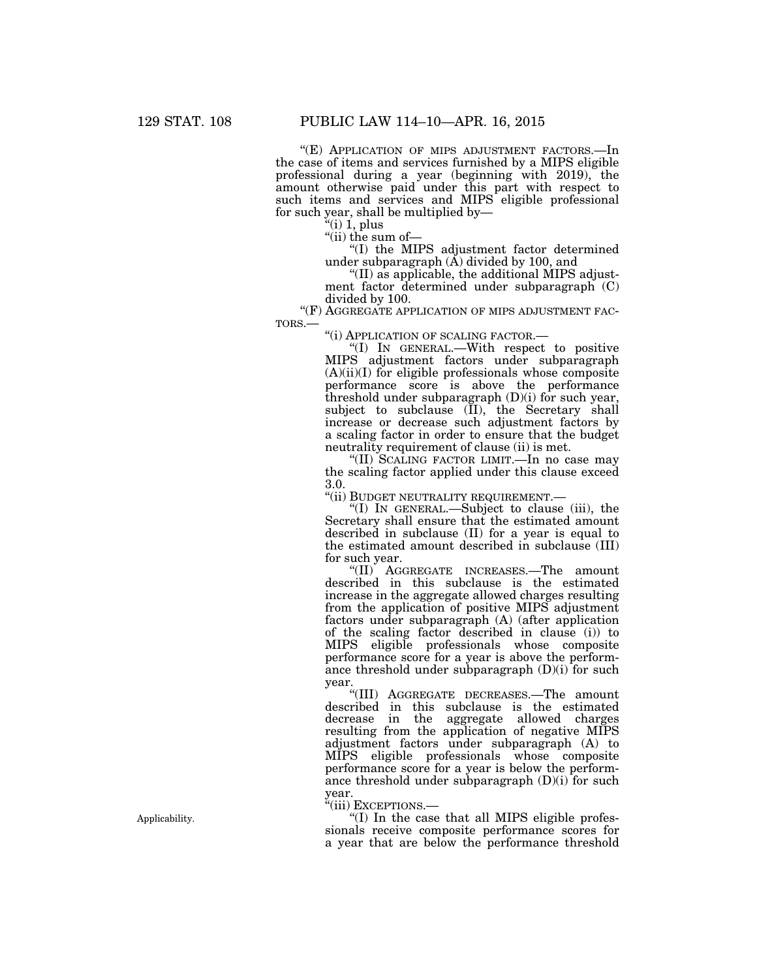"(E) APPLICATION OF MIPS ADJUSTMENT FACTORS.—In the case of items and services furnished by a MIPS eligible professional during a year (beginning with 2019), the amount otherwise paid under this part with respect to such items and services and MIPS eligible professional for such year, shall be multiplied by—

 $f'(i)$  1, plus

"(ii) the sum of-

''(I) the MIPS adjustment factor determined under subparagraph (Å) divided by 100, and

''(II) as applicable, the additional MIPS adjustment factor determined under subparagraph (C) divided by 100.

"(F) AGGREGATE APPLICATION OF MIPS ADJUSTMENT FAC-<br>TORS.— "(i) APPLICATION OF SCALING FACTOR.—<br>"(I) IN GENERAL.—With respect to positive

MIPS adjustment factors under subparagraph (A)(ii)(I) for eligible professionals whose composite performance score is above the performance threshold under subparagraph (D)(i) for such year, subject to subclause (II), the Secretary shall increase or decrease such adjustment factors by a scaling factor in order to ensure that the budget neutrality requirement of clause (ii) is met.

''(II) SCALING FACTOR LIMIT.—In no case may the scaling factor applied under this clause exceed 3.0.

"(ii) BUDGET NEUTRALITY REQUIREMENT.—

''(I) IN GENERAL.—Subject to clause (iii), the Secretary shall ensure that the estimated amount described in subclause (II) for a year is equal to the estimated amount described in subclause (III) for such year.

''(II) AGGREGATE INCREASES.—The amount described in this subclause is the estimated increase in the aggregate allowed charges resulting from the application of positive MIPS adjustment factors under subparagraph (A) (after application of the scaling factor described in clause (i)) to MIPS eligible professionals whose composite performance score for a year is above the performance threshold under subparagraph  $(D)(i)$  for such year.

''(III) AGGREGATE DECREASES.—The amount described in this subclause is the estimated decrease in the aggregate allowed charges resulting from the application of negative MIPS adjustment factors under subparagraph (A) to MIPS eligible professionals whose composite performance score for a year is below the performance threshold under subparagraph  $(D)(i)$  for such year.

''(iii) EXCEPTIONS.—

''(I) In the case that all MIPS eligible professionals receive composite performance scores for a year that are below the performance threshold

Applicability.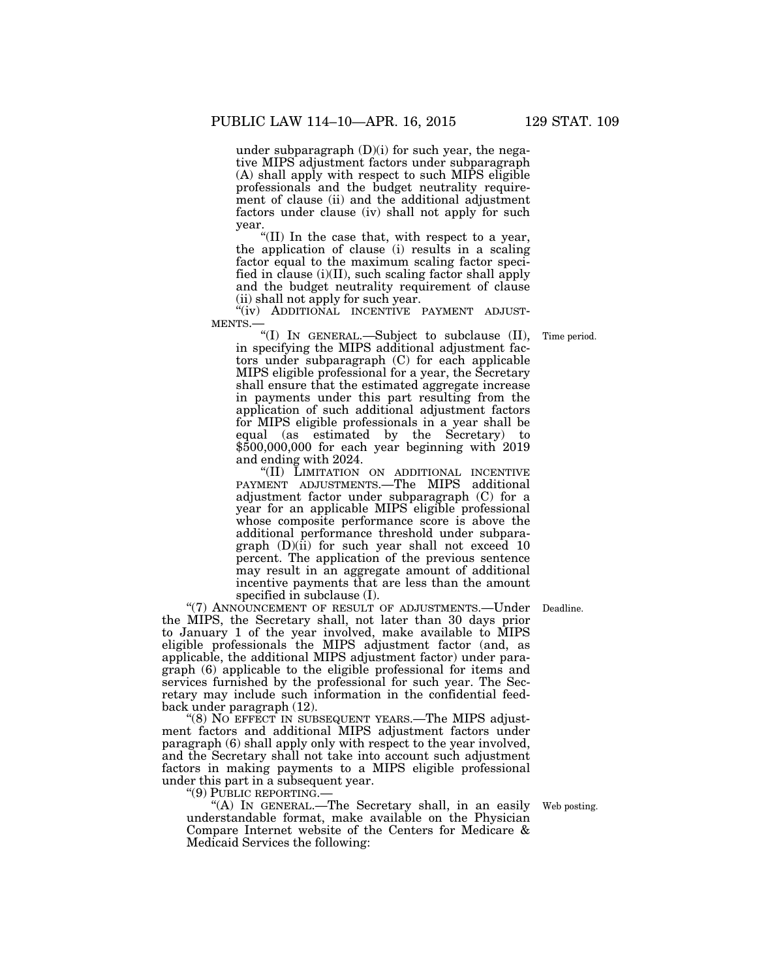under subparagraph  $(D)(i)$  for such year, the negative MIPS adjustment factors under subparagraph (A) shall apply with respect to such MIPS eligible professionals and the budget neutrality requirement of clause (ii) and the additional adjustment factors under clause (iv) shall not apply for such year.

''(II) In the case that, with respect to a year, the application of clause (i) results in a scaling factor equal to the maximum scaling factor specified in clause (i)(II), such scaling factor shall apply and the budget neutrality requirement of clause (ii) shall not apply for such year.

 $\label{eq:10} \begin{array}{cccc} \mbox{``(iv)} & \mbox{ADDITIONAL} & \mbox{INCENTIVE} & \mbox{PAYMENT} & \mbox{ADJUST-} \cr \mbox{MENTS.} \end{array}$ 

''(I) IN GENERAL.—Subject to subclause (II), in specifying the MIPS additional adjustment factors under subparagraph (C) for each applicable MIPS eligible professional for a year, the Secretary shall ensure that the estimated aggregate increase in payments under this part resulting from the application of such additional adjustment factors for MIPS eligible professionals in a year shall be equal (as estimated by the Secretary) to \$500,000,000 for each year beginning with 2019 and ending with 2024.

''(II) LIMITATION ON ADDITIONAL INCENTIVE PAYMENT ADJUSTMENTS.—The MIPS additional adjustment factor under subparagraph (C) for a year for an applicable MIPS eligible professional whose composite performance score is above the additional performance threshold under subparagraph  $(D)(ii)$  for such year shall not exceed 10 percent. The application of the previous sentence may result in an aggregate amount of additional incentive payments that are less than the amount specified in subclause (I).

"(7) ANNOUNCEMENT OF RESULT OF ADJUSTMENTS.—Under Deadline. the MIPS, the Secretary shall, not later than 30 days prior to January 1 of the year involved, make available to MIPS eligible professionals the MIPS adjustment factor (and, as applicable, the additional MIPS adjustment factor) under paragraph (6) applicable to the eligible professional for items and services furnished by the professional for such year. The Secretary may include such information in the confidential feedback under paragraph (12).

"(8) NO EFFECT IN SUBSEQUENT YEARS.—The MIPS adjustment factors and additional MIPS adjustment factors under paragraph (6) shall apply only with respect to the year involved, and the Secretary shall not take into account such adjustment factors in making payments to a MIPS eligible professional under this part in a subsequent year.

''(9) PUBLIC REPORTING.—

''(A) IN GENERAL.—The Secretary shall, in an easily understandable format, make available on the Physician Compare Internet website of the Centers for Medicare & Medicaid Services the following:

Web posting.

Time period.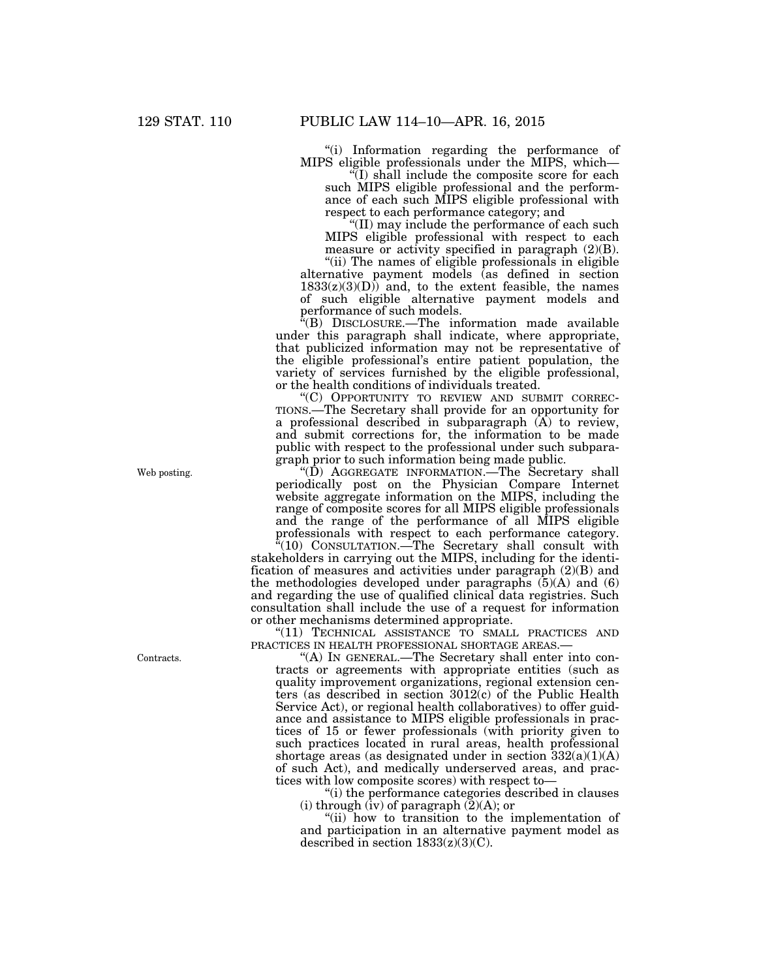''(i) Information regarding the performance of MIPS eligible professionals under the MIPS, which—

 $\sqrt{\text{I}}$ ) shall include the composite score for each such MIPS eligible professional and the performance of each such MIPS eligible professional with respect to each performance category; and

''(II) may include the performance of each such MIPS eligible professional with respect to each measure or activity specified in paragraph (2)(B).

"(ii) The names of eligible professionals in eligible alternative payment models (as defined in section  $1833(z)(3)(D)$  and, to the extent feasible, the names of such eligible alternative payment models and performance of such models.

''(B) DISCLOSURE.—The information made available under this paragraph shall indicate, where appropriate, that publicized information may not be representative of the eligible professional's entire patient population, the variety of services furnished by the eligible professional, or the health conditions of individuals treated.

''(C) OPPORTUNITY TO REVIEW AND SUBMIT CORREC-TIONS.—The Secretary shall provide for an opportunity for a professional described in subparagraph  $(A)$  to review, and submit corrections for, the information to be made public with respect to the professional under such subparagraph prior to such information being made public.

''(D) AGGREGATE INFORMATION.—The Secretary shall periodically post on the Physician Compare Internet website aggregate information on the MIPS, including the range of composite scores for all MIPS eligible professionals and the range of the performance of all MIPS eligible professionals with respect to each performance category.

 $\sqrt[n]{(10)}$  CONSULTATION.—The Secretary shall consult with stakeholders in carrying out the MIPS, including for the identification of measures and activities under paragraph (2)(B) and the methodologies developed under paragraphs  $(5)(A)$  and  $(6)$ and regarding the use of qualified clinical data registries. Such consultation shall include the use of a request for information or other mechanisms determined appropriate.

"(11) TECHNICAL ASSISTANCE TO SMALL PRACTICES AND PRACTICES IN HEALTH PROFESSIONAL SHORTAGE AREAS.-

"(A) IN GENERAL.—The Secretary shall enter into contracts or agreements with appropriate entities (such as quality improvement organizations, regional extension centers (as described in section 3012(c) of the Public Health Service Act), or regional health collaboratives) to offer guidance and assistance to MIPS eligible professionals in practices of 15 or fewer professionals (with priority given to such practices located in rural areas, health professional shortage areas (as designated under in section 332(a)(1)(A) of such Act), and medically underserved areas, and practices with low composite scores) with respect to—

''(i) the performance categories described in clauses (i) through (iv) of paragraph  $(2)(A)$ ; or

''(ii) how to transition to the implementation of and participation in an alternative payment model as described in section  $1833(z)(3)(C)$ .

Web posting.

Contracts.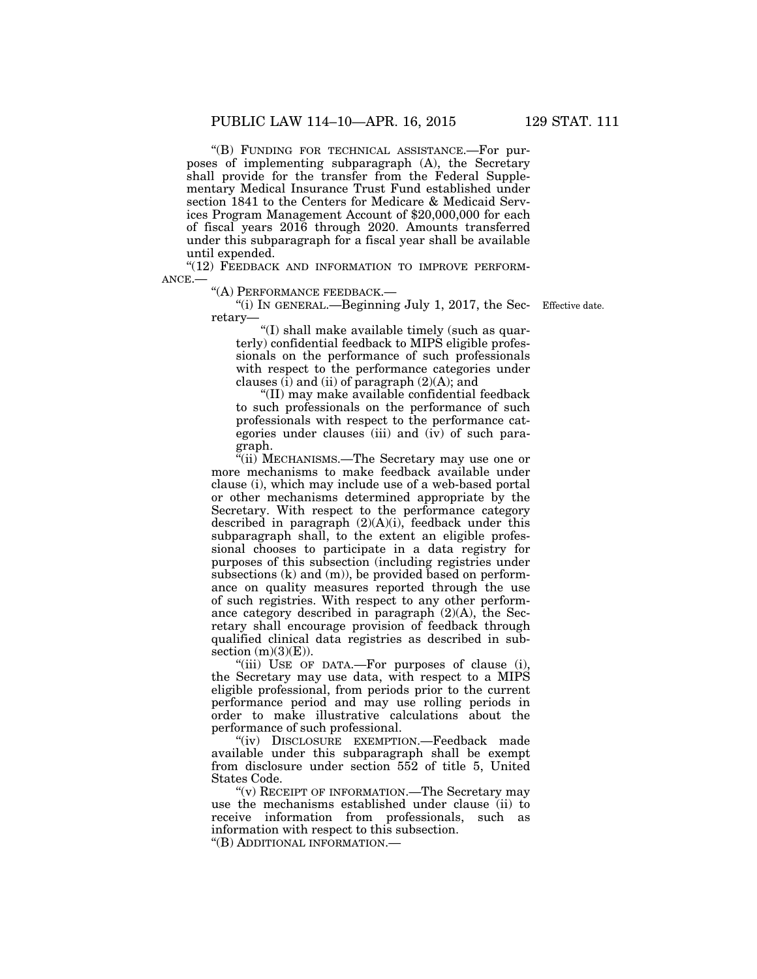''(B) FUNDING FOR TECHNICAL ASSISTANCE.—For purposes of implementing subparagraph (A), the Secretary shall provide for the transfer from the Federal Supplementary Medical Insurance Trust Fund established under section 1841 to the Centers for Medicare & Medicaid Services Program Management Account of \$20,000,000 for each of fiscal years 2016 through 2020. Amounts transferred under this subparagraph for a fiscal year shall be available until expended.

"(12) FEEDBACK AND INFORMATION TO IMPROVE PERFORM-ANCE.—

''(A) PERFORMANCE FEEDBACK.—

''(i) IN GENERAL.—Beginning July 1, 2017, the Sec-Effective date. retary—

''(I) shall make available timely (such as quarterly) confidential feedback to MIPS eligible professionals on the performance of such professionals with respect to the performance categories under clauses  $(i)$  and  $(ii)$  of paragraph  $(2)(A)$ ; and

''(II) may make available confidential feedback to such professionals on the performance of such professionals with respect to the performance categories under clauses (iii) and (iv) of such paragraph.

''(ii) MECHANISMS.—The Secretary may use one or more mechanisms to make feedback available under clause (i), which may include use of a web-based portal or other mechanisms determined appropriate by the Secretary. With respect to the performance category described in paragraph  $(2)(A)(i)$ , feedback under this subparagraph shall, to the extent an eligible professional chooses to participate in a data registry for purposes of this subsection (including registries under subsections (k) and (m)), be provided based on performance on quality measures reported through the use of such registries. With respect to any other performance category described in paragraph (2)(A), the Secretary shall encourage provision of feedback through qualified clinical data registries as described in subsection  $(m)(3)(E)$ ).

"(iii) USE OF DATA.—For purposes of clause (i), the Secretary may use data, with respect to a MIPS eligible professional, from periods prior to the current performance period and may use rolling periods in order to make illustrative calculations about the performance of such professional.

''(iv) DISCLOSURE EXEMPTION.—Feedback made available under this subparagraph shall be exempt from disclosure under section 552 of title 5, United States Code.

"(v) RECEIPT OF INFORMATION.—The Secretary may use the mechanisms established under clause (ii) to receive information from professionals, such as information with respect to this subsection. ''(B) ADDITIONAL INFORMATION.—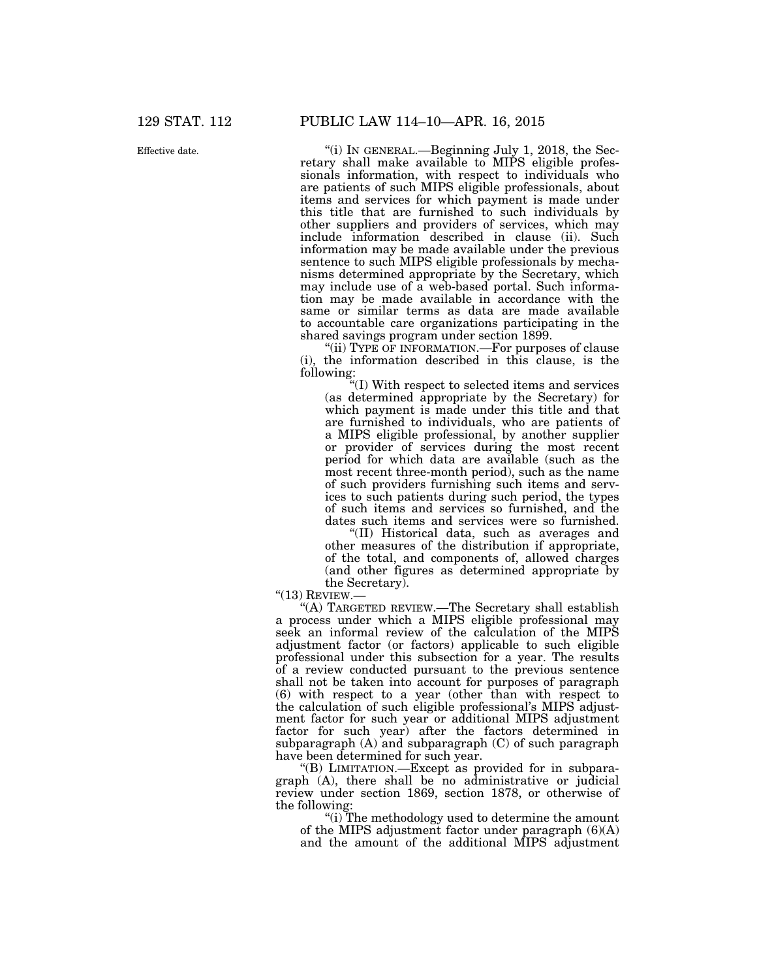''(i) IN GENERAL.—Beginning July 1, 2018, the Secretary shall make available to MIPS eligible professionals information, with respect to individuals who are patients of such MIPS eligible professionals, about items and services for which payment is made under this title that are furnished to such individuals by other suppliers and providers of services, which may include information described in clause (ii). Such information may be made available under the previous sentence to such MIPS eligible professionals by mechanisms determined appropriate by the Secretary, which may include use of a web-based portal. Such information may be made available in accordance with the same or similar terms as data are made available to accountable care organizations participating in the shared savings program under section 1899.

"(ii) TYPE OF INFORMATION.—For purposes of clause (i), the information described in this clause, is the following:

''(I) With respect to selected items and services (as determined appropriate by the Secretary) for which payment is made under this title and that are furnished to individuals, who are patients of a MIPS eligible professional, by another supplier or provider of services during the most recent period for which data are available (such as the most recent three-month period), such as the name of such providers furnishing such items and services to such patients during such period, the types of such items and services so furnished, and the dates such items and services were so furnished.

''(II) Historical data, such as averages and other measures of the distribution if appropriate, of the total, and components of, allowed charges (and other figures as determined appropriate by the Secretary).

 $"$ (13) REVIEW.—

''(A) TARGETED REVIEW.—The Secretary shall establish a process under which a MIPS eligible professional may seek an informal review of the calculation of the MIPS adjustment factor (or factors) applicable to such eligible professional under this subsection for a year. The results of a review conducted pursuant to the previous sentence shall not be taken into account for purposes of paragraph (6) with respect to a year (other than with respect to the calculation of such eligible professional's MIPS adjustment factor for such year or additional MIPS adjustment factor for such year) after the factors determined in subparagraph (A) and subparagraph (C) of such paragraph have been determined for such year.

''(B) LIMITATION.—Except as provided for in subparagraph  $(A)$ , there shall be no administrative or judicial review under section 1869, section 1878, or otherwise of the following:

''(i) The methodology used to determine the amount of the MIPS adjustment factor under paragraph (6)(A) and the amount of the additional MIPS adjustment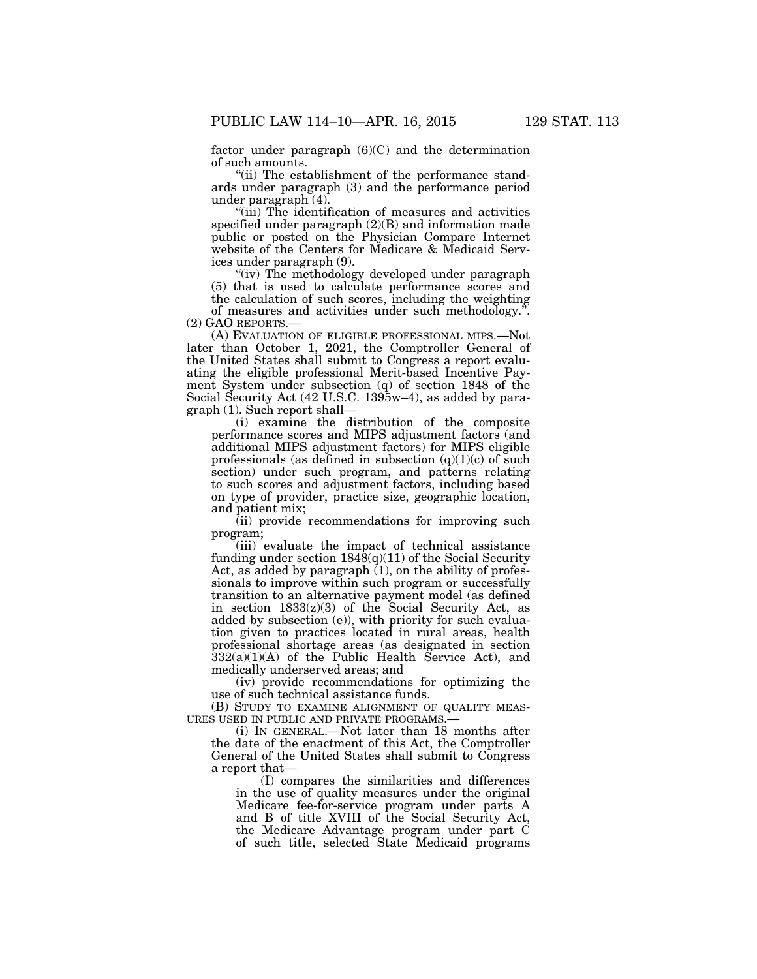factor under paragraph  $(6)(C)$  and the determination of such amounts.

'(ii) The establishment of the performance standards under paragraph (3) and the performance period under paragraph (4).

''(iii) The identification of measures and activities specified under paragraph (2)(B) and information made public or posted on the Physician Compare Internet website of the Centers for Medicare & Medicaid Services under paragraph (9).

"(iv) The methodology developed under paragraph (5) that is used to calculate performance scores and the calculation of such scores, including the weighting

of measures and activities under such methodology.".<br>
(2) GAO REPORTS.—

(A) EVALUATION OF ELIGIBLE PROFESSIONAL MIPS.—Not later than October 1, 2021, the Comptroller General of the United States shall submit to Congress a report evaluating the eligible professional Merit-based Incentive Payment System under subsection (q) of section 1848 of the Social Security Act (42 U.S.C. 1395w–4), as added by paragraph (1). Such report shall—

(i) examine the distribution of the composite performance scores and MIPS adjustment factors (and additional MIPS adjustment factors) for MIPS eligible professionals (as defined in subsection  $(q)(1)(c)$  of such section) under such program, and patterns relating to such scores and adjustment factors, including based on type of provider, practice size, geographic location, and patient mix;

(ii) provide recommendations for improving such program;

(iii) evaluate the impact of technical assistance funding under section  $184\delta(q)(11)$  of the Social Security Act, as added by paragraph  $(1)$ , on the ability of professionals to improve within such program or successfully transition to an alternative payment model (as defined in section  $1833(z)(3)$  of the Social Security Act, as added by subsection (e)), with priority for such evaluation given to practices located in rural areas, health professional shortage areas (as designated in section  $332(a)(1)(A)$  of the Public Health Service Act), and medically underserved areas; and

(iv) provide recommendations for optimizing the use of such technical assistance funds.

(B) STUDY TO EXAMINE ALIGNMENT OF QUALITY MEAS-URES USED IN PUBLIC AND PRIVATE PROGRAMS.—

(i) IN GENERAL.—Not later than 18 months after the date of the enactment of this Act, the Comptroller General of the United States shall submit to Congress a report that—

(I) compares the similarities and differences in the use of quality measures under the original Medicare fee-for-service program under parts A and B of title XVIII of the Social Security Act, the Medicare Advantage program under part C of such title, selected State Medicaid programs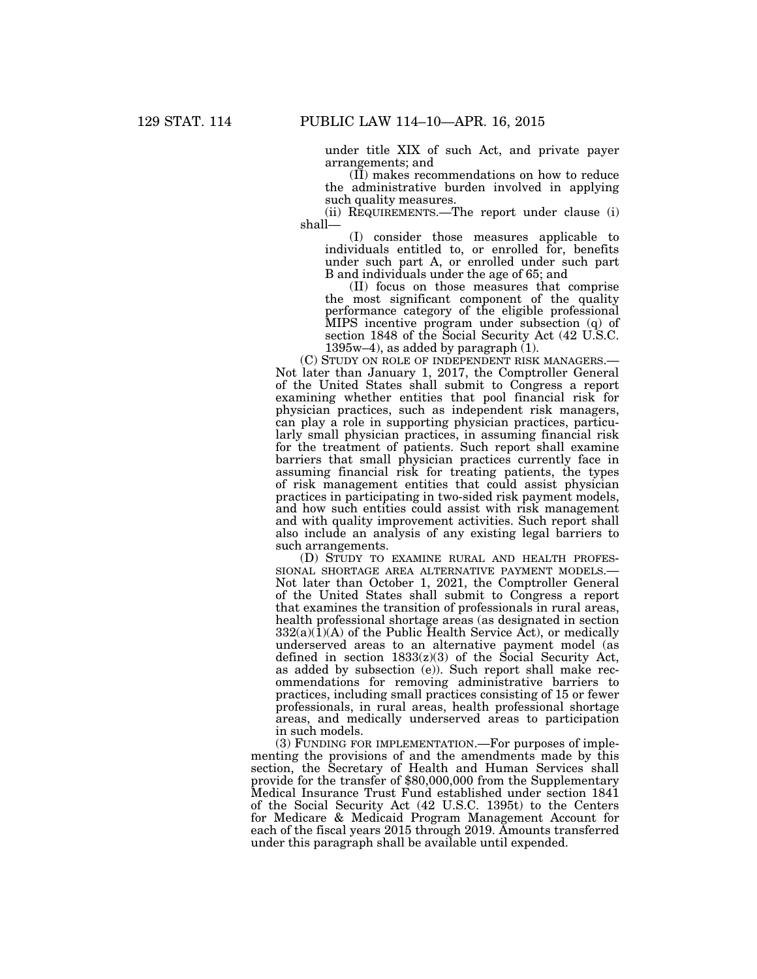under title XIX of such Act, and private payer arrangements; and

(II) makes recommendations on how to reduce the administrative burden involved in applying such quality measures.

(ii) REQUIREMENTS.—The report under clause (i) shall—

(I) consider those measures applicable to individuals entitled to, or enrolled for, benefits under such part A, or enrolled under such part B and individuals under the age of 65; and

(II) focus on those measures that comprise the most significant component of the quality performance category of the eligible professional MIPS incentive program under subsection (q) of section 1848 of the Social Security Act (42 U.S.C. 1395w–4), as added by paragraph  $(1)$ .

(C) STUDY ON ROLE OF INDEPENDENT RISK MANAGERS.— Not later than January 1, 2017, the Comptroller General of the United States shall submit to Congress a report examining whether entities that pool financial risk for physician practices, such as independent risk managers, can play a role in supporting physician practices, particularly small physician practices, in assuming financial risk for the treatment of patients. Such report shall examine barriers that small physician practices currently face in assuming financial risk for treating patients, the types of risk management entities that could assist physician practices in participating in two-sided risk payment models, and how such entities could assist with risk management and with quality improvement activities. Such report shall also include an analysis of any existing legal barriers to such arrangements.

(D) STUDY TO EXAMINE RURAL AND HEALTH PROFESSIONAL SHORTAGE AREA ALTERNATIVE PAYMENT MODELS.— Not later than October 1, 2021, the Comptroller General of the United States shall submit to Congress a report that examines the transition of professionals in rural areas, health professional shortage areas (as designated in section  $332(a)(1)(A)$  of the Public Health Service Act), or medically underserved areas to an alternative payment model (as defined in section 1833(z)(3) of the Social Security Act, as added by subsection (e)). Such report shall make recommendations for removing administrative barriers to practices, including small practices consisting of 15 or fewer professionals, in rural areas, health professional shortage areas, and medically underserved areas to participation in such models.

(3) FUNDING FOR IMPLEMENTATION.—For purposes of implementing the provisions of and the amendments made by this section, the Secretary of Health and Human Services shall provide for the transfer of \$80,000,000 from the Supplementary Medical Insurance Trust Fund established under section 1841 of the Social Security Act (42 U.S.C. 1395t) to the Centers for Medicare & Medicaid Program Management Account for each of the fiscal years 2015 through 2019. Amounts transferred under this paragraph shall be available until expended.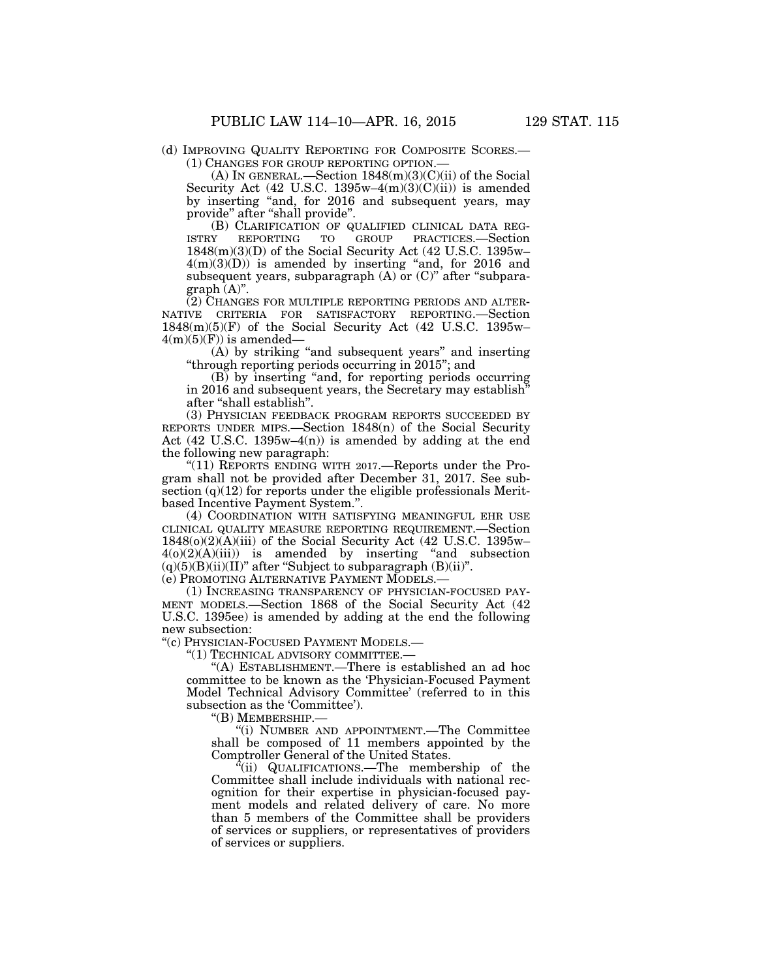(d) IMPROVING QUALITY REPORTING FOR COMPOSITE SCORES.— (1) CHANGES FOR GROUP REPORTING OPTION.—

(A) IN GENERAL.—Section  $1848(m)(3)(C)(ii)$  of the Social Security Act (42 U.S.C. 1395w–4 $(m)(3)(C)(ii)$ ) is amended by inserting ''and, for 2016 and subsequent years, may provide" after "shall provide".

(B) CLARIFICATION OF QUALIFIED CLINICAL DATA REG-<br>Y REPORTING TO GROUP PRACTICES.—Section ISTRY REPORTING TO GROUP PRACTICES.—Section 1848(m)(3)(D) of the Social Security Act (42 U.S.C. 1395w–  $4(m)(3)(D)$  is amended by inserting "and, for 2016 and subsequent years, subparagraph  $(A)$  or  $(C)$ " after "subpara $graph (A)$ ".

(2) CHANGES FOR MULTIPLE REPORTING PERIODS AND ALTER-NATIVE CRITERIA FOR SATISFACTORY REPORTING.—Section 1848(m)(5)(F) of the Social Security Act (42 U.S.C. 1395w–  $4(m)(5)(F)$  is amended—

(A) by striking ''and subsequent years'' and inserting ''through reporting periods occurring in 2015''; and

(B) by inserting ''and, for reporting periods occurring in 2016 and subsequent years, the Secretary may establish'' after ''shall establish''.

(3) PHYSICIAN FEEDBACK PROGRAM REPORTS SUCCEEDED BY REPORTS UNDER MIPS.—Section 1848(n) of the Social Security Act (42 U.S.C. 1395w–4 $(n)$ ) is amended by adding at the end the following new paragraph:

"(11) REPORTS ENDING WITH 2017.—Reports under the Program shall not be provided after December 31, 2017. See subsection  $(q)(12)$  for reports under the eligible professionals Meritbased Incentive Payment System.''.

(4) COORDINATION WITH SATISFYING MEANINGFUL EHR USE CLINICAL QUALITY MEASURE REPORTING REQUIREMENT.—Section 1848(o)(2)(A)(iii) of the Social Security Act (42 U.S.C. 1395w–  $4(0)(2)(A)(iii)$  is amended by inserting "and subsection  $(q)(5)(B)(ii)(II)$ " after "Subject to subparagraph  $(B)(ii)$ ".

(e) PROMOTING ALTERNATIVE PAYMENT MODELS.—

(1) INCREASING TRANSPARENCY OF PHYSICIAN-FOCUSED PAY-MENT MODELS.—Section 1868 of the Social Security Act (42 U.S.C. 1395ee) is amended by adding at the end the following new subsection:

''(c) PHYSICIAN-FOCUSED PAYMENT MODELS.—

''(1) TECHNICAL ADVISORY COMMITTEE.—

''(A) ESTABLISHMENT.—There is established an ad hoc committee to be known as the 'Physician-Focused Payment Model Technical Advisory Committee' (referred to in this subsection as the 'Committee').

''(B) MEMBERSHIP.—

''(i) NUMBER AND APPOINTMENT.—The Committee shall be composed of 11 members appointed by the Comptroller General of the United States.

 $\ddot{q}$ (ii) QUALIFICATIONS.—The membership of the Committee shall include individuals with national recognition for their expertise in physician-focused payment models and related delivery of care. No more than 5 members of the Committee shall be providers of services or suppliers, or representatives of providers of services or suppliers.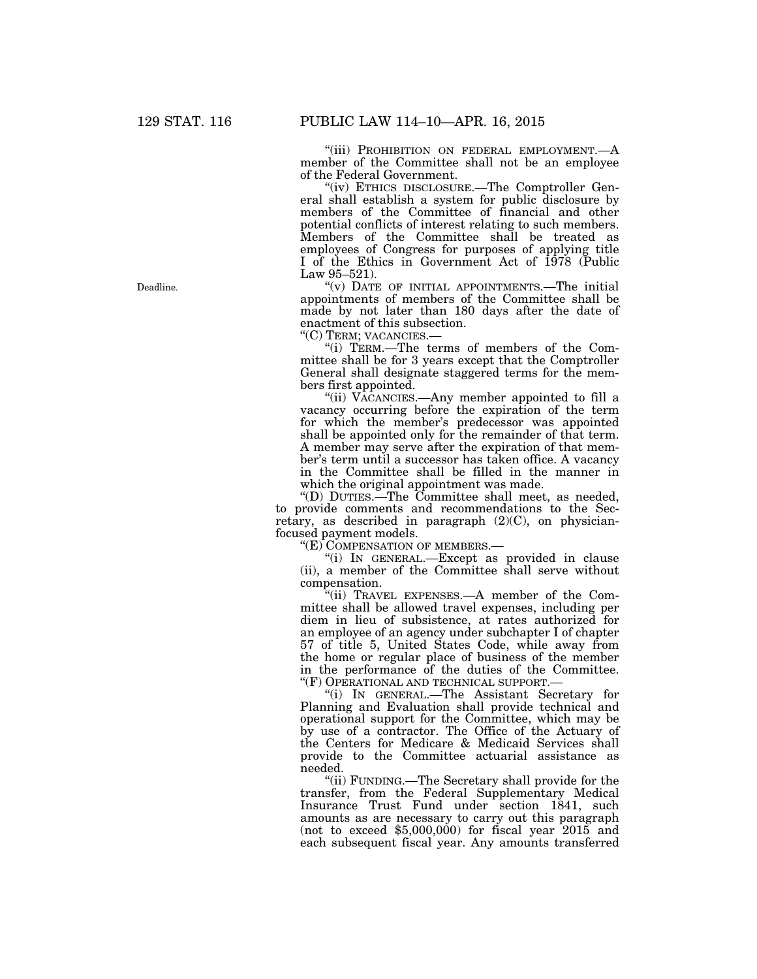"(iii) PROHIBITION ON FEDERAL EMPLOYMENT.—A member of the Committee shall not be an employee of the Federal Government.

''(iv) ETHICS DISCLOSURE.—The Comptroller General shall establish a system for public disclosure by members of the Committee of financial and other potential conflicts of interest relating to such members. Members of the Committee shall be treated as employees of Congress for purposes of applying title I of the Ethics in Government Act of 1978 (Public Law 95–521).

''(v) DATE OF INITIAL APPOINTMENTS.—The initial appointments of members of the Committee shall be made by not later than 180 days after the date of enactment of this subsection.

''(C) TERM; VACANCIES.— ''(i) TERM.—The terms of members of the Committee shall be for 3 years except that the Comptroller General shall designate staggered terms for the members first appointed.

"(ii) VACANCIES.—Any member appointed to fill a vacancy occurring before the expiration of the term for which the member's predecessor was appointed shall be appointed only for the remainder of that term. A member may serve after the expiration of that member's term until a successor has taken office. A vacancy in the Committee shall be filled in the manner in which the original appointment was made.

''(D) DUTIES.—The Committee shall meet, as needed, to provide comments and recommendations to the Secretary, as described in paragraph (2)(C), on physicianfocused payment models.

"(E) COMPENSATION OF MEMBERS.—

''(i) IN GENERAL.—Except as provided in clause (ii), a member of the Committee shall serve without compensation.

''(ii) TRAVEL EXPENSES.—A member of the Committee shall be allowed travel expenses, including per diem in lieu of subsistence, at rates authorized for an employee of an agency under subchapter I of chapter 57 of title 5, United States Code, while away from the home or regular place of business of the member in the performance of the duties of the Committee. ''(F) OPERATIONAL AND TECHNICAL SUPPORT.—

''(i) IN GENERAL.—The Assistant Secretary for Planning and Evaluation shall provide technical and operational support for the Committee, which may be by use of a contractor. The Office of the Actuary of the Centers for Medicare & Medicaid Services shall provide to the Committee actuarial assistance as needed.

''(ii) FUNDING.—The Secretary shall provide for the transfer, from the Federal Supplementary Medical Insurance Trust Fund under section 1841, such amounts as are necessary to carry out this paragraph (not to exceed  $$5,000,000$ ) for fiscal year  $2015$  and each subsequent fiscal year. Any amounts transferred

Deadline.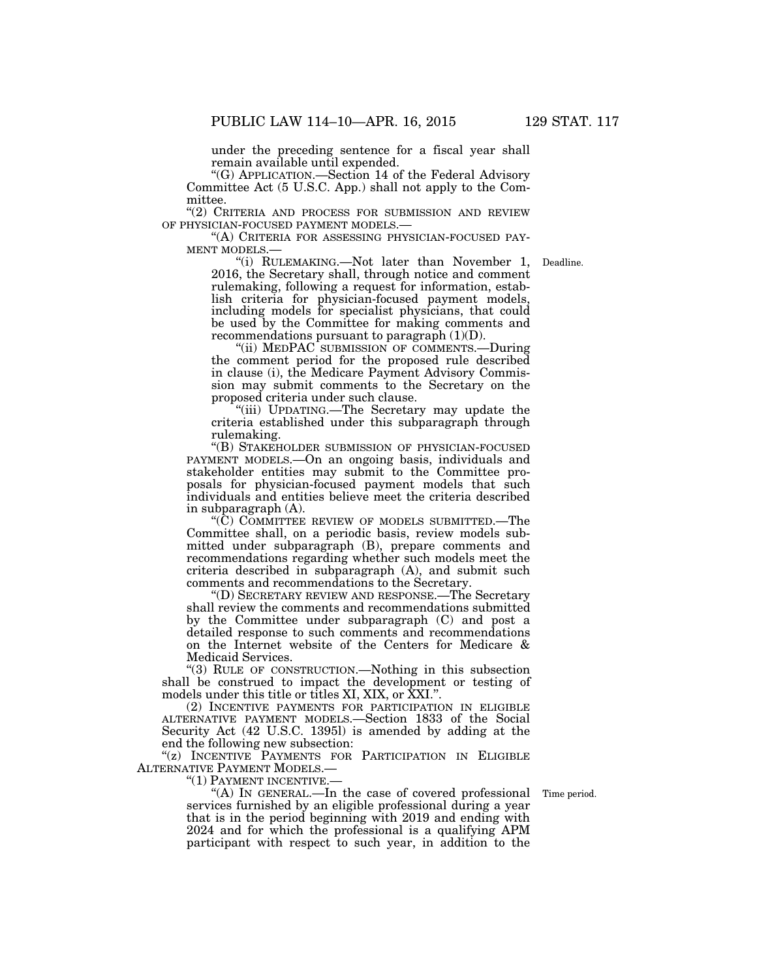under the preceding sentence for a fiscal year shall remain available until expended.

''(G) APPLICATION.—Section 14 of the Federal Advisory Committee Act (5 U.S.C. App.) shall not apply to the Committee.

 $\lq$ '(2) CRITERIA AND PROCESS FOR SUBMISSION AND REVIEW OF PHYSICIAN-FOCUSED PAYMENT MODELS.—

"(A) CRITERIA FOR ASSESSING PHYSICIAN-FOCUSED PAY-<br>MENT MODELS.—  $\frac{1}{1}$  (i) RULEMAKING.—Not later than November 1,

Deadline.

2016, the Secretary shall, through notice and comment rulemaking, following a request for information, establish criteria for physician-focused payment models, including models for specialist physicians, that could be used by the Committee for making comments and recommendations pursuant to paragraph  $(1)(D)$ .

"(ii) MEDPAC SUBMISSION OF COMMENTS.—During the comment period for the proposed rule described in clause (i), the Medicare Payment Advisory Commission may submit comments to the Secretary on the proposed criteria under such clause.

''(iii) UPDATING.—The Secretary may update the criteria established under this subparagraph through rulemaking.

''(B) STAKEHOLDER SUBMISSION OF PHYSICIAN-FOCUSED PAYMENT MODELS.—On an ongoing basis, individuals and stakeholder entities may submit to the Committee proposals for physician-focused payment models that such individuals and entities believe meet the criteria described in subparagraph (A).

''(C) COMMITTEE REVIEW OF MODELS SUBMITTED.—The Committee shall, on a periodic basis, review models submitted under subparagraph (B), prepare comments and recommendations regarding whether such models meet the criteria described in subparagraph (A), and submit such comments and recommendations to the Secretary.

''(D) SECRETARY REVIEW AND RESPONSE.—The Secretary shall review the comments and recommendations submitted by the Committee under subparagraph (C) and post a detailed response to such comments and recommendations on the Internet website of the Centers for Medicare & Medicaid Services.

''(3) RULE OF CONSTRUCTION.—Nothing in this subsection shall be construed to impact the development or testing of models under this title or titles XI, XIX, or XXI.''.

(2) INCENTIVE PAYMENTS FOR PARTICIPATION IN ELIGIBLE ALTERNATIVE PAYMENT MODELS.—Section 1833 of the Social Security Act (42 U.S.C. 1395l) is amended by adding at the end the following new subsection:

"(z) INCENTIVE PAYMENTS FOR PARTICIPATION IN ELIGIBLE ALTERNATIVE PAYMENT MODELS.—<br>"(1) PAYMENT INCENTIVE.

Time period.

''(A) IN GENERAL.—In the case of covered professional services furnished by an eligible professional during a year that is in the period beginning with 2019 and ending with 2024 and for which the professional is a qualifying APM participant with respect to such year, in addition to the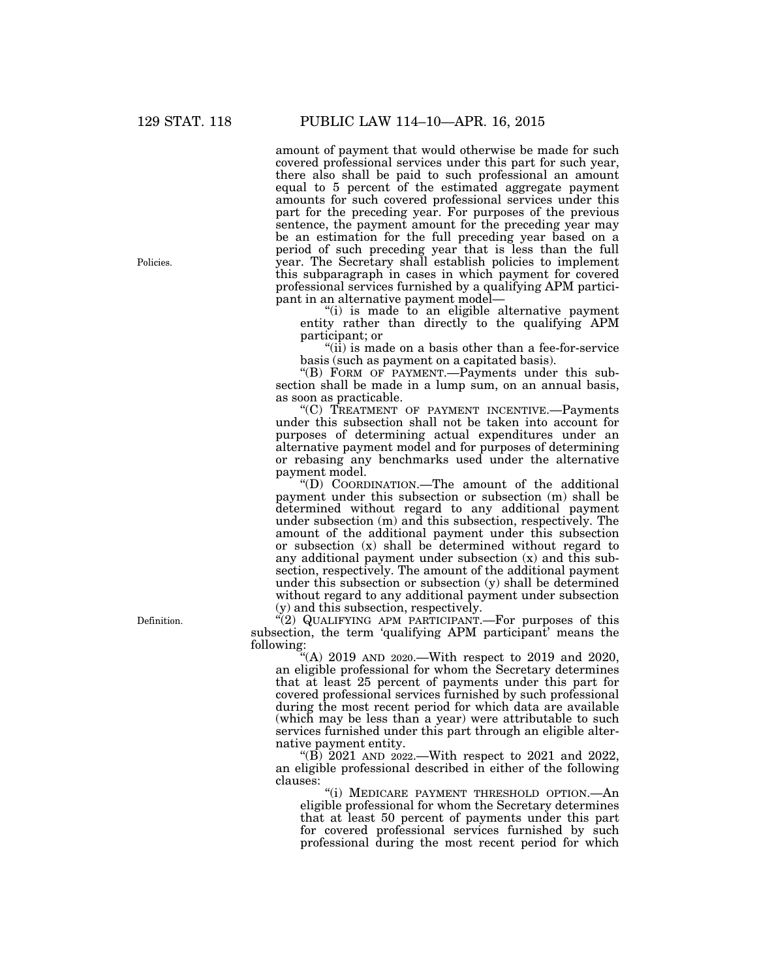amount of payment that would otherwise be made for such covered professional services under this part for such year, there also shall be paid to such professional an amount equal to 5 percent of the estimated aggregate payment amounts for such covered professional services under this part for the preceding year. For purposes of the previous sentence, the payment amount for the preceding year may be an estimation for the full preceding year based on a period of such preceding year that is less than the full year. The Secretary shall establish policies to implement this subparagraph in cases in which payment for covered professional services furnished by a qualifying APM participant in an alternative payment model—

''(i) is made to an eligible alternative payment entity rather than directly to the qualifying APM participant; or

''(ii) is made on a basis other than a fee-for-service basis (such as payment on a capitated basis).

''(B) FORM OF PAYMENT.—Payments under this subsection shall be made in a lump sum, on an annual basis, as soon as practicable.

''(C) TREATMENT OF PAYMENT INCENTIVE.—Payments under this subsection shall not be taken into account for purposes of determining actual expenditures under an alternative payment model and for purposes of determining or rebasing any benchmarks used under the alternative payment model.

''(D) COORDINATION.—The amount of the additional payment under this subsection or subsection (m) shall be determined without regard to any additional payment under subsection (m) and this subsection, respectively. The amount of the additional payment under this subsection or subsection (x) shall be determined without regard to any additional payment under subsection (x) and this subsection, respectively. The amount of the additional payment under this subsection or subsection (y) shall be determined without regard to any additional payment under subsection (y) and this subsection, respectively.

"(2) QUALIFYING APM PARTICIPANT.—For purposes of this subsection, the term 'qualifying APM participant' means the following:

''(A) 2019 AND 2020.—With respect to 2019 and 2020, an eligible professional for whom the Secretary determines that at least 25 percent of payments under this part for covered professional services furnished by such professional during the most recent period for which data are available (which may be less than a year) were attributable to such services furnished under this part through an eligible alternative payment entity.

"(B)  $2021$  AND  $2022$ .—With respect to 2021 and 2022, an eligible professional described in either of the following clauses:

''(i) MEDICARE PAYMENT THRESHOLD OPTION.—An eligible professional for whom the Secretary determines that at least 50 percent of payments under this part for covered professional services furnished by such professional during the most recent period for which

Policies.

Definition.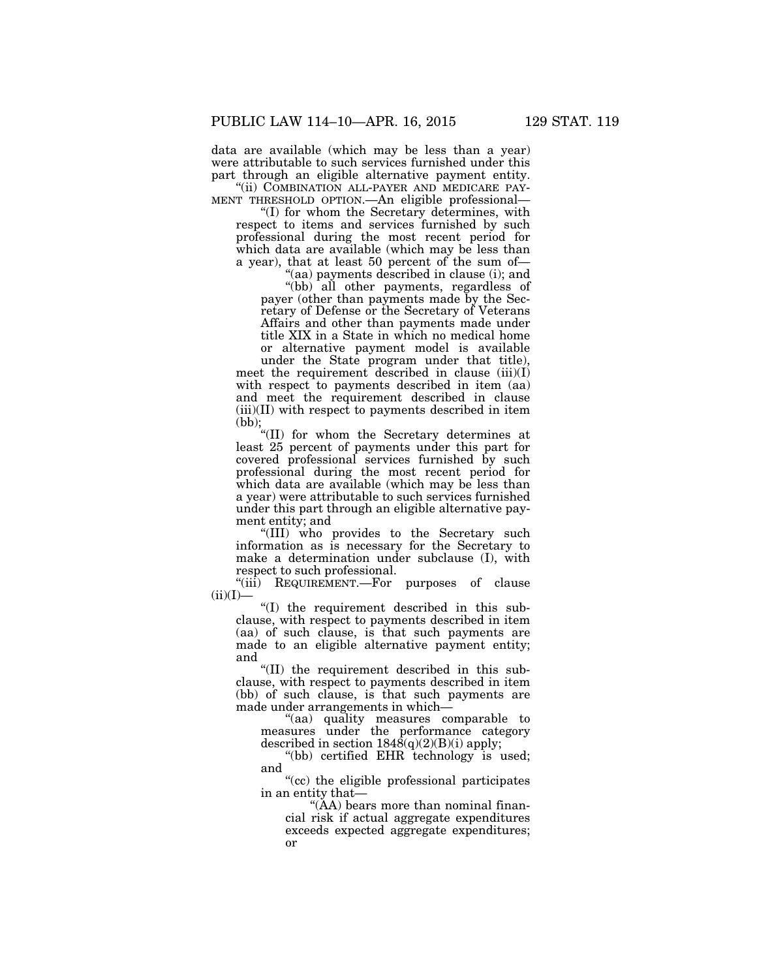data are available (which may be less than a year) were attributable to such services furnished under this part through an eligible alternative payment entity.<br>"(ii) COMBINATION ALL-PAYER AND MEDICARE PAY-

''(ii) COMBINATION ALL-PAYER AND MEDICARE PAY- MENT THRESHOLD OPTION.—An eligible professional—

''(I) for whom the Secretary determines, with respect to items and services furnished by such professional during the most recent period for which data are available (which may be less than a year), that at least 50 percent of the sum of—

''(aa) payments described in clause (i); and ''(bb) all other payments, regardless of payer (other than payments made by the Secretary of Defense or the Secretary of Veterans Affairs and other than payments made under title XIX in a State in which no medical home or alternative payment model is available

under the State program under that title), meet the requirement described in clause (iii)(I) with respect to payments described in item (aa) and meet the requirement described in clause  $(iii)(II)$  with respect to payments described in item (bb);

''(II) for whom the Secretary determines at least 25 percent of payments under this part for covered professional services furnished by such professional during the most recent period for which data are available (which may be less than a year) were attributable to such services furnished under this part through an eligible alternative payment entity; and

''(III) who provides to the Secretary such information as is necessary for the Secretary to make a determination under subclause (I), with respect to such professional.

"(iii) REQUIREMENT.—For purposes of clause  $(ii)(I)$ —

''(I) the requirement described in this subclause, with respect to payments described in item (aa) of such clause, is that such payments are made to an eligible alternative payment entity; and

''(II) the requirement described in this subclause, with respect to payments described in item (bb) of such clause, is that such payments are made under arrangements in which—

''(aa) quality measures comparable to measures under the performance category described in section  $1848(q)(2)(B)(i)$  apply;

"(bb) certified EHR technology is used; and

''(cc) the eligible professional participates in an entity that—

''(AA) bears more than nominal financial risk if actual aggregate expenditures exceeds expected aggregate expenditures; or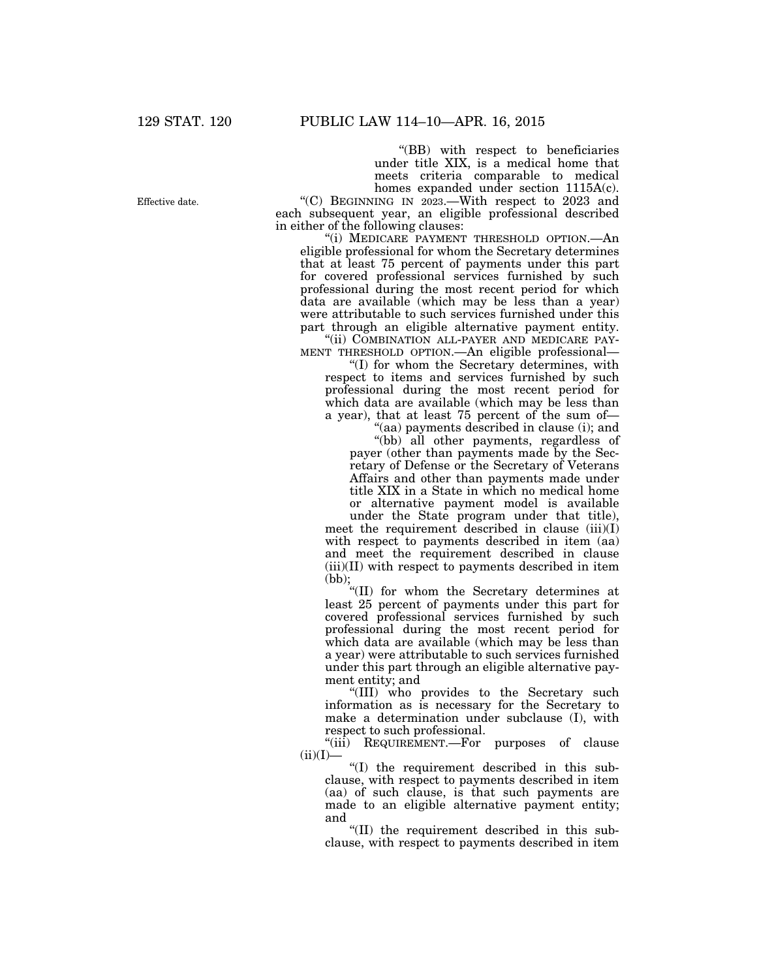''(BB) with respect to beneficiaries under title XIX, is a medical home that meets criteria comparable to medical homes expanded under section 1115A(c).

''(C) BEGINNING IN 2023.—With respect to 2023 and each subsequent year, an eligible professional described in either of the following clauses:

"(i) MEDICARE PAYMENT THRESHOLD OPTION.—An eligible professional for whom the Secretary determines that at least 75 percent of payments under this part for covered professional services furnished by such professional during the most recent period for which data are available (which may be less than a year) were attributable to such services furnished under this part through an eligible alternative payment entity. "(ii) COMBINATION ALL-PAYER AND MEDICARE PAY-

MENT THRESHOLD OPTION.—An eligible professional—

''(I) for whom the Secretary determines, with respect to items and services furnished by such professional during the most recent period for which data are available (which may be less than a year), that at least 75 percent of the sum of—

"(aa) payments described in clause (i); and ''(bb) all other payments, regardless of payer (other than payments made by the Secretary of Defense or the Secretary of Veterans Affairs and other than payments made under title XIX in a State in which no medical home or alternative payment model is available

under the State program under that title), meet the requirement described in clause (iii)(I) with respect to payments described in item (aa) and meet the requirement described in clause  $(iii)(II)$  with respect to payments described in item (bb);

''(II) for whom the Secretary determines at least 25 percent of payments under this part for covered professional services furnished by such professional during the most recent period for which data are available (which may be less than a year) were attributable to such services furnished under this part through an eligible alternative payment entity; and

''(III) who provides to the Secretary such information as is necessary for the Secretary to make a determination under subclause (I), with respect to such professional.

"(iii) REQUIREMENT.—For purposes of clause  $(ii)(I)$ —

''(I) the requirement described in this subclause, with respect to payments described in item (aa) of such clause, is that such payments are made to an eligible alternative payment entity; and

''(II) the requirement described in this subclause, with respect to payments described in item

Effective date.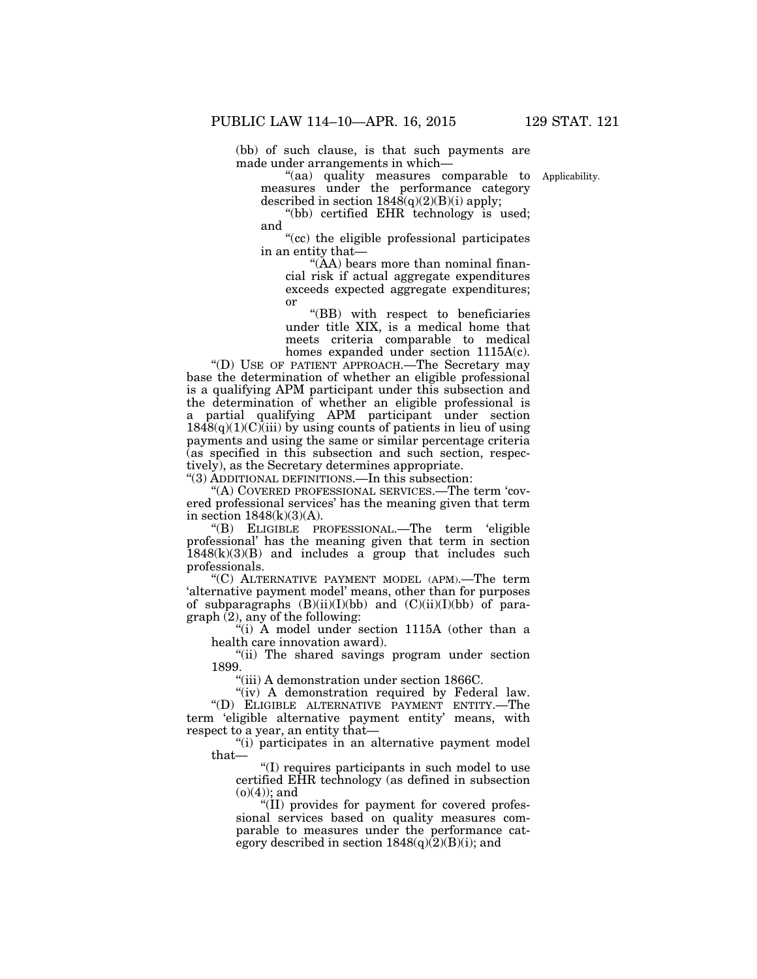(bb) of such clause, is that such payments are made under arrangements in which—

Applicability.

''(aa) quality measures comparable to measures under the performance category described in section  $1848(q)(2)(B)(i)$  apply;

 $*(bb)$  certified EHR technology is used; and

''(cc) the eligible professional participates in an entity that—

''(AA) bears more than nominal financial risk if actual aggregate expenditures exceeds expected aggregate expenditures; or

''(BB) with respect to beneficiaries under title XIX, is a medical home that meets criteria comparable to medical homes expanded under section  $1115A(c)$ .

''(D) USE OF PATIENT APPROACH.—The Secretary may base the determination of whether an eligible professional is a qualifying APM participant under this subsection and the determination of whether an eligible professional is a partial qualifying APM participant under section  $1848(q)(1)(C)$ (iii) by using counts of patients in lieu of using payments and using the same or similar percentage criteria (as specified in this subsection and such section, respectively), as the Secretary determines appropriate.

''(3) ADDITIONAL DEFINITIONS.—In this subsection:

''(A) COVERED PROFESSIONAL SERVICES.—The term 'covered professional services' has the meaning given that term in section  $1848(k)(3)(A)$ .

''(B) ELIGIBLE PROFESSIONAL.—The term 'eligible professional' has the meaning given that term in section  $1848(k)(3)(B)$  and includes a group that includes such professionals.

''(C) ALTERNATIVE PAYMENT MODEL (APM).—The term 'alternative payment model' means, other than for purposes of subparagraphs  $(B)(ii)(I)(bb)$  and  $(C)(ii)(I)(bb)$  of para $graph(2)$ , any of the following:

''(i) A model under section 1115A (other than a health care innovation award).

''(ii) The shared savings program under section 1899.

''(iii) A demonstration under section 1866C.

"(iv) A demonstration required by Federal law. ''(D) ELIGIBLE ALTERNATIVE PAYMENT ENTITY.—The term 'eligible alternative payment entity' means, with respect to a year, an entity that—

"(i) participates in an alternative payment model that—

''(I) requires participants in such model to use certified EHR technology (as defined in subsection  $(o)(4)$ ; and

''(II) provides for payment for covered professional services based on quality measures comparable to measures under the performance category described in section  $1848(q)(2)(B)(i)$ ; and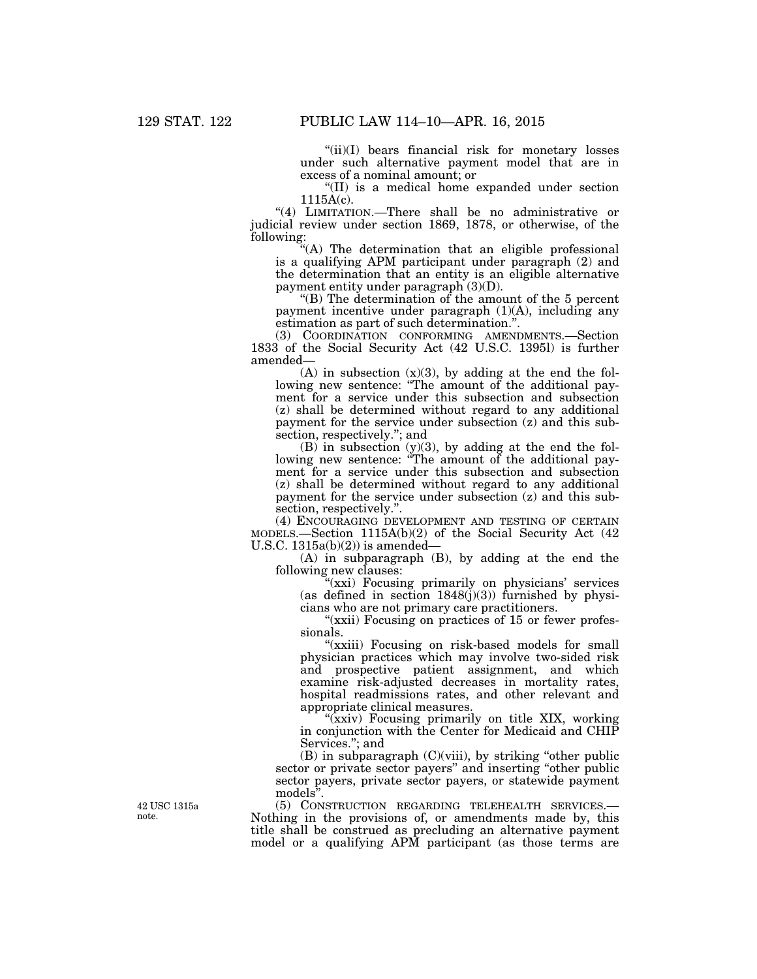"(ii)(I) bears financial risk for monetary losses under such alternative payment model that are in excess of a nominal amount; or

''(II) is a medical home expanded under section 1115A(c).

''(4) LIMITATION.—There shall be no administrative or judicial review under section 1869, 1878, or otherwise, of the following:

''(A) The determination that an eligible professional is a qualifying APM participant under paragraph (2) and the determination that an entity is an eligible alternative payment entity under paragraph (3)(D).

''(B) The determination of the amount of the 5 percent payment incentive under paragraph (1)(A), including any estimation as part of such determination.''.

(3) COORDINATION CONFORMING AMENDMENTS.—Section 1833 of the Social Security Act (42 U.S.C. 1395l) is further amended—

 $(A)$  in subsection  $(x)(3)$ , by adding at the end the following new sentence: "The amount of the additional payment for a service under this subsection and subsection (z) shall be determined without regard to any additional payment for the service under subsection (z) and this subsection, respectively.''; and

(B) in subsection (y)(3), by adding at the end the following new sentence: "The amount of the additional payment for a service under this subsection and subsection (z) shall be determined without regard to any additional payment for the service under subsection (z) and this subsection, respectively.''.

(4) ENCOURAGING DEVELOPMENT AND TESTING OF CERTAIN MODELS.—Section 1115A(b)(2) of the Social Security Act (42 U.S.C.  $1315a(b)(2)$ ) is amended-

(A) in subparagraph (B), by adding at the end the following new clauses:

"(xxi) Focusing primarily on physicians' services (as defined in section  $1848(j)(3)$ ) furnished by physicians who are not primary care practitioners.

"(xxii) Focusing on practices of 15 or fewer professionals.

"(xxiii) Focusing on risk-based models for small physician practices which may involve two-sided risk and prospective patient assignment, and which examine risk-adjusted decreases in mortality rates, hospital readmissions rates, and other relevant and appropriate clinical measures.

"(xxiv) Focusing primarily on title XIX, working in conjunction with the Center for Medicaid and CHIP Services.''; and

(B) in subparagraph (C)(viii), by striking ''other public sector or private sector payers'' and inserting ''other public sector payers, private sector payers, or statewide payment models''.

(5) CONSTRUCTION REGARDING TELEHEALTH SERVICES.— Nothing in the provisions of, or amendments made by, this title shall be construed as precluding an alternative payment model or a qualifying APM participant (as those terms are

42 USC 1315a note.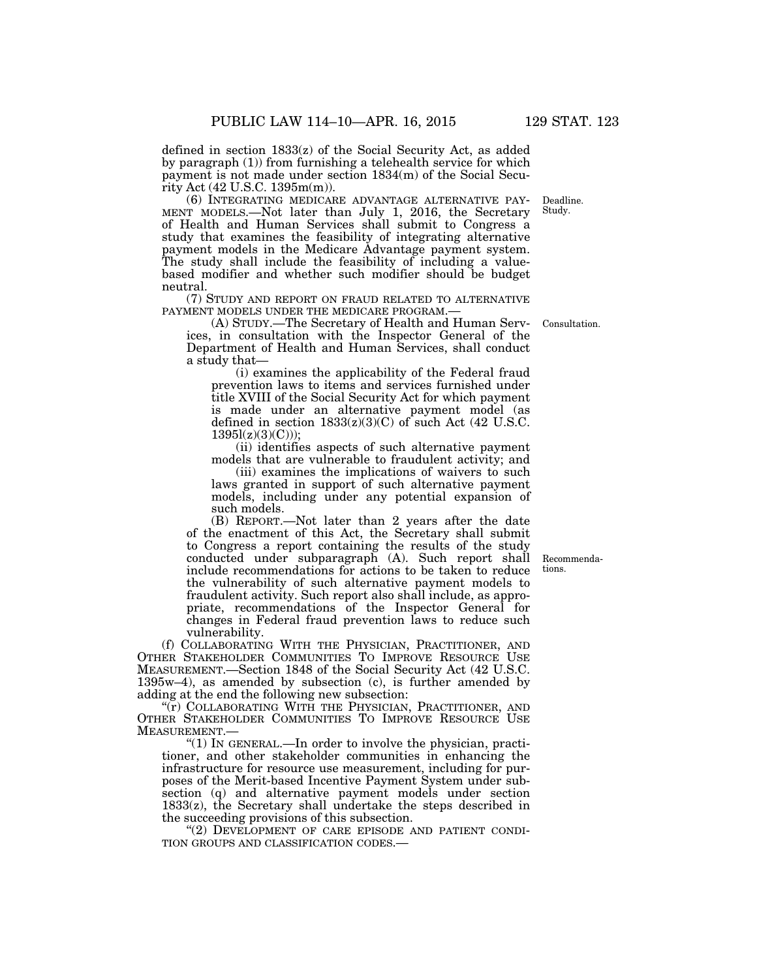defined in section 1833(z) of the Social Security Act, as added

by paragraph (1)) from furnishing a telehealth service for which payment is not made under section 1834(m) of the Social Security Act (42 U.S.C. 1395m(m)).

MENT MODELS.—Not later than July 1, 2016, the Secretary of Health and Human Services shall submit to Congress a study that examines the feasibility of integrating alternative payment models in the Medicare Advantage payment system. The study shall include the feasibility of including a valuebased modifier and whether such modifier should be budget neutral.

(7) STUDY AND REPORT ON FRAUD RELATED TO ALTERNATIVE

(A) STUDY.—The Secretary of Health and Human Services, in consultation with the Inspector General of the Department of Health and Human Services, shall conduct a study that—

(i) examines the applicability of the Federal fraud prevention laws to items and services furnished under title XVIII of the Social Security Act for which payment is made under an alternative payment model (as defined in section  $1833(z)(3)(C)$  of such Act (42 U.S.C.  $1395l(z)(3)(C))$ ;

(ii) identifies aspects of such alternative payment models that are vulnerable to fraudulent activity; and

(iii) examines the implications of waivers to such laws granted in support of such alternative payment models, including under any potential expansion of such models.

(B) REPORT.—Not later than 2 years after the date of the enactment of this Act, the Secretary shall submit to Congress a report containing the results of the study conducted under subparagraph (A). Such report shall include recommendations for actions to be taken to reduce the vulnerability of such alternative payment models to fraudulent activity. Such report also shall include, as appropriate, recommendations of the Inspector General for changes in Federal fraud prevention laws to reduce such vulnerability.

(f) COLLABORATING WITH THE PHYSICIAN, PRACTITIONER, AND OTHER STAKEHOLDER COMMUNITIES TO IMPROVE RESOURCE USE MEASUREMENT.—Section 1848 of the Social Security Act (42 U.S.C. 1395w–4), as amended by subsection (c), is further amended by adding at the end the following new subsection:

"(r) COLLABORATING WITH THE PHYSICIAN, PRACTITIONER, AND OTHER STAKEHOLDER COMMUNITIES TO IMPROVE RESOURCE USE MEASUREMENT.—

''(1) IN GENERAL.—In order to involve the physician, practitioner, and other stakeholder communities in enhancing the infrastructure for resource use measurement, including for purposes of the Merit-based Incentive Payment System under subsection (q) and alternative payment models under section  $1833(z)$ , the Secretary shall undertake the steps described in the succeeding provisions of this subsection.

''(2) DEVELOPMENT OF CARE EPISODE AND PATIENT CONDI- TION GROUPS AND CLASSIFICATION CODES.—

Recommendations.

Consultation.

Deadline. Study.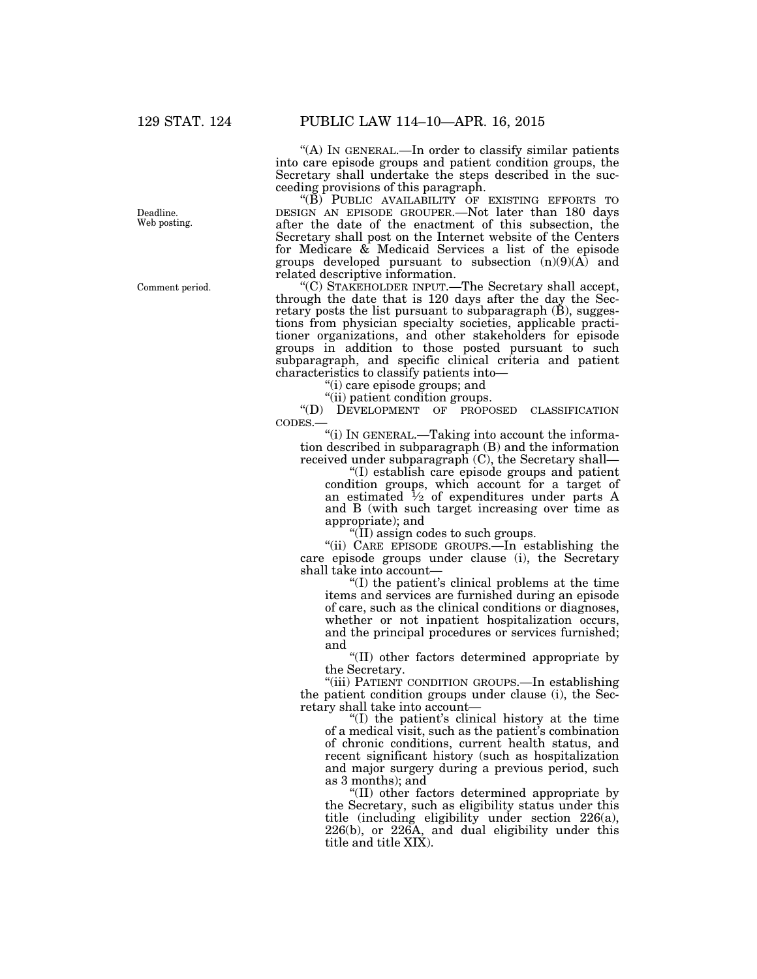Deadline. Web posting.

Comment period.

''(A) IN GENERAL.—In order to classify similar patients into care episode groups and patient condition groups, the Secretary shall undertake the steps described in the succeeding provisions of this paragraph.

"(B) PUBLIC AVAILABILITY OF EXISTING EFFORTS TO DESIGN AN EPISODE GROUPER.—Not later than 180 days after the date of the enactment of this subsection, the Secretary shall post on the Internet website of the Centers for Medicare & Medicaid Services a list of the episode groups developed pursuant to subsection  $(n)(9)(A)$  and related descriptive information.

''(C) STAKEHOLDER INPUT.—The Secretary shall accept, through the date that is 120 days after the day the Secretary posts the list pursuant to subparagraph (B), suggestions from physician specialty societies, applicable practitioner organizations, and other stakeholders for episode groups in addition to those posted pursuant to such subparagraph, and specific clinical criteria and patient characteristics to classify patients into—

''(i) care episode groups; and

''(ii) patient condition groups.

''(D) DEVELOPMENT OF PROPOSED CLASSIFICATION CODES.—

''(i) IN GENERAL.—Taking into account the information described in subparagraph (B) and the information received under subparagraph (C), the Secretary shall—

''(I) establish care episode groups and patient condition groups, which account for a target of an estimated  $\frac{1}{2}$  of expenditures under parts A and B (with such target increasing over time as appropriate); and

''(II) assign codes to such groups.

"(ii) CARE EPISODE GROUPS.—In establishing the care episode groups under clause (i), the Secretary shall take into account—

''(I) the patient's clinical problems at the time items and services are furnished during an episode of care, such as the clinical conditions or diagnoses, whether or not inpatient hospitalization occurs, and the principal procedures or services furnished; and

''(II) other factors determined appropriate by the Secretary.

''(iii) PATIENT CONDITION GROUPS.—In establishing the patient condition groups under clause (i), the Secretary shall take into account—

''(I) the patient's clinical history at the time of a medical visit, such as the patient's combination of chronic conditions, current health status, and recent significant history (such as hospitalization and major surgery during a previous period, such as 3 months); and

''(II) other factors determined appropriate by the Secretary, such as eligibility status under this title (including eligibility under section 226(a), 226(b), or 226A, and dual eligibility under this title and title XIX).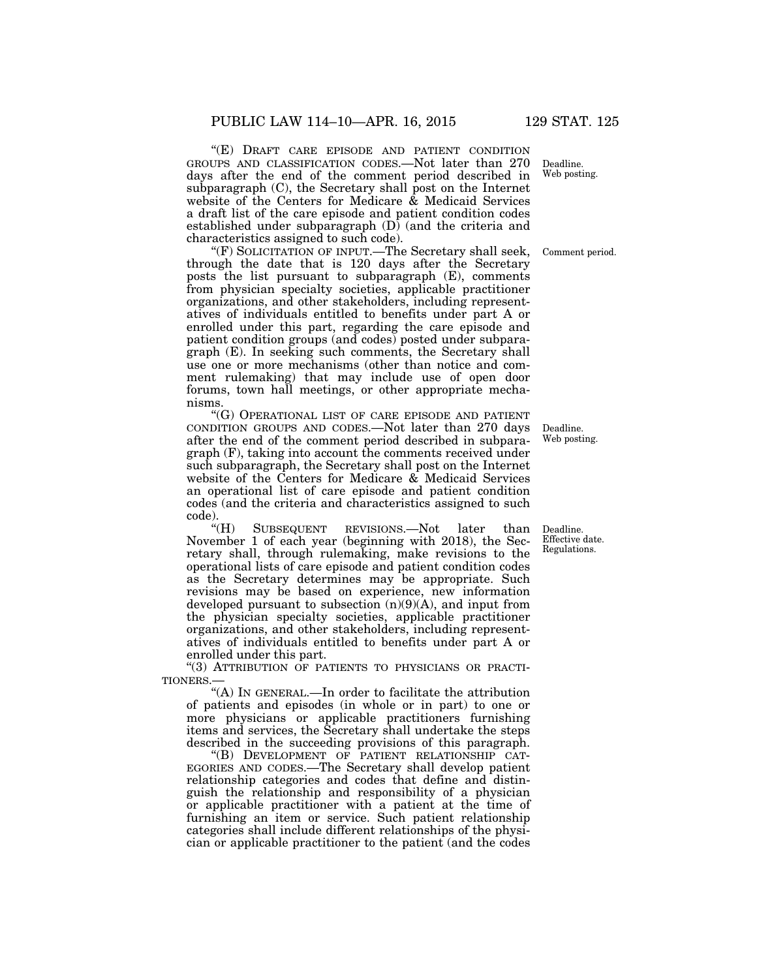''(E) DRAFT CARE EPISODE AND PATIENT CONDITION GROUPS AND CLASSIFICATION CODES.—Not later than 270 days after the end of the comment period described in subparagraph (C), the Secretary shall post on the Internet website of the Centers for Medicare & Medicaid Services a draft list of the care episode and patient condition codes established under subparagraph  $(D)$  (and the criteria and characteristics assigned to such code).

''(F) SOLICITATION OF INPUT.—The Secretary shall seek, through the date that is 120 days after the Secretary posts the list pursuant to subparagraph (E), comments from physician specialty societies, applicable practitioner organizations, and other stakeholders, including representatives of individuals entitled to benefits under part A or enrolled under this part, regarding the care episode and patient condition groups (and codes) posted under subparagraph (E). In seeking such comments, the Secretary shall use one or more mechanisms (other than notice and comment rulemaking) that may include use of open door forums, town hall meetings, or other appropriate mechanisms.

''(G) OPERATIONAL LIST OF CARE EPISODE AND PATIENT CONDITION GROUPS AND CODES.—Not later than 270 days after the end of the comment period described in subparagraph (F), taking into account the comments received under such subparagraph, the Secretary shall post on the Internet website of the Centers for Medicare & Medicaid Services an operational list of care episode and patient condition codes (and the criteria and characteristics assigned to such code).

"(H) SUBSEQUENT REVISIONS.—Not later than November 1 of each year (beginning with 2018), the Secretary shall, through rulemaking, make revisions to the operational lists of care episode and patient condition codes as the Secretary determines may be appropriate. Such revisions may be based on experience, new information developed pursuant to subsection (n)(9)(A), and input from the physician specialty societies, applicable practitioner organizations, and other stakeholders, including representatives of individuals entitled to benefits under part A or enrolled under this part.

"(3) ATTRIBUTION OF PATIENTS TO PHYSICIANS OR PRACTI-TIONERS.—

''(A) IN GENERAL.—In order to facilitate the attribution of patients and episodes (in whole or in part) to one or more physicians or applicable practitioners furnishing items and services, the Secretary shall undertake the steps described in the succeeding provisions of this paragraph.

''(B) DEVELOPMENT OF PATIENT RELATIONSHIP CAT-EGORIES AND CODES.—The Secretary shall develop patient relationship categories and codes that define and distinguish the relationship and responsibility of a physician or applicable practitioner with a patient at the time of furnishing an item or service. Such patient relationship categories shall include different relationships of the physician or applicable practitioner to the patient (and the codes

Deadline. Web posting.

Comment period.

Deadline. Web posting.

Deadline. Effective date. Regulations.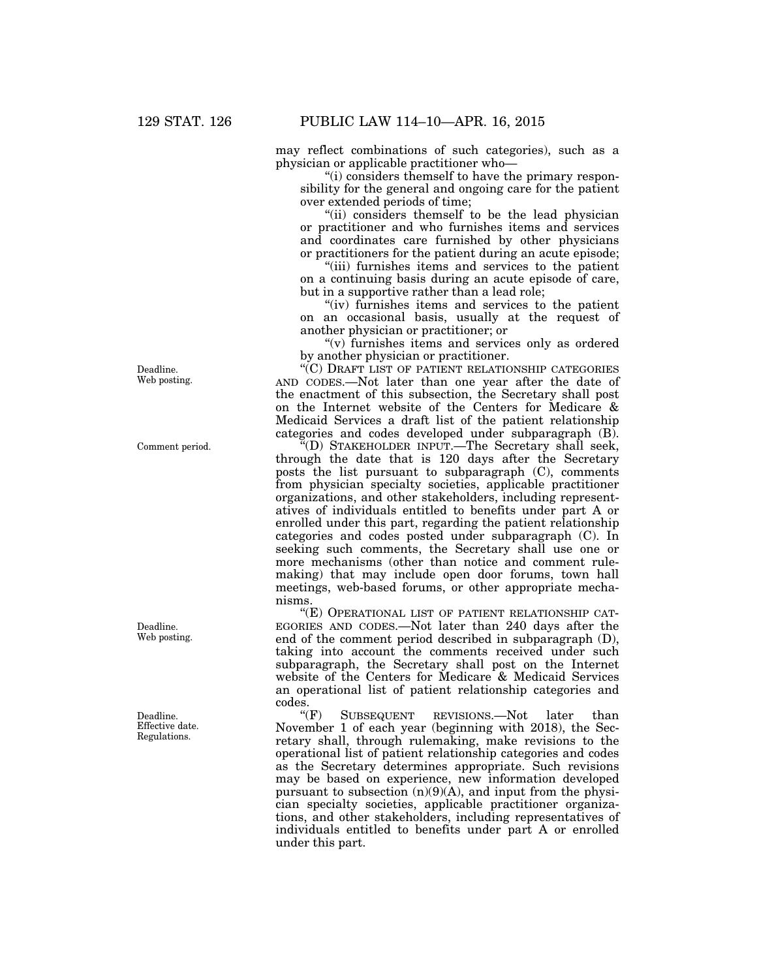may reflect combinations of such categories), such as a physician or applicable practitioner who—

''(i) considers themself to have the primary responsibility for the general and ongoing care for the patient over extended periods of time;

"(ii) considers themself to be the lead physician or practitioner and who furnishes items and services and coordinates care furnished by other physicians or practitioners for the patient during an acute episode;

"(iii) furnishes items and services to the patient on a continuing basis during an acute episode of care, but in a supportive rather than a lead role;

"(iv) furnishes items and services to the patient on an occasional basis, usually at the request of another physician or practitioner; or

" $(v)$  furnishes items and services only as ordered by another physician or practitioner.

''(C) DRAFT LIST OF PATIENT RELATIONSHIP CATEGORIES AND CODES.—Not later than one year after the date of the enactment of this subsection, the Secretary shall post on the Internet website of the Centers for Medicare & Medicaid Services a draft list of the patient relationship categories and codes developed under subparagraph (B).

''(D) STAKEHOLDER INPUT.—The Secretary shall seek, through the date that is 120 days after the Secretary posts the list pursuant to subparagraph (C), comments from physician specialty societies, applicable practitioner organizations, and other stakeholders, including representatives of individuals entitled to benefits under part A or enrolled under this part, regarding the patient relationship categories and codes posted under subparagraph (C). In seeking such comments, the Secretary shall use one or more mechanisms (other than notice and comment rulemaking) that may include open door forums, town hall meetings, web-based forums, or other appropriate mechanisms.

"(E) OPERATIONAL LIST OF PATIENT RELATIONSHIP CAT-EGORIES AND CODES.—Not later than 240 days after the end of the comment period described in subparagraph (D), taking into account the comments received under such subparagraph, the Secretary shall post on the Internet website of the Centers for Medicare & Medicaid Services an operational list of patient relationship categories and  $\overline{\text{codes}}$ .<br>" $(F)$ 

SUBSEQUENT REVISIONS.—Not later than November 1 of each year (beginning with 2018), the Secretary shall, through rulemaking, make revisions to the operational list of patient relationship categories and codes as the Secretary determines appropriate. Such revisions may be based on experience, new information developed pursuant to subsection  $(n)(9)(A)$ , and input from the physician specialty societies, applicable practitioner organizations, and other stakeholders, including representatives of individuals entitled to benefits under part A or enrolled under this part.

Deadline. Web posting.

Comment period.

Web posting.

Deadline.

Deadline. Effective date. Regulations.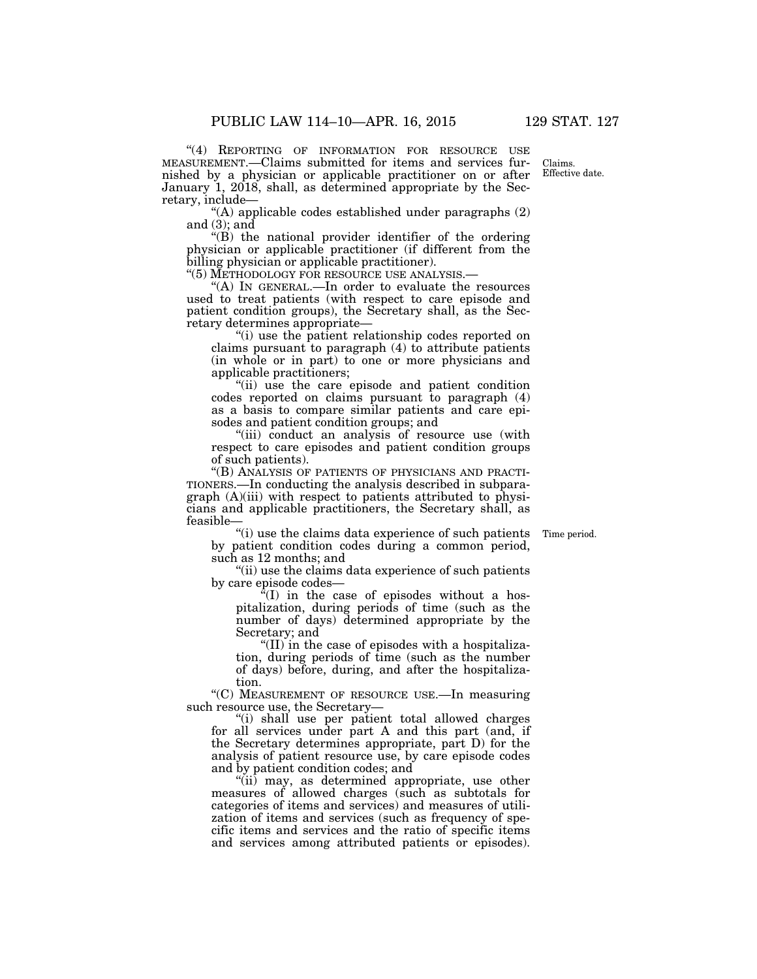"(4) REPORTING OF INFORMATION FOR RESOURCE USE MEASUREMENT.—Claims submitted for items and services furnished by a physician or applicable practitioner on or after January 1, 2018, shall, as determined appropriate by the Secretary, include—

 $(4)$  applicable codes established under paragraphs  $(2)$ and  $(3)$ ; and

''(B) the national provider identifier of the ordering physician or applicable practitioner (if different from the billing physician or applicable practitioner).<br>"(5) METHODOLOGY FOR RESOURCE USE ANALYSIS.—

"(A) IN GENERAL.—In order to evaluate the resources used to treat patients (with respect to care episode and patient condition groups), the Secretary shall, as the Secretary determines appropriate—

''(i) use the patient relationship codes reported on claims pursuant to paragraph (4) to attribute patients (in whole or in part) to one or more physicians and applicable practitioners;

"(ii) use the care episode and patient condition codes reported on claims pursuant to paragraph (4) as a basis to compare similar patients and care episodes and patient condition groups; and

"(iii) conduct an analysis of resource use (with respect to care episodes and patient condition groups of such patients).

''(B) ANALYSIS OF PATIENTS OF PHYSICIANS AND PRACTI-TIONERS.—In conducting the analysis described in subparagraph (A)(iii) with respect to patients attributed to physicians and applicable practitioners, the Secretary shall, as feasible—

Time period.

''(i) use the claims data experience of such patients by patient condition codes during a common period, such as 12 months; and

''(ii) use the claims data experience of such patients by care episode codes—

 ${}^{\alpha}$ (I) in the case of episodes without a hospitalization, during periods of time (such as the number of days) determined appropriate by the Secretary; and

''(II) in the case of episodes with a hospitalization, during periods of time (such as the number of days) before, during, and after the hospitalization.

''(C) MEASUREMENT OF RESOURCE USE.—In measuring such resource use, the Secretary—

"(i) shall use per patient total allowed charges for all services under part A and this part (and, if the Secretary determines appropriate, part D) for the analysis of patient resource use, by care episode codes and by patient condition codes; and

''(ii) may, as determined appropriate, use other measures of allowed charges (such as subtotals for categories of items and services) and measures of utilization of items and services (such as frequency of specific items and services and the ratio of specific items and services among attributed patients or episodes).

Claims. Effective date.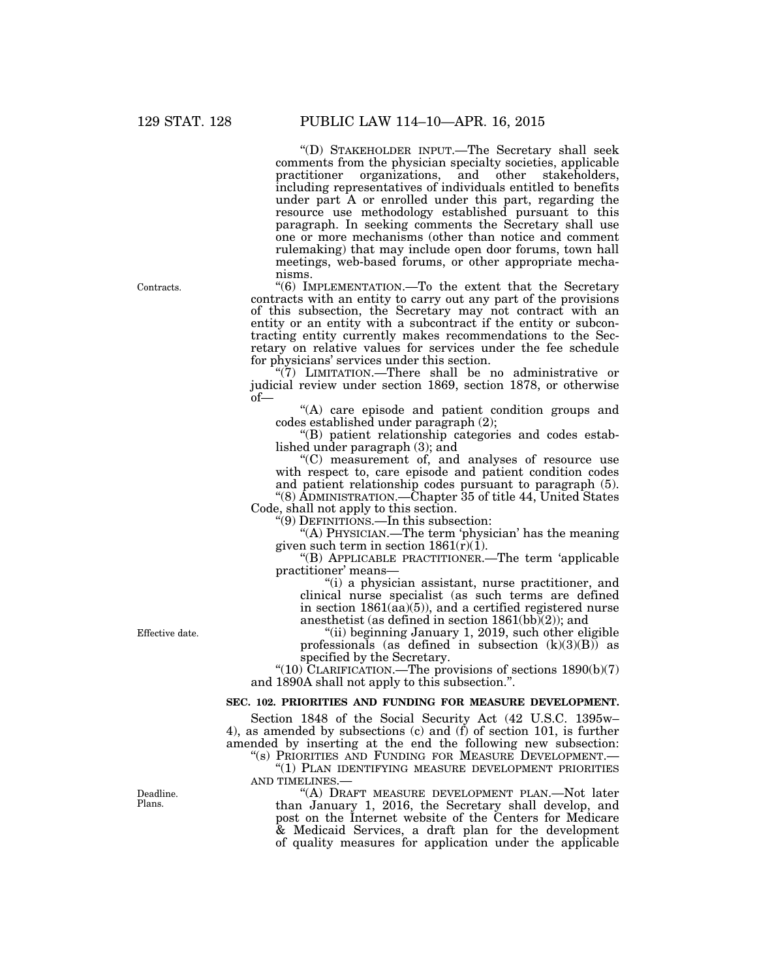''(D) STAKEHOLDER INPUT.—The Secretary shall seek comments from the physician specialty societies, applicable practitioner organizations, and other stakeholders, including representatives of individuals entitled to benefits under part A or enrolled under this part, regarding the resource use methodology established pursuant to this paragraph. In seeking comments the Secretary shall use one or more mechanisms (other than notice and comment rulemaking) that may include open door forums, town hall meetings, web-based forums, or other appropriate mechanisms.

''(6) IMPLEMENTATION.—To the extent that the Secretary contracts with an entity to carry out any part of the provisions of this subsection, the Secretary may not contract with an entity or an entity with a subcontract if the entity or subcontracting entity currently makes recommendations to the Secretary on relative values for services under the fee schedule for physicians' services under this section.

''(7) LIMITATION.—There shall be no administrative or judicial review under section 1869, section 1878, or otherwise of—

''(A) care episode and patient condition groups and codes established under paragraph (2);

''(B) patient relationship categories and codes established under paragraph (3); and

''(C) measurement of, and analyses of resource use with respect to, care episode and patient condition codes and patient relationship codes pursuant to paragraph (5).

''(8) ADMINISTRATION.—Chapter 35 of title 44, United States Code, shall not apply to this section.

''(9) DEFINITIONS.—In this subsection:

''(A) PHYSICIAN.—The term 'physician' has the meaning given such term in section  $1861(\tilde{r})(1)$ .

''(B) APPLICABLE PRACTITIONER.—The term 'applicable practitioner' means—

''(i) a physician assistant, nurse practitioner, and clinical nurse specialist (as such terms are defined in section 1861(aa)(5)), and a certified registered nurse anesthetist (as defined in section  $1861(bb)(2)$ ); and

''(ii) beginning January 1, 2019, such other eligible professionals (as defined in subsection  $(k)(3)(B)$ ) as specified by the Secretary.

"(10) CLARIFICATION.—The provisions of sections  $1890(b)(7)$ and 1890A shall not apply to this subsection.''.

# **SEC. 102. PRIORITIES AND FUNDING FOR MEASURE DEVELOPMENT.**

Section 1848 of the Social Security Act (42 U.S.C. 1395w– 4), as amended by subsections (c) and  $(f)$  of section 101, is further amended by inserting at the end the following new subsection: ''(s) PRIORITIES AND FUNDING FOR MEASURE DEVELOPMENT.—

"(1) PLAN IDENTIFYING MEASURE DEVELOPMENT PRIORITIES AND TIMELINES.

''(A) DRAFT MEASURE DEVELOPMENT PLAN.—Not later than January 1, 2016, the Secretary shall develop, and post on the Internet website of the Centers for Medicare & Medicaid Services, a draft plan for the development of quality measures for application under the applicable

Effective date.

Deadline. Plans.

Contracts.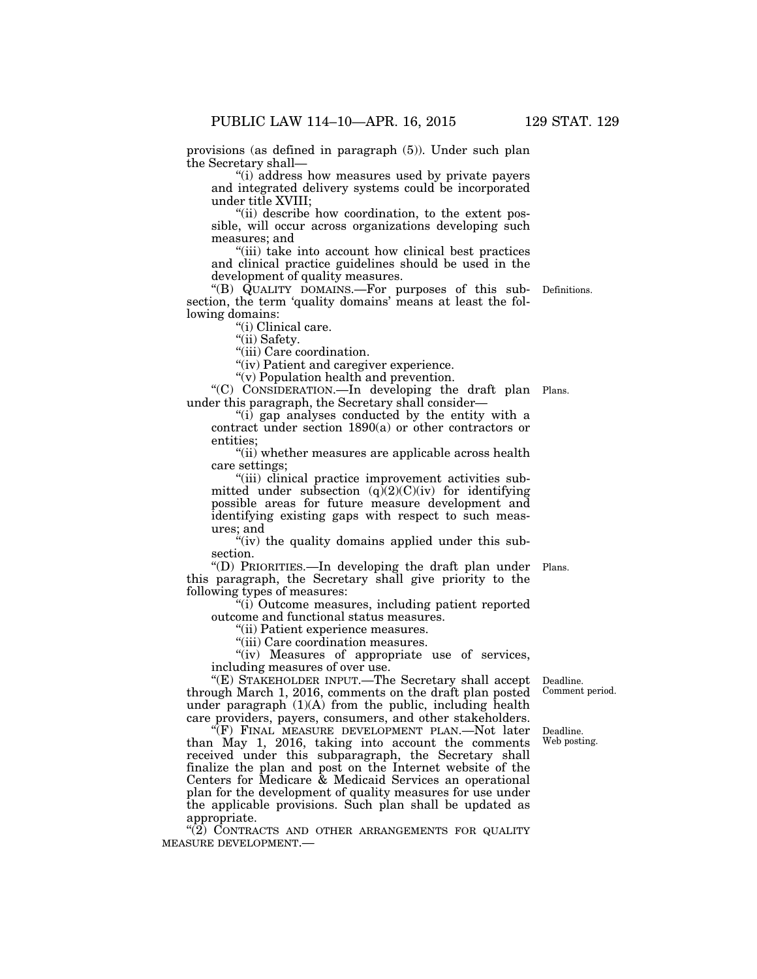provisions (as defined in paragraph (5)). Under such plan the Secretary shall—

''(i) address how measures used by private payers and integrated delivery systems could be incorporated under title XVIII;

''(ii) describe how coordination, to the extent possible, will occur across organizations developing such measures; and

''(iii) take into account how clinical best practices and clinical practice guidelines should be used in the development of quality measures.

''(B) QUALITY DOMAINS.—For purposes of this sub-Definitions. section, the term 'quality domains' means at least the following domains:

"(i) Clinical care.

''(ii) Safety.

"(iii) Care coordination.

"(iv) Patient and caregiver experience.

''(v) Population health and prevention.

''(C) CONSIDERATION.—In developing the draft plan Plans. under this paragraph, the Secretary shall consider—

''(i) gap analyses conducted by the entity with a contract under section 1890(a) or other contractors or entities;

"(ii) whether measures are applicable across health care settings;

''(iii) clinical practice improvement activities submitted under subsection  $(q)(2)(C)(iv)$  for identifying possible areas for future measure development and identifying existing gaps with respect to such measures; and

"(iv) the quality domains applied under this subsection.

''(D) PRIORITIES.—In developing the draft plan under Plans. this paragraph, the Secretary shall give priority to the following types of measures:

''(i) Outcome measures, including patient reported outcome and functional status measures.

''(ii) Patient experience measures.

"(iii) Care coordination measures.

"(iv) Measures of appropriate use of services, including measures of over use.

"(E) STAKEHOLDER INPUT.—The Secretary shall accept Deadline. through March 1, 2016, comments on the draft plan posted under paragraph  $(1)(A)$  from the public, including health care providers, payers, consumers, and other stakeholders.

(F) FINAL MEASURE DEVELOPMENT PLAN.—Not later than May 1, 2016, taking into account the comments received under this subparagraph, the Secretary shall finalize the plan and post on the Internet website of the Centers for Medicare & Medicaid Services an operational plan for the development of quality measures for use under the applicable provisions. Such plan shall be updated as appropriate.

"(2) CONTRACTS AND OTHER ARRANGEMENTS FOR QUALITY MEASURE DEVELOPMENT.—

Comment period.

Deadline. Web posting.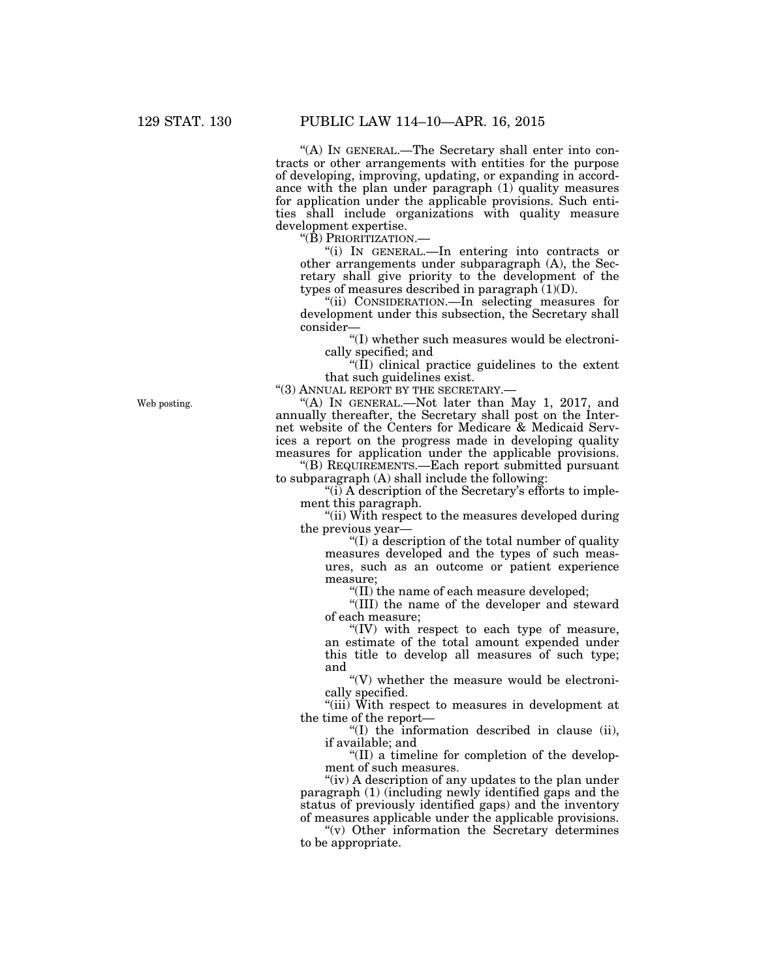''(A) IN GENERAL.—The Secretary shall enter into contracts or other arrangements with entities for the purpose of developing, improving, updating, or expanding in accordance with the plan under paragraph (1) quality measures for application under the applicable provisions. Such entities shall include organizations with quality measure development expertise.

''(B) PRIORITIZATION.—

''(i) IN GENERAL.—In entering into contracts or other arrangements under subparagraph (A), the Secretary shall give priority to the development of the types of measures described in paragraph  $(1)(D)$ .

''(ii) CONSIDERATION.—In selecting measures for development under this subsection, the Secretary shall consider—

''(I) whether such measures would be electronically specified; and

" $(\hat{II})$  clinical practice guidelines to the extent that such guidelines exist.

"(3) ANNUAL REPORT BY THE SECRETARY.-

"(A) IN GENERAL.—Not later than May 1, 2017, and annually thereafter, the Secretary shall post on the Internet website of the Centers for Medicare & Medicaid Services a report on the progress made in developing quality measures for application under the applicable provisions.

''(B) REQUIREMENTS.—Each report submitted pursuant to subparagraph (A) shall include the following:

 $\tilde{f}$ (i) A description of the Secretary's efforts to implement this paragraph.

"(ii) With respect to the measures developed during" the previous year—

''(I) a description of the total number of quality measures developed and the types of such measures, such as an outcome or patient experience measure;

''(II) the name of each measure developed;

''(III) the name of the developer and steward of each measure;

''(IV) with respect to each type of measure, an estimate of the total amount expended under this title to develop all measures of such type; and

''(V) whether the measure would be electronically specified.

"(iii) With respect to measures in development at the time of the report—

''(I) the information described in clause (ii), if available; and

''(II) a timeline for completion of the development of such measures.

"(iv) A description of any updates to the plan under paragraph (1) (including newly identified gaps and the status of previously identified gaps) and the inventory of measures applicable under the applicable provisions.

''(v) Other information the Secretary determines to be appropriate.

Web posting.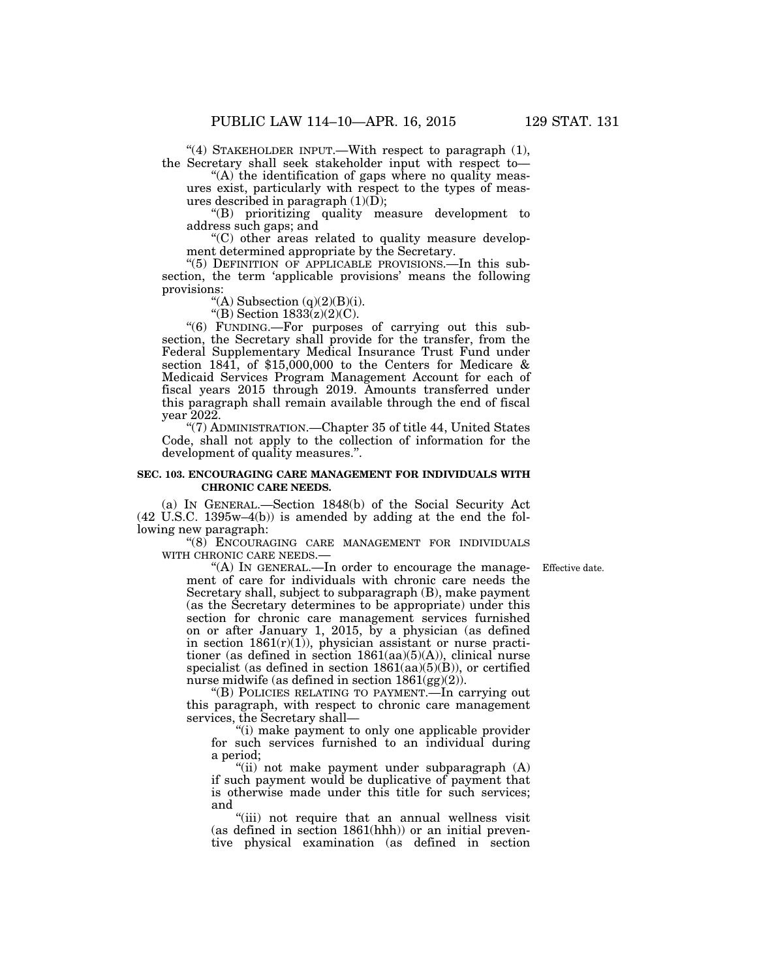"(4) STAKEHOLDER INPUT.—With respect to paragraph (1), the Secretary shall seek stakeholder input with respect to—

" $(A)$  the identification of gaps where no quality measures exist, particularly with respect to the types of measures described in paragraph  $(1)(\overline{D});$ 

''(B) prioritizing quality measure development to address such gaps; and

 $(C)$  other areas related to quality measure development determined appropriate by the Secretary.

"(5) DEFINITION OF APPLICABLE PROVISIONS.—In this subsection, the term 'applicable provisions' means the following provisions:

"(A) Subsection  $(q)(2)(B)(i)$ .

"(B) Section  $1833(z)(2)(C)$ .

''(6) FUNDING.—For purposes of carrying out this subsection, the Secretary shall provide for the transfer, from the Federal Supplementary Medical Insurance Trust Fund under section 1841, of \$15,000,000 to the Centers for Medicare & Medicaid Services Program Management Account for each of fiscal years 2015 through 2019. Amounts transferred under this paragraph shall remain available through the end of fiscal year 2022.

''(7) ADMINISTRATION.—Chapter 35 of title 44, United States Code, shall not apply to the collection of information for the development of quality measures.''.

### **SEC. 103. ENCOURAGING CARE MANAGEMENT FOR INDIVIDUALS WITH CHRONIC CARE NEEDS.**

(a) IN GENERAL.—Section 1848(b) of the Social Security Act (42 U.S.C. 1395w–4(b)) is amended by adding at the end the following new paragraph:

"(8) ENCOURAGING CARE MANAGEMENT FOR INDIVIDUALS WITH CHRONIC CARE NEEDS.—

Effective date.

''(A) IN GENERAL.—In order to encourage the management of care for individuals with chronic care needs the Secretary shall, subject to subparagraph (B), make payment (as the Secretary determines to be appropriate) under this section for chronic care management services furnished on or after January 1, 2015, by a physician (as defined in section  $1861(r)(1)$ , physician assistant or nurse practitioner (as defined in section  $1861(aa)(5)(A)$ ), clinical nurse specialist (as defined in section  $1861(aa)(5)(B)$ ), or certified nurse midwife (as defined in section 1861(gg)(2)).

''(B) POLICIES RELATING TO PAYMENT.—In carrying out this paragraph, with respect to chronic care management services, the Secretary shall—

(i) make payment to only one applicable provider for such services furnished to an individual during a period;

"(ii) not make payment under subparagraph (A) if such payment would be duplicative of payment that is otherwise made under this title for such services; and

"(iii) not require that an annual wellness visit (as defined in section 1861(hhh)) or an initial preventive physical examination (as defined in section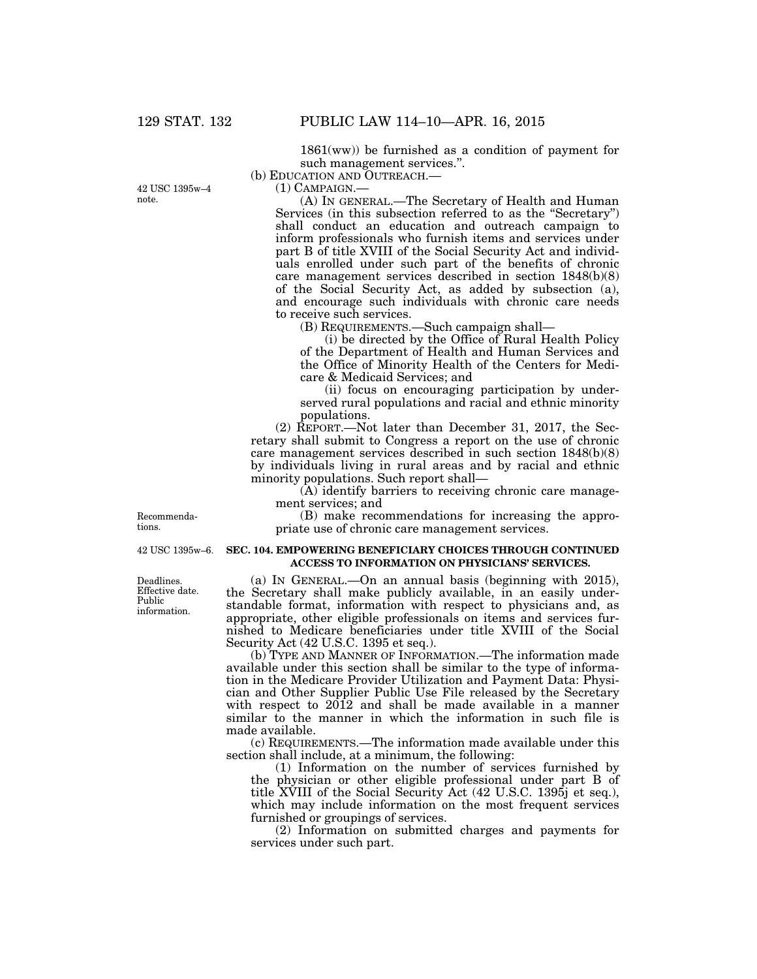42 USC 1395w–4

note.

 $1861(ww)$ ) be furnished as a condition of payment for such management services.''.

(b) EDUCATION AND OUTREACH.—

(1) CAMPAIGN.—

(A) IN GENERAL.—The Secretary of Health and Human Services (in this subsection referred to as the "Secretary") shall conduct an education and outreach campaign to inform professionals who furnish items and services under part B of title XVIII of the Social Security Act and individuals enrolled under such part of the benefits of chronic care management services described in section 1848(b)(8) of the Social Security Act, as added by subsection (a), and encourage such individuals with chronic care needs to receive such services.

(B) REQUIREMENTS.—Such campaign shall—

(i) be directed by the Office of Rural Health Policy of the Department of Health and Human Services and the Office of Minority Health of the Centers for Medicare & Medicaid Services; and

(ii) focus on encouraging participation by underserved rural populations and racial and ethnic minority populations.

(2) REPORT.—Not later than December 31, 2017, the Secretary shall submit to Congress a report on the use of chronic care management services described in such section 1848(b)(8) by individuals living in rural areas and by racial and ethnic minority populations. Such report shall—

(A) identify barriers to receiving chronic care management services; and

(B) make recommendations for increasing the appropriate use of chronic care management services.

### **SEC. 104. EMPOWERING BENEFICIARY CHOICES THROUGH CONTINUED ACCESS TO INFORMATION ON PHYSICIANS' SERVICES.**

(a) IN GENERAL.—On an annual basis (beginning with 2015), the Secretary shall make publicly available, in an easily understandable format, information with respect to physicians and, as appropriate, other eligible professionals on items and services furnished to Medicare beneficiaries under title XVIII of the Social Security Act (42 U.S.C. 1395 et seq.).

(b) TYPE AND MANNER OF INFORMATION.—The information made available under this section shall be similar to the type of information in the Medicare Provider Utilization and Payment Data: Physician and Other Supplier Public Use File released by the Secretary with respect to 2012 and shall be made available in a manner similar to the manner in which the information in such file is made available.

(c) REQUIREMENTS.—The information made available under this section shall include, at a minimum, the following:

(1) Information on the number of services furnished by the physician or other eligible professional under part B of title XVIII of the Social Security Act (42 U.S.C. 1395j et seq.), which may include information on the most frequent services furnished or groupings of services.

(2) Information on submitted charges and payments for services under such part.

Recommendations.

42 USC 1395w–6.

Deadlines. Effective date. Public information.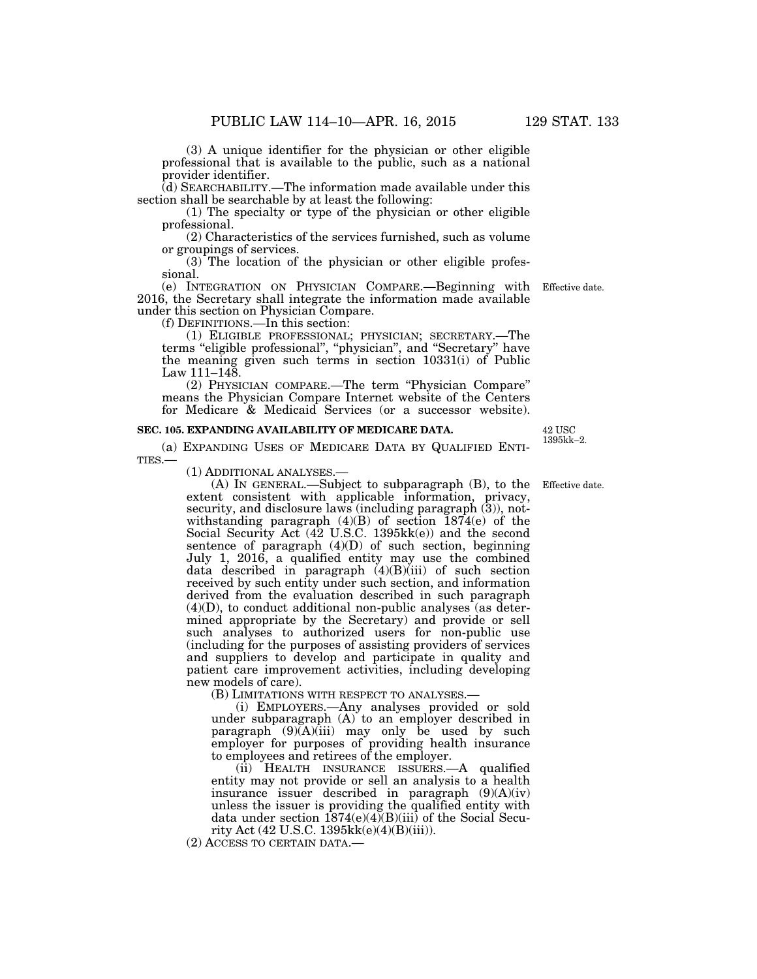(3) A unique identifier for the physician or other eligible professional that is available to the public, such as a national

provider identifier. (d) SEARCHABILITY.—The information made available under this section shall be searchable by at least the following:

(1) The specialty or type of the physician or other eligible professional.

(2) Characteristics of the services furnished, such as volume or groupings of services.

(3) The location of the physician or other eligible professional.

(e) INTEGRATION ON PHYSICIAN COMPARE.—Beginning with Effective date. 2016, the Secretary shall integrate the information made available under this section on Physician Compare.

(f) DEFINITIONS.—In this section:

(1) ELIGIBLE PROFESSIONAL; PHYSICIAN; SECRETARY.—The terms ''eligible professional'', ''physician'', and ''Secretary'' have the meaning given such terms in section 10331(i) of Public Law 111–148.

(2) PHYSICIAN COMPARE.—The term ''Physician Compare'' means the Physician Compare Internet website of the Centers for Medicare & Medicaid Services (or a successor website).

#### **SEC. 105. EXPANDING AVAILABILITY OF MEDICARE DATA.**

(a) EXPANDING USES OF MEDICARE DATA BY QUALIFIED ENTI-TIES.—

(1) ADDITIONAL ANALYSES.—

(A) IN GENERAL.—Subject to subparagraph (B), to the extent consistent with applicable information, privacy, security, and disclosure laws (including paragraph (3)), notwithstanding paragraph (4)(B) of section 1874(e) of the Social Security Act (42 U.S.C. 1395kk(e)) and the second sentence of paragraph  $(4)(D)$  of such section, beginning July 1, 2016, a qualified entity may use the combined data described in paragraph  $(4)(B)(iii)$  of such section received by such entity under such section, and information derived from the evaluation described in such paragraph  $(4)(D)$ , to conduct additional non-public analyses (as determined appropriate by the Secretary) and provide or sell such analyses to authorized users for non-public use (including for the purposes of assisting providers of services and suppliers to develop and participate in quality and patient care improvement activities, including developing new models of care). Effective date.

(B) LIMITATIONS WITH RESPECT TO ANALYSES.—

(i) EMPLOYERS.—Any analyses provided or sold under subparagraph (A) to an employer described in  $\text{pargraph}$  (9)(A)(iii) may only be used by such employer for purposes of providing health insurance to employees and retirees of the employer.

(ii) HEALTH INSURANCE ISSUERS.—A qualified entity may not provide or sell an analysis to a health insurance issuer described in paragraph (9)(A)(iv) unless the issuer is providing the qualified entity with data under section 1874(e)(4)(B)(iii) of the Social Security Act (42 U.S.C. 1395kk(e)(4)(B)(iii)).

(2) ACCESS TO CERTAIN DATA.—

42 USC 1395kk–2.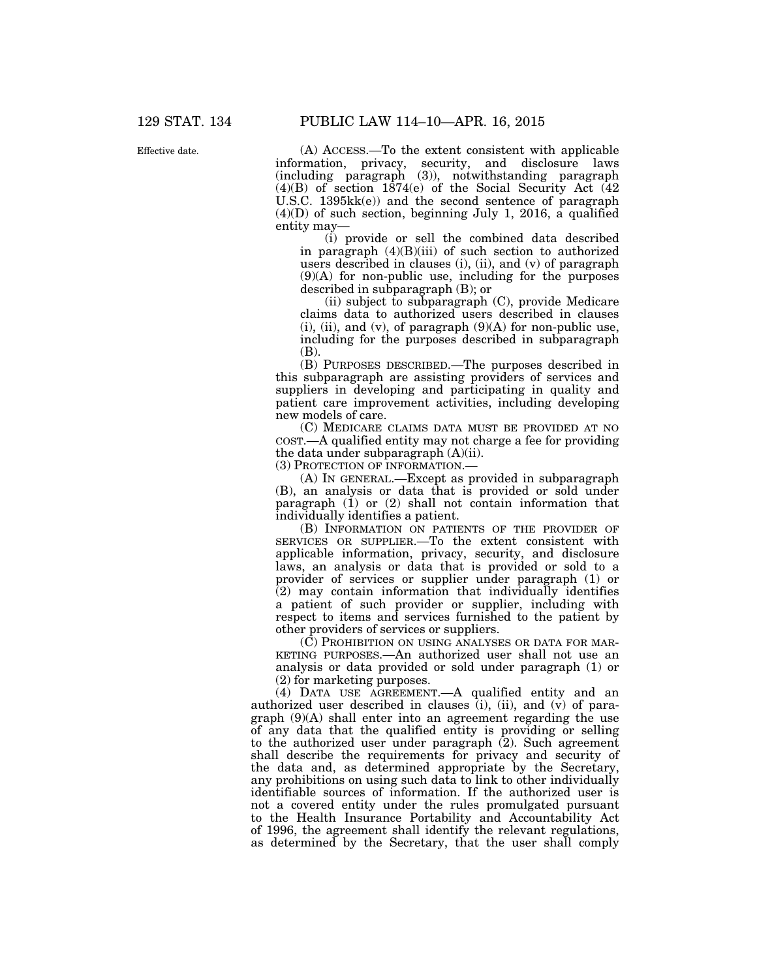Effective date.

(A) ACCESS.—To the extent consistent with applicable information, privacy, security, and disclosure laws (including paragraph (3)), notwithstanding paragraph (4)(B) of section 1874(e) of the Social Security Act (42 U.S.C. 1395kk(e)) and the second sentence of paragraph  $(4)(D)$  of such section, beginning July 1, 2016, a qualified entity may—

(i) provide or sell the combined data described in paragraph  $(4)(B)(iii)$  of such section to authorized users described in clauses (i), (ii), and (v) of paragraph (9)(A) for non-public use, including for the purposes described in subparagraph (B); or

(ii) subject to subparagraph (C), provide Medicare claims data to authorized users described in clauses  $(i)$ ,  $(ii)$ , and  $(v)$ , of paragraph  $(9)(A)$  for non-public use, including for the purposes described in subparagraph (B).

(B) PURPOSES DESCRIBED.—The purposes described in this subparagraph are assisting providers of services and suppliers in developing and participating in quality and patient care improvement activities, including developing new models of care.

(C) MEDICARE CLAIMS DATA MUST BE PROVIDED AT NO COST.—A qualified entity may not charge a fee for providing the data under subparagraph  $(A)(ii)$ .

(3) PROTECTION OF INFORMATION.—

(A) IN GENERAL.—Except as provided in subparagraph (B), an analysis or data that is provided or sold under paragraph (1) or (2) shall not contain information that individually identifies a patient.

(B) INFORMATION ON PATIENTS OF THE PROVIDER OF SERVICES OR SUPPLIER.—To the extent consistent with applicable information, privacy, security, and disclosure laws, an analysis or data that is provided or sold to a provider of services or supplier under paragraph (1) or (2) may contain information that individually identifies a patient of such provider or supplier, including with respect to items and services furnished to the patient by other providers of services or suppliers.

(C) PROHIBITION ON USING ANALYSES OR DATA FOR MAR-KETING PURPOSES.—An authorized user shall not use an analysis or data provided or sold under paragraph (1) or (2) for marketing purposes.

(4) DATA USE AGREEMENT.—A qualified entity and an authorized user described in clauses  $(i)$ ,  $(ii)$ , and  $(v)$  of paragraph (9)(A) shall enter into an agreement regarding the use of any data that the qualified entity is providing or selling to the authorized user under paragraph  $(2)$ . Such agreement shall describe the requirements for privacy and security of the data and, as determined appropriate by the Secretary, any prohibitions on using such data to link to other individually identifiable sources of information. If the authorized user is not a covered entity under the rules promulgated pursuant to the Health Insurance Portability and Accountability Act of 1996, the agreement shall identify the relevant regulations, as determined by the Secretary, that the user shall comply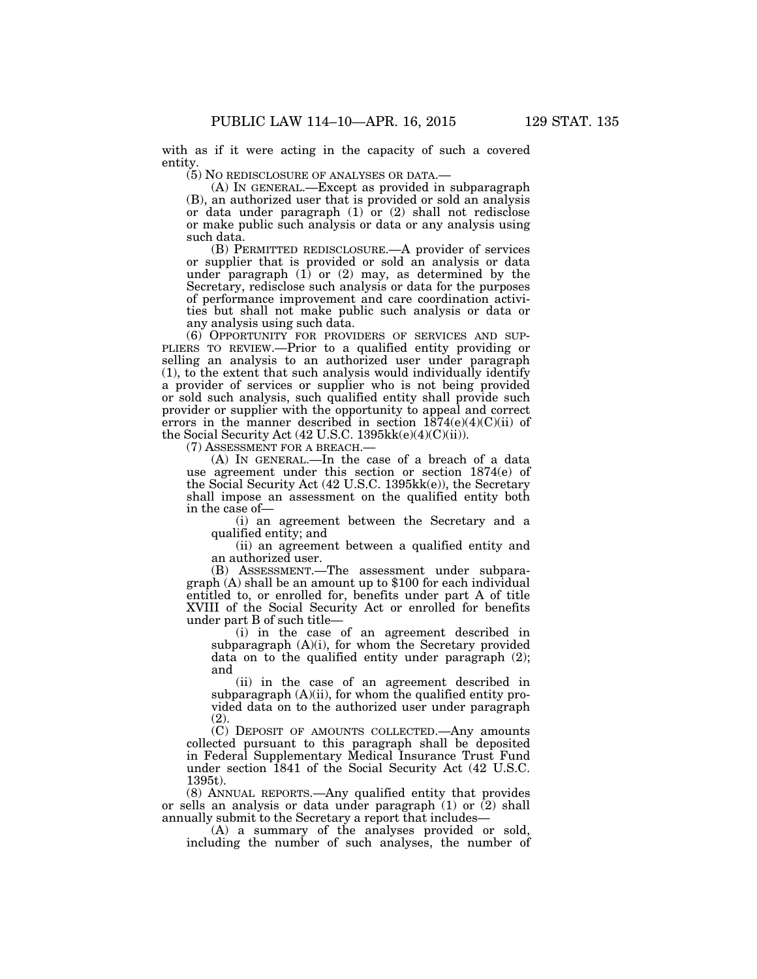with as if it were acting in the capacity of such a covered entity.

(5) NO REDISCLOSURE OF ANALYSES OR DATA.—

(A) IN GENERAL.—Except as provided in subparagraph (B), an authorized user that is provided or sold an analysis or data under paragraph  $(1)$  or  $(2)$  shall not redisclose or make public such analysis or data or any analysis using such data.

(B) PERMITTED REDISCLOSURE.—A provider of services or supplier that is provided or sold an analysis or data under paragraph  $(1)$  or  $(2)$  may, as determined by the Secretary, redisclose such analysis or data for the purposes of performance improvement and care coordination activities but shall not make public such analysis or data or any analysis using such data.

(6) OPPORTUNITY FOR PROVIDERS OF SERVICES AND SUP-PLIERS TO REVIEW.—Prior to a qualified entity providing or selling an analysis to an authorized user under paragraph (1), to the extent that such analysis would individually identify a provider of services or supplier who is not being provided or sold such analysis, such qualified entity shall provide such provider or supplier with the opportunity to appeal and correct errors in the manner described in section  $1874(e)(4)(C)(ii)$  of the Social Security Act (42 U.S.C. 1395kk(e)(4)(C)(ii)).

(7) ASSESSMENT FOR A BREACH.—

(A) IN GENERAL.—In the case of a breach of a data use agreement under this section or section 1874(e) of the Social Security Act (42 U.S.C. 1395kk(e)), the Secretary shall impose an assessment on the qualified entity both in the case of—

(i) an agreement between the Secretary and a qualified entity; and

(ii) an agreement between a qualified entity and an authorized user.<br>(B) ASSESSMENT.—The assessment under subpara-

graph  $(A)$  shall be an amount up to \$100 for each individual entitled to, or enrolled for, benefits under part A of title XVIII of the Social Security Act or enrolled for benefits under part B of such title—

(i) in the case of an agreement described in subparagraph  $(A)(i)$ , for whom the Secretary provided data on to the qualified entity under paragraph (2); and

(ii) in the case of an agreement described in subparagraph  $(A)(ii)$ , for whom the qualified entity provided data on to the authorized user under paragraph (2).

(C) DEPOSIT OF AMOUNTS COLLECTED.—Any amounts collected pursuant to this paragraph shall be deposited in Federal Supplementary Medical Insurance Trust Fund under section 1841 of the Social Security Act (42 U.S.C. 1395t).

(8) ANNUAL REPORTS.—Any qualified entity that provides or sells an analysis or data under paragraph (1) or (2) shall annually submit to the Secretary a report that includes—

(A) a summary of the analyses provided or sold, including the number of such analyses, the number of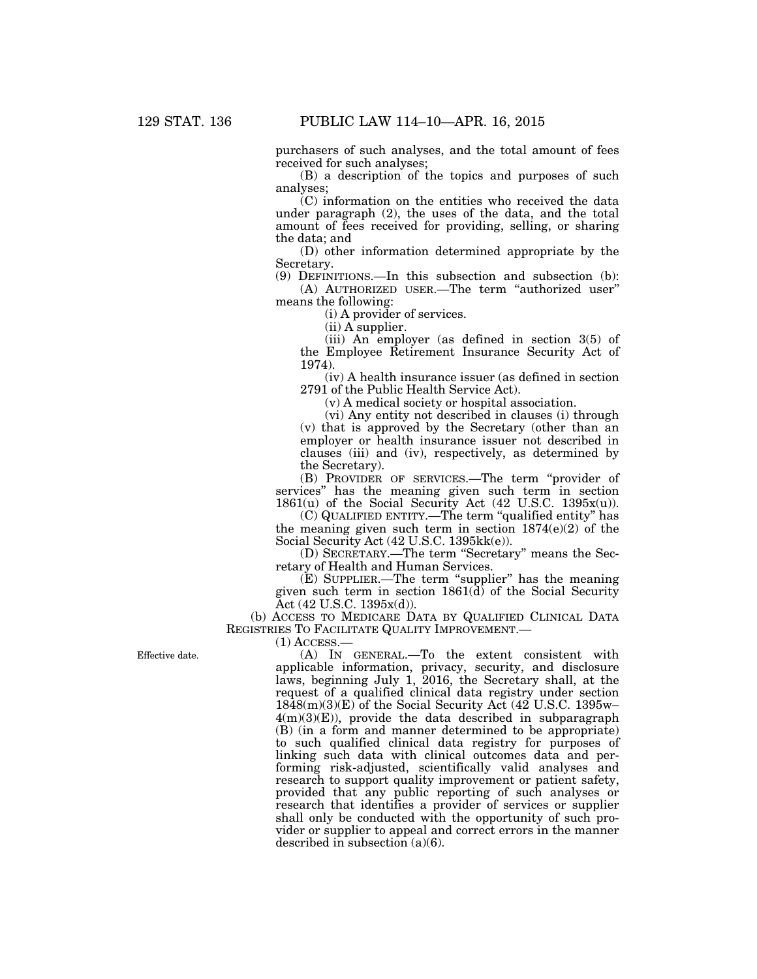purchasers of such analyses, and the total amount of fees received for such analyses;

(B) a description of the topics and purposes of such analyses;

(C) information on the entities who received the data under paragraph (2), the uses of the data, and the total amount of fees received for providing, selling, or sharing the data; and

(D) other information determined appropriate by the Secretary.

(9) DEFINITIONS.—In this subsection and subsection (b): (A) AUTHORIZED USER.—The term ''authorized user''

means the following:

(i) A provider of services.

 $(ii)$  A supplier.

(iii) An employer (as defined in section 3(5) of the Employee Retirement Insurance Security Act of 1974).

(iv) A health insurance issuer (as defined in section 2791 of the Public Health Service Act).

(v) A medical society or hospital association.

(vi) Any entity not described in clauses (i) through (v) that is approved by the Secretary (other than an employer or health insurance issuer not described in clauses (iii) and (iv), respectively, as determined by the Secretary).

(B) PROVIDER OF SERVICES.—The term ''provider of services'' has the meaning given such term in section 1861 $(u)$  of the Social Security Act (42 U.S.C. 1395 $x(u)$ ).

(C) QUALIFIED ENTITY.—The term ''qualified entity'' has the meaning given such term in section 1874(e)(2) of the Social Security Act (42 U.S.C. 1395kk(e)).

(D) SECRETARY.—The term ''Secretary'' means the Secretary of Health and Human Services.

(E) SUPPLIER.—The term ''supplier'' has the meaning given such term in section  $1861(\bar{d})$  of the Social Security Act (42 U.S.C. 1395x(d)).

(b) ACCESS TO MEDICARE DATA BY QUALIFIED CLINICAL DATA REGISTRIES TO FACILITATE QUALITY IMPROVEMENT.—

 $(1)$  Access.—

Effective date.

(A) IN GENERAL.—To the extent consistent with applicable information, privacy, security, and disclosure laws, beginning July 1, 2016, the Secretary shall, at the request of a qualified clinical data registry under section  $18\overline{48(m)(3)(E)}$  of the Social Security Act (42 U.S.C. 1395w– 4(m)(3)(E)), provide the data described in subparagraph (B) (in a form and manner determined to be appropriate) to such qualified clinical data registry for purposes of linking such data with clinical outcomes data and performing risk-adjusted, scientifically valid analyses and research to support quality improvement or patient safety, provided that any public reporting of such analyses or research that identifies a provider of services or supplier shall only be conducted with the opportunity of such provider or supplier to appeal and correct errors in the manner described in subsection (a)(6).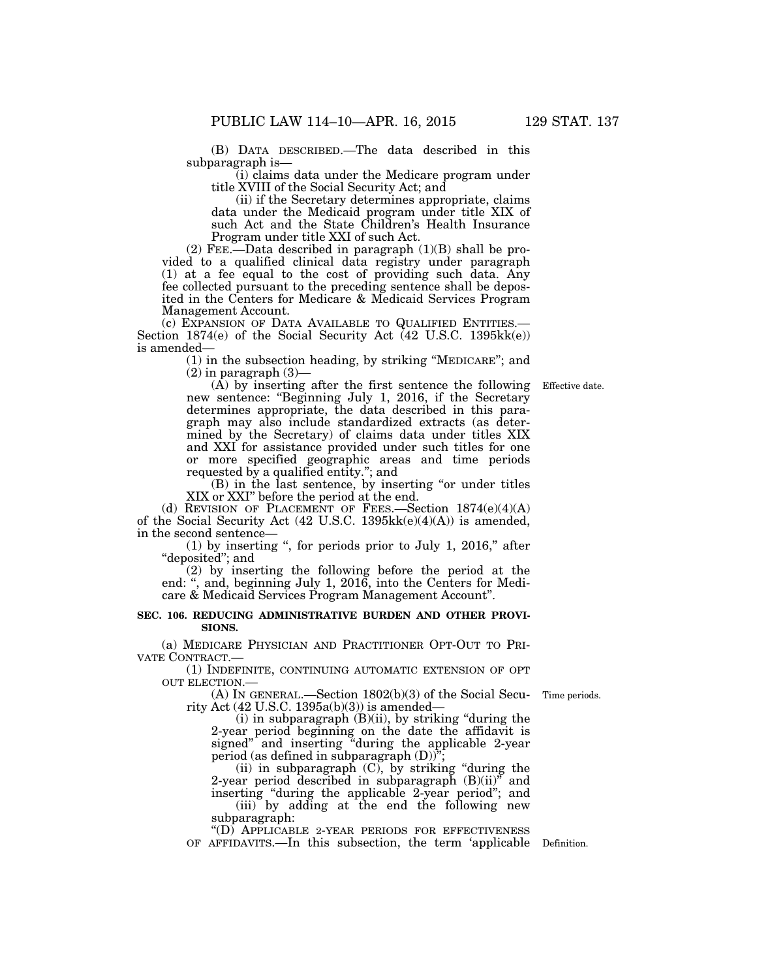(B) DATA DESCRIBED.—The data described in this subparagraph is—

(i) claims data under the Medicare program under title XVIII of the Social Security Act; and

(ii) if the Secretary determines appropriate, claims data under the Medicaid program under title XIX of such Act and the State Children's Health Insurance Program under title XXI of such Act.

(2) FEE.—Data described in paragraph (1)(B) shall be provided to a qualified clinical data registry under paragraph (1) at a fee equal to the cost of providing such data. Any fee collected pursuant to the preceding sentence shall be deposited in the Centers for Medicare & Medicaid Services Program Management Account.<br>(c) EXPANSION OF DATA AVAILABLE TO QUALIFIED ENTITIES.—

Section  $1874(e)$  of the Social Security Act (42 U.S.C. 1395kk(e)) is amended—

(1) in the subsection heading, by striking ''MEDICARE''; and  $(2)$  in paragraph  $(3)$ —

(A) by inserting after the first sentence the following Effective date. new sentence: "Beginning July 1, 2016, if the Secretary determines appropriate, the data described in this paragraph may also include standardized extracts (as determined by the Secretary) of claims data under titles XIX and XXI for assistance provided under such titles for one or more specified geographic areas and time periods requested by a qualified entity.''; and

(B) in the last sentence, by inserting ''or under titles XIX or XXI'' before the period at the end.

(d) REVISION OF PLACEMENT OF FEES.—Section 1874(e)(4)(A) of the Social Security Act (42 U.S.C. 1395kk(e)(4)(A)) is amended, in the second sentence—

 $(1)$  by inserting ", for periods prior to July 1, 2016," after "deposited"; and

(2) by inserting the following before the period at the end: '', and, beginning July 1, 2016, into the Centers for Medicare & Medicaid Services Program Management Account''.

#### **SEC. 106. REDUCING ADMINISTRATIVE BURDEN AND OTHER PROVI-SIONS.**

(a) MEDICARE PHYSICIAN AND PRACTITIONER OPT-OUT TO PRI-VATE CONTRACT.—

(1) INDEFINITE, CONTINUING AUTOMATIC EXTENSION OF OPT OUT ELECTION.—

(A) IN GENERAL.—Section 1802(b)(3) of the Social Security Act  $(42 \text{ U.S.C. } 1395a(b)(3))$  is amended—

 $(i)$  in subparagraph  $(B)(ii)$ , by striking "during the 2-year period beginning on the date the affidavit is signed'' and inserting ''during the applicable 2-year period (as defined in subparagraph (D))'';

(ii) in subparagraph (C), by striking ''during the 2-year period described in subparagraph  $(B)(ii)$ <sup>n</sup> and inserting ''during the applicable 2-year period''; and (iii) by adding at the end the following new subparagraph:

''(D) APPLICABLE 2-YEAR PERIODS FOR EFFECTIVENESS OF AFFIDAVITS.—In this subsection, the term 'applicable Definition.

Time periods.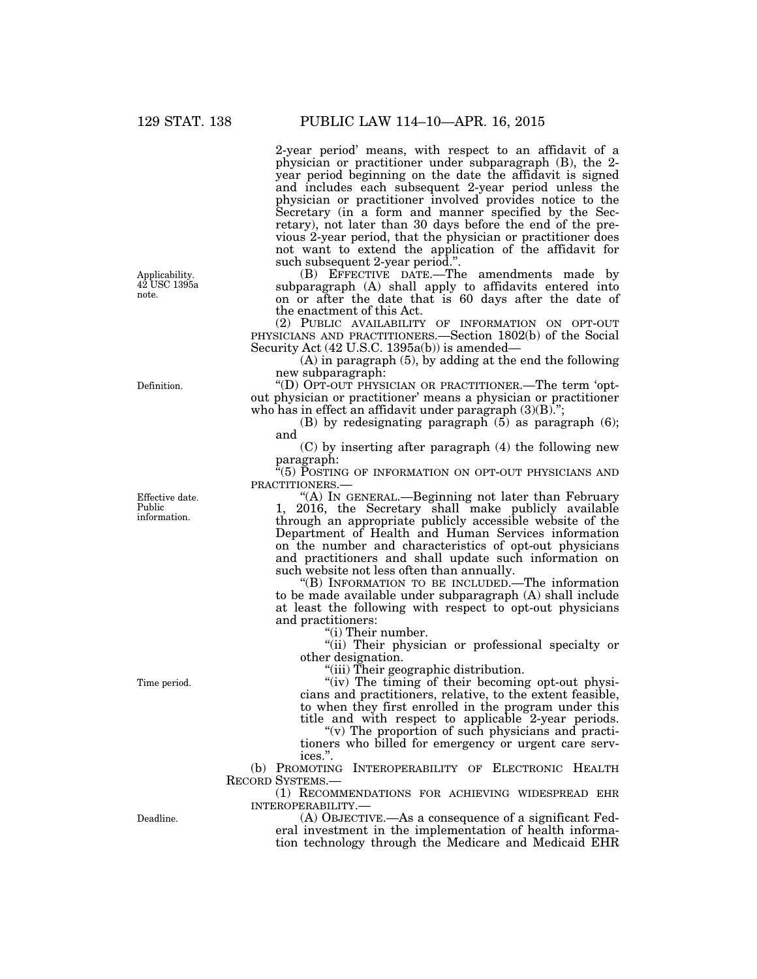2-year period' means, with respect to an affidavit of a physician or practitioner under subparagraph (B), the 2 year period beginning on the date the affidavit is signed and includes each subsequent 2-year period unless the physician or practitioner involved provides notice to the Secretary (in a form and manner specified by the Secretary), not later than 30 days before the end of the previous 2-year period, that the physician or practitioner does not want to extend the application of the affidavit for such subsequent 2-year period.''.

(B) EFFECTIVE DATE.—The amendments made by subparagraph (A) shall apply to affidavits entered into on or after the date that is 60 days after the date of the enactment of this Act.

(2) PUBLIC AVAILABILITY OF INFORMATION ON OPT-OUT PHYSICIANS AND PRACTITIONERS.—Section 1802(b) of the Social Security Act (42 U.S.C. 1395a(b)) is amended—

(A) in paragraph (5), by adding at the end the following new subparagraph:

''(D) OPT-OUT PHYSICIAN OR PRACTITIONER.—The term 'optout physician or practitioner' means a physician or practitioner who has in effect an affidavit under paragraph  $(3)(B)$ .

(B) by redesignating paragraph (5) as paragraph (6); and

(C) by inserting after paragraph (4) the following new paragraph:

<sup>2</sup>(5) POSTING OF INFORMATION ON OPT-OUT PHYSICIANS AND PRACTITIONERS.—

''(A) IN GENERAL.—Beginning not later than February 1, 2016, the Secretary shall make publicly available through an appropriate publicly accessible website of the Department of Health and Human Services information on the number and characteristics of opt-out physicians and practitioners and shall update such information on such website not less often than annually.

''(B) INFORMATION TO BE INCLUDED.—The information to be made available under subparagraph (A) shall include at least the following with respect to opt-out physicians and practitioners:

''(i) Their number.

''(ii) Their physician or professional specialty or other designation.

''(iii) Their geographic distribution.

"(iv) The timing of their becoming opt-out physicians and practitioners, relative, to the extent feasible, to when they first enrolled in the program under this title and with respect to applicable 2-year periods.

''(v) The proportion of such physicians and practitioners who billed for emergency or urgent care services.''.

(b) PROMOTING INTEROPERABILITY OF ELECTRONIC HEALTH RECORD SYSTEMS.—

(1) RECOMMENDATIONS FOR ACHIEVING WIDESPREAD EHR INTEROPERABILITY.—

(A) OBJECTIVE.—As a consequence of a significant Federal investment in the implementation of health information technology through the Medicare and Medicaid EHR

Applicability. 42 USC 1395a note.

Definition.

Effective date. Public information.

Time period.

Deadline.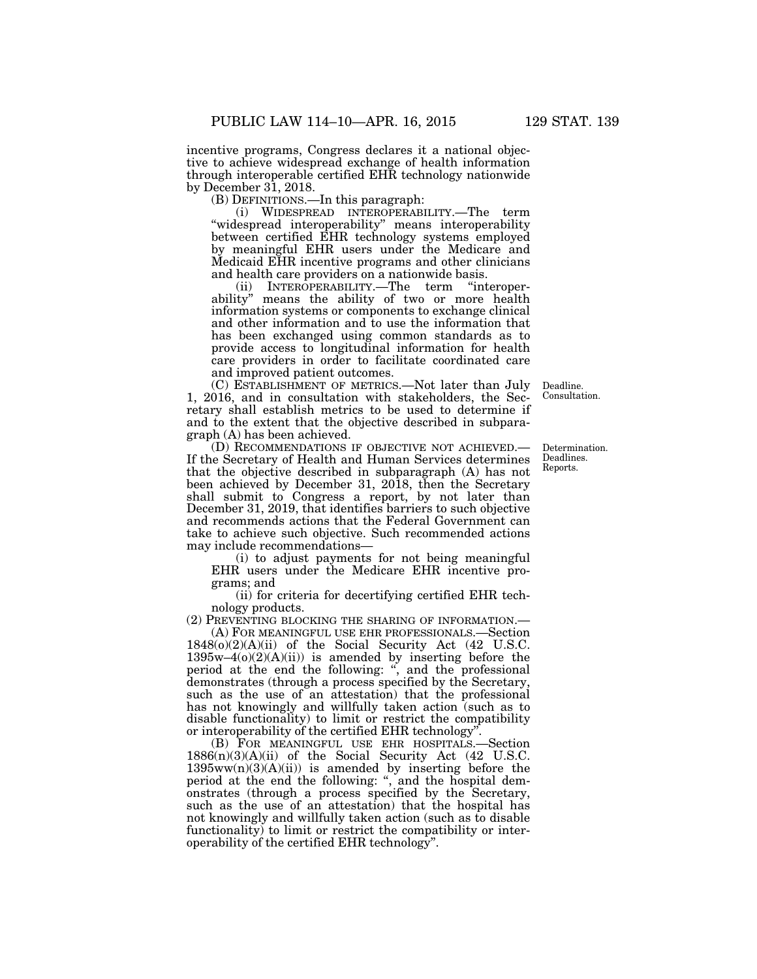incentive programs, Congress declares it a national objective to achieve widespread exchange of health information through interoperable certified EHR technology nationwide by December 31, 2018.

(B) DEFINITIONS.—In this paragraph:

(i) WIDESPREAD INTEROPERABILITY.—The term "widespread interoperability" means interoperability between certified EHR technology systems employed by meaningful EHR users under the Medicare and Medicaid EHR incentive programs and other clinicians and health care providers on a nationwide basis.<br>(ii) INTEROPERABILITY.—The term "interoper-

 $(ii)$  INTEROPERABILITY.—The term ability'' means the ability of two or more health information systems or components to exchange clinical and other information and to use the information that has been exchanged using common standards as to provide access to longitudinal information for health care providers in order to facilitate coordinated care and improved patient outcomes.

(C) ESTABLISHMENT OF METRICS.—Not later than July 1, 2016, and in consultation with stakeholders, the Secretary shall establish metrics to be used to determine if and to the extent that the objective described in subparagraph (A) has been achieved.

(D) RECOMMENDATIONS IF OBJECTIVE NOT ACHIEVED.— If the Secretary of Health and Human Services determines that the objective described in subparagraph (A) has not been achieved by December 31, 2018, then the Secretary shall submit to Congress a report, by not later than December 31, 2019, that identifies barriers to such objective and recommends actions that the Federal Government can take to achieve such objective. Such recommended actions may include recommendations—

(i) to adjust payments for not being meaningful EHR users under the Medicare EHR incentive programs; and

(ii) for criteria for decertifying certified EHR technology products.

(2) PREVENTING BLOCKING THE SHARING OF INFORMATION.—

(A) FOR MEANINGFUL USE EHR PROFESSIONALS.—Section 1848(o)(2)(A)(ii) of the Social Security Act (42 U.S.C.  $1395w-4(0)(2)(A)(ii)$  is amended by inserting before the period at the end the following: ", and the professional demonstrates (through a process specified by the Secretary, such as the use of an attestation) that the professional has not knowingly and willfully taken action (such as to disable functionality) to limit or restrict the compatibility or interoperability of the certified EHR technology''.

(B) FOR MEANINGFUL USE EHR HOSPITALS.—Section 1886(n)(3)(A)(ii) of the Social Security Act (42 U.S.C.  $1395ww(n)(3)(A)(ii)$  is amended by inserting before the period at the end the following: '', and the hospital demonstrates (through a process specified by the Secretary, such as the use of an attestation) that the hospital has not knowingly and willfully taken action (such as to disable functionality) to limit or restrict the compatibility or interoperability of the certified EHR technology''.

Deadline. Consultation.

Determination. Deadlines. Reports.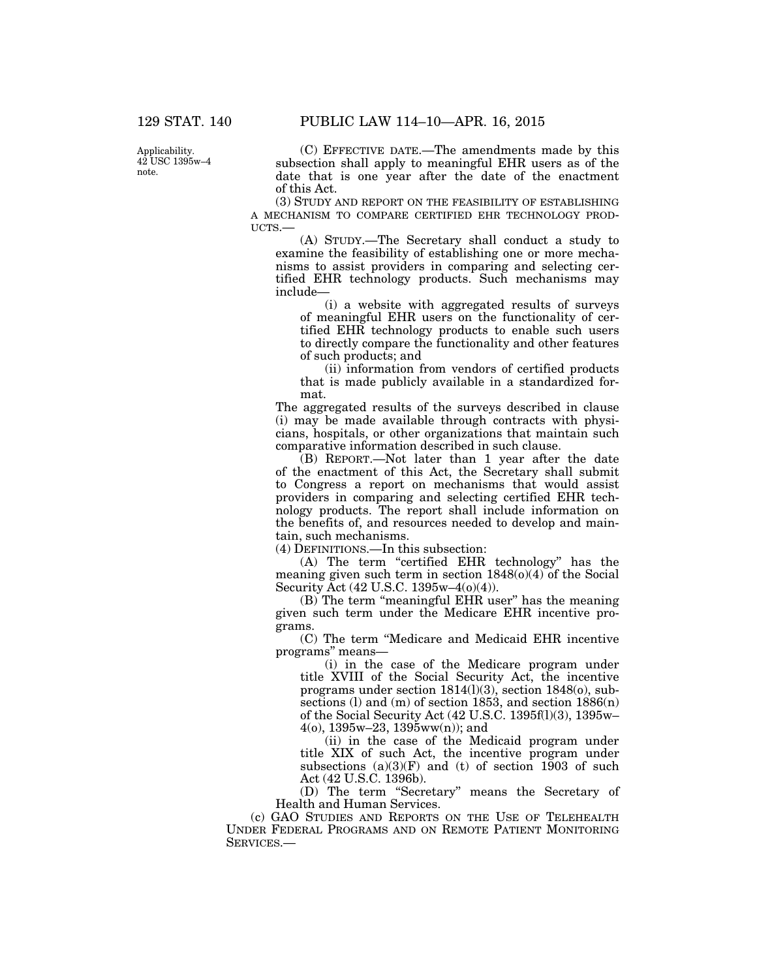Applicability. 42 USC 1395w–4 note.

(C) EFFECTIVE DATE.—The amendments made by this subsection shall apply to meaningful EHR users as of the date that is one year after the date of the enactment of this Act.

(3) STUDY AND REPORT ON THE FEASIBILITY OF ESTABLISHING A MECHANISM TO COMPARE CERTIFIED EHR TECHNOLOGY PROD-UCTS.—

(A) STUDY.—The Secretary shall conduct a study to examine the feasibility of establishing one or more mechanisms to assist providers in comparing and selecting certified EHR technology products. Such mechanisms may include—

(i) a website with aggregated results of surveys of meaningful EHR users on the functionality of certified EHR technology products to enable such users to directly compare the functionality and other features of such products; and

(ii) information from vendors of certified products that is made publicly available in a standardized format.

The aggregated results of the surveys described in clause (i) may be made available through contracts with physicians, hospitals, or other organizations that maintain such comparative information described in such clause.

(B) REPORT.—Not later than 1 year after the date of the enactment of this Act, the Secretary shall submit to Congress a report on mechanisms that would assist providers in comparing and selecting certified EHR technology products. The report shall include information on the benefits of, and resources needed to develop and maintain, such mechanisms.

(4) DEFINITIONS.—In this subsection:

(A) The term "certified EHR technology" has the meaning given such term in section  $1848(0)(4)$  of the Social Security Act (42 U.S.C. 1395w–4(o)(4)).

(B) The term ''meaningful EHR user'' has the meaning given such term under the Medicare EHR incentive programs.

(C) The term ''Medicare and Medicaid EHR incentive programs'' means—

(i) in the case of the Medicare program under title XVIII of the Social Security Act, the incentive programs under section 1814(l)(3), section 1848(o), subsections (l) and  $(m)$  of section 1853, and section  $1886(n)$ of the Social Security Act (42 U.S.C. 1395f(l)(3), 1395w– 4(o), 1395w–23, 1395ww(n)); and

(ii) in the case of the Medicaid program under title XIX of such Act, the incentive program under subsections  $(a)(3)(F)$  and (t) of section 1903 of such Act (42 U.S.C. 1396b).

(D) The term ''Secretary'' means the Secretary of Health and Human Services.

(c) GAO STUDIES AND REPORTS ON THE USE OF TELEHEALTH UNDER FEDERAL PROGRAMS AND ON REMOTE PATIENT MONITORING SERVICES.—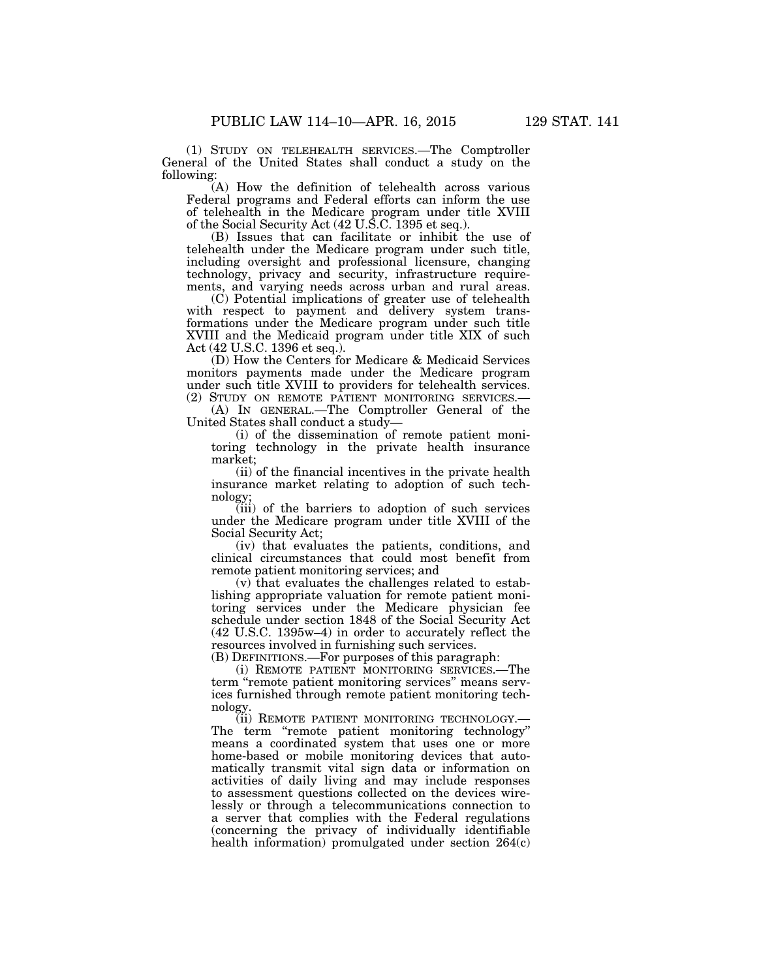(1) STUDY ON TELEHEALTH SERVICES.—The Comptroller General of the United States shall conduct a study on the following:

(A) How the definition of telehealth across various Federal programs and Federal efforts can inform the use of telehealth in the Medicare program under title XVIII of the Social Security Act (42 U.S.C. 1395 et seq.).

(B) Issues that can facilitate or inhibit the use of telehealth under the Medicare program under such title, including oversight and professional licensure, changing technology, privacy and security, infrastructure requirements, and varying needs across urban and rural areas.

(C) Potential implications of greater use of telehealth with respect to payment and delivery system transformations under the Medicare program under such title XVIII and the Medicaid program under title XIX of such Act (42 U.S.C. 1396 et seq.).

(D) How the Centers for Medicare & Medicaid Services monitors payments made under the Medicare program under such title XVIII to providers for telehealth services. (2) STUDY ON REMOTE PATIENT MONITORING SERVICES.—

(A) IN GENERAL.—The Comptroller General of the United States shall conduct a study—

(i) of the dissemination of remote patient monitoring technology in the private health insurance market;

(ii) of the financial incentives in the private health insurance market relating to adoption of such technology;

(iii) of the barriers to adoption of such services under the Medicare program under title XVIII of the Social Security Act;

(iv) that evaluates the patients, conditions, and clinical circumstances that could most benefit from remote patient monitoring services; and

(v) that evaluates the challenges related to establishing appropriate valuation for remote patient monitoring services under the Medicare physician fee schedule under section 1848 of the Social Security Act (42 U.S.C. 1395w–4) in order to accurately reflect the resources involved in furnishing such services.

(B) DEFINITIONS.—For purposes of this paragraph:

(i) REMOTE PATIENT MONITORING SERVICES.—The term ''remote patient monitoring services'' means services furnished through remote patient monitoring technology.

(ii) REMOTE PATIENT MONITORING TECHNOLOGY.— The term "remote patient monitoring technology" means a coordinated system that uses one or more home-based or mobile monitoring devices that automatically transmit vital sign data or information on activities of daily living and may include responses to assessment questions collected on the devices wirelessly or through a telecommunications connection to a server that complies with the Federal regulations (concerning the privacy of individually identifiable health information) promulgated under section 264(c)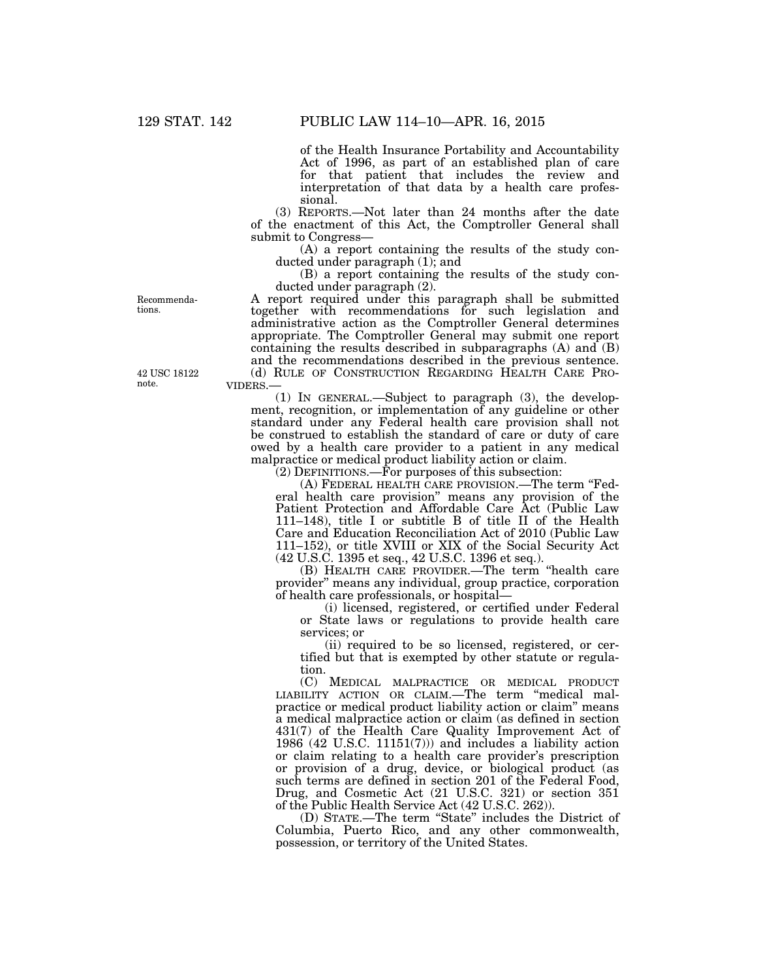of the Health Insurance Portability and Accountability Act of 1996, as part of an established plan of care for that patient that includes the review and interpretation of that data by a health care professional.

(3) REPORTS.—Not later than 24 months after the date of the enactment of this Act, the Comptroller General shall submit to Congress—

(A) a report containing the results of the study conducted under paragraph (1); and

(B) a report containing the results of the study conducted under paragraph (2).

A report required under this paragraph shall be submitted together with recommendations for such legislation and administrative action as the Comptroller General determines appropriate. The Comptroller General may submit one report containing the results described in subparagraphs  $(A)$  and  $(B)$ and the recommendations described in the previous sentence. (d) RULE OF CONSTRUCTION REGARDING HEALTH CARE PRO-VIDERS.—

(1) IN GENERAL.—Subject to paragraph (3), the development, recognition, or implementation of any guideline or other standard under any Federal health care provision shall not be construed to establish the standard of care or duty of care owed by a health care provider to a patient in any medical malpractice or medical product liability action or claim.

(2) DEFINITIONS.—For purposes of this subsection:

(A) FEDERAL HEALTH CARE PROVISION.—The term ''Federal health care provision'' means any provision of the Patient Protection and Affordable Care Act (Public Law 111–148), title I or subtitle B of title II of the Health Care and Education Reconciliation Act of 2010 (Public Law 111–152), or title XVIII or XIX of the Social Security Act (42 U.S.C. 1395 et seq., 42 U.S.C. 1396 et seq.).

(B) HEALTH CARE PROVIDER.—The term ''health care provider'' means any individual, group practice, corporation of health care professionals, or hospital—

(i) licensed, registered, or certified under Federal or State laws or regulations to provide health care services; or

(ii) required to be so licensed, registered, or certified but that is exempted by other statute or regulation.

(C) MEDICAL MALPRACTICE OR MEDICAL PRODUCT LIABILITY ACTION OR CLAIM.—The term ''medical malpractice or medical product liability action or claim'' means a medical malpractice action or claim (as defined in section 431(7) of the Health Care Quality Improvement Act of 1986 (42 U.S.C. 11151(7))) and includes a liability action or claim relating to a health care provider's prescription or provision of a drug, device, or biological product (as such terms are defined in section 201 of the Federal Food, Drug, and Cosmetic Act (21 U.S.C. 321) or section 351 of the Public Health Service Act (42 U.S.C. 262)).

(D) STATE.—The term ''State'' includes the District of Columbia, Puerto Rico, and any other commonwealth, possession, or territory of the United States.

Recommendations.

42 USC 18122 note.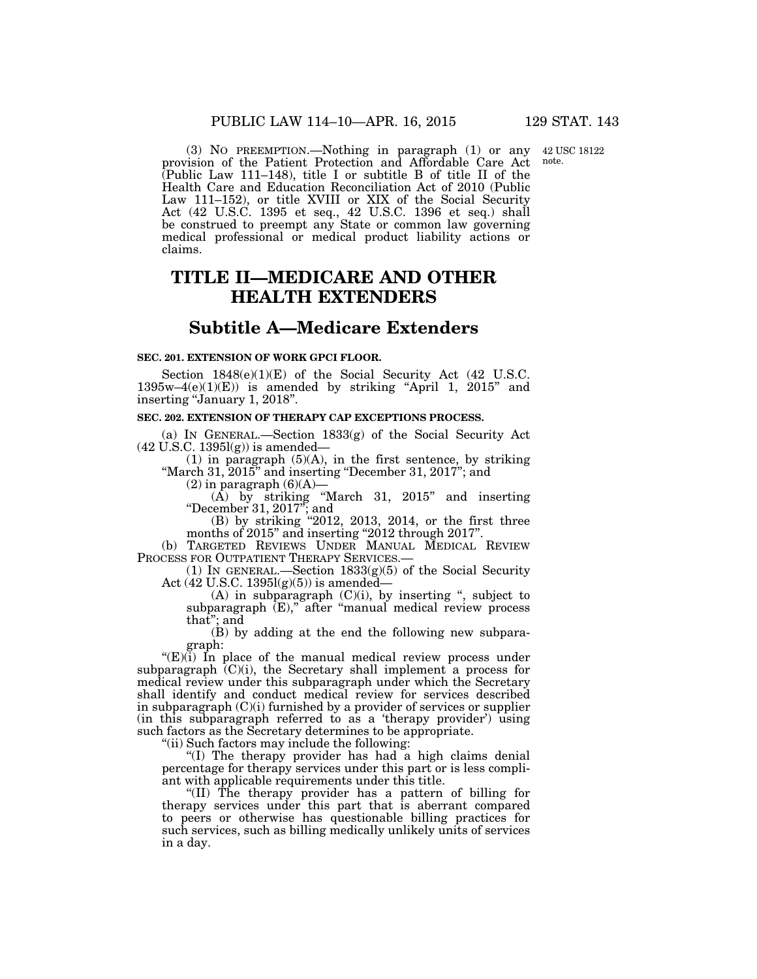42 USC 18122 note.

(3) NO PREEMPTION.—Nothing in paragraph (1) or any provision of the Patient Protection and Affordable Care Act (Public Law 111–148), title I or subtitle B of title II of the Health Care and Education Reconciliation Act of 2010 (Public Law 111–152), or title XVIII or XIX of the Social Security Act (42 U.S.C. 1395 et seq., 42 U.S.C. 1396 et seq.) shall be construed to preempt any State or common law governing medical professional or medical product liability actions or claims.

# **TITLE II—MEDICARE AND OTHER HEALTH EXTENDERS**

# **Subtitle A—Medicare Extenders**

#### **SEC. 201. EXTENSION OF WORK GPCI FLOOR.**

Section  $1848(e)(1)(E)$  of the Social Security Act (42 U.S.C.  $1395w-4(e)(1)(E)$  is amended by striking "April 1, 2015" and inserting ''January 1, 2018''.

## **SEC. 202. EXTENSION OF THERAPY CAP EXCEPTIONS PROCESS.**

(a) IN GENERAL.—Section 1833(g) of the Social Security Act (42 U.S.C. 1395l(g)) is amended—

(1) in paragraph (5)(A), in the first sentence, by striking "March  $31, 2015$ " and inserting "December  $31, 2017$ "; and

 $(2)$  in paragraph  $(6)(A)$ —

(A) by striking ''March 31, 2015'' and inserting ''December 31, 2017''; and

(B) by striking "2012, 2013, 2014, or the first three months of 2015'' and inserting ''2012 through 2017''.

(b) TARGETED REVIEWS UNDER MANUAL MEDICAL REVIEW PROCESS FOR OUTPATIENT THERAPY SERVICES.

(1) IN GENERAL.—Section 1833(g)(5) of the Social Security Act  $(42 \text{ U.S.C. } 1395 \text{I(g)}(5))$  is amended–

(A) in subparagraph  $(C)(i)$ , by inserting ", subject to subparagraph  $(E)$ ," after "manual medical review process that''; and

(B) by adding at the end the following new subparagraph:

" $(E)(i)$  In place of the manual medical review process under subparagraph  $(C)(i)$ , the Secretary shall implement a process for medical review under this subparagraph under which the Secretary shall identify and conduct medical review for services described in subparagraph  $(C)(i)$  furnished by a provider of services or supplier (in this subparagraph referred to as a 'therapy provider') using such factors as the Secretary determines to be appropriate.

''(ii) Such factors may include the following:

''(I) The therapy provider has had a high claims denial percentage for therapy services under this part or is less compliant with applicable requirements under this title.

''(II) The therapy provider has a pattern of billing for therapy services under this part that is aberrant compared to peers or otherwise has questionable billing practices for such services, such as billing medically unlikely units of services in a day.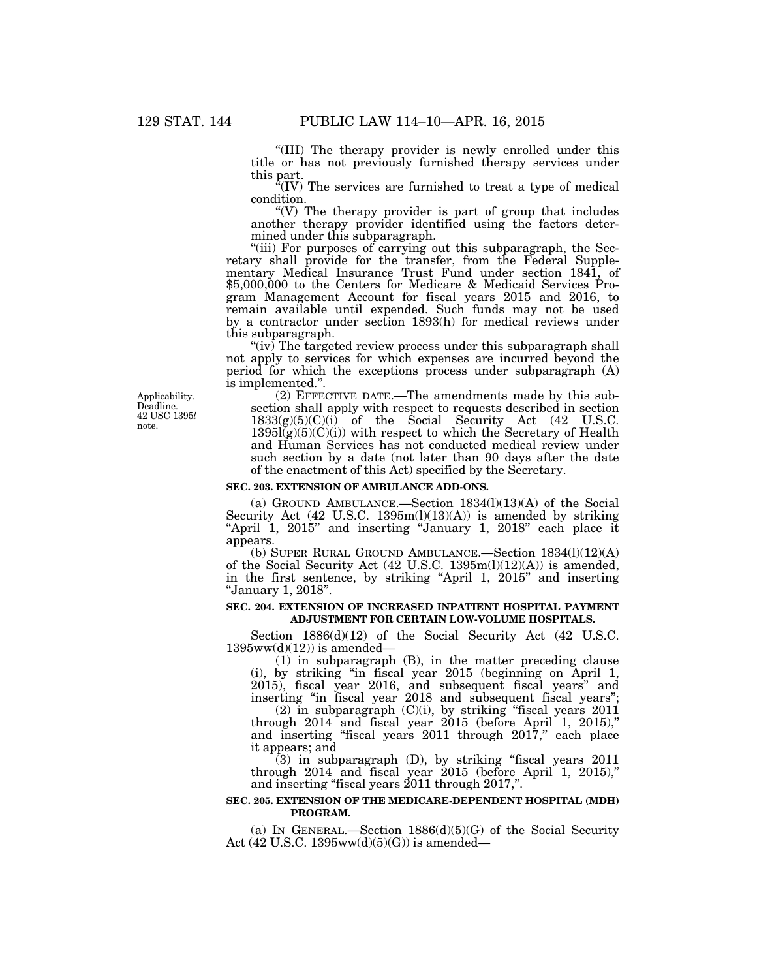''(III) The therapy provider is newly enrolled under this title or has not previously furnished therapy services under this part.

 $\sqrt{N}$  The services are furnished to treat a type of medical condition.

"(V) The therapy provider is part of group that includes another therapy provider identified using the factors determined under this subparagraph.

"(iii) For purposes of carrying out this subparagraph, the Secretary shall provide for the transfer, from the Federal Supplementary Medical Insurance Trust Fund under section 1841, of \$5,000,000 to the Centers for Medicare & Medicaid Services Program Management Account for fiscal years 2015 and 2016, to remain available until expended. Such funds may not be used by a contractor under section 1893(h) for medical reviews under this subparagraph.

" $(iv)$  The targeted review process under this subparagraph shall not apply to services for which expenses are incurred beyond the period for which the exceptions process under subparagraph (A) is implemented.''.

(2) EFFECTIVE DATE.—The amendments made by this subsection shall apply with respect to requests described in section  $1833(g)(5)(C)(i)$  of the Social Security Act (42 U.S.C.  $1395l(g)(5)(C)(i)$  with respect to which the Secretary of Health and Human Services has not conducted medical review under such section by a date (not later than 90 days after the date of the enactment of this Act) specified by the Secretary.

#### **SEC. 203. EXTENSION OF AMBULANCE ADD-ONS.**

(a) GROUND AMBULANCE.—Section 1834(l)(13)(A) of the Social Security Act (42 U.S.C. 1395m(l)(13)(A)) is amended by striking ''April 1, 2015'' and inserting ''January 1, 2018'' each place it appears.

(b) SUPER RURAL GROUND AMBULANCE.—Section 1834(l)(12)(A) of the Social Security Act (42 U.S.C. 1395m(l)(12)(A)) is amended, in the first sentence, by striking ''April 1, 2015'' and inserting ''January 1, 2018''.

### **SEC. 204. EXTENSION OF INCREASED INPATIENT HOSPITAL PAYMENT ADJUSTMENT FOR CERTAIN LOW-VOLUME HOSPITALS.**

Section  $1886(d)(12)$  of the Social Security Act (42 U.S.C.  $1395ww(d)(12)$  is amended—

(1) in subparagraph (B), in the matter preceding clause (i), by striking ''in fiscal year 2015 (beginning on April 1, 2015), fiscal year 2016, and subsequent fiscal years'' and inserting ''in fiscal year 2018 and subsequent fiscal years'';

 $(2)$  in subparagraph  $(C)(i)$ , by striking "fiscal years  $2011$ through  $2014$  and fiscal year  $2015$  (before April 1,  $2015$ )," and inserting "fiscal years 2011 through 2017," each place it appears; and

 $(3)$  in subparagraph  $(D)$ , by striking "fiscal years 2011 through  $2014$  and fiscal year  $2015$  (before April 1, 2015)," and inserting "fiscal years  $2011$  through  $2017$ ,".

#### **SEC. 205. EXTENSION OF THE MEDICARE-DEPENDENT HOSPITAL (MDH) PROGRAM.**

(a) IN GENERAL.—Section  $1886(d)(5)(G)$  of the Social Security Act (42 U.S.C. 1395ww(d)(5)(G)) is amended—

Applicability. Deadline. 42 USC 1395*l*  note.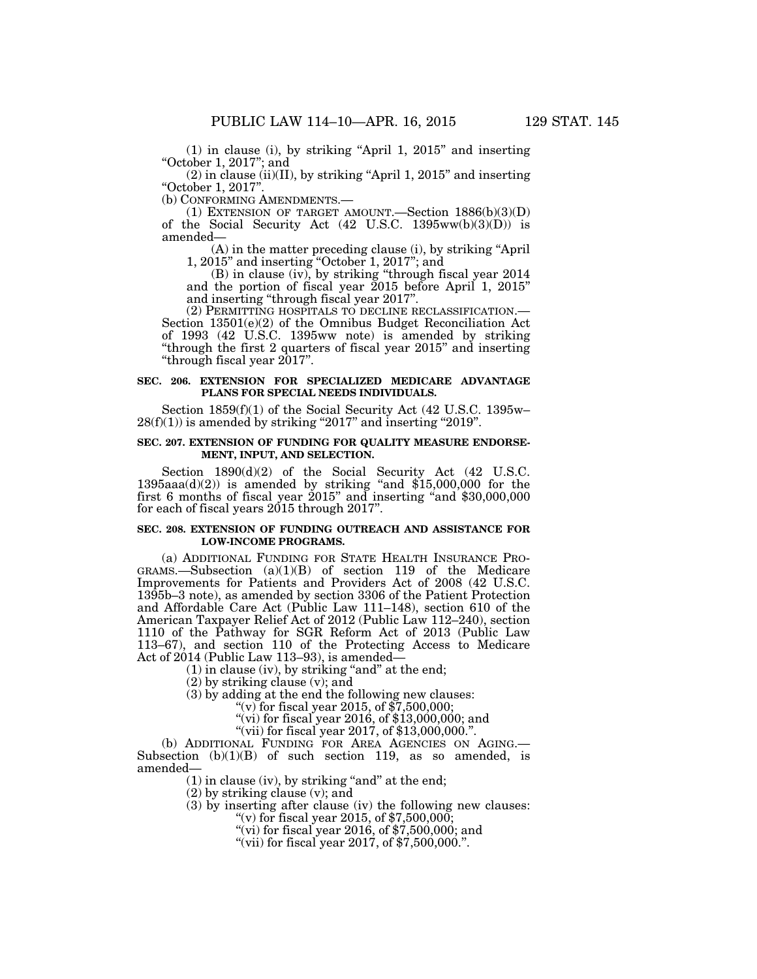(1) in clause (i), by striking ''April 1, 2015'' and inserting ''October 1, 2017''; and

 $(2)$  in clause (ii)(II), by striking "April 1, 2015" and inserting "October 1, 2017".<br>(b) CONFORMING AMENDMENTS.

(1) EXTENSION OF TARGET AMOUNT.—Section  $1886(b)(3)(D)$ of the Social Security Act  $(42 \text{ U.S.C. } 1395 \text{ww(b)}(3)(D))$  is amended—

(A) in the matter preceding clause (i), by striking ''April 1, 2015'' and inserting ''October 1, 2017''; and

(B) in clause (iv), by striking ''through fiscal year 2014 and the portion of fiscal year 2015 before April 1, 2015'' and inserting ''through fiscal year 2017''.

(2) PERMITTING HOSPITALS TO DECLINE RECLASSIFICATION.— Section 13501(e)(2) of the Omnibus Budget Reconciliation Act of 1993 (42 U.S.C. 1395ww note) is amended by striking ''through the first 2 quarters of fiscal year 2015'' and inserting ''through fiscal year 2017''.

#### **SEC. 206. EXTENSION FOR SPECIALIZED MEDICARE ADVANTAGE PLANS FOR SPECIAL NEEDS INDIVIDUALS.**

Section 1859(f)(1) of the Social Security Act (42 U.S.C. 1395w–  $28(f)(1)$ ) is amended by striking "2017" and inserting "2019".

## **SEC. 207. EXTENSION OF FUNDING FOR QUALITY MEASURE ENDORSE-MENT, INPUT, AND SELECTION.**

Section  $1890(d)(2)$  of the Social Security Act (42 U.S.C. 1395aaa $(d)(2)$ ) is amended by striking "and \$15,000,000 for the first 6 months of fiscal year 2015" and inserting "and \$30,000,000 for each of fiscal years 2015 through 2017''.

### **SEC. 208. EXTENSION OF FUNDING OUTREACH AND ASSISTANCE FOR LOW-INCOME PROGRAMS.**

(a) ADDITIONAL FUNDING FOR STATE HEALTH INSURANCE PRO-GRAMS.—Subsection (a)(1)(B) of section 119 of the Medicare Improvements for Patients and Providers Act of 2008 (42 U.S.C. 1395b–3 note), as amended by section 3306 of the Patient Protection and Affordable Care Act (Public Law 111–148), section 610 of the American Taxpayer Relief Act of 2012 (Public Law 112–240), section 1110 of the Pathway for SGR Reform Act of 2013 (Public Law 113–67), and section 110 of the Protecting Access to Medicare Act of 2014 (Public Law 113–93), is amended—

 $(1)$  in clause (iv), by striking "and" at the end;

(2) by striking clause (v); and

(3) by adding at the end the following new clauses:

"(v) for fiscal year 2015, of  $\overline{57,500,000}$ ;

"(vi) for fiscal year 2016, of \$13,000,000; and

"(vii) for fiscal year 2017, of \$13,000,000.".

(b) ADDITIONAL FUNDING FOR AREA AGENCIES ON AGING.— Subsection (b)(1)(B) of such section 119, as so amended, is amended—

 $(1)$  in clause (iv), by striking "and" at the end;

(2) by striking clause (v); and

(3) by inserting after clause (iv) the following new clauses:

"(v) for fiscal year 2015, of  $$7,500,000$ ;

"(vi) for fiscal year 2016, of  $$7,500,000$ ; and

"(vii) for fiscal year  $2017$ , of  $\frac{2017}{500}$ , 000.".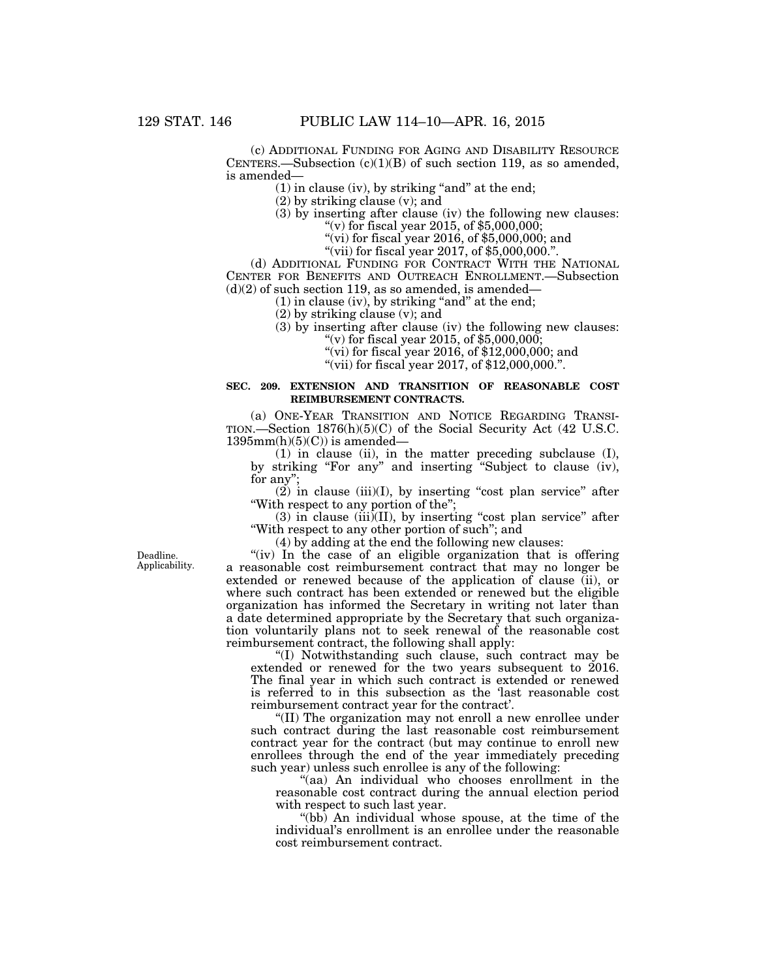(c) ADDITIONAL FUNDING FOR AGING AND DISABILITY RESOURCE CENTERS.—Subsection  $(c)(1)(B)$  of such section 119, as so amended, is amended—

 $(1)$  in clause (iv), by striking "and" at the end;

(2) by striking clause (v); and

(3) by inserting after clause (iv) the following new clauses: "(v) for fiscal year 2015, of \$5,000,000;

"(vi) for fiscal year 2016, of  $$5,000,000$ ; and

"(vii) for fiscal year 2017, of  $$5,000,000$ .".

(d) ADDITIONAL FUNDING FOR CONTRACT WITH THE NATIONAL CENTER FOR BENEFITS AND OUTREACH ENROLLMENT.—Subsection  $(d)(2)$  of such section 119, as so amended, is amended—

 $(1)$  in clause (iv), by striking "and" at the end;

(2) by striking clause (v); and

(3) by inserting after clause (iv) the following new clauses:

"(v) for fiscal year 2015, of  $$5,000,000$ ;

"(vi) for fiscal year 2016, of  $$12,000,000$ ; and

''(vii) for fiscal year 2017, of \$12,000,000.''.

# **SEC. 209. EXTENSION AND TRANSITION OF REASONABLE COST REIMBURSEMENT CONTRACTS.**

(a) ONE-YEAR TRANSITION AND NOTICE REGARDING TRANSI-TION.—Section 1876(h)(5)(C) of the Social Security Act (42 U.S.C.  $1395mm(h)(5)(C)$  is amended—

(1) in clause (ii), in the matter preceding subclause (I), by striking "For any" and inserting "Subject to clause (iv), for any'';

 $(2)$  in clause (iii)(I), by inserting "cost plan service" after ''With respect to any portion of the'';

(3) in clause (iii)(II), by inserting ''cost plan service'' after "With respect to any other portion of such"; and

(4) by adding at the end the following new clauses:

"(iv) In the case of an eligible organization that is offering a reasonable cost reimbursement contract that may no longer be extended or renewed because of the application of clause (ii), or where such contract has been extended or renewed but the eligible organization has informed the Secretary in writing not later than a date determined appropriate by the Secretary that such organization voluntarily plans not to seek renewal of the reasonable cost reimbursement contract, the following shall apply:

''(I) Notwithstanding such clause, such contract may be extended or renewed for the two years subsequent to 2016. The final year in which such contract is extended or renewed is referred to in this subsection as the 'last reasonable cost reimbursement contract year for the contract'.

''(II) The organization may not enroll a new enrollee under such contract during the last reasonable cost reimbursement contract year for the contract (but may continue to enroll new enrollees through the end of the year immediately preceding such year) unless such enrollee is any of the following:

"(aa) An individual who chooses enrollment in the reasonable cost contract during the annual election period with respect to such last year.

''(bb) An individual whose spouse, at the time of the individual's enrollment is an enrollee under the reasonable cost reimbursement contract.

Deadline. Applicability.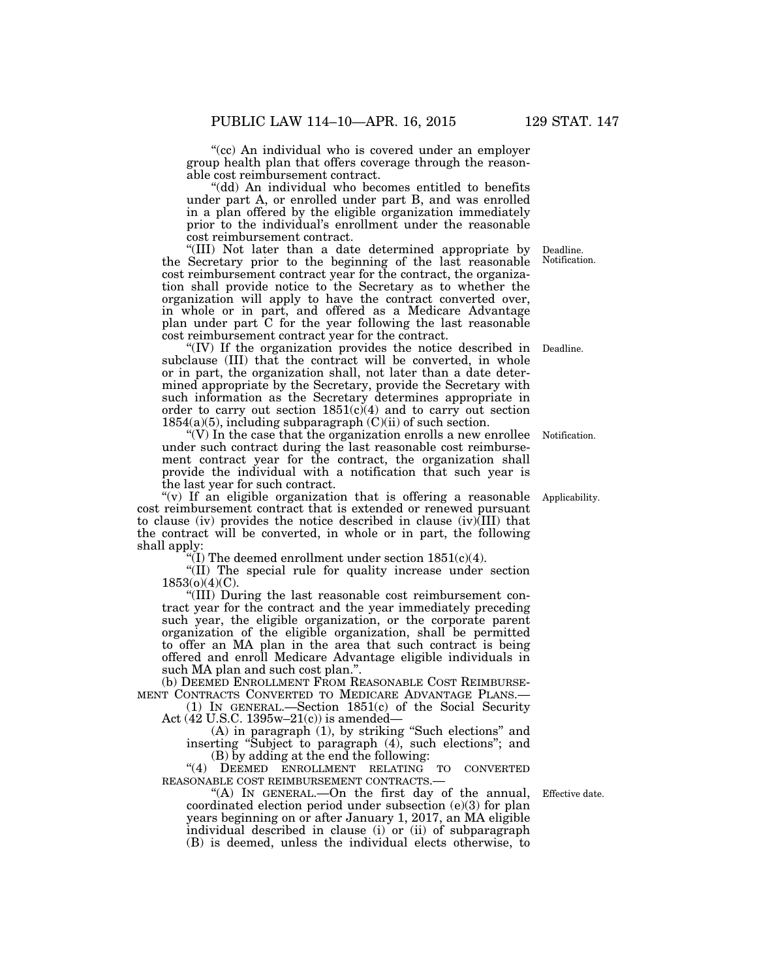"(cc) An individual who is covered under an employer group health plan that offers coverage through the reasonable cost reimbursement contract.

(dd) An individual who becomes entitled to benefits under part A, or enrolled under part B, and was enrolled in a plan offered by the eligible organization immediately prior to the individual's enrollment under the reasonable cost reimbursement contract.

''(III) Not later than a date determined appropriate by the Secretary prior to the beginning of the last reasonable cost reimbursement contract year for the contract, the organization shall provide notice to the Secretary as to whether the organization will apply to have the contract converted over, in whole or in part, and offered as a Medicare Advantage plan under part C for the year following the last reasonable cost reimbursement contract year for the contract.

"(IV) If the organization provides the notice described in Deadline. subclause (III) that the contract will be converted, in whole or in part, the organization shall, not later than a date determined appropriate by the Secretary, provide the Secretary with such information as the Secretary determines appropriate in order to carry out section  $1851(c)(4)$  and to carry out section 1854(a)(5), including subparagraph  $(C)(ii)$  of such section.

"(V) In the case that the organization enrolls a new enrollee Notification. under such contract during the last reasonable cost reimbursement contract year for the contract, the organization shall provide the individual with a notification that such year is the last year for such contract.

''(v) If an eligible organization that is offering a reasonable Applicability. cost reimbursement contract that is extended or renewed pursuant to clause (iv) provides the notice described in clause (iv)(III) that the contract will be converted, in whole or in part, the following shall apply:

"(I) The deemed enrollment under section  $1851(c)(4)$ .

''(II) The special rule for quality increase under section 1853(o)(4)(C).

''(III) During the last reasonable cost reimbursement contract year for the contract and the year immediately preceding such year, the eligible organization, or the corporate parent organization of the eligible organization, shall be permitted to offer an MA plan in the area that such contract is being offered and enroll Medicare Advantage eligible individuals in such MA plan and such cost plan.''.

(b) DEEMED ENROLLMENT FROM REASONABLE COST REIMBURSE-MENT CONTRACTS CONVERTED TO MEDICARE ADVANTAGE PLANS.—

(1) IN GENERAL.—Section 1851(c) of the Social Security Act (42 U.S.C. 1395w–21(c)) is amended—

(A) in paragraph (1), by striking ''Such elections'' and inserting ''Subject to paragraph (4), such elections''; and (B) by adding at the end the following:

"(4) DEEMED ENROLLMENT RELATING TO CONVERTED REASONABLE COST REIMBURSEMENT CONTRACTS.—

''(A) IN GENERAL.—On the first day of the annual, coordinated election period under subsection (e)(3) for plan years beginning on or after January 1, 2017, an MA eligible individual described in clause (i) or (ii) of subparagraph (B) is deemed, unless the individual elects otherwise, to

Effective date.

Deadline. Notification.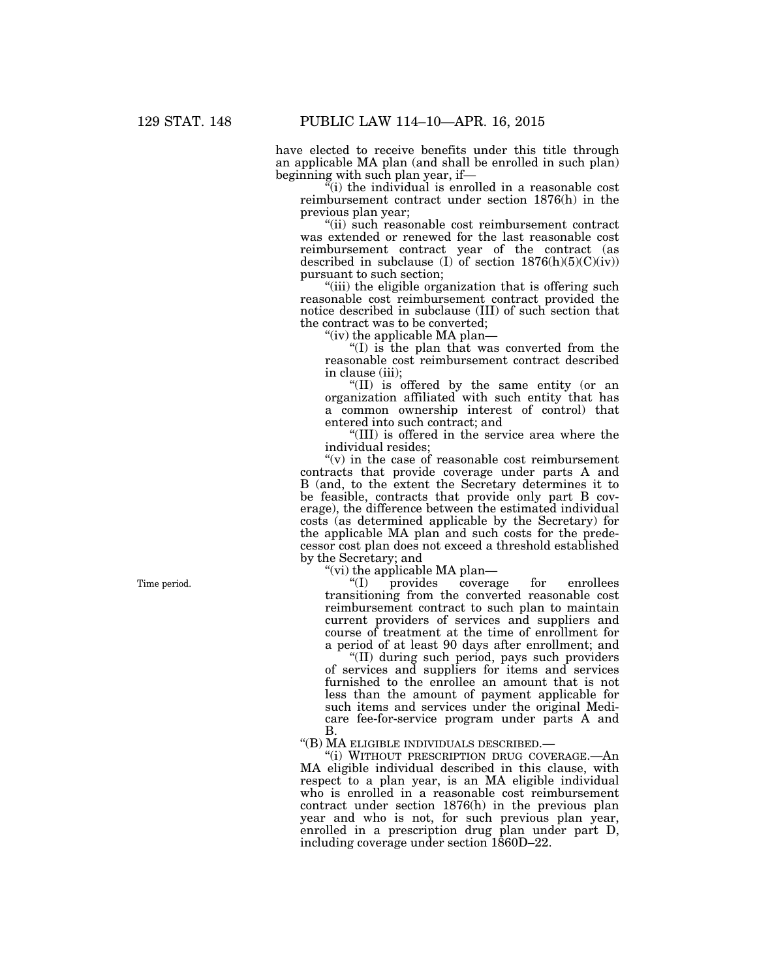have elected to receive benefits under this title through an applicable MA plan (and shall be enrolled in such plan) beginning with such plan year, if—

 $\tilde{f}(i)$  the individual is enrolled in a reasonable cost reimbursement contract under section 1876(h) in the previous plan year;

''(ii) such reasonable cost reimbursement contract was extended or renewed for the last reasonable cost reimbursement contract year of the contract (as described in subclause (I) of section  $1876(h)(5)(C)(iv)$ pursuant to such section;

"(iii) the eligible organization that is offering such reasonable cost reimbursement contract provided the notice described in subclause (III) of such section that the contract was to be converted;

''(iv) the applicable MA plan—

''(I) is the plan that was converted from the reasonable cost reimbursement contract described in clause (iii);

''(II) is offered by the same entity (or an organization affiliated with such entity that has a common ownership interest of control) that entered into such contract; and

''(III) is offered in the service area where the individual resides;

" $(v)$  in the case of reasonable cost reimbursement contracts that provide coverage under parts A and B (and, to the extent the Secretary determines it to be feasible, contracts that provide only part B coverage), the difference between the estimated individual costs (as determined applicable by the Secretary) for the applicable MA plan and such costs for the predecessor cost plan does not exceed a threshold established by the Secretary; and

"(vi) the applicable MA plan—<br>"(I) provides covera provides coverage for enrollees transitioning from the converted reasonable cost reimbursement contract to such plan to maintain current providers of services and suppliers and course of treatment at the time of enrollment for a period of at least 90 days after enrollment; and

''(II) during such period, pays such providers of services and suppliers for items and services furnished to the enrollee an amount that is not less than the amount of payment applicable for such items and services under the original Medicare fee-for-service program under parts A and B.

''(B) MA ELIGIBLE INDIVIDUALS DESCRIBED.—

''(i) WITHOUT PRESCRIPTION DRUG COVERAGE.—An MA eligible individual described in this clause, with respect to a plan year, is an MA eligible individual who is enrolled in a reasonable cost reimbursement contract under section 1876(h) in the previous plan year and who is not, for such previous plan year, enrolled in a prescription drug plan under part D, including coverage under section 1860D–22.

Time period.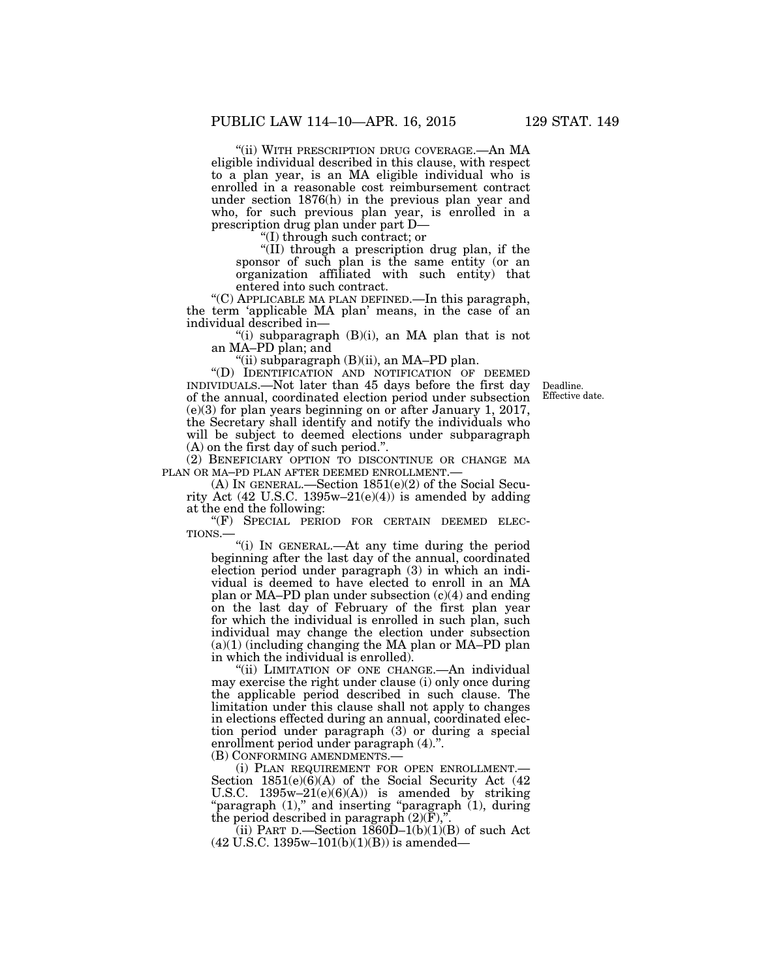"(ii) WITH PRESCRIPTION DRUG COVERAGE.—An MA eligible individual described in this clause, with respect to a plan year, is an MA eligible individual who is enrolled in a reasonable cost reimbursement contract under section 1876(h) in the previous plan year and who, for such previous plan year, is enrolled in a prescription drug plan under part D—

''(I) through such contract; or

''(II) through a prescription drug plan, if the sponsor of such plan is the same entity (or an organization affiliated with such entity) that entered into such contract.

''(C) APPLICABLE MA PLAN DEFINED.—In this paragraph, the term 'applicable MA plan' means, in the case of an individual described in—

"(i) subparagraph  $(B)(i)$ , an MA plan that is not an MA–PD plan; and

"(ii) subparagraph  $(B)(ii)$ , an MA–PD plan.

''(D) IDENTIFICATION AND NOTIFICATION OF DEEMED INDIVIDUALS.—Not later than 45 days before the first day of the annual, coordinated election period under subsection (e)(3) for plan years beginning on or after January 1, 2017, the Secretary shall identify and notify the individuals who will be subject to deemed elections under subparagraph (A) on the first day of such period.''.

(2) BENEFICIARY OPTION TO DISCONTINUE OR CHANGE MA PLAN OR MA–PD PLAN AFTER DEEMED ENROLLMENT.—

(A) IN GENERAL.—Section 1851(e)(2) of the Social Security Act (42 U.S.C. 1395w-21(e)(4)) is amended by adding at the end the following:

"(F) SPECIAL PERIOD FOR CERTAIN DEEMED ELEC-TIONS.—

''(i) IN GENERAL.—At any time during the period beginning after the last day of the annual, coordinated election period under paragraph (3) in which an individual is deemed to have elected to enroll in an MA plan or MA–PD plan under subsection (c)(4) and ending on the last day of February of the first plan year for which the individual is enrolled in such plan, such individual may change the election under subsection (a)(1) (including changing the MA plan or MA–PD plan in which the individual is enrolled).

"(ii) LIMITATION OF ONE CHANGE.—An individual may exercise the right under clause (i) only once during the applicable period described in such clause. The limitation under this clause shall not apply to changes in elections effected during an annual, coordinated election period under paragraph (3) or during a special enrollment period under paragraph (4).''.

(B) CONFORMING AMENDMENTS.—<br>(i) PLAN REQUIREMENT FOR OPEN ENROLLMENT.— Section  $1851(e)(6)(A)$  of the Social Security Act (42) U.S.C.  $1395w-21(e)(6)(A)$  is amended by striking "paragraph  $(1)$ ," and inserting "paragraph  $(1)$ , during the period described in paragraph  $(2)(F)$ ,"

(ii) PART D.—Section  $1860D-1(b)(1)(B)$  of such Act  $(42 \text{ U.S.C. } 1395\text{w}-101(\text{b})(1)(\text{B}))$  is amended—

Deadline. Effective date.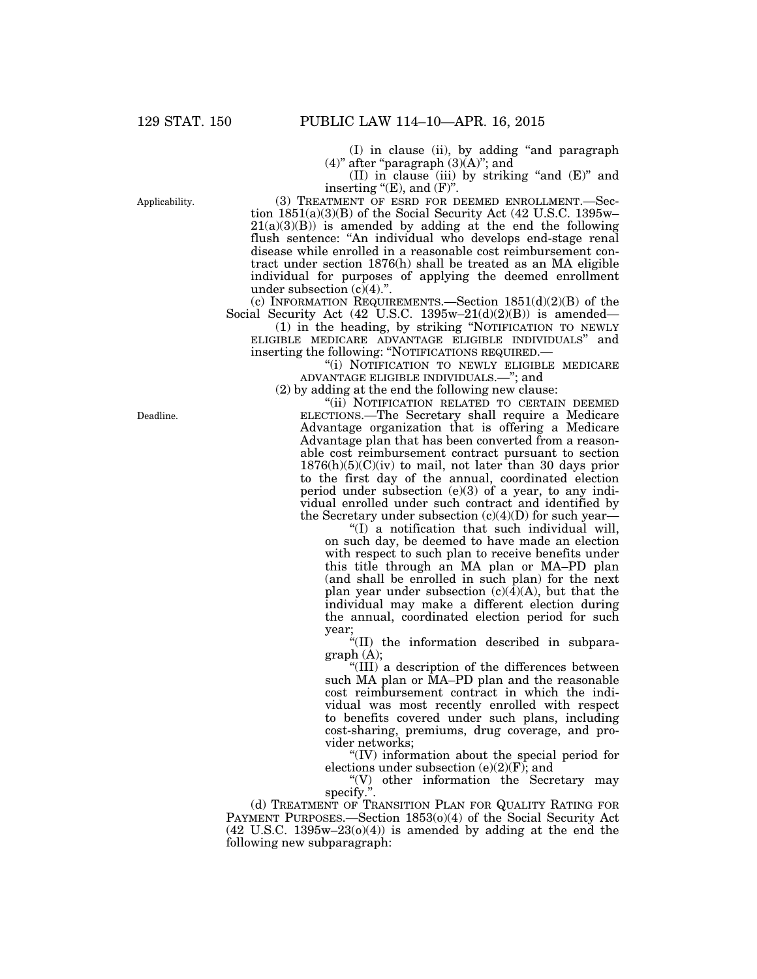(I) in clause (ii), by adding ''and paragraph  $(4)$ " after "paragraph  $(3)(A)$ "; and

(II) in clause (iii) by striking ''and (E)'' and inserting " $(E)$ , and  $(F)$ ".

(3) TREATMENT OF ESRD FOR DEEMED ENROLLMENT.—Section 1851(a)(3)(B) of the Social Security Act (42 U.S.C. 1395w–  $21(a)(3)(B)$  is amended by adding at the end the following flush sentence: "An individual who develops end-stage renal disease while enrolled in a reasonable cost reimbursement contract under section 1876(h) shall be treated as an MA eligible individual for purposes of applying the deemed enrollment under subsection  $(c)(4)$ .".

(c) INFORMATION REQUIREMENTS.—Section 1851(d)(2)(B) of the Social Security Act  $(42 \text{ U.S.C. } 1395\text{w}-21(\text{d})(2)(\text{B}))$  is amended—

(1) in the heading, by striking ''NOTIFICATION TO NEWLY ELIGIBLE MEDICARE ADVANTAGE ELIGIBLE INDIVIDUALS'' and inserting the following: ''NOTIFICATIONS REQUIRED.—

"(i) NOTIFICATION TO NEWLY ELIGIBLE MEDICARE ADVANTAGE ELIGIBLE INDIVIDUALS.—''; and

(2) by adding at the end the following new clause:

"(ii) NOTIFICATION RELATED TO CERTAIN DEEMED ELECTIONS.—The Secretary shall require a Medicare Advantage organization that is offering a Medicare Advantage plan that has been converted from a reasonable cost reimbursement contract pursuant to section  $1876(h)(5)(C)(iv)$  to mail, not later than 30 days prior to the first day of the annual, coordinated election period under subsection (e)(3) of a year, to any individual enrolled under such contract and identified by the Secretary under subsection (c)(4)(D) for such year—

''(I) a notification that such individual will, on such day, be deemed to have made an election with respect to such plan to receive benefits under this title through an MA plan or MA–PD plan (and shall be enrolled in such plan) for the next plan year under subsection  $(c)(4)(A)$ , but that the individual may make a different election during the annual, coordinated election period for such year;

''(II) the information described in subparagraph (A);

''(III) a description of the differences between such MA plan or MA–PD plan and the reasonable cost reimbursement contract in which the individual was most recently enrolled with respect to benefits covered under such plans, including cost-sharing, premiums, drug coverage, and provider networks;

''(IV) information about the special period for elections under subsection  $(e)(2)(F)$ ; and

''(V) other information the Secretary may specify.''.

(d) TREATMENT OF TRANSITION PLAN FOR QUALITY RATING FOR PAYMENT PURPOSES.—Section 1853(o)(4) of the Social Security Act  $(42 \text{ U.S.C. } 1395\text{w}-23(0)(4))$  is amended by adding at the end the following new subparagraph:

Applicability.

Deadline.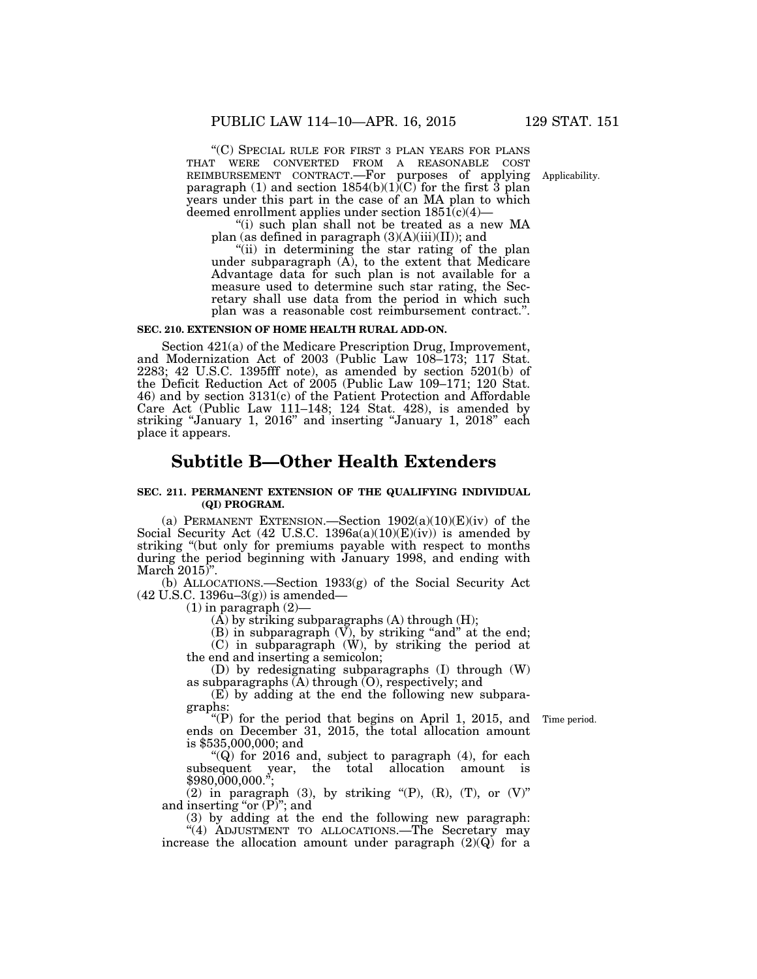''(C) SPECIAL RULE FOR FIRST 3 PLAN YEARS FOR PLANS THAT WERE CONVERTED FROM A REASONABLE COST REIMBURSEMENT CONTRACT.—For purposes of applying paragraph (1) and section  $1854(b)(1)(C)$  for the first 3 plan years under this part in the case of an MA plan to which deemed enrollment applies under section  $1851(c)(4)$ —

''(i) such plan shall not be treated as a new MA plan (as defined in paragraph  $(3)(A)(iii)(II)$ ); and

"(ii) in determining the star rating of the plan under subparagraph  $(A)$ , to the extent that Medicare Advantage data for such plan is not available for a measure used to determine such star rating, the Secretary shall use data from the period in which such plan was a reasonable cost reimbursement contract.''.

#### **SEC. 210. EXTENSION OF HOME HEALTH RURAL ADD-ON.**

Section 421(a) of the Medicare Prescription Drug, Improvement, and Modernization Act of 2003 (Public Law 108–173; 117 Stat. 2283; 42 U.S.C. 1395fff note), as amended by section 5201(b) of the Deficit Reduction Act of 2005 (Public Law 109–171; 120 Stat. 46) and by section 3131(c) of the Patient Protection and Affordable Care Act (Public Law 111–148; 124 Stat. 428), is amended by striking "January 1, 2016" and inserting "January 1, 2018" each place it appears.

# **Subtitle B—Other Health Extenders**

### **SEC. 211. PERMANENT EXTENSION OF THE QUALIFYING INDIVIDUAL (QI) PROGRAM.**

(a) PERMANENT EXTENSION.—Section  $1902(a)(10)(E)(iv)$  of the Social Security Act (42 U.S.C. 1396a(a)(10)(E)(iv)) is amended by striking "(but only for premiums payable with respect to months during the period beginning with January 1998, and ending with March  $2015$ <sup>"</sup>.

(b) ALLOCATIONS.—Section 1933(g) of the Social Security Act (42 U.S.C. 1396u–3(g)) is amended—

 $(1)$  in paragraph  $(2)$ —

 $(A)$  by striking subparagraphs  $(A)$  through  $(H)$ ;

 $(B)$  in subparagraph  $(V)$ , by striking "and" at the end;

(C) in subparagraph (W), by striking the period at the end and inserting a semicolon;

(D) by redesignating subparagraphs (I) through (W) as subparagraphs  $(A)$  through  $(O)$ , respectively; and

(E) by adding at the end the following new subparagraphs:

''(P) for the period that begins on April 1, 2015, and ends on December 31, 2015, the total allocation amount is \$535,000,000; and

" $(Q)$  for 2016 and, subject to paragraph  $(4)$ , for each

subsequent year, the total allocation amount is \$980,000,000.'';

(2) in paragraph (3), by striking " $(P)$ ,  $(R)$ ,  $(T)$ , or  $(V)$ " and inserting "or  $(P)$ "; and

(3) by adding at the end the following new paragraph: "(4) ADJUSTMENT TO ALLOCATIONS.—The Secretary may

increase the allocation amount under paragraph  $(2)(Q)$  for a

Time period.

Applicability.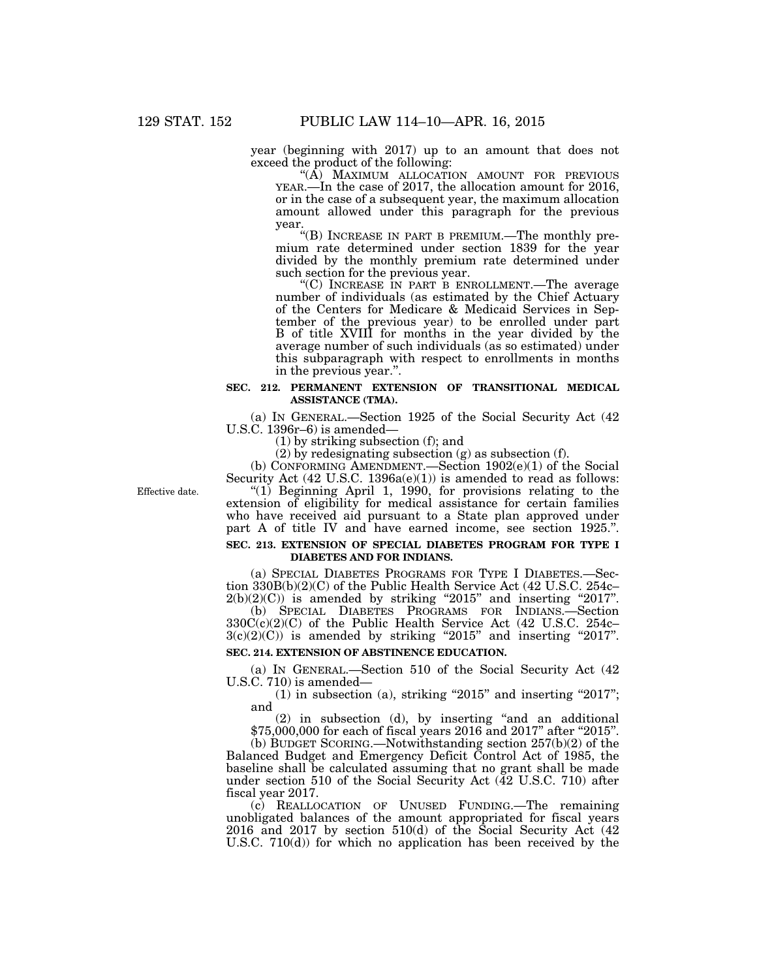year (beginning with 2017) up to an amount that does not exceed the product of the following:

"(A) MAXIMUM ALLOCATION AMOUNT FOR PREVIOUS YEAR.—In the case of 2017, the allocation amount for 2016, or in the case of a subsequent year, the maximum allocation amount allowed under this paragraph for the previous year.

''(B) INCREASE IN PART B PREMIUM.—The monthly premium rate determined under section 1839 for the year divided by the monthly premium rate determined under such section for the previous year.

''(C) INCREASE IN PART B ENROLLMENT.—The average number of individuals (as estimated by the Chief Actuary of the Centers for Medicare & Medicaid Services in September of the previous year) to be enrolled under part B of title XVIII for months in the year divided by the average number of such individuals (as so estimated) under this subparagraph with respect to enrollments in months in the previous year.''.

## **SEC. 212. PERMANENT EXTENSION OF TRANSITIONAL MEDICAL ASSISTANCE (TMA).**

(a) IN GENERAL.—Section 1925 of the Social Security Act (42 U.S.C. 1396r–6) is amended—

(1) by striking subsection (f); and

(2) by redesignating subsection (g) as subsection (f).

(b) CONFORMING AMENDMENT.—Section  $1902(e)(1)$  of the Social

Effective date.

Security Act  $(42 \text{ U.S.C. } 1396a(e)(1))$  is amended to read as follows: "(1) Beginning April 1, 1990, for provisions relating to the extension of eligibility for medical assistance for certain families who have received aid pursuant to a State plan approved under part A of title IV and have earned income, see section 1925.''.

## **SEC. 213. EXTENSION OF SPECIAL DIABETES PROGRAM FOR TYPE I DIABETES AND FOR INDIANS.**

(a) SPECIAL DIABETES PROGRAMS FOR TYPE I DIABETES.—Section 330B(b)(2)(C) of the Public Health Service Act (42 U.S.C. 254c–  $2(b)(2)(C)$  is amended by striking "2015" and inserting "2017". (b) SPECIAL DIABETES PROGRAMS FOR INDIANS.—Section 330C(c)(2)(C) of the Public Health Service Act (42 U.S.C. 254c–  $3(c)(2)(C)$  is amended by striking "2015" and inserting "2017".

# **SEC. 214. EXTENSION OF ABSTINENCE EDUCATION.**

(a) IN GENERAL.—Section 510 of the Social Security Act (42 U.S.C. 710) is amended—

 $(1)$  in subsection (a), striking "2015" and inserting "2017"; and

(2) in subsection (d), by inserting ''and an additional \$75,000,000 for each of fiscal years 2016 and 2017" after "2015".

(b) BUDGET SCORING.—Notwithstanding section 257(b)(2) of the Balanced Budget and Emergency Deficit Control Act of 1985, the baseline shall be calculated assuming that no grant shall be made under section 510 of the Social Security Act  $(\bar{4}2 \text{ U.S.C. } 710)$  after fiscal year 2017.

(c) REALLOCATION OF UNUSED FUNDING.—The remaining unobligated balances of the amount appropriated for fiscal years 2016 and 2017 by section 510(d) of the Social Security Act (42 U.S.C. 710(d)) for which no application has been received by the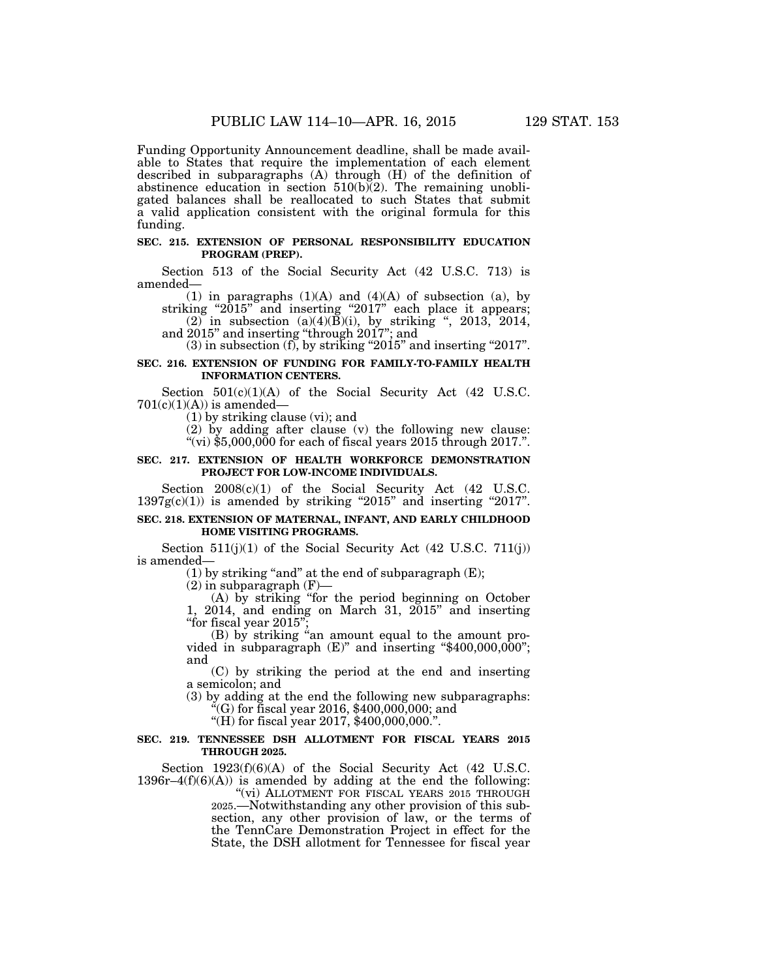Funding Opportunity Announcement deadline, shall be made available to States that require the implementation of each element described in subparagraphs (A) through (H) of the definition of abstinence education in section  $510(b)(2)$ . The remaining unobligated balances shall be reallocated to such States that submit a valid application consistent with the original formula for this funding.

## **SEC. 215. EXTENSION OF PERSONAL RESPONSIBILITY EDUCATION PROGRAM (PREP).**

Section 513 of the Social Security Act (42 U.S.C. 713) is amended—

(1) in paragraphs  $(1)(A)$  and  $(4)(A)$  of subsection  $(a)$ , by striking "2015" and inserting "2017" each place it appears;

 $(2)$  in subsection  $(a)(4)(B)(i)$ , by striking ", 2013, 2014, and 2015'' and inserting ''through 2017''; and

 $(3)$  in subsection  $(f)$ , by striking "2015" and inserting "2017".

# **SEC. 216. EXTENSION OF FUNDING FOR FAMILY-TO-FAMILY HEALTH INFORMATION CENTERS.**

Section  $501(c)(1)(A)$  of the Social Security Act (42 U.S.C.  $701(c)(1)(A)$  is amended—

(1) by striking clause (vi); and

(2) by adding after clause (v) the following new clause: "(vi)  $$5,000,000$  for each of fiscal years  $2015$  through  $2017$ .".

#### **SEC. 217. EXTENSION OF HEALTH WORKFORCE DEMONSTRATION PROJECT FOR LOW-INCOME INDIVIDUALS.**

Section  $2008(c)(1)$  of the Social Security Act (42 U.S.C.  $1397g(c)(1)$  is amended by striking "2015" and inserting "2017".

### **SEC. 218. EXTENSION OF MATERNAL, INFANT, AND EARLY CHILDHOOD HOME VISITING PROGRAMS.**

Section  $511(j)(1)$  of the Social Security Act (42 U.S.C. 711(j)) is amended—

(1) by striking "and" at the end of subparagraph  $(E)$ ;

 $(2)$  in subparagraph  $(F)$ -

(A) by striking ''for the period beginning on October 1, 2014, and ending on March 31, 2015'' and inserting "for fiscal year 2015";

 $(B)$  by striking "an amount equal to the amount provided in subparagraph  $(E)$ " and inserting "\$400,000,000"; and

(C) by striking the period at the end and inserting a semicolon; and

(3) by adding at the end the following new subparagraphs:  $C(G)$  for fiscal year 2016, \$400,000,000; and

''(H) for fiscal year 2017, \$400,000,000.''.

#### **SEC. 219. TENNESSEE DSH ALLOTMENT FOR FISCAL YEARS 2015 THROUGH 2025.**

Section 1923(f)(6)(A) of the Social Security Act (42 U.S.C.  $1396r-4(f)(6)(A)$  is amended by adding at the end the following:

"(vi) ALLOTMENT FOR FISCAL YEARS 2015 THROUGH 2025.—Notwithstanding any other provision of this subsection, any other provision of law, or the terms of the TennCare Demonstration Project in effect for the State, the DSH allotment for Tennessee for fiscal year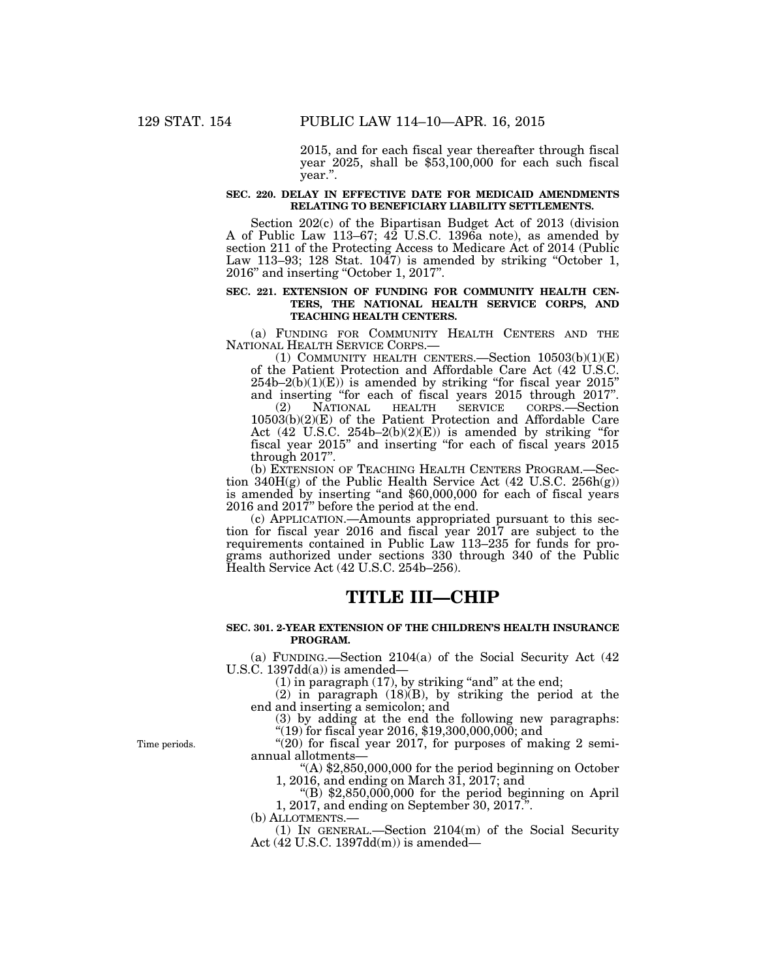2015, and for each fiscal year thereafter through fiscal year 2025, shall be \$53,100,000 for each such fiscal year.''.

## **SEC. 220. DELAY IN EFFECTIVE DATE FOR MEDICAID AMENDMENTS RELATING TO BENEFICIARY LIABILITY SETTLEMENTS.**

Section 202(c) of the Bipartisan Budget Act of 2013 (division A of Public Law 113–67; 42 U.S.C. 1396a note), as amended by section 211 of the Protecting Access to Medicare Act of 2014 (Public Law 113–93; 128 Stat. 1047) is amended by striking "October 1, 2016'' and inserting ''October 1, 2017''.

# **SEC. 221. EXTENSION OF FUNDING FOR COMMUNITY HEALTH CEN-TERS, THE NATIONAL HEALTH SERVICE CORPS, AND TEACHING HEALTH CENTERS.**

(a) FUNDING FOR COMMUNITY HEALTH CENTERS AND THE NATIONAL HEALTH SERVICE CORPS.—

(1) COMMUNITY HEALTH CENTERS.—Section  $10503(b)(1)(E)$ of the Patient Protection and Affordable Care Act (42 U.S.C.  $254b-2(b)(1)(E)$  is amended by striking "for fiscal year  $2015"$ and inserting ''for each of fiscal years 2015 through 2017''.

(2) NATIONAL HEALTH SERVICE CORPS.—Section 10503(b)(2)(E) of the Patient Protection and Affordable Care Act  $(42 \text{ U.S.C. } 254b-2(b)(2)(E))$  is amended by striking "for fiscal year 2015'' and inserting ''for each of fiscal years 2015 through 2017''.

(b) EXTENSION OF TEACHING HEALTH CENTERS PROGRAM.—Section  $340H(g)$  of the Public Health Service Act  $(42 \text{ U.S.C. } 256h(g))$ is amended by inserting "and \$60,000,000 for each of fiscal years 2016 and 2017'' before the period at the end.

(c) APPLICATION.—Amounts appropriated pursuant to this section for fiscal year 2016 and fiscal year 2017 are subject to the requirements contained in Public Law 113–235 for funds for programs authorized under sections 330 through 340 of the Public Health Service Act (42 U.S.C. 254b–256).

# **TITLE III—CHIP**

# **SEC. 301. 2-YEAR EXTENSION OF THE CHILDREN'S HEALTH INSURANCE PROGRAM.**

(a) FUNDING.—Section 2104(a) of the Social Security Act (42 U.S.C.  $1397dd(a)$  is amended—

 $(1)$  in paragraph  $(17)$ , by striking "and" at the end;

(2) in paragraph (18)(B), by striking the period at the end and inserting a semicolon; and

(3) by adding at the end the following new paragraphs: ''(19) for fiscal year 2016, \$19,300,000,000; and

" $(20)$  for fiscal year 2017, for purposes of making 2 semiannual allotments—

''(A) \$2,850,000,000 for the period beginning on October 1, 2016, and ending on March 31, 2017; and

" $(B)$  \$2,850,000,000 for the period beginning on April 1, 2017, and ending on September 30, 2017.''.

(b) ALLOTMENTS.—

(1) IN GENERAL.—Section 2104(m) of the Social Security Act (42 U.S.C. 1397dd(m)) is amended—

Time periods.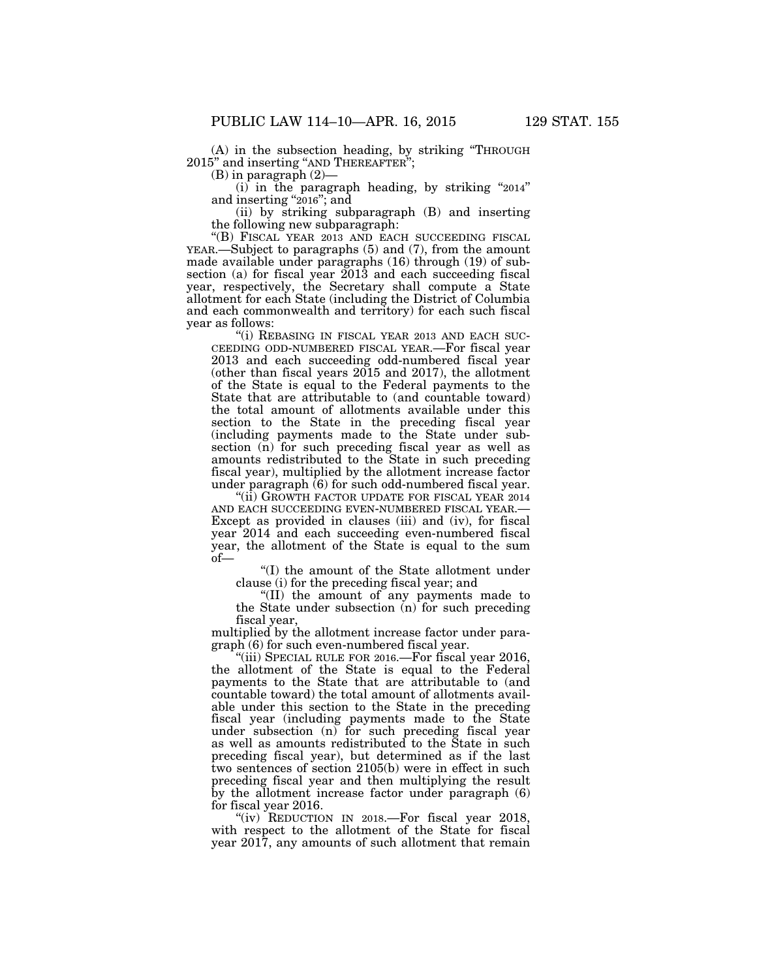(A) in the subsection heading, by striking ''THROUGH 2015'' and inserting ''AND THEREAFTER'';

(B) in paragraph (2)—

 $(i)$  in the paragraph heading, by striking "2014" and inserting "2016"; and

(ii) by striking subparagraph (B) and inserting the following new subparagraph:

''(B) FISCAL YEAR 2013 AND EACH SUCCEEDING FISCAL YEAR.—Subject to paragraphs (5) and (7), from the amount made available under paragraphs (16) through (19) of subsection (a) for fiscal year 2013 and each succeeding fiscal year, respectively, the Secretary shall compute a State allotment for each State (including the District of Columbia and each commonwealth and territory) for each such fiscal year as follows:

"(i) REBASING IN FISCAL YEAR 2013 AND EACH SUC-CEEDING ODD-NUMBERED FISCAL YEAR.—For fiscal year 2013 and each succeeding odd-numbered fiscal year (other than fiscal years 2015 and 2017), the allotment of the State is equal to the Federal payments to the State that are attributable to (and countable toward) the total amount of allotments available under this section to the State in the preceding fiscal year (including payments made to the State under subsection (n) for such preceding fiscal year as well as amounts redistributed to the State in such preceding fiscal year), multiplied by the allotment increase factor under paragraph (6) for such odd-numbered fiscal year.

''(ii) GROWTH FACTOR UPDATE FOR FISCAL YEAR 2014 AND EACH SUCCEEDING EVEN-NUMBERED FISCAL YEAR.— Except as provided in clauses (iii) and (iv), for fiscal year 2014 and each succeeding even-numbered fiscal year, the allotment of the State is equal to the sum of—

''(I) the amount of the State allotment under clause (i) for the preceding fiscal year; and

''(II) the amount of any payments made to the State under subsection (n) for such preceding fiscal year,

multiplied by the allotment increase factor under paragraph (6) for such even-numbered fiscal year.

''(iii) SPECIAL RULE FOR 2016.—For fiscal year 2016, the allotment of the State is equal to the Federal payments to the State that are attributable to (and countable toward) the total amount of allotments available under this section to the State in the preceding fiscal year (including payments made to the State under subsection (n) for such preceding fiscal year as well as amounts redistributed to the State in such preceding fiscal year), but determined as if the last two sentences of section 2105(b) were in effect in such preceding fiscal year and then multiplying the result by the allotment increase factor under paragraph (6) for fiscal year 2016.

"(iv) REDUCTION IN 2018.—For fiscal year 2018, with respect to the allotment of the State for fiscal year 2017, any amounts of such allotment that remain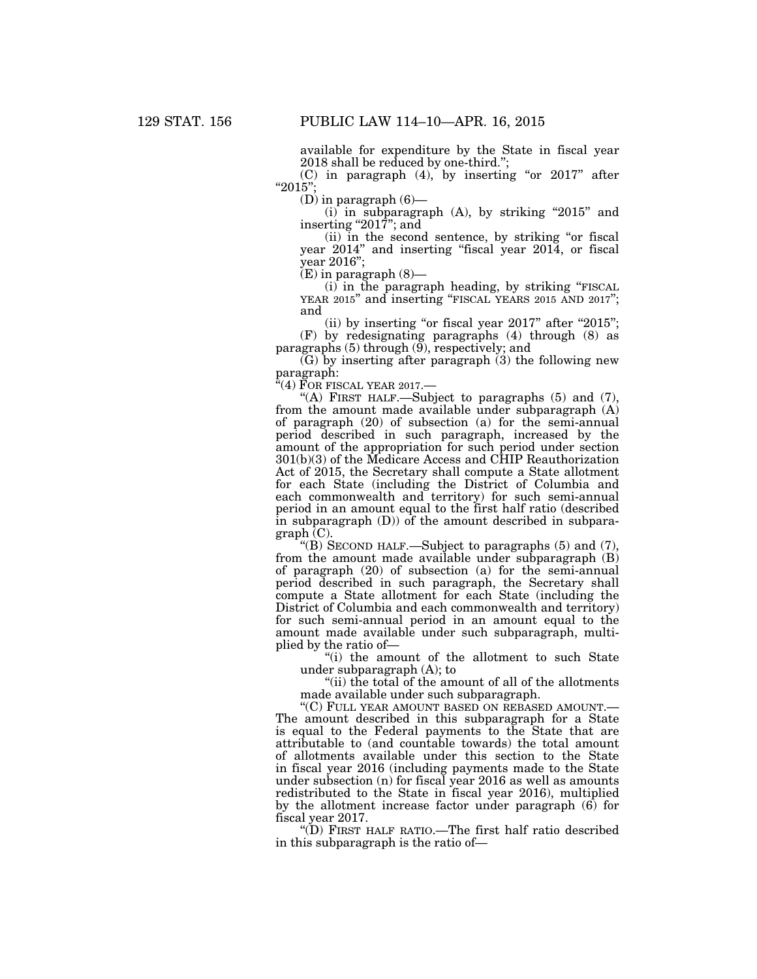available for expenditure by the State in fiscal year 2018 shall be reduced by one-third.'';

(C) in paragraph  $(4)$ , by inserting "or 2017" after ''2015'';

 $(D)$  in paragraph  $(6)$ —

 $(i)$  in subparagraph  $(A)$ , by striking "2015" and inserting "2017"; and

(ii) in the second sentence, by striking ''or fiscal year 2014" and inserting "fiscal year 2014, or fiscal year 2016'';

 $(E)$  in paragraph  $(8)$ —

 $(i)$  in the paragraph heading, by striking "FISCAL YEAR 2015" and inserting "FISCAL YEARS 2015 AND 2017"; and

(ii) by inserting "or fiscal year  $2017$ " after " $2015$ "; (F) by redesignating paragraphs (4) through (8) as paragraphs  $(5)$  through  $(9)$ , respectively; and

 $(G)$  by inserting after paragraph  $(3)$  the following new paragraph:

''(4) FOR FISCAL YEAR 2017.—

''(A) FIRST HALF.—Subject to paragraphs (5) and (7), from the amount made available under subparagraph (A) of paragraph (20) of subsection (a) for the semi-annual period described in such paragraph, increased by the amount of the appropriation for such period under section 301(b)(3) of the Medicare Access and CHIP Reauthorization Act of 2015, the Secretary shall compute a State allotment for each State (including the District of Columbia and each commonwealth and territory) for such semi-annual period in an amount equal to the first half ratio (described in subparagraph (D)) of the amount described in subparagraph (C).

''(B) SECOND HALF.—Subject to paragraphs (5) and (7), from the amount made available under subparagraph (B) of paragraph (20) of subsection (a) for the semi-annual period described in such paragraph, the Secretary shall compute a State allotment for each State (including the District of Columbia and each commonwealth and territory) for such semi-annual period in an amount equal to the amount made available under such subparagraph, multiplied by the ratio of—

''(i) the amount of the allotment to such State under subparagraph (A); to

''(ii) the total of the amount of all of the allotments made available under such subparagraph.

''(C) FULL YEAR AMOUNT BASED ON REBASED AMOUNT.— The amount described in this subparagraph for a State is equal to the Federal payments to the State that are attributable to (and countable towards) the total amount of allotments available under this section to the State in fiscal year 2016 (including payments made to the State under subsection (n) for fiscal year 2016 as well as amounts redistributed to the State in fiscal year 2016), multiplied by the allotment increase factor under paragraph (6) for fiscal year 2017.

''(D) FIRST HALF RATIO.—The first half ratio described in this subparagraph is the ratio of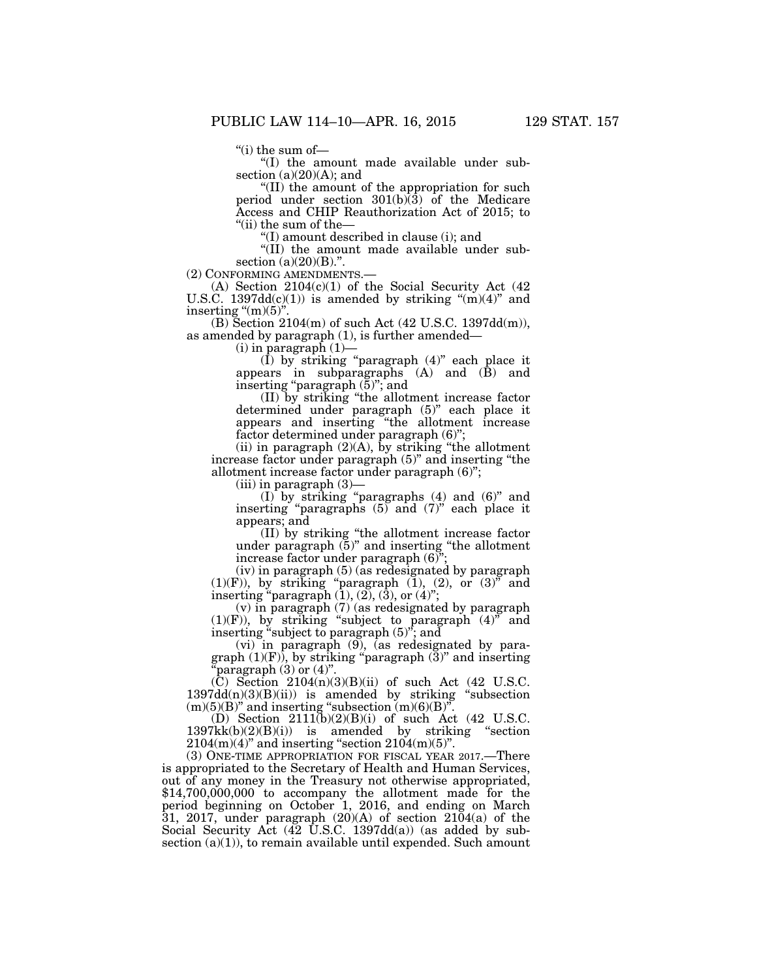''(i) the sum of—

''(I) the amount made available under subsection  $(a)(20)(A)$ ; and

''(II) the amount of the appropriation for such period under section  $301(b)\overline{3}$  of the Medicare Access and CHIP Reauthorization Act of 2015; to ''(ii) the sum of the—

''(I) amount described in clause (i); and

''(II) the amount made available under subsection  $(a)(20)(B)$ .".<br>(2) CONFORMING AMENDMENTS.

(A) Section  $2104(c)(1)$  of the Social Security Act (42) U.S.C.  $1397dd(c)(1)$ ) is amended by striking " $(m)(4)$ " and inserting " $(m)(5)$ "

(B) Section 2104(m) of such Act (42 U.S.C. 1397dd(m)), as amended by paragraph (1), is further amended—

 $(i)$  in paragraph  $(1)$ —

 $(I)$  by striking "paragraph  $(4)$ " each place it appears in subparagraphs (A) and (B) and inserting ''paragraph (5)''; and

(II) by striking ''the allotment increase factor determined under paragraph (5)'' each place it appears and inserting ''the allotment increase factor determined under paragraph (6)'';

(ii) in paragraph  $(2)(A)$ , by striking "the allotment" increase factor under paragraph (5)'' and inserting ''the allotment increase factor under paragraph (6)'';

(iii) in paragraph (3)—

(I) by striking ''paragraphs (4) and (6)'' and inserting "paragraphs (5) and (7)" each place it appears; and

(II) by striking ''the allotment increase factor under paragraph (5)'' and inserting ''the allotment increase factor under paragraph (6)'';

(iv) in paragraph (5) (as redesignated by paragraph  $(1)(F)$ ), by striking "paragraph  $(1)$ ,  $(2)$ , or  $(3)$ " and inserting "paragraph  $(1)$ ,  $(2)$ ,  $(3)$ , or  $(4)$ ";

(v) in paragraph (7) (as redesignated by paragraph  $(1)(F)$ , by striking "subject to paragraph  $(4)$ " and inserting ''subject to paragraph (5)''; and

(vi) in paragraph (9), (as redesignated by paragraph  $(1)(F)$ , by striking "paragraph  $(3)$ " and inserting 'paragraph  $(3)$  or  $(4)$ ".

 $(C)$  Section 2104(n)(3)(B)(ii) of such Act (42 U.S.C.  $1397dd(n)(3)(B)(ii)$  is amended by striking "subsection  $(m)(5)(B)$ " and inserting "subsection  $(m)(6)(B)$ ".

(D) Section 2111(b)(2)(B)(i) of such Act (42 U.S.C. 1397kk(b)(2)(B)(i)) is amended by striking ''section  $2104(m)(4)$ " and inserting "section  $2104(m)(5)$ ".

(3) ONE-TIME APPROPRIATION FOR FISCAL YEAR 2017.—There is appropriated to the Secretary of Health and Human Services, out of any money in the Treasury not otherwise appropriated, \$14,700,000,000 to accompany the allotment made for the period beginning on October 1, 2016, and ending on March 31, 2017, under paragraph (20)(A) of section 2104(a) of the Social Security Act (42 U.S.C. 1397dd(a)) (as added by subsection  $(a)(1)$ , to remain available until expended. Such amount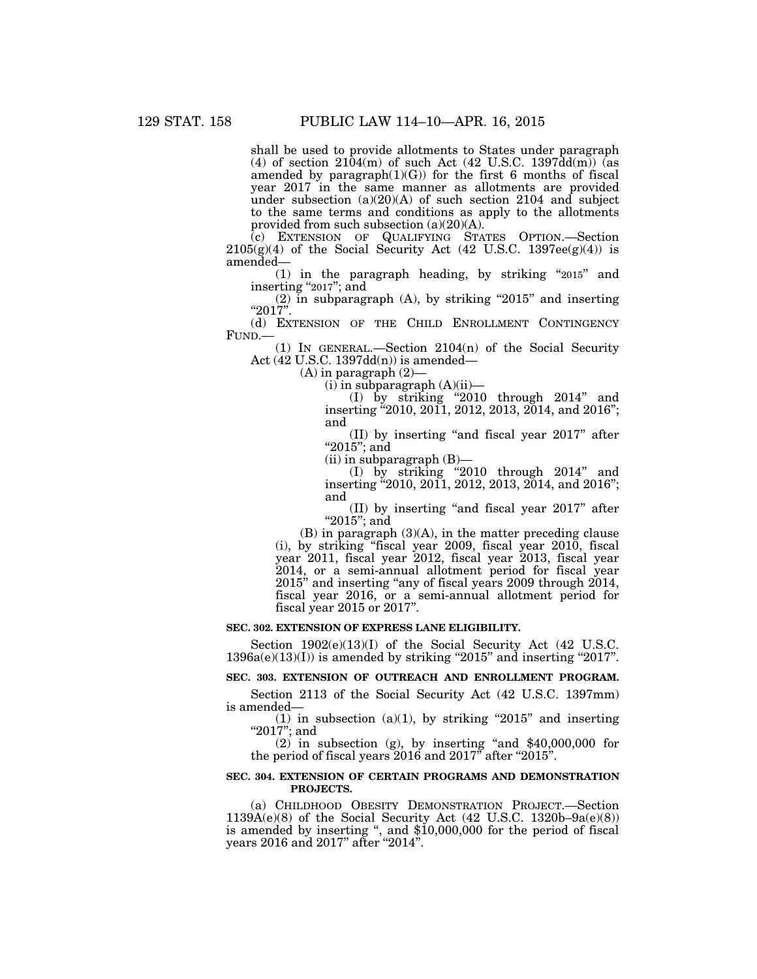shall be used to provide allotments to States under paragraph (4) of section  $2104(m)$  of such Act (42 U.S.C. 1397dd $(m)$ ) (as amended by paragraph $(1)(G)$  for the first 6 months of fiscal year 2017 in the same manner as allotments are provided under subsection  $(a)(20)(A)$  of such section 2104 and subject to the same terms and conditions as apply to the allotments provided from such subsection (a)(20)(A).

(c) EXTENSION OF QUALIFYING STATES OPTION.—Section  $2105(g)(4)$  of the Social Security Act (42 U.S.C. 1397ee(g)(4)) is amended—

(1) in the paragraph heading, by striking ''2015'' and inserting "2017"; and

 $(2)$  in subparagraph  $(A)$ , by striking "2015" and inserting ''2017''.

(d) EXTENSION OF THE CHILD ENROLLMENT CONTINGENCY FUND.—

(1) IN GENERAL.—Section  $2104(n)$  of the Social Security Act (42 U.S.C. 1397dd(n)) is amended—

 $(A)$  in paragraph  $(2)$ —

 $(i)$  in subparagraph  $(A)(ii)$ —

(I) by striking ''2010 through 2014'' and inserting ''2010, 2011, 2012, 2013, 2014, and 2016''; and

(II) by inserting ''and fiscal year 2017'' after "2015"; and

 $(ii)$  in subparagraph  $(B)$ —

(I) by striking ''2010 through 2014'' and inserting "2010, 2011, 2012, 2013, 2014, and 2016"; and

(II) by inserting ''and fiscal year 2017'' after "2015"; and

(B) in paragraph (3)(A), in the matter preceding clause (i), by striking ''fiscal year 2009, fiscal year 2010, fiscal year 2011, fiscal year 2012, fiscal year 2013, fiscal year 2014, or a semi-annual allotment period for fiscal year 2015'' and inserting ''any of fiscal years 2009 through 2014, fiscal year 2016, or a semi-annual allotment period for fiscal year 2015 or 2017''.

#### **SEC. 302. EXTENSION OF EXPRESS LANE ELIGIBILITY.**

Section 1902(e)(13)(I) of the Social Security Act (42 U.S.C.  $1396a(e)(13)(I)$ ) is amended by striking "2015" and inserting "2017".

#### **SEC. 303. EXTENSION OF OUTREACH AND ENROLLMENT PROGRAM.**

Section 2113 of the Social Security Act (42 U.S.C. 1397mm) is amended—

(1) in subsection  $(a)(1)$ , by striking "2015" and inserting " $2017$ "; and

 $(2)$  in subsection  $(g)$ , by inserting "and \$40,000,000 for the period of fiscal years 2016 and 2017" after "2015".

## **SEC. 304. EXTENSION OF CERTAIN PROGRAMS AND DEMONSTRATION PROJECTS.**

(a) CHILDHOOD OBESITY DEMONSTRATION PROJECT.—Section  $1139A(e)(8)$  of the Social Security Act (42 U.S.C. 1320b–9a(e)(8)) is amended by inserting '', and \$10,000,000 for the period of fiscal years 2016 and 2017'' after ''2014''.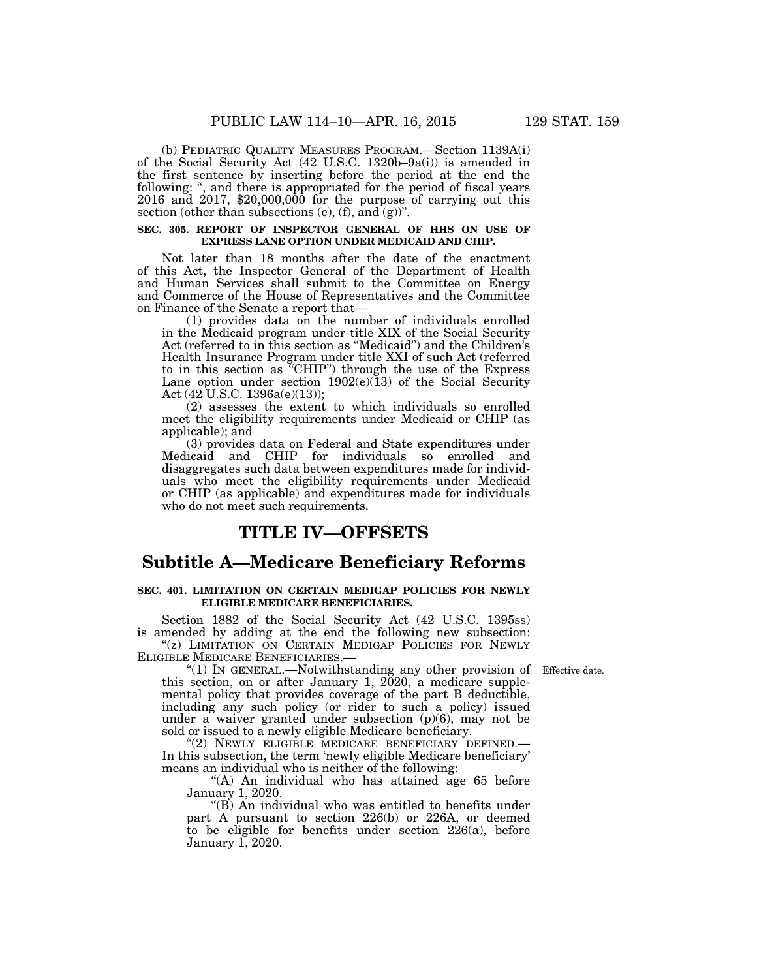(b) PEDIATRIC QUALITY MEASURES PROGRAM.—Section 1139A(i) of the Social Security Act (42 U.S.C. 1320b–9a(i)) is amended in the first sentence by inserting before the period at the end the following: ", and there is appropriated for the period of fiscal years 2016 and 2017, \$20,000,000 for the purpose of carrying out this section (other than subsections (e), (f), and  $(g)$ )".

# SEC. 305. REPORT OF INSPECTOR GENERAL OF HHS ON USE OF **EXPRESS LANE OPTION UNDER MEDICAID AND CHIP.**

Not later than 18 months after the date of the enactment of this Act, the Inspector General of the Department of Health and Human Services shall submit to the Committee on Energy and Commerce of the House of Representatives and the Committee on Finance of the Senate a report that—

(1) provides data on the number of individuals enrolled in the Medicaid program under title XIX of the Social Security Act (referred to in this section as ''Medicaid'') and the Children's Health Insurance Program under title XXI of such Act (referred to in this section as ''CHIP'') through the use of the Express Lane option under section  $1902(e)(13)$  of the Social Security Act  $(42 \text{ U.S.C. } 1396a(e)(13));$ 

(2) assesses the extent to which individuals so enrolled meet the eligibility requirements under Medicaid or CHIP (as applicable); and

(3) provides data on Federal and State expenditures under Medicaid and CHIP for individuals so enrolled and disaggregates such data between expenditures made for individuals who meet the eligibility requirements under Medicaid or CHIP (as applicable) and expenditures made for individuals who do not meet such requirements.

# **TITLE IV—OFFSETS**

# **Subtitle A—Medicare Beneficiary Reforms**

## **SEC. 401. LIMITATION ON CERTAIN MEDIGAP POLICIES FOR NEWLY ELIGIBLE MEDICARE BENEFICIARIES.**

Section 1882 of the Social Security Act (42 U.S.C. 1395ss) is amended by adding at the end the following new subsection: "(z) LIMITATION ON CERTAIN MEDIGAP POLICIES FOR NEWLY ELIGIBLE MEDICARE BENEFICIARIES.—

"(1) IN GENERAL.—Notwithstanding any other provision of Effective date. this section, on or after January 1,  $2020$ , a medicare supplemental policy that provides coverage of the part B deductible, including any such policy (or rider to such a policy) issued under a waiver granted under subsection (p)(6), may not be sold or issued to a newly eligible Medicare beneficiary.

"(2) NEWLY ELIGIBLE MEDICARE BENEFICIARY DEFINED. In this subsection, the term 'newly eligible Medicare beneficiary' means an individual who is neither of the following:

"(A) An individual who has attained age 65 before January 1, 2020.

''(B) An individual who was entitled to benefits under part A pursuant to section 226(b) or 226A, or deemed to be eligible for benefits under section  $226(a)$ , before January 1, 2020.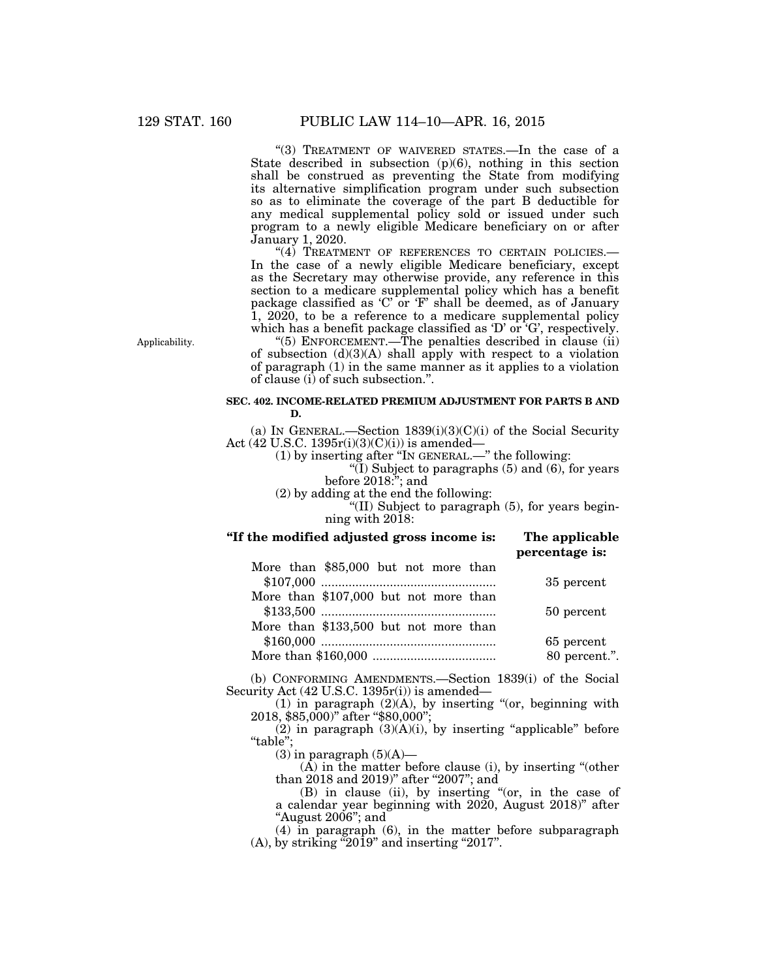"(3) TREATMENT OF WAIVERED STATES.-In the case of a State described in subsection  $(p)(6)$ , nothing in this section shall be construed as preventing the State from modifying its alternative simplification program under such subsection so as to eliminate the coverage of the part B deductible for any medical supplemental policy sold or issued under such program to a newly eligible Medicare beneficiary on or after January 1, 2020.

"(4) TREATMENT OF REFERENCES TO CERTAIN POLICIES. In the case of a newly eligible Medicare beneficiary, except as the Secretary may otherwise provide, any reference in this section to a medicare supplemental policy which has a benefit package classified as 'C' or 'F' shall be deemed, as of January 1, 2020, to be a reference to a medicare supplemental policy which has a benefit package classified as 'D' or 'G', respectively.

Applicability.

"(5) ENFORCEMENT.—The penalties described in clause  $(ii)$ of subsection  $(d)(3)(A)$  shall apply with respect to a violation of paragraph (1) in the same manner as it applies to a violation of clause (i) of such subsection.''.

# **SEC. 402. INCOME-RELATED PREMIUM ADJUSTMENT FOR PARTS B AND D.**

(a) IN GENERAL.—Section  $1839(i)(3)(C)(i)$  of the Social Security Act (42 U.S.C. 1395r(i)(3)(C)(i)) is amended—

(1) by inserting after ''IN GENERAL.—'' the following:

"(I) Subject to paragraphs  $(5)$  and  $(6)$ , for years before 2018:''; and

(2) by adding at the end the following:

"(II) Subject to paragraph  $(5)$ , for years beginning with 2018:

# **''If the modified adjusted gross income is: The applicable percentage is:**

| More than \$85,000 but not more than  |               |
|---------------------------------------|---------------|
|                                       | 35 percent    |
| More than \$107,000 but not more than |               |
|                                       | 50 percent    |
| More than \$133,500 but not more than |               |
|                                       | 65 percent    |
|                                       | 80 percent.". |

(b) CONFORMING AMENDMENTS.—Section 1839(i) of the Social Security Act (42 U.S.C. 1395r(i)) is amended—

 $(1)$  in paragraph  $(2)(A)$ , by inserting "(or, beginning with 2018, \$85,000)'' after ''\$80,000'';

 $(2)$  in paragraph  $(3)(A)(i)$ , by inserting "applicable" before ''table'';

 $(3)$  in paragraph  $(5)(A)$ —

(A) in the matter before clause (i), by inserting ''(other than 2018 and 2019)" after "2007"; and

(B) in clause (ii), by inserting ''(or, in the case of a calendar year beginning with 2020, August 2018)'' after "August 2006"; and

(4) in paragraph (6), in the matter before subparagraph  $(A)$ , by striking "2019" and inserting "2017".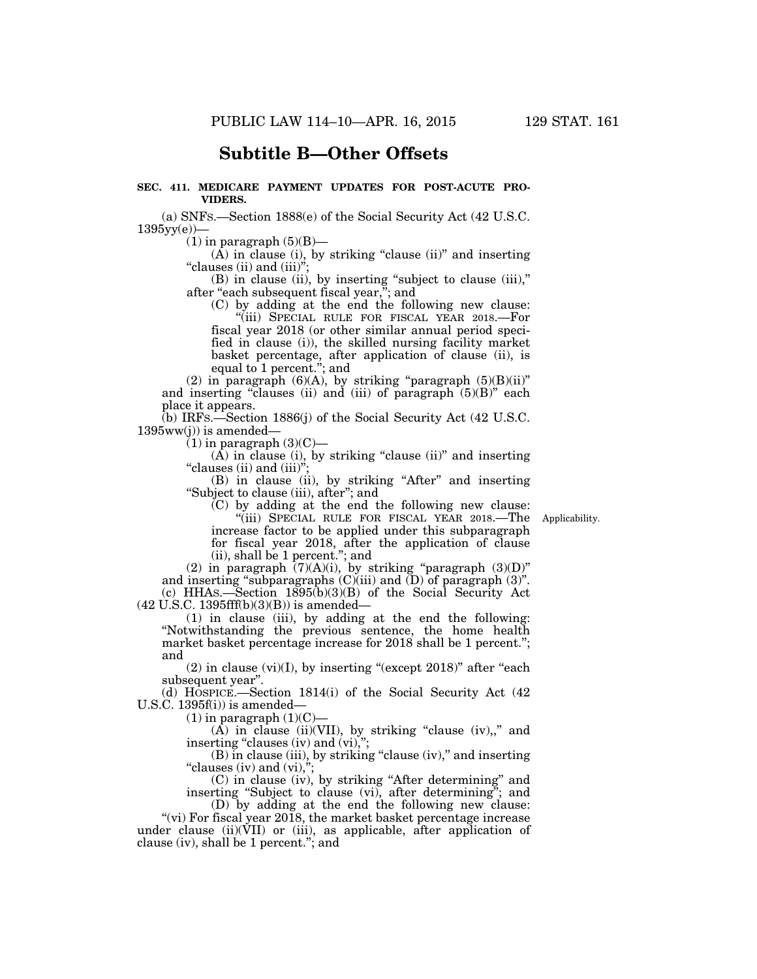# **Subtitle B—Other Offsets**

# **SEC. 411. MEDICARE PAYMENT UPDATES FOR POST-ACUTE PRO-VIDERS.**

(a) SNFS.—Section 1888(e) of the Social Security Act (42 U.S.C. 1395yy(e))—

 $(1)$  in paragraph  $(5)(B)$ —

 $(A)$  in clause (i), by striking "clause (ii)" and inserting ''clauses (ii) and (iii)'';

(B) in clause (ii), by inserting ''subject to clause (iii),'' after ''each subsequent fiscal year,''; and

(C) by adding at the end the following new clause: ''(iii) SPECIAL RULE FOR FISCAL YEAR 2018.—For fiscal year 2018 (or other similar annual period specified in clause (i)), the skilled nursing facility market basket percentage, after application of clause (ii), is equal to 1 percent.''; and

(2) in paragraph  $(6)(A)$ , by striking "paragraph  $(5)(B)(ii)$ " and inserting "clauses (ii) and (iii) of paragraph  $(5)(B)$ " each place it appears.

(b) IRFS.—Section 1886(j) of the Social Security Act (42 U.S.C.  $1395ww(j)$  is amended-

 $(1)$  in paragraph  $(3)(C)$ —

 $(A)$  in clause (i), by striking "clause (ii)" and inserting "clauses (ii) and  $(iii)$ ";

(B) in clause (ii), by striking ''After'' and inserting ''Subject to clause (iii), after''; and

(C) by adding at the end the following new clause:

Applicability.

''(iii) SPECIAL RULE FOR FISCAL YEAR 2018.—The increase factor to be applied under this subparagraph for fiscal year 2018, after the application of clause (ii), shall be 1 percent.''; and

(2) in paragraph  $(7)(A)(i)$ , by striking "paragraph  $(3)(D)$ " and inserting "subparagraphs  $(C)(iii)$  and  $(D)$  of paragraph  $(3)$ ". (c) HHAS.—Section 1895(b)(3)(B) of the Social Security Act  $(42 \text{ U.S.C. } 1395 \text{ff(b)}(3)(B))$  is amended—

(1) in clause (iii), by adding at the end the following: ''Notwithstanding the previous sentence, the home health market basket percentage increase for 2018 shall be 1 percent."; and

 $(2)$  in clause  $(vi)(I)$ , by inserting "(except 2018)" after "each" subsequent year''.

(d)  $H\ddot{o}$ SPICE.—Section 1814(i) of the Social Security Act (42) U.S.C. 1395f(i)) is amended—

 $(1)$  in paragraph  $(1)(C)$ 

 $(A)$  in clause (ii)(VII), by striking "clause (iv),," and inserting "clauses (iv) and (vi),";

(B) in clause (iii), by striking "clause (iv)," and inserting "clauses (iv) and  $(vi)$ ,";

(C) in clause (iv), by striking ''After determining'' and inserting "Subject to clause (vi), after determining"; and

(D) by adding at the end the following new clause: "(vi) For fiscal year  $2018$ , the market basket percentage increase

under clause (ii)(VII) or (iii), as applicable, after application of clause (iv), shall be 1 percent.''; and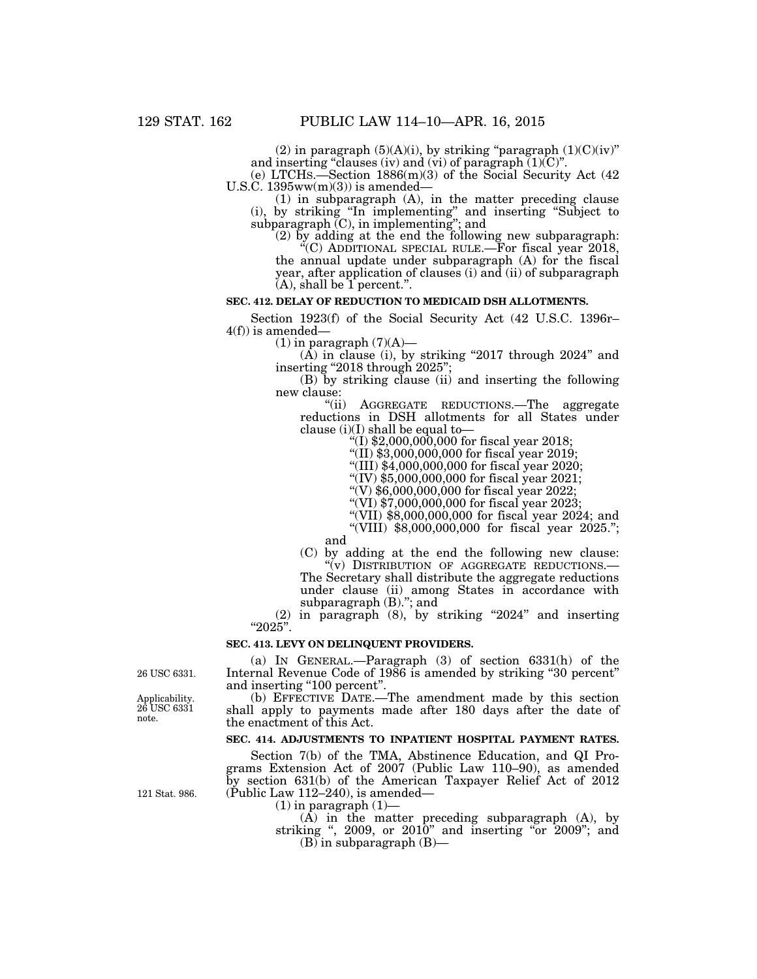(2) in paragraph  $(5)(A)(i)$ , by striking "paragraph  $(1)(C)(iv)$ " and inserting "clauses (iv) and (vi) of paragraph  $(1)(C)$ ".

(e) LTCHS.—Section 1886(m)(3) of the Social Security Act (42 U.S.C. 1395ww(m)(3)) is amended—

(1) in subparagraph (A), in the matter preceding clause (i), by striking ''In implementing'' and inserting ''Subject to  $subparagnb$  (C), in implementing"; and

(2) by adding at the end the following new subparagraph: ''(C) ADDITIONAL SPECIAL RULE.—For fiscal year 2018, the annual update under subparagraph (A) for the fiscal year, after application of clauses (i) and (ii) of subparagraph  $(A)$ , shall be  $1$  percent.".

# **SEC. 412. DELAY OF REDUCTION TO MEDICAID DSH ALLOTMENTS.**

Section 1923(f) of the Social Security Act (42 U.S.C. 1396r–  $4(f)$ ) is amended-

 $(1)$  in paragraph  $(7)(A)$ —

 $(A)$  in clause (i), by striking "2017 through 2024" and inserting "2018 through 2025";

(B) by striking clause (ii) and inserting the following new clause:

''(ii) AGGREGATE REDUCTIONS.—The aggregate reductions in DSH allotments for all States under clause (i)(I) shall be equal to—

''(I) \$2,000,000,000 for fiscal year 2018;

''(II) \$3,000,000,000 for fiscal year 2019;

''(III) \$4,000,000,000 for fiscal year 2020;

''(IV) \$5,000,000,000 for fiscal year 2021;

 $''(V)$  \$6,000,000,000 for fiscal year 2022;

 $''(VI)$  \$7,000,000,000 for fiscal year 2023;

''(VII) \$8,000,000,000 for fiscal year 2024; and ''(VIII) \$8,000,000,000 for fiscal year 2025.'';

and

(C) by adding at the end the following new clause: ''(v) DISTRIBUTION OF AGGREGATE REDUCTIONS.—

The Secretary shall distribute the aggregate reductions under clause (ii) among States in accordance with subparagraph (B).''; and

(2) in paragraph (8), by striking ''2024'' and inserting "2025".

#### **SEC. 413. LEVY ON DELINQUENT PROVIDERS.**

(a) IN GENERAL.—Paragraph (3) of section 6331(h) of the Internal Revenue Code of 1986 is amended by striking ''30 percent'' and inserting "100 percent".

(b) EFFECTIVE DATE.—The amendment made by this section shall apply to payments made after 180 days after the date of the enactment of this Act.

# **SEC. 414. ADJUSTMENTS TO INPATIENT HOSPITAL PAYMENT RATES.**

Section 7(b) of the TMA, Abstinence Education, and QI Programs Extension Act of 2007 (Public Law 110–90), as amended by section 631(b) of the American Taxpayer Relief Act of 2012 (Public Law 112–240), is amended—

 $(1)$  in paragraph  $(1)$ –

(A) in the matter preceding subparagraph (A), by striking ", 2009, or 2010" and inserting "or 2009"; and  $(B)$  in subparagraph  $(B)$ —

26 USC 6331.

Applicability. 26 USC 6331 note.

121 Stat. 986.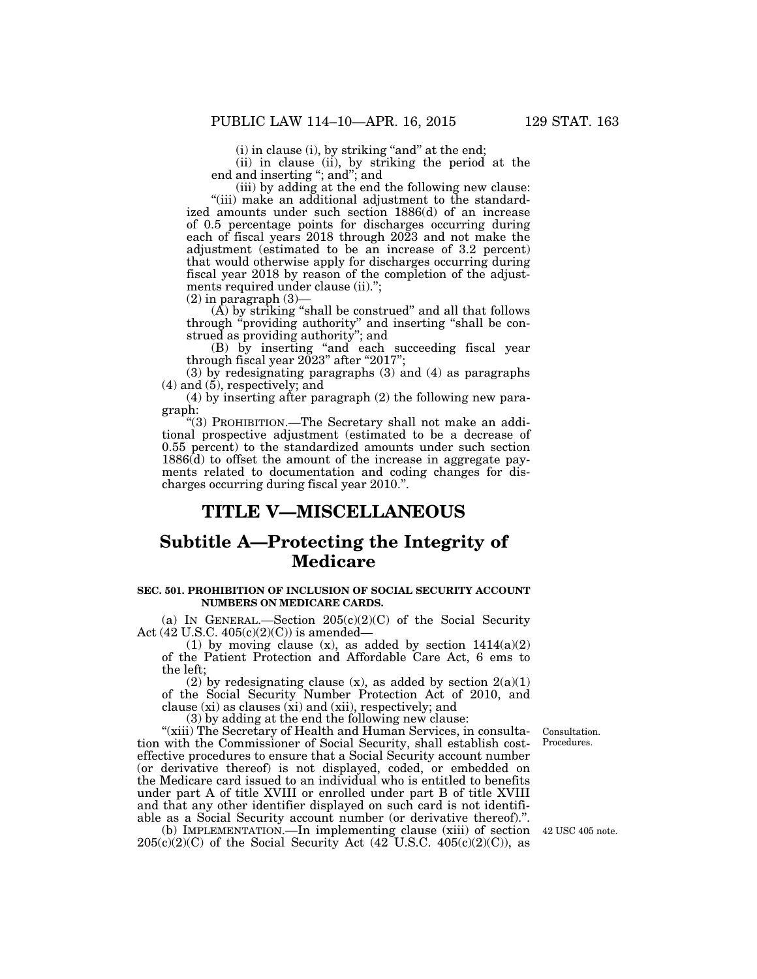(i) in clause (i), by striking "and" at the end;

(ii) in clause (ii), by striking the period at the end and inserting ''; and''; and

(iii) by adding at the end the following new clause: "(iii) make an additional adjustment to the standardized amounts under such section 1886(d) of an increase of 0.5 percentage points for discharges occurring during each of fiscal years 2018 through 2023 and not make the adjustment (estimated to be an increase of 3.2 percent) that would otherwise apply for discharges occurring during fiscal year 2018 by reason of the completion of the adjustments required under clause (ii).";

 $(2)$  in paragraph  $(3)$ -

 $(\overrightarrow{A})$  by striking "shall be construed" and all that follows through ''providing authority'' and inserting ''shall be construed as providing authority''; and

(B) by inserting ''and each succeeding fiscal year through fiscal year  $2023$ " after " $2017$ ";

(3) by redesignating paragraphs (3) and (4) as paragraphs (4) and (5), respectively; and

(4) by inserting after paragraph (2) the following new paragraph:

"(3) PROHIBITION.—The Secretary shall not make an additional prospective adjustment (estimated to be a decrease of 0.55 percent) to the standardized amounts under such section 1886(d) to offset the amount of the increase in aggregate payments related to documentation and coding changes for discharges occurring during fiscal year 2010.''.

# **TITLE V—MISCELLANEOUS**

# **Subtitle A—Protecting the Integrity of Medicare**

# **SEC. 501. PROHIBITION OF INCLUSION OF SOCIAL SECURITY ACCOUNT NUMBERS ON MEDICARE CARDS.**

(a) IN GENERAL.—Section  $205(c)(2)(C)$  of the Social Security Act (42 U.S.C. 405(c)(2)(C)) is amended—

(1) by moving clause  $(x)$ , as added by section  $1414(a)(2)$ of the Patient Protection and Affordable Care Act, 6 ems to the left;

(2) by redesignating clause  $(x)$ , as added by section  $2(a)(1)$ of the Social Security Number Protection Act of 2010, and clause (xi) as clauses (xi) and (xii), respectively; and

(3) by adding at the end the following new clause:

"(xiii) The Secretary of Health and Human Services, in consultation with the Commissioner of Social Security, shall establish costeffective procedures to ensure that a Social Security account number (or derivative thereof) is not displayed, coded, or embedded on the Medicare card issued to an individual who is entitled to benefits under part A of title XVIII or enrolled under part B of title XVIII and that any other identifier displayed on such card is not identifiable as a Social Security account number (or derivative thereof).''.

(b) IMPLEMENTATION.—In implementing clause (xiii) of section 42 USC 405 note.  $205(c)(2)(C)$  of the Social Security Act  $(42\text{ U.S.C. } 405(c)(2)(C))$ , as

Consultation. Procedures.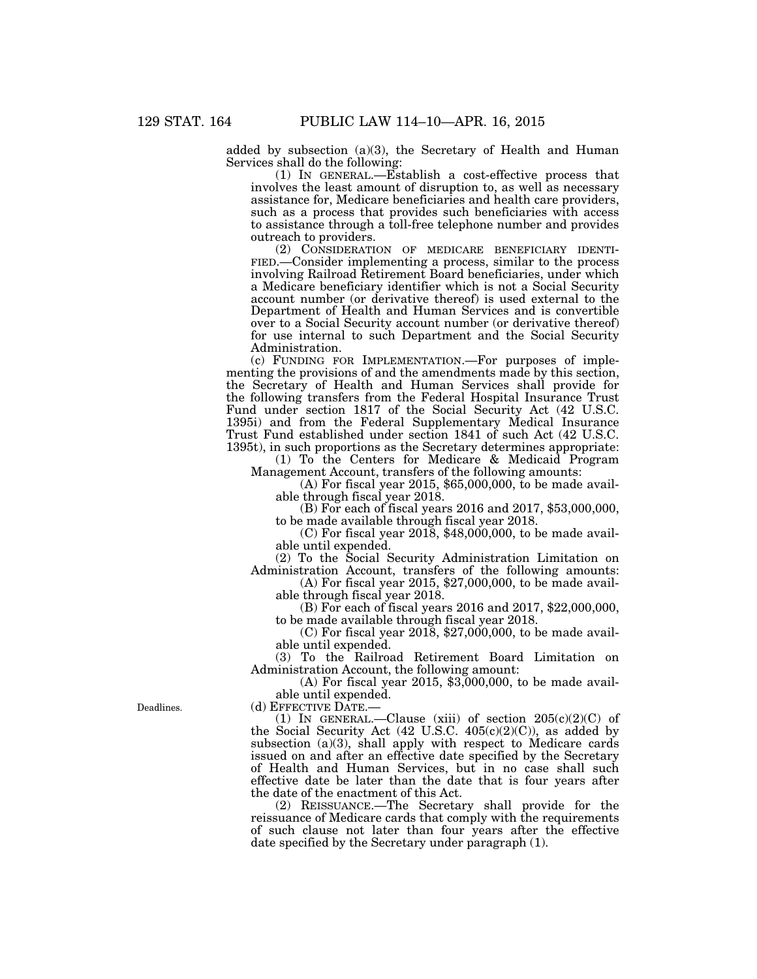added by subsection (a)(3), the Secretary of Health and Human Services shall do the following:

(1) IN GENERAL.—Establish a cost-effective process that involves the least amount of disruption to, as well as necessary assistance for, Medicare beneficiaries and health care providers, such as a process that provides such beneficiaries with access to assistance through a toll-free telephone number and provides outreach to providers.<br>
(2) CONSIDERATION OF MEDICARE BENEFICIARY IDENTI-

FIED.—Consider implementing a process, similar to the process involving Railroad Retirement Board beneficiaries, under which a Medicare beneficiary identifier which is not a Social Security account number (or derivative thereof) is used external to the Department of Health and Human Services and is convertible over to a Social Security account number (or derivative thereof) for use internal to such Department and the Social Security Administration.

(c) FUNDING FOR IMPLEMENTATION.—For purposes of implementing the provisions of and the amendments made by this section, the Secretary of Health and Human Services shall provide for the following transfers from the Federal Hospital Insurance Trust Fund under section 1817 of the Social Security Act (42 U.S.C. 1395i) and from the Federal Supplementary Medical Insurance Trust Fund established under section 1841 of such Act (42 U.S.C. 1395t), in such proportions as the Secretary determines appropriate:

(1) To the Centers for Medicare & Medicaid Program Management Account, transfers of the following amounts:

(A) For fiscal year 2015, \$65,000,000, to be made available through fiscal year 2018.

(B) For each of fiscal years 2016 and 2017, \$53,000,000, to be made available through fiscal year 2018.

 $(C)$  For fiscal year 2018, \$48,000,000, to be made available until expended.

(2) To the Social Security Administration Limitation on

Administration Account, transfers of the following amounts: (A) For fiscal year 2015, \$27,000,000, to be made available through fiscal year 2018.

(B) For each of fiscal years 2016 and 2017, \$22,000,000, to be made available through fiscal year 2018.

(C) For fiscal year 2018, \$27,000,000, to be made available until expended.

(3) To the Railroad Retirement Board Limitation on Administration Account, the following amount:

(A) For fiscal year 2015, \$3,000,000, to be made available until expended.

(d) EFFECTIVE DATE.—

(1) IN GENERAL.—Clause (xiii) of section  $205(c)(2)(C)$  of the Social Security Act  $(42 \text{ U.S.C. } 405(c)(2)(C))$ , as added by subsection (a)(3), shall apply with respect to Medicare cards issued on and after an effective date specified by the Secretary of Health and Human Services, but in no case shall such effective date be later than the date that is four years after the date of the enactment of this Act.

(2) REISSUANCE.—The Secretary shall provide for the reissuance of Medicare cards that comply with the requirements of such clause not later than four years after the effective date specified by the Secretary under paragraph (1).

Deadlines.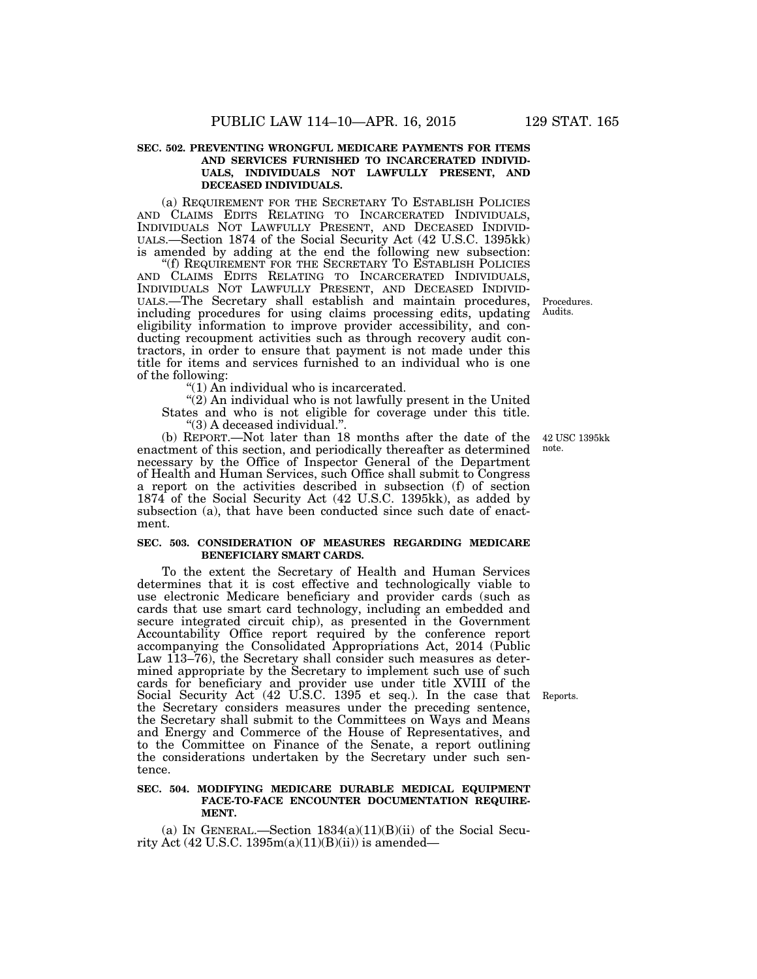# **SEC. 502. PREVENTING WRONGFUL MEDICARE PAYMENTS FOR ITEMS AND SERVICES FURNISHED TO INCARCERATED INDIVID-UALS, INDIVIDUALS NOT LAWFULLY PRESENT, AND DECEASED INDIVIDUALS.**

(a) REQUIREMENT FOR THE SECRETARY TO ESTABLISH POLICIES AND CLAIMS EDITS RELATING TO INCARCERATED INDIVIDUALS, INDIVIDUALS NOT LAWFULLY PRESENT, AND DECEASED INDIVID-UALS.—Section 1874 of the Social Security Act (42 U.S.C. 1395kk) is amended by adding at the end the following new subsection:

''(f) REQUIREMENT FOR THE SECRETARY TO ESTABLISH POLICIES AND CLAIMS EDITS RELATING TO INCARCERATED INDIVIDUALS, INDIVIDUALS NOT LAWFULLY PRESENT, AND DECEASED INDIVID-UALS.—The Secretary shall establish and maintain procedures, including procedures for using claims processing edits, updating eligibility information to improve provider accessibility, and conducting recoupment activities such as through recovery audit contractors, in order to ensure that payment is not made under this title for items and services furnished to an individual who is one of the following:

''(1) An individual who is incarcerated.

"(2) An individual who is not lawfully present in the United States and who is not eligible for coverage under this title. ''(3) A deceased individual.''.

(b) REPORT.—Not later than 18 months after the date of the enactment of this section, and periodically thereafter as determined necessary by the Office of Inspector General of the Department of Health and Human Services, such Office shall submit to Congress a report on the activities described in subsection (f) of section 1874 of the Social Security Act (42 U.S.C. 1395kk), as added by subsection (a), that have been conducted since such date of enactment.

# **SEC. 503. CONSIDERATION OF MEASURES REGARDING MEDICARE BENEFICIARY SMART CARDS.**

To the extent the Secretary of Health and Human Services determines that it is cost effective and technologically viable to use electronic Medicare beneficiary and provider cards (such as cards that use smart card technology, including an embedded and secure integrated circuit chip), as presented in the Government Accountability Office report required by the conference report accompanying the Consolidated Appropriations Act, 2014 (Public Law 113–76), the Secretary shall consider such measures as determined appropriate by the Secretary to implement such use of such cards for beneficiary and provider use under title XVIII of the Social Security Act (42 U.S.C. 1395 et seq.). In the case that Reports. the Secretary considers measures under the preceding sentence, the Secretary shall submit to the Committees on Ways and Means and Energy and Commerce of the House of Representatives, and to the Committee on Finance of the Senate, a report outlining the considerations undertaken by the Secretary under such sentence.

#### **SEC. 504. MODIFYING MEDICARE DURABLE MEDICAL EQUIPMENT FACE-TO-FACE ENCOUNTER DOCUMENTATION REQUIRE-MENT.**

(a) IN GENERAL.—Section  $1834(a)(11)(B)(ii)$  of the Social Security Act (42 U.S.C. 1395 $m(a)(11)(B)(ii)$ ) is amended—

42 USC 1395kk

note.

Procedures. Audits.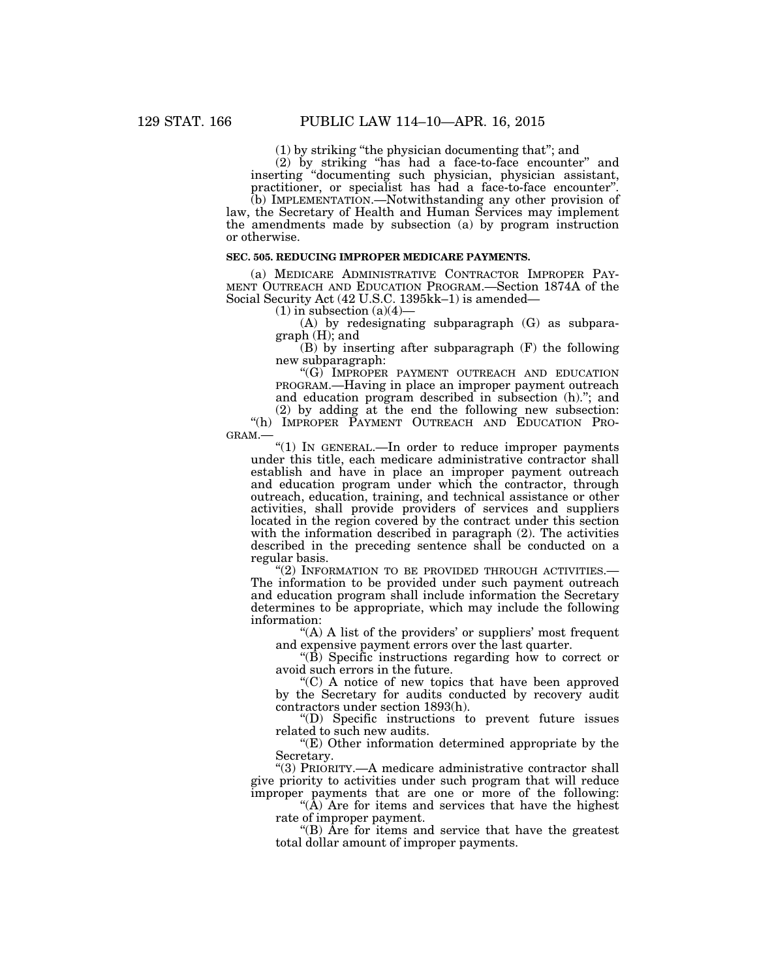(1) by striking ''the physician documenting that''; and

(2) by striking ''has had a face-to-face encounter'' and inserting ''documenting such physician, physician assistant, practitioner, or specialist has had a face-to-face encounter''.

(b) IMPLEMENTATION.—Notwithstanding any other provision of law, the Secretary of Health and Human Services may implement the amendments made by subsection (a) by program instruction or otherwise.

### **SEC. 505. REDUCING IMPROPER MEDICARE PAYMENTS.**

(a) MEDICARE ADMINISTRATIVE CONTRACTOR IMPROPER PAY- MENT OUTREACH AND EDUCATION PROGRAM.—Section 1874A of the Social Security Act (42 U.S.C. 1395kk–1) is amended—

 $(1)$  in subsection  $(a)(4)$ 

(A) by redesignating subparagraph (G) as subparagraph (H); and

(B) by inserting after subparagraph (F) the following new subparagraph:

''(G) IMPROPER PAYMENT OUTREACH AND EDUCATION PROGRAM.—Having in place an improper payment outreach and education program described in subsection (h).''; and

(2) by adding at the end the following new subsection: ''(h) IMPROPER PAYMENT OUTREACH AND EDUCATION PRO-GRAM.—

''(1) IN GENERAL.—In order to reduce improper payments under this title, each medicare administrative contractor shall establish and have in place an improper payment outreach and education program under which the contractor, through outreach, education, training, and technical assistance or other activities, shall provide providers of services and suppliers located in the region covered by the contract under this section with the information described in paragraph (2). The activities described in the preceding sentence shall be conducted on a regular basis.<br>
"(2) INFORMATION TO BE PROVIDED THROUGH ACTIVITIES.

The information to be provided under such payment outreach and education program shall include information the Secretary determines to be appropriate, which may include the following information:

"(A) A list of the providers' or suppliers' most frequent and expensive payment errors over the last quarter.

 $\rm{``(B)}$  Specific instructions regarding how to correct or avoid such errors in the future.

''(C) A notice of new topics that have been approved by the Secretary for audits conducted by recovery audit contractors under section 1893(h).

''(D) Specific instructions to prevent future issues related to such new audits.

 $E$ ) Other information determined appropriate by the Secretary.

''(3) PRIORITY.—A medicare administrative contractor shall give priority to activities under such program that will reduce improper payments that are one or more of the following:

" $(\overline{A})$  Are for items and services that have the highest rate of improper payment.

''(B) Are for items and service that have the greatest total dollar amount of improper payments.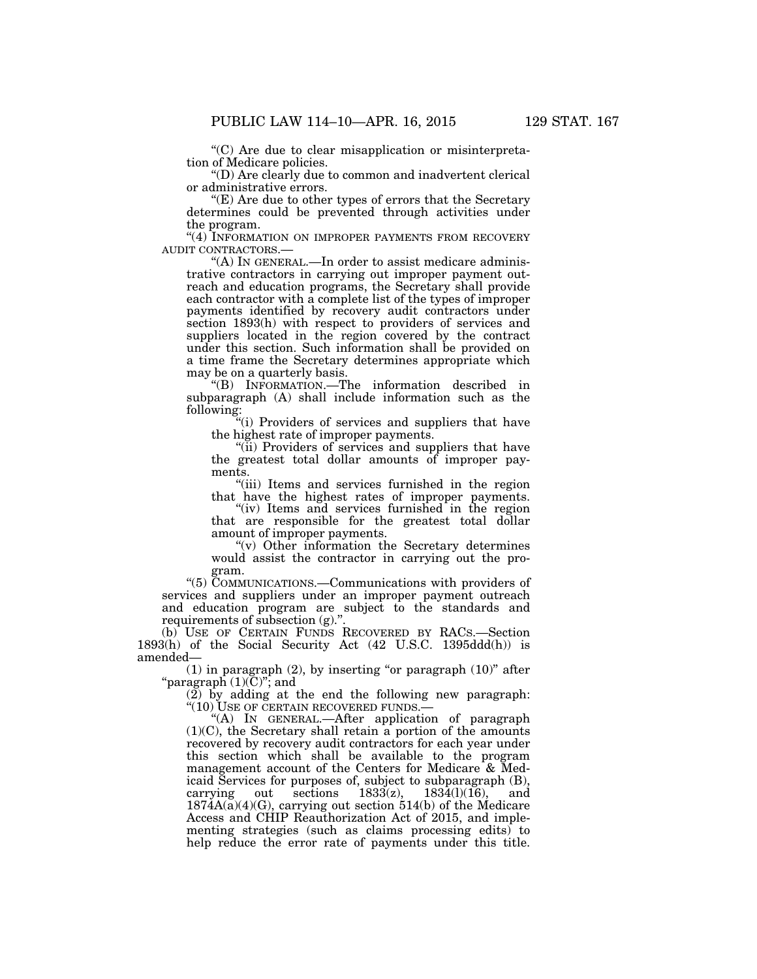''(C) Are due to clear misapplication or misinterpretation of Medicare policies.

''(D) Are clearly due to common and inadvertent clerical or administrative errors.

''(E) Are due to other types of errors that the Secretary determines could be prevented through activities under the program.

 $\lq\lq$  INFORMATION ON IMPROPER PAYMENTS FROM RECOVERY AUDIT CONTRACTORS.—

"(A) In GENERAL.—In order to assist medicare administrative contractors in carrying out improper payment outreach and education programs, the Secretary shall provide each contractor with a complete list of the types of improper payments identified by recovery audit contractors under section 1893(h) with respect to providers of services and suppliers located in the region covered by the contract under this section. Such information shall be provided on a time frame the Secretary determines appropriate which may be on a quarterly basis.

''(B) INFORMATION.—The information described in subparagraph (A) shall include information such as the following:

''(i) Providers of services and suppliers that have the highest rate of improper payments.

"(ii) Providers of services and suppliers that have the greatest total dollar amounts of improper payments.

"(iii) Items and services furnished in the region that have the highest rates of improper payments.

"(iv) Items and services furnished in the region that are responsible for the greatest total dollar amount of improper payments.

''(v) Other information the Secretary determines would assist the contractor in carrying out the program.

''(5) COMMUNICATIONS.—Communications with providers of services and suppliers under an improper payment outreach and education program are subject to the standards and requirements of subsection (g).'

(b) USE OF CERTAIN FUNDS RECOVERED BY RACS.—Section 1893(h) of the Social Security Act (42 U.S.C. 1395ddd(h)) is amended—

 $(1)$  in paragraph  $(2)$ , by inserting "or paragraph  $(10)$ " after "paragraph  $(1)(\mathrm{\tilde{C}})$ "; and

 $(2)$  by adding at the end the following new paragraph:  $\cdot$  (10) USE OF CERTAIN RECOVERED FUNDS.

''(A) IN GENERAL.—After application of paragraph (1)(C), the Secretary shall retain a portion of the amounts recovered by recovery audit contractors for each year under this section which shall be available to the program management account of the Centers for Medicare & Medicaid Services for purposes of, subject to subparagraph (B), carrying out sections  $1833(z)$ ,  $1834(l)(16)$ , and  $183\overline{4}(l)(16)$ , and  $1874A(a)(4)(G)$ , carrying out section 514(b) of the Medicare Access and CHIP Reauthorization Act of 2015, and implementing strategies (such as claims processing edits) to help reduce the error rate of payments under this title.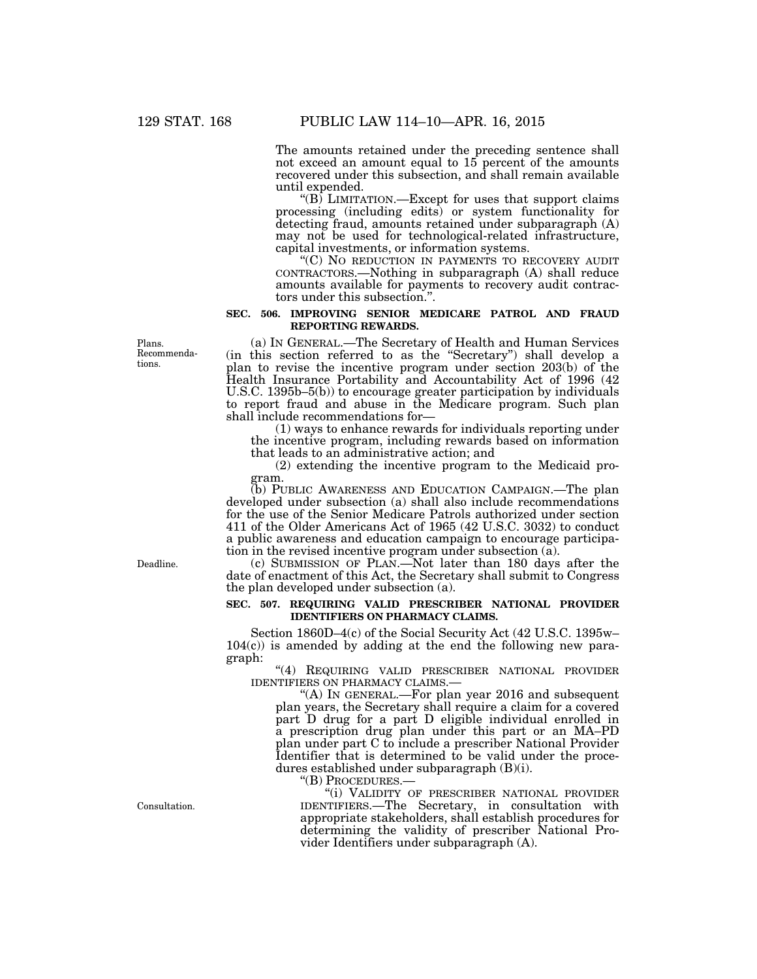The amounts retained under the preceding sentence shall not exceed an amount equal to 15 percent of the amounts recovered under this subsection, and shall remain available until expended.

" $(B)$  LIMITATION.—Except for uses that support claims processing (including edits) or system functionality for detecting fraud, amounts retained under subparagraph (A) may not be used for technological-related infrastructure, capital investments, or information systems.

''(C) NO REDUCTION IN PAYMENTS TO RECOVERY AUDIT CONTRACTORS.—Nothing in subparagraph (A) shall reduce amounts available for payments to recovery audit contractors under this subsection.''.

# **SEC. 506. IMPROVING SENIOR MEDICARE PATROL AND FRAUD REPORTING REWARDS.**

(a) IN GENERAL.—The Secretary of Health and Human Services (in this section referred to as the ''Secretary'') shall develop a plan to revise the incentive program under section 203(b) of the Health Insurance Portability and Accountability Act of 1996 (42 U.S.C. 1395b–5(b)) to encourage greater participation by individuals to report fraud and abuse in the Medicare program. Such plan shall include recommendations for—

(1) ways to enhance rewards for individuals reporting under the incentive program, including rewards based on information that leads to an administrative action; and

(2) extending the incentive program to the Medicaid program.

(b) PUBLIC AWARENESS AND EDUCATION CAMPAIGN.—The plan developed under subsection (a) shall also include recommendations for the use of the Senior Medicare Patrols authorized under section 411 of the Older Americans Act of 1965 (42 U.S.C. 3032) to conduct a public awareness and education campaign to encourage participation in the revised incentive program under subsection (a).

(c) SUBMISSION OF PLAN.—Not later than 180 days after the date of enactment of this Act, the Secretary shall submit to Congress the plan developed under subsection (a).

# **SEC. 507. REQUIRING VALID PRESCRIBER NATIONAL PROVIDER IDENTIFIERS ON PHARMACY CLAIMS.**

Section 1860D–4(c) of the Social Security Act (42 U.S.C. 1395w–  $104(c)$  is amended by adding at the end the following new paragraph:

 $\lq\lq q$  Requiring valid prescriber national provider identifiers on pharmacy claims.—

"(A) IN GENERAL.—For plan year  $2016$  and subsequent plan years, the Secretary shall require a claim for a covered part D drug for a part D eligible individual enrolled in a prescription drug plan under this part or an MA–PD plan under part C to include a prescriber National Provider Identifier that is determined to be valid under the procedures established under subparagraph (B)(i).

"(B) PROCEDURES.

''(i) VALIDITY OF PRESCRIBER NATIONAL PROVIDER IDENTIFIERS.—The Secretary, in consultation with appropriate stakeholders, shall establish procedures for determining the validity of prescriber National Provider Identifiers under subparagraph (A).

Plans. Recommendations.

Deadline.

Consultation.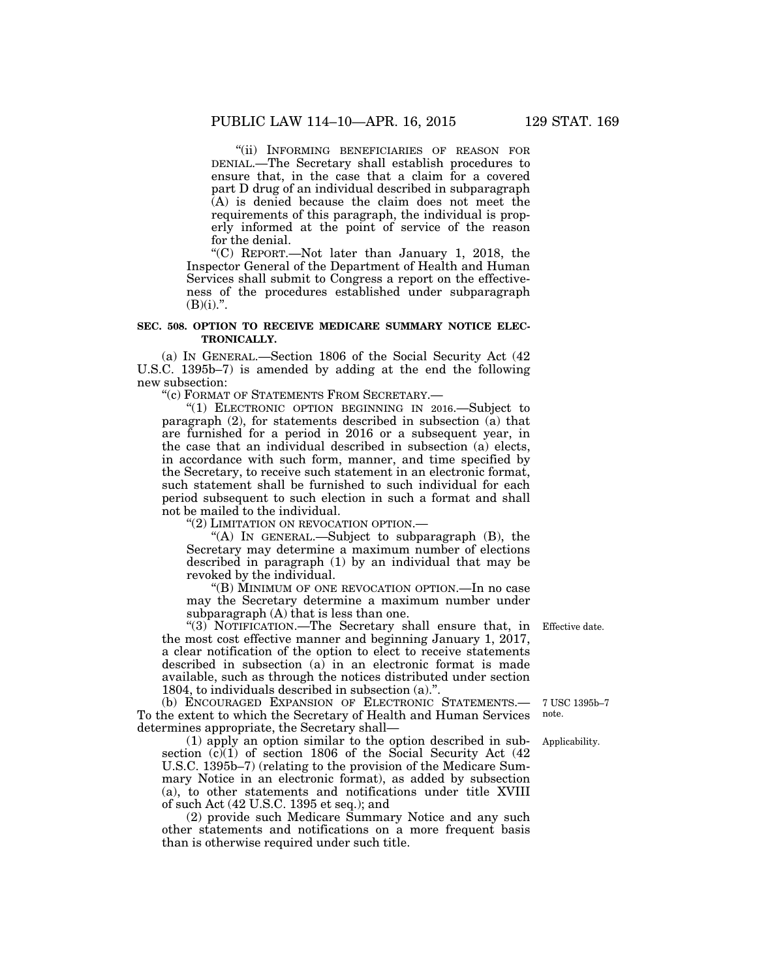''(ii) INFORMING BENEFICIARIES OF REASON FOR DENIAL.—The Secretary shall establish procedures to ensure that, in the case that a claim for a covered part D drug of an individual described in subparagraph (A) is denied because the claim does not meet the requirements of this paragraph, the individual is properly informed at the point of service of the reason for the denial.

''(C) REPORT.—Not later than January 1, 2018, the Inspector General of the Department of Health and Human Services shall submit to Congress a report on the effectiveness of the procedures established under subparagraph  $(B)(i).$ ".

# **SEC. 508. OPTION TO RECEIVE MEDICARE SUMMARY NOTICE ELEC-TRONICALLY.**

(a) IN GENERAL.—Section 1806 of the Social Security Act (42 U.S.C. 1395b–7) is amended by adding at the end the following new subsection:

''(c) FORMAT OF STATEMENTS FROM SECRETARY.—

''(1) ELECTRONIC OPTION BEGINNING IN 2016.—Subject to paragraph (2), for statements described in subsection (a) that are furnished for a period in 2016 or a subsequent year, in the case that an individual described in subsection (a) elects, in accordance with such form, manner, and time specified by the Secretary, to receive such statement in an electronic format, such statement shall be furnished to such individual for each period subsequent to such election in such a format and shall not be mailed to the individual.

''(2) LIMITATION ON REVOCATION OPTION.—

"(A) IN GENERAL.—Subject to subparagraph (B), the Secretary may determine a maximum number of elections described in paragraph (1) by an individual that may be revoked by the individual.

''(B) MINIMUM OF ONE REVOCATION OPTION.—In no case may the Secretary determine a maximum number under subparagraph (A) that is less than one.

''(3) NOTIFICATION.—The Secretary shall ensure that, in the most cost effective manner and beginning January 1, 2017, a clear notification of the option to elect to receive statements described in subsection  $(a)$  in an electronic format is made available, such as through the notices distributed under section 1804, to individuals described in subsection (a).''.

(b) ENCOURAGED EXPANSION OF ELECTRONIC STATEMENTS.— To the extent to which the Secretary of Health and Human Services determines appropriate, the Secretary shall—

(1) apply an option similar to the option described in subsection  $(c)(1)$  of section 1806 of the Social Security Act  $(42)$ U.S.C. 1395b–7) (relating to the provision of the Medicare Summary Notice in an electronic format), as added by subsection (a), to other statements and notifications under title XVIII of such Act (42 U.S.C. 1395 et seq.); and

(2) provide such Medicare Summary Notice and any such other statements and notifications on a more frequent basis than is otherwise required under such title.

Effective date.

7 USC 1395b–7 note.

Applicability.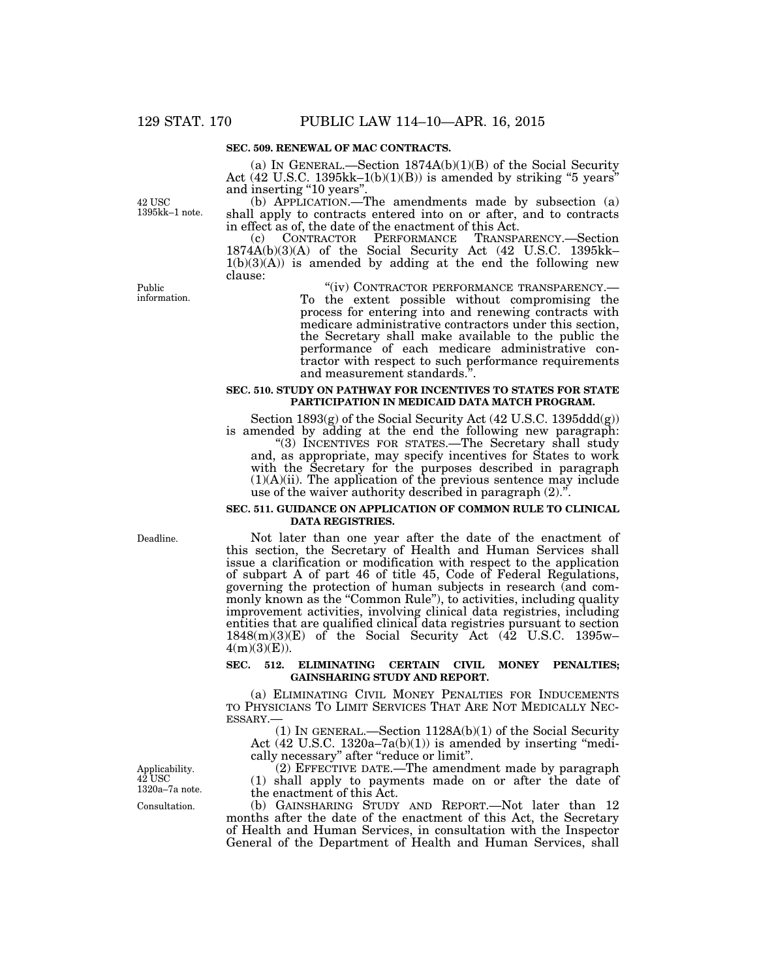#### **SEC. 509. RENEWAL OF MAC CONTRACTS.**

(a) IN GENERAL.—Section  $1874A(b)(1)(B)$  of the Social Security Act (42 U.S.C. 1395kk–1(b)(1)(B)) is amended by striking "5 years" and inserting "10 years".

(b) APPLICATION.—The amendments made by subsection (a) shall apply to contracts entered into on or after, and to contracts in effect as of, the date of the enactment of this Act.

(c) CONTRACTOR PERFORMANCE TRANSPARENCY.—Section 1874A(b)(3)(A) of the Social Security Act (42 U.S.C. 1395kk–  $1(b)(3)(A)$  is amended by adding at the end the following new clause:

> ''(iv) CONTRACTOR PERFORMANCE TRANSPARENCY.— To the extent possible without compromising the process for entering into and renewing contracts with medicare administrative contractors under this section, the Secretary shall make available to the public the performance of each medicare administrative contractor with respect to such performance requirements and measurement standards.''.

#### **SEC. 510. STUDY ON PATHWAY FOR INCENTIVES TO STATES FOR STATE PARTICIPATION IN MEDICAID DATA MATCH PROGRAM.**

Section 1893(g) of the Social Security Act (42 U.S.C. 1395ddd(g)) is amended by adding at the end the following new paragraph:

''(3) INCENTIVES FOR STATES.—The Secretary shall study and, as appropriate, may specify incentives for States to work with the Secretary for the purposes described in paragraph  $(1)(A)(ii)$ . The application of the previous sentence may include use of the waiver authority described in paragraph  $(2)$ ."

#### **SEC. 511. GUIDANCE ON APPLICATION OF COMMON RULE TO CLINICAL DATA REGISTRIES.**

Not later than one year after the date of the enactment of this section, the Secretary of Health and Human Services shall issue a clarification or modification with respect to the application of subpart A of part 46 of title 45, Code of Federal Regulations, governing the protection of human subjects in research (and commonly known as the "Common Rule"), to activities, including quality improvement activities, involving clinical data registries, including entities that are qualified clinical data registries pursuant to section 1848(m)(3)(E) of the Social Security Act (42 U.S.C. 1395w–  $4(m)(3)(E)$ ).

# **SEC. 512. ELIMINATING CERTAIN CIVIL MONEY PENALTIES; GAINSHARING STUDY AND REPORT.**

(a) ELIMINATING CIVIL MONEY PENALTIES FOR INDUCEMENTS TO PHYSICIANS TO LIMIT SERVICES THAT ARE NOT MEDICALLY NEC-ESSARY.—

(1) IN GENERAL.—Section 1128A(b)(1) of the Social Security Act  $(42 \text{ U.S.C. } 1320a-7a(b)(1))$  is amended by inserting "medically necessary'' after ''reduce or limit''.

(2) EFFECTIVE DATE.—The amendment made by paragraph (1) shall apply to payments made on or after the date of the enactment of this Act.

(b) GAINSHARING STUDY AND REPORT.—Not later than 12 months after the date of the enactment of this Act, the Secretary of Health and Human Services, in consultation with the Inspector General of the Department of Health and Human Services, shall

Public information.

42 USC 1395kk–1 note.

Deadline.

Applicability. 42 USC 1320a–7a note.

Consultation.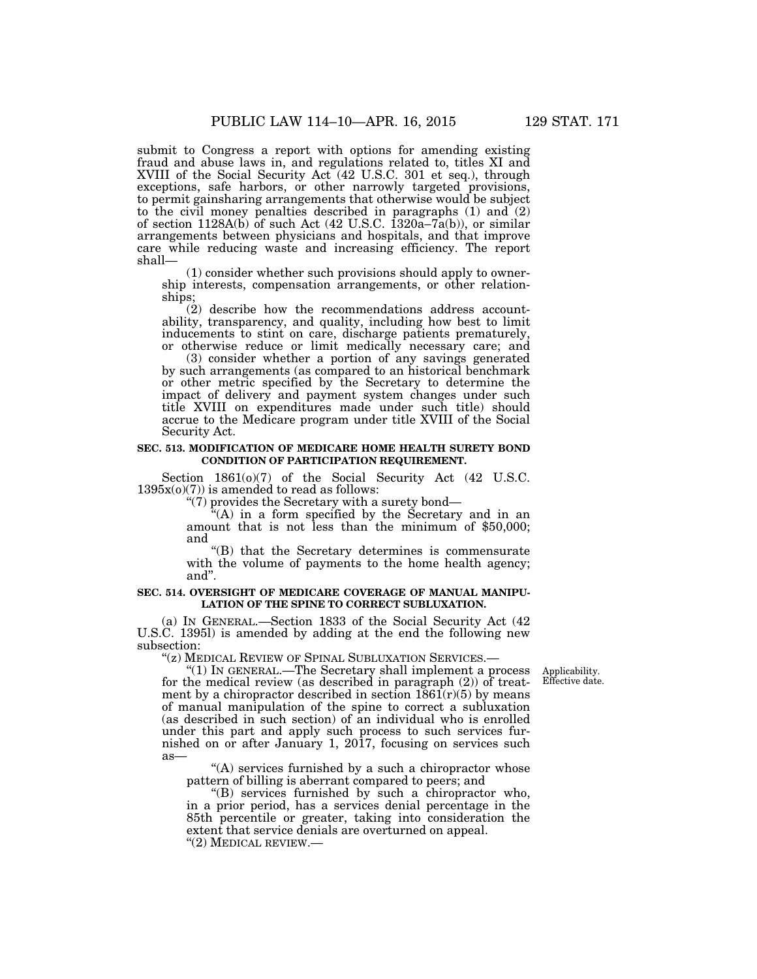submit to Congress a report with options for amending existing fraud and abuse laws in, and regulations related to, titles XI and XVIII of the Social Security Act (42 U.S.C. 301 et seq.), through exceptions, safe harbors, or other narrowly targeted provisions, to permit gainsharing arrangements that otherwise would be subject to the civil money penalties described in paragraphs (1) and (2) of section  $1128A(b)$  of such Act  $(42 \text{ U.S.C. } 1320a-7a(b))$ , or similar arrangements between physicians and hospitals, and that improve care while reducing waste and increasing efficiency. The report shall—

(1) consider whether such provisions should apply to ownership interests, compensation arrangements, or other relationships;

(2) describe how the recommendations address accountability, transparency, and quality, including how best to limit inducements to stint on care, discharge patients prematurely, or otherwise reduce or limit medically necessary care; and

(3) consider whether a portion of any savings generated by such arrangements (as compared to an historical benchmark or other metric specified by the Secretary to determine the impact of delivery and payment system changes under such title XVIII on expenditures made under such title) should accrue to the Medicare program under title XVIII of the Social Security Act.

#### **SEC. 513. MODIFICATION OF MEDICARE HOME HEALTH SURETY BOND CONDITION OF PARTICIPATION REQUIREMENT.**

Section 1861(o)(7) of the Social Security Act (42 U.S.C.  $1395x(0)(7)$ ) is amended to read as follows:

''(7) provides the Secretary with a surety bond—

''(A) in a form specified by the Secretary and in an amount that is not less than the minimum of \$50,000; and

''(B) that the Secretary determines is commensurate with the volume of payments to the home health agency; and''.

### **SEC. 514. OVERSIGHT OF MEDICARE COVERAGE OF MANUAL MANIPU-LATION OF THE SPINE TO CORRECT SUBLUXATION.**

(a) IN GENERAL.—Section 1833 of the Social Security Act (42 U.S.C. 1395l) is amended by adding at the end the following new subsection:<br>"(z) MEDICAL REVIEW OF SPINAL SUBLUXATION SERVICES.—

Applicability. Effective date.

" $(1)$  In GENERAL.—The Secretary shall implement a process. for the medical review (as described in paragraph (2)) of treatment by a chiropractor described in section  $1861(r)(5)$  by means of manual manipulation of the spine to correct a subluxation (as described in such section) of an individual who is enrolled under this part and apply such process to such services furnished on or after January 1, 2017, focusing on services such as—

 $(A)$  services furnished by a such a chiropractor whose pattern of billing is aberrant compared to peers; and

''(B) services furnished by such a chiropractor who, in a prior period, has a services denial percentage in the 85th percentile or greater, taking into consideration the extent that service denials are overturned on appeal. ''(2) MEDICAL REVIEW.—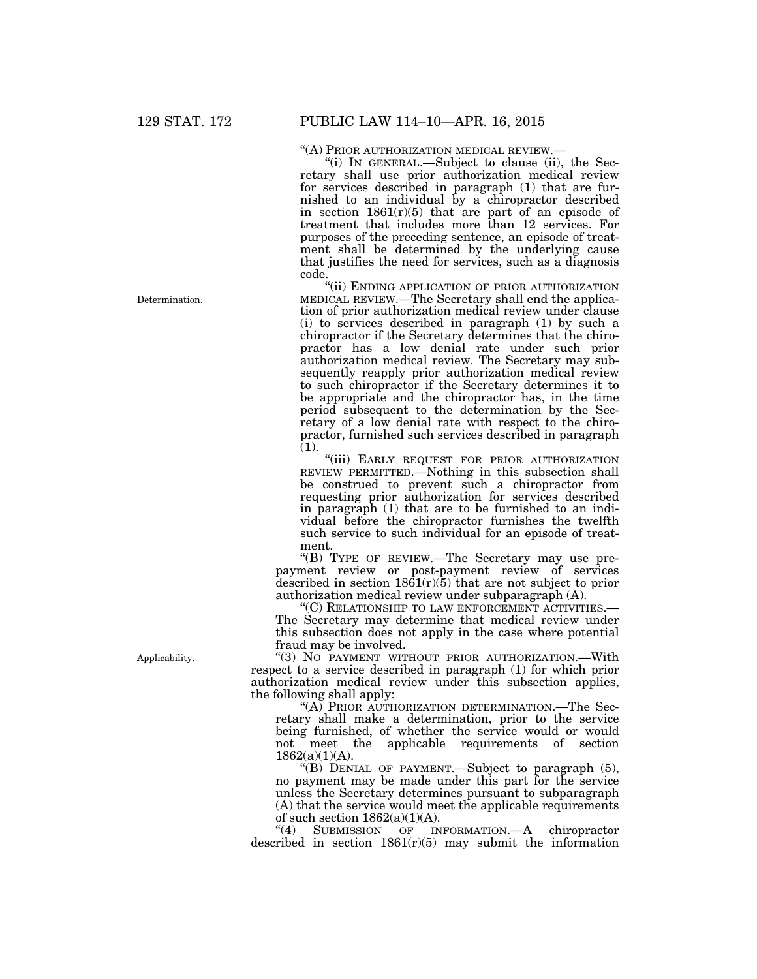Determination.

"(A) PRIOR AUTHORIZATION MEDICAL REVIEW.—<br>"(i) IN GENERAL.—Subject to clause (ii), the Secretary shall use prior authorization medical review for services described in paragraph (1) that are furnished to an individual by a chiropractor described in section  $1861(r)(5)$  that are part of an episode of treatment that includes more than 12 services. For purposes of the preceding sentence, an episode of treatment shall be determined by the underlying cause that justifies the need for services, such as a diagnosis code.

''(ii) ENDING APPLICATION OF PRIOR AUTHORIZATION MEDICAL REVIEW.—The Secretary shall end the application of prior authorization medical review under clause (i) to services described in paragraph (1) by such a chiropractor if the Secretary determines that the chiropractor has a low denial rate under such prior authorization medical review. The Secretary may subsequently reapply prior authorization medical review to such chiropractor if the Secretary determines it to be appropriate and the chiropractor has, in the time period subsequent to the determination by the Secretary of a low denial rate with respect to the chiropractor, furnished such services described in paragraph  $(1).$ 

''(iii) EARLY REQUEST FOR PRIOR AUTHORIZATION REVIEW PERMITTED.—Nothing in this subsection shall be construed to prevent such a chiropractor from requesting prior authorization for services described in paragraph (1) that are to be furnished to an individual before the chiropractor furnishes the twelfth such service to such individual for an episode of treatment.

''(B) TYPE OF REVIEW.—The Secretary may use prepayment review or post-payment review of services described in section  $1861(r)(5)$  that are not subject to prior authorization medical review under subparagraph (A).

''(C) RELATIONSHIP TO LAW ENFORCEMENT ACTIVITIES.— The Secretary may determine that medical review under this subsection does not apply in the case where potential fraud may be involved.

"(3) NO PAYMENT WITHOUT PRIOR AUTHORIZATION.-With respect to a service described in paragraph (1) for which prior authorization medical review under this subsection applies, the following shall apply:

''(A) PRIOR AUTHORIZATION DETERMINATION.—The Secretary shall make a determination, prior to the service being furnished, of whether the service would or would not meet the applicable requirements of section  $1862(a)(1)(A)$ .

''(B) DENIAL OF PAYMENT.—Subject to paragraph (5), no payment may be made under this part for the service unless the Secretary determines pursuant to subparagraph (A) that the service would meet the applicable requirements of such section  $1862(a)(1)(A)$ .<br>
"(4) SUBMISSION OF IN

INFORMATION.—A chiropractor described in section  $1861(r)(5)$  may submit the information

Applicability.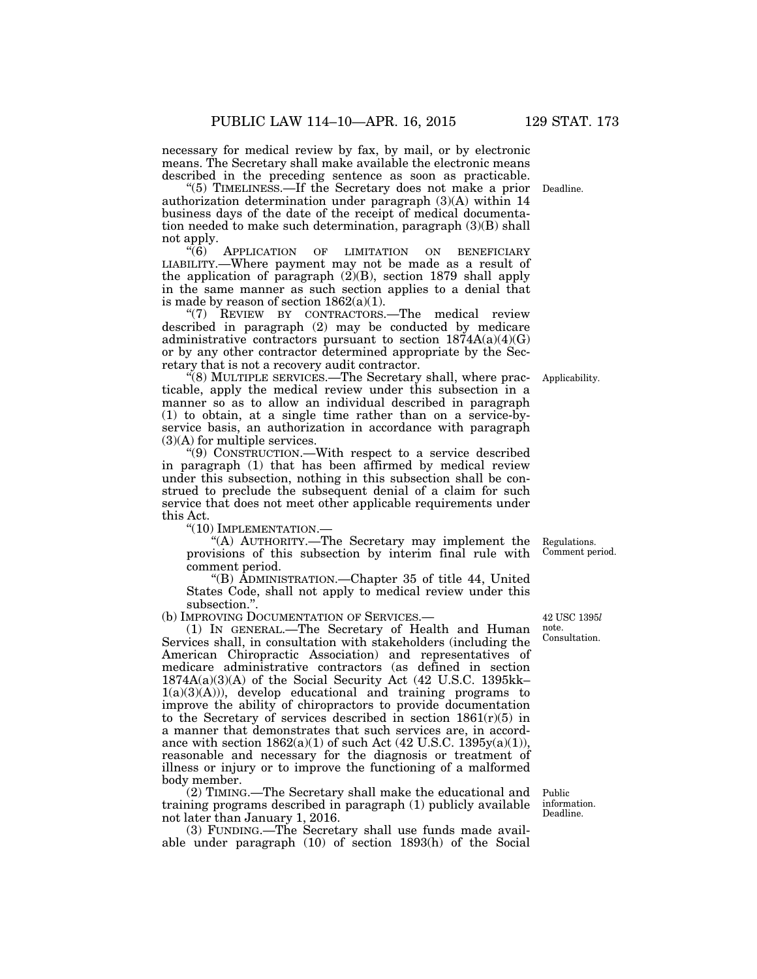necessary for medical review by fax, by mail, or by electronic means. The Secretary shall make available the electronic means described in the preceding sentence as soon as practicable.

''(5) TIMELINESS.—If the Secretary does not make a prior authorization determination under paragraph (3)(A) within 14 business days of the date of the receipt of medical documentation needed to make such determination, paragraph (3)(B) shall not apply.

"(6) APPLICATION OF LIMITATION ON BENEFICIARY LIABILITY.—Where payment may not be made as a result of the application of paragraph (2)(B), section 1879 shall apply in the same manner as such section applies to a denial that is made by reason of section  $1862(a)(1)$ .

"(7) REVIEW BY CONTRACTORS.—The medical review described in paragraph (2) may be conducted by medicare administrative contractors pursuant to section  $1874A(a)(4)(G)$ or by any other contractor determined appropriate by the Secretary that is not a recovery audit contractor.

 $\mathcal{H}(8)$  MULTIPLE SERVICES.—The Secretary shall, where practicable, apply the medical review under this subsection in a manner so as to allow an individual described in paragraph (1) to obtain, at a single time rather than on a service-byservice basis, an authorization in accordance with paragraph (3)(A) for multiple services.

''(9) CONSTRUCTION.—With respect to a service described in paragraph (1) that has been affirmed by medical review under this subsection, nothing in this subsection shall be construed to preclude the subsequent denial of a claim for such service that does not meet other applicable requirements under this Act.

''(10) IMPLEMENTATION.—

''(A) AUTHORITY.—The Secretary may implement the provisions of this subsection by interim final rule with comment period.

''(B) ADMINISTRATION.—Chapter 35 of title 44, United States Code, shall not apply to medical review under this subsection."

(b) IMPROVING DOCUMENTATION OF SERVICES.—

(1) IN GENERAL.—The Secretary of Health and Human Services shall, in consultation with stakeholders (including the American Chiropractic Association) and representatives of medicare administrative contractors (as defined in section 1874A(a)(3)(A) of the Social Security Act (42 U.S.C. 1395kk–  $1(a)(3)(A))$ , develop educational and training programs to improve the ability of chiropractors to provide documentation to the Secretary of services described in section  $1861(r)(5)$  in a manner that demonstrates that such services are, in accordance with section  $1862(a)(1)$  of such Act (42 U.S.C. 1395y(a)(1)), reasonable and necessary for the diagnosis or treatment of illness or injury or to improve the functioning of a malformed body member.

(2) TIMING.—The Secretary shall make the educational and training programs described in paragraph (1) publicly available not later than January 1, 2016.

(3) FUNDING.—The Secretary shall use funds made available under paragraph (10) of section 1893(h) of the Social

Comment period.

Regulations.

42 USC 1395*l*  note. Consultation.

Deadline.

Applicability.

Public information. Deadline.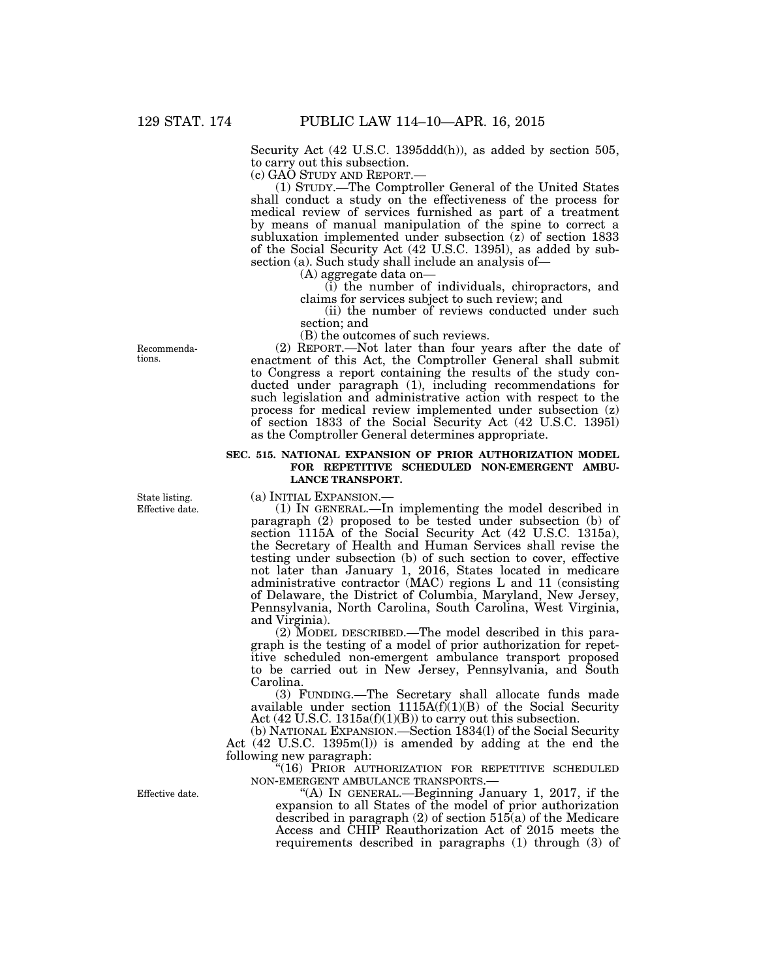Security Act (42 U.S.C. 1395ddd(h)), as added by section 505, to carry out this subsection.

(c) GAO STUDY AND REPORT.—

(1) STUDY.—The Comptroller General of the United States shall conduct a study on the effectiveness of the process for medical review of services furnished as part of a treatment by means of manual manipulation of the spine to correct a subluxation implemented under subsection (z) of section 1833 of the Social Security Act (42 U.S.C. 1395l), as added by subsection (a). Such study shall include an analysis of—

(A) aggregate data on—

(i) the number of individuals, chiropractors, and claims for services subject to such review; and

(ii) the number of reviews conducted under such section; and

(B) the outcomes of such reviews.

(2) REPORT.—Not later than four years after the date of enactment of this Act, the Comptroller General shall submit to Congress a report containing the results of the study conducted under paragraph (1), including recommendations for such legislation and administrative action with respect to the process for medical review implemented under subsection (z) of section 1833 of the Social Security Act (42 U.S.C. 1395l) as the Comptroller General determines appropriate.

# **SEC. 515. NATIONAL EXPANSION OF PRIOR AUTHORIZATION MODEL FOR REPETITIVE SCHEDULED NON-EMERGENT AMBU-LANCE TRANSPORT.**

(a) INITIAL EXPANSION.—

(1) IN GENERAL.—In implementing the model described in paragraph (2) proposed to be tested under subsection (b) of section 1115A of the Social Security Act (42 U.S.C. 1315a), the Secretary of Health and Human Services shall revise the testing under subsection (b) of such section to cover, effective not later than January 1, 2016, States located in medicare administrative contractor (MAC) regions L and 11 (consisting of Delaware, the District of Columbia, Maryland, New Jersey, Pennsylvania, North Carolina, South Carolina, West Virginia, and Virginia).

(2) MODEL DESCRIBED.—The model described in this paragraph is the testing of a model of prior authorization for repetitive scheduled non-emergent ambulance transport proposed to be carried out in New Jersey, Pennsylvania, and South Carolina.

(3) FUNDING.—The Secretary shall allocate funds made available under section  $1115A(f)(1)(B)$  of the Social Security Act  $(42 \text{ U.S.C. } 1315a\text{ (f)}(1)\text{ (B)})$  to carry out this subsection.

(b) NATIONAL EXPANSION.—Section 1834(l) of the Social Security Act (42 U.S.C. 1395m(l)) is amended by adding at the end the following new paragraph:

''(16) PRIOR AUTHORIZATION FOR REPETITIVE SCHEDULED NON-EMERGENT AMBULANCE TRANSPORTS.—

"(A) IN GENERAL.—Beginning January 1, 2017, if the expansion to all States of the model of prior authorization described in paragraph (2) of section 515(a) of the Medicare Access and CHIP Reauthorization Act of 2015 meets the requirements described in paragraphs (1) through (3) of

Recommendations.

Effective date. State listing.

Effective date.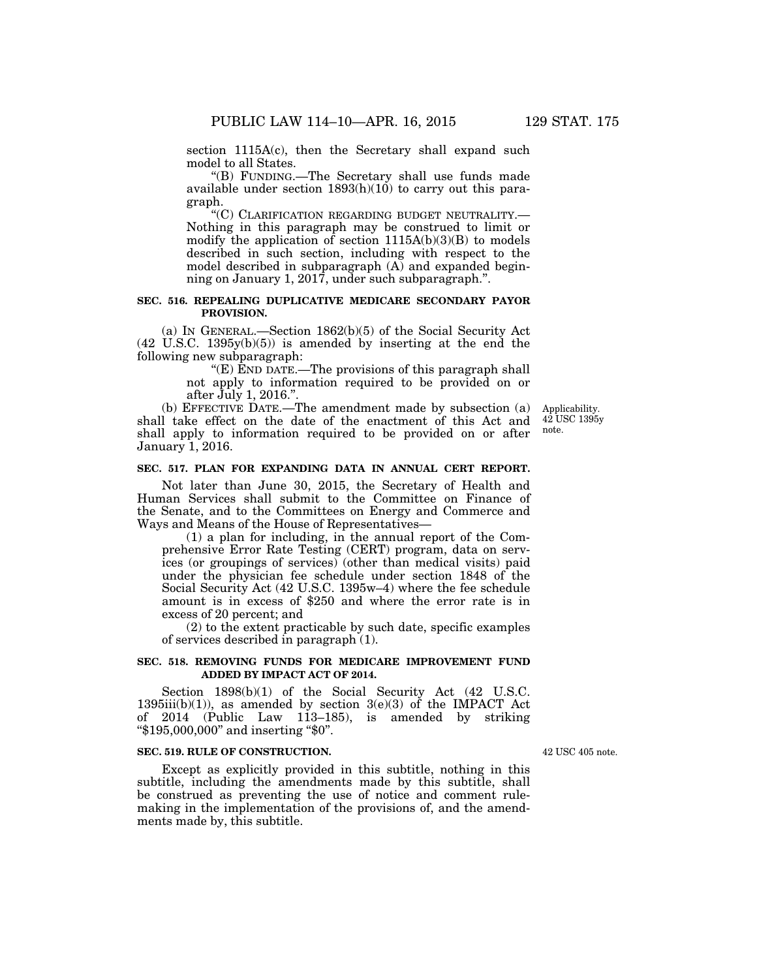section 1115A(c), then the Secretary shall expand such model to all States.

''(B) FUNDING.—The Secretary shall use funds made available under section  $1893(h)(10)$  to carry out this paragraph.

''(C) CLARIFICATION REGARDING BUDGET NEUTRALITY.— Nothing in this paragraph may be construed to limit or modify the application of section  $1115A(b)(3)(B)$  to models described in such section, including with respect to the model described in subparagraph  $(A)$  and expanded beginning on January 1, 2017, under such subparagraph.''.

# **SEC. 516. REPEALING DUPLICATIVE MEDICARE SECONDARY PAYOR PROVISION.**

(a) IN GENERAL.—Section 1862(b)(5) of the Social Security Act (42 U.S.C. 1395y(b)(5)) is amended by inserting at the end the following new subparagraph:

> ''(E) END DATE.—The provisions of this paragraph shall not apply to information required to be provided on or after July 1, 2016.''.

(b) EFFECTIVE DATE.—The amendment made by subsection (a) shall take effect on the date of the enactment of this Act and shall apply to information required to be provided on or after January 1, 2016.

#### Applicability. 42 USC 1395y note.

# **SEC. 517. PLAN FOR EXPANDING DATA IN ANNUAL CERT REPORT.**

Not later than June 30, 2015, the Secretary of Health and Human Services shall submit to the Committee on Finance of the Senate, and to the Committees on Energy and Commerce and Ways and Means of the House of Representatives—

(1) a plan for including, in the annual report of the Comprehensive Error Rate Testing (CERT) program, data on services (or groupings of services) (other than medical visits) paid under the physician fee schedule under section 1848 of the Social Security Act (42 U.S.C. 1395w–4) where the fee schedule amount is in excess of \$250 and where the error rate is in excess of 20 percent; and

(2) to the extent practicable by such date, specific examples of services described in paragraph (1).

### **SEC. 518. REMOVING FUNDS FOR MEDICARE IMPROVEMENT FUND ADDED BY IMPACT ACT OF 2014.**

Section 1898(b)(1) of the Social Security Act (42 U.S.C.  $1395iii(b)(1)$ , as amended by section  $3(e)(3)$  of the IMPACT Act of 2014 (Public Law 113–185), is amended by striking ''\$195,000,000'' and inserting ''\$0''.

# **SEC. 519. RULE OF CONSTRUCTION.**

Except as explicitly provided in this subtitle, nothing in this subtitle, including the amendments made by this subtitle, shall be construed as preventing the use of notice and comment rulemaking in the implementation of the provisions of, and the amendments made by, this subtitle.

42 USC 405 note.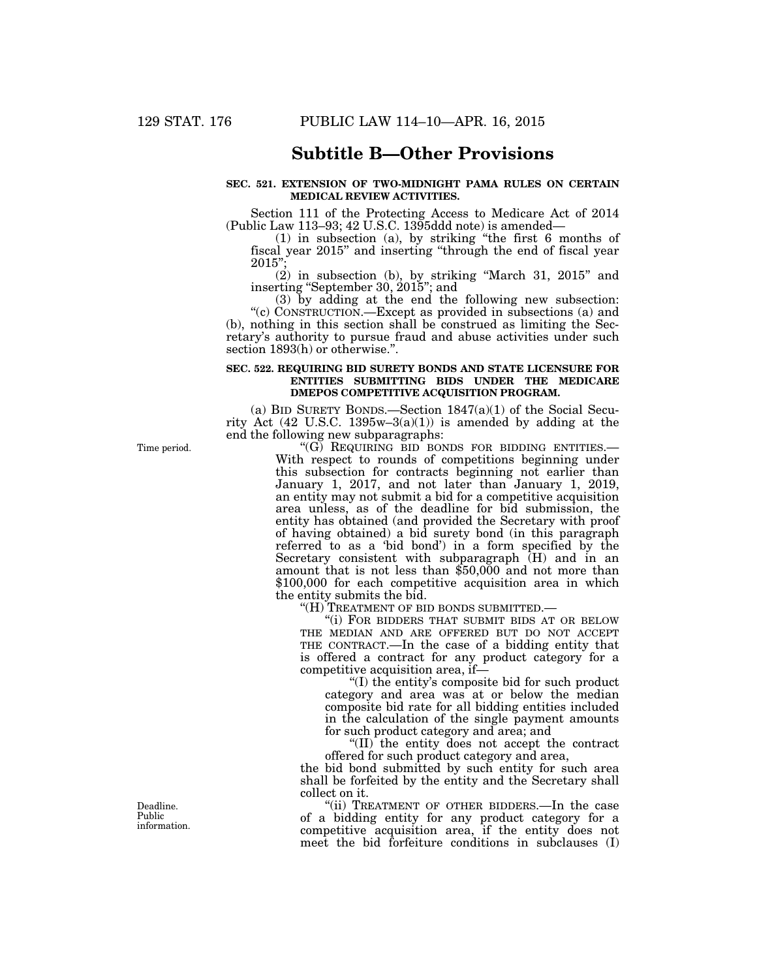# **Subtitle B—Other Provisions**

# **SEC. 521. EXTENSION OF TWO-MIDNIGHT PAMA RULES ON CERTAIN MEDICAL REVIEW ACTIVITIES.**

Section 111 of the Protecting Access to Medicare Act of 2014 (Public Law 113–93; 42 U.S.C. 1395ddd note) is amended—

(1) in subsection (a), by striking ''the first 6 months of fiscal year 2015'' and inserting ''through the end of fiscal year 2015'';

(2) in subsection (b), by striking ''March 31, 2015'' and inserting ''September 30, 2015''; and

(3) by adding at the end the following new subsection: ''(c) CONSTRUCTION.—Except as provided in subsections (a) and (b), nothing in this section shall be construed as limiting the Secretary's authority to pursue fraud and abuse activities under such section 1893(h) or otherwise.''.

### **SEC. 522. REQUIRING BID SURETY BONDS AND STATE LICENSURE FOR ENTITIES SUBMITTING BIDS UNDER THE MEDICARE DMEPOS COMPETITIVE ACQUISITION PROGRAM.**

(a) BID SURETY BONDS.—Section  $1847(a)(1)$  of the Social Security Act  $(42 \text{ U.S.C. } 1395\text{w}-3(a)(1))$  is amended by adding at the end the following new subparagraphs:

''(G) REQUIRING BID BONDS FOR BIDDING ENTITIES.— With respect to rounds of competitions beginning under this subsection for contracts beginning not earlier than January 1, 2017, and not later than January 1, 2019, an entity may not submit a bid for a competitive acquisition area unless, as of the deadline for bid submission, the entity has obtained (and provided the Secretary with proof of having obtained) a bid surety bond (in this paragraph referred to as a 'bid bond') in a form specified by the Secretary consistent with subparagraph  $(H)$  and in an amount that is not less than \$50,000 and not more than \$100,000 for each competitive acquisition area in which the entity submits the bid.

''(H) TREATMENT OF BID BONDS SUBMITTED.—

''(i) FOR BIDDERS THAT SUBMIT BIDS AT OR BELOW THE MEDIAN AND ARE OFFERED BUT DO NOT ACCEPT THE CONTRACT.—In the case of a bidding entity that is offered a contract for any product category for a competitive acquisition area, if—

''(I) the entity's composite bid for such product category and area was at or below the median composite bid rate for all bidding entities included in the calculation of the single payment amounts for such product category and area; and

''(II) the entity does not accept the contract offered for such product category and area,

the bid bond submitted by such entity for such area shall be forfeited by the entity and the Secretary shall collect on it.

''(ii) TREATMENT OF OTHER BIDDERS.—In the case of a bidding entity for any product category for a competitive acquisition area, if the entity does not meet the bid forfeiture conditions in subclauses (I)

Time period.

Deadline. Public information.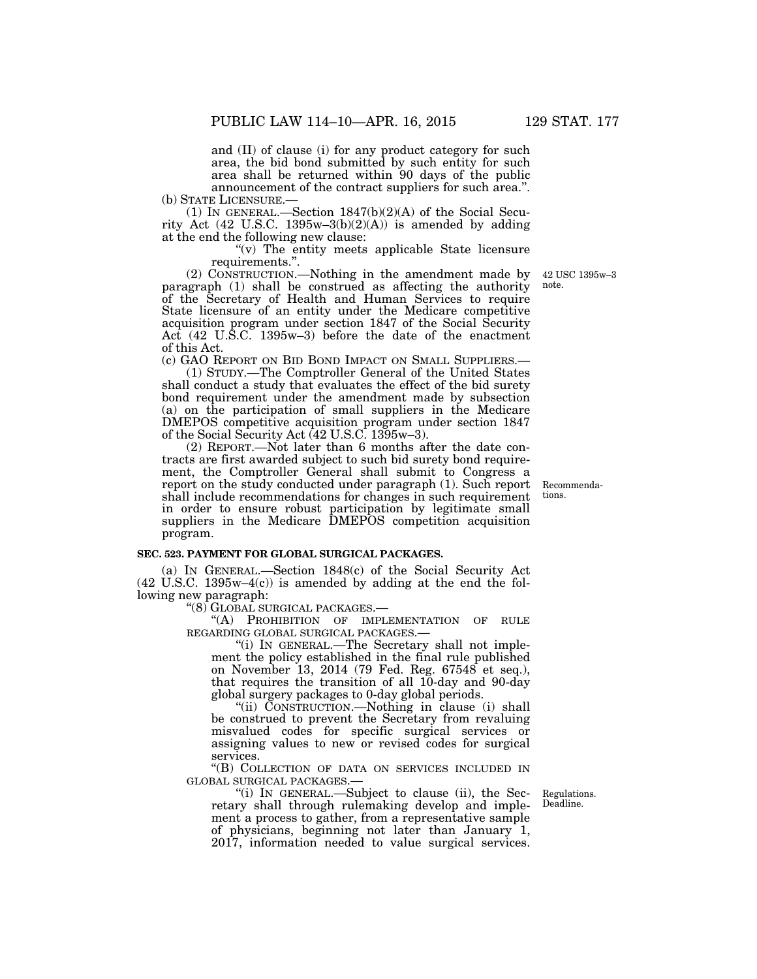and (II) of clause (i) for any product category for such area, the bid bond submitted by such entity for such area shall be returned within 90 days of the public announcement of the contract suppliers for such area.''.

(b) STATE LICENSURE.—<br>(1) IN GENERAL.—Section  $1847(b)(2)(A)$  of the Social Security Act  $(42 \text{ U.S.C. } 1395\text{w} - 3(\text{b})(2)(\text{A}))$  is amended by adding at the end the following new clause:

> " $(v)$  The entity meets applicable State licensure requirements.''.

(2) CONSTRUCTION.—Nothing in the amendment made by paragraph (1) shall be construed as affecting the authority of the Secretary of Health and Human Services to require State licensure of an entity under the Medicare competitive acquisition program under section 1847 of the Social Security Act (42 U.S.C. 1395w–3) before the date of the enactment of this Act.

(c) GAO REPORT ON BID BOND IMPACT ON SMALL SUPPLIERS.— (1) STUDY.—The Comptroller General of the United States

shall conduct a study that evaluates the effect of the bid surety bond requirement under the amendment made by subsection (a) on the participation of small suppliers in the Medicare DMEPOS competitive acquisition program under section 1847 of the Social Security Act (42 U.S.C. 1395w–3).

(2) REPORT.—Not later than 6 months after the date contracts are first awarded subject to such bid surety bond requirement, the Comptroller General shall submit to Congress a report on the study conducted under paragraph (1). Such report shall include recommendations for changes in such requirement in order to ensure robust participation by legitimate small suppliers in the Medicare DMEPOS competition acquisition program.

#### **SEC. 523. PAYMENT FOR GLOBAL SURGICAL PACKAGES.**

(a) IN GENERAL.—Section 1848(c) of the Social Security Act  $(42 \text{ U.S.C. } 1395\text{w}-4(c))$  is amended by adding at the end the following new paragraph:

''(8) GLOBAL SURGICAL PACKAGES.—

''(A) PROHIBITION OF IMPLEMENTATION OF RULE REGARDING GLOBAL SURGICAL PACKAGES.—

''(i) IN GENERAL.—The Secretary shall not implement the policy established in the final rule published on November 13, 2014 (79 Fed. Reg. 67548 et seq.), that requires the transition of all 10-day and 90-day global surgery packages to 0-day global periods.

''(ii) CONSTRUCTION.—Nothing in clause (i) shall be construed to prevent the Secretary from revaluing misvalued codes for specific surgical services or assigning values to new or revised codes for surgical services.

''(B) COLLECTION OF DATA ON SERVICES INCLUDED IN GLOBAL SURGICAL PACKAGES.—

''(i) IN GENERAL.—Subject to clause (ii), the Secretary shall through rulemaking develop and implement a process to gather, from a representative sample of physicians, beginning not later than January 1, 2017, information needed to value surgical services.

Regulations. Deadline.

Recommendations.

42 USC 1395w–3 note.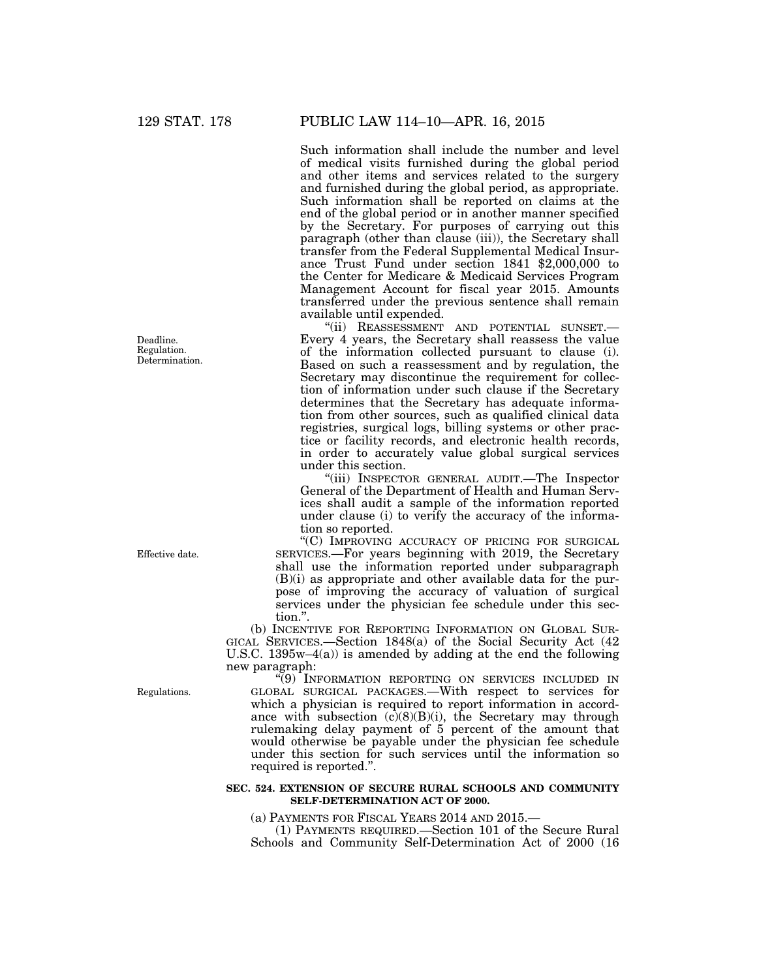Deadline. Regulation. Determination.

Effective date.

Regulations.

''(9) INFORMATION REPORTING ON SERVICES INCLUDED IN GLOBAL SURGICAL PACKAGES.—With respect to services for which a physician is required to report information in accordance with subsection  $(c)(8)(B)(i)$ , the Secretary may through rulemaking delay payment of 5 percent of the amount that would otherwise be payable under the physician fee schedule under this section for such services until the information so

### **SEC. 524. EXTENSION OF SECURE RURAL SCHOOLS AND COMMUNITY SELF-DETERMINATION ACT OF 2000.**

(a) PAYMENTS FOR FISCAL YEARS 2014 AND 2015.—

(1) PAYMENTS REQUIRED.—Section 101 of the Secure Rural Schools and Community Self-Determination Act of 2000 (16

Such information shall include the number and level of medical visits furnished during the global period and other items and services related to the surgery and furnished during the global period, as appropriate. Such information shall be reported on claims at the end of the global period or in another manner specified by the Secretary. For purposes of carrying out this paragraph (other than clause (iii)), the Secretary shall transfer from the Federal Supplemental Medical Insurance Trust Fund under section 1841 \$2,000,000 to the Center for Medicare & Medicaid Services Program Management Account for fiscal year 2015. Amounts transferred under the previous sentence shall remain available until expended.

"(ii) REASSESSMENT AND POTENTIAL SUNSET.-Every 4 years, the Secretary shall reassess the value of the information collected pursuant to clause (i). Based on such a reassessment and by regulation, the Secretary may discontinue the requirement for collection of information under such clause if the Secretary determines that the Secretary has adequate information from other sources, such as qualified clinical data registries, surgical logs, billing systems or other practice or facility records, and electronic health records, in order to accurately value global surgical services under this section.

''(iii) INSPECTOR GENERAL AUDIT.—The Inspector General of the Department of Health and Human Services shall audit a sample of the information reported under clause (i) to verify the accuracy of the information so reported.

''(C) IMPROVING ACCURACY OF PRICING FOR SURGICAL SERVICES.—For years beginning with 2019, the Secretary shall use the information reported under subparagraph  $(B)(i)$  as appropriate and other available data for the purpose of improving the accuracy of valuation of surgical services under the physician fee schedule under this section.''.

U.S.C. 1395w–4(a)) is amended by adding at the end the following new paragraph:

(b) INCENTIVE FOR REPORTING INFORMATION ON GLOBAL SUR-GICAL SERVICES.—Section 1848(a) of the Social Security Act (42

required is reported.''.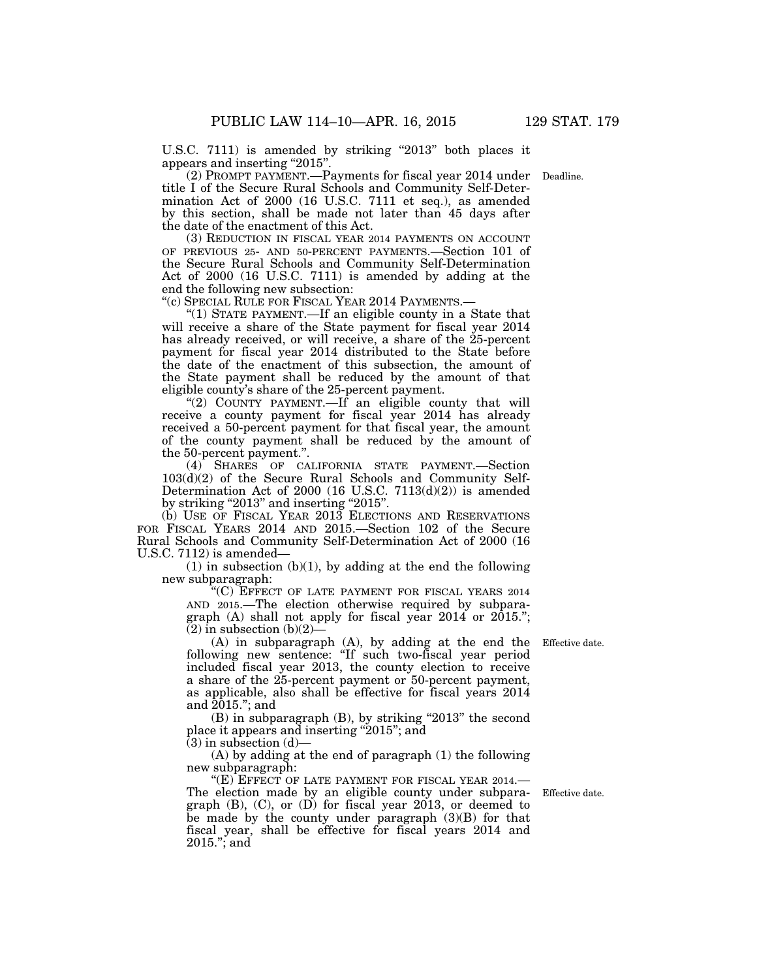U.S.C. 7111) is amended by striking "2013" both places it appears and inserting "2015".

(2) PROMPT PAYMENT.—Payments for fiscal year 2014 under Deadline. title I of the Secure Rural Schools and Community Self-Determination Act of 2000 (16 U.S.C. 7111 et seq.), as amended by this section, shall be made not later than 45 days after the date of the enactment of this Act.

(3) REDUCTION IN FISCAL YEAR 2014 PAYMENTS ON ACCOUNT OF PREVIOUS 25- AND 50-PERCENT PAYMENTS.—Section 101 of the Secure Rural Schools and Community Self-Determination Act of 2000 (16 U.S.C. 7111) is amended by adding at the end the following new subsection:

''(c) SPECIAL RULE FOR FISCAL YEAR 2014 PAYMENTS.—

"(1) STATE PAYMENT.—If an eligible county in a State that will receive a share of the State payment for fiscal year 2014 has already received, or will receive, a share of the 25-percent payment for fiscal year 2014 distributed to the State before the date of the enactment of this subsection, the amount of the State payment shall be reduced by the amount of that eligible county's share of the 25-percent payment.

"(2) COUNTY PAYMENT.—If an eligible county that will receive a county payment for fiscal year 2014 has already received a 50-percent payment for that fiscal year, the amount of the county payment shall be reduced by the amount of the 50-percent payment.''.

(4) SHARES OF CALIFORNIA STATE PAYMENT.—Section 103(d)(2) of the Secure Rural Schools and Community Self-Determination Act of 2000 (16 U.S.C. 7113(d)(2)) is amended by striking "2013" and inserting "2015".

(b) USE OF FISCAL YEAR 2013 ELECTIONS AND RESERVATIONS FOR FISCAL YEARS 2014 AND 2015.—Section 102 of the Secure Rural Schools and Community Self-Determination Act of 2000 (16 U.S.C. 7112) is amended—

 $(1)$  in subsection  $(b)(1)$ , by adding at the end the following new subparagraph:

''(C) EFFECT OF LATE PAYMENT FOR FISCAL YEARS 2014 AND 2015.—The election otherwise required by subparagraph (A) shall not apply for fiscal year 2014 or 2015.'';  $(2)$  in subsection  $(b)(2)$ 

(A) in subparagraph (A), by adding at the end the following new sentence: "If such two-fiscal year period included fiscal year 2013, the county election to receive a share of the 25-percent payment or 50-percent payment, as applicable, also shall be effective for fiscal years 2014 and 2015.''; and

 $(B)$  in subparagraph  $(B)$ , by striking "2013" the second place it appears and inserting "2015"; and

 $(3)$  in subsection  $(d)$ 

(A) by adding at the end of paragraph (1) the following new subparagraph:

"(E) EFFECT OF LATE PAYMENT FOR FISCAL YEAR 2014. The election made by an eligible county under subparagraph (B), (C), or (D) for fiscal year 2013, or deemed to be made by the county under paragraph (3)(B) for that fiscal year, shall be effective for fiscal years 2014 and 2015.''; and

Effective date.

Effective date.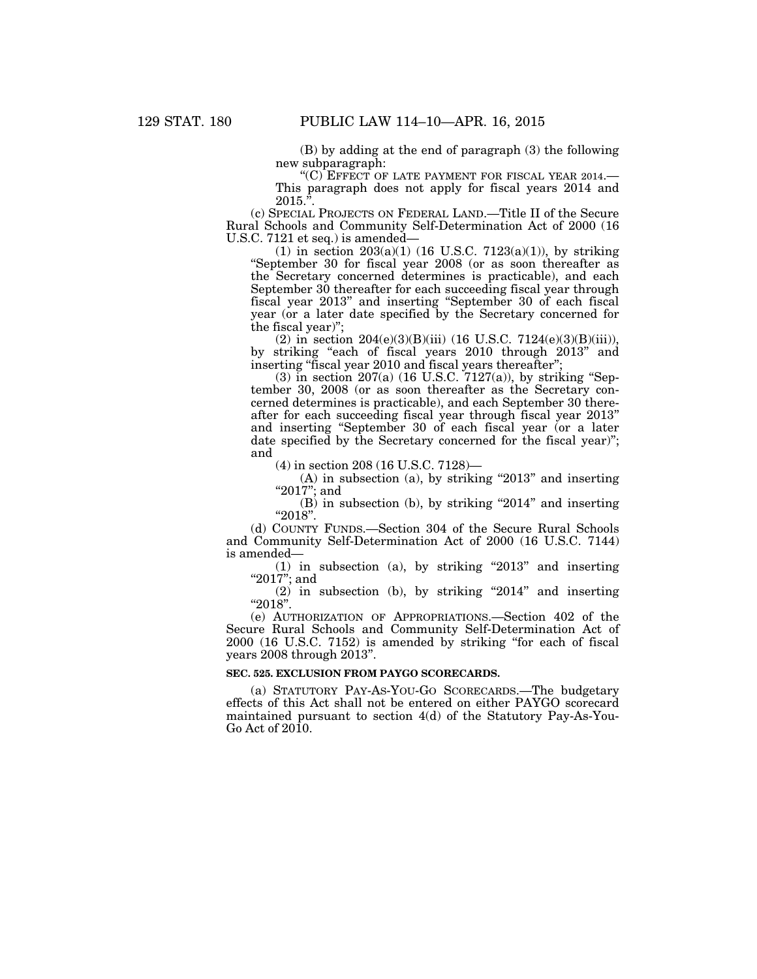(B) by adding at the end of paragraph (3) the following new subparagraph:

"(C) EFFECT OF LATE PAYMENT FOR FISCAL YEAR 2014. This paragraph does not apply for fiscal years 2014 and  $2015.<sup>5</sup>$ 

(c) SPECIAL PROJECTS ON FEDERAL LAND.—Title II of the Secure Rural Schools and Community Self-Determination Act of 2000 (16 U.S.C. 7121 et seq.) is amended—

(1) in section  $203(a)(1)$  (16 U.S.C. 7123(a)(1)), by striking ''September 30 for fiscal year 2008 (or as soon thereafter as the Secretary concerned determines is practicable), and each September 30 thereafter for each succeeding fiscal year through fiscal year 2013'' and inserting ''September 30 of each fiscal year (or a later date specified by the Secretary concerned for the fiscal year)'';

(2) in section 204(e)(3)(B)(iii) (16 U.S.C. 7124(e)(3)(B)(iii)), by striking ''each of fiscal years 2010 through 2013'' and inserting ''fiscal year 2010 and fiscal years thereafter'';

 $(3)$  in section  $207(a)$  (16 U.S.C. 7127(a)), by striking "September 30, 2008 (or as soon thereafter as the Secretary concerned determines is practicable), and each September 30 thereafter for each succeeding fiscal year through fiscal year 2013'' and inserting ''September 30 of each fiscal year (or a later date specified by the Secretary concerned for the fiscal year)''; and

(4) in section 208 (16 U.S.C. 7128)—

 $(A)$  in subsection  $(a)$ , by striking "2013" and inserting "2017"; and

 $(B)$  in subsection (b), by striking "2014" and inserting ''2018''.

(d) COUNTY FUNDS.—Section 304 of the Secure Rural Schools and Community Self-Determination Act of 2000 (16 U.S.C. 7144) is amended—

 $(1)$  in subsection  $(a)$ , by striking "2013" and inserting " $2017$ "; and

(2) in subsection (b), by striking ''2014'' and inserting ''2018''.

(e) AUTHORIZATION OF APPROPRIATIONS.—Section 402 of the Secure Rural Schools and Community Self-Determination Act of 2000 (16 U.S.C. 7152) is amended by striking ''for each of fiscal years 2008 through 2013''.

# **SEC. 525. EXCLUSION FROM PAYGO SCORECARDS.**

(a) STATUTORY PAY-AS-YOU-GO SCORECARDS.—The budgetary effects of this Act shall not be entered on either PAYGO scorecard maintained pursuant to section 4(d) of the Statutory Pay-As-You-Go Act of 2010.